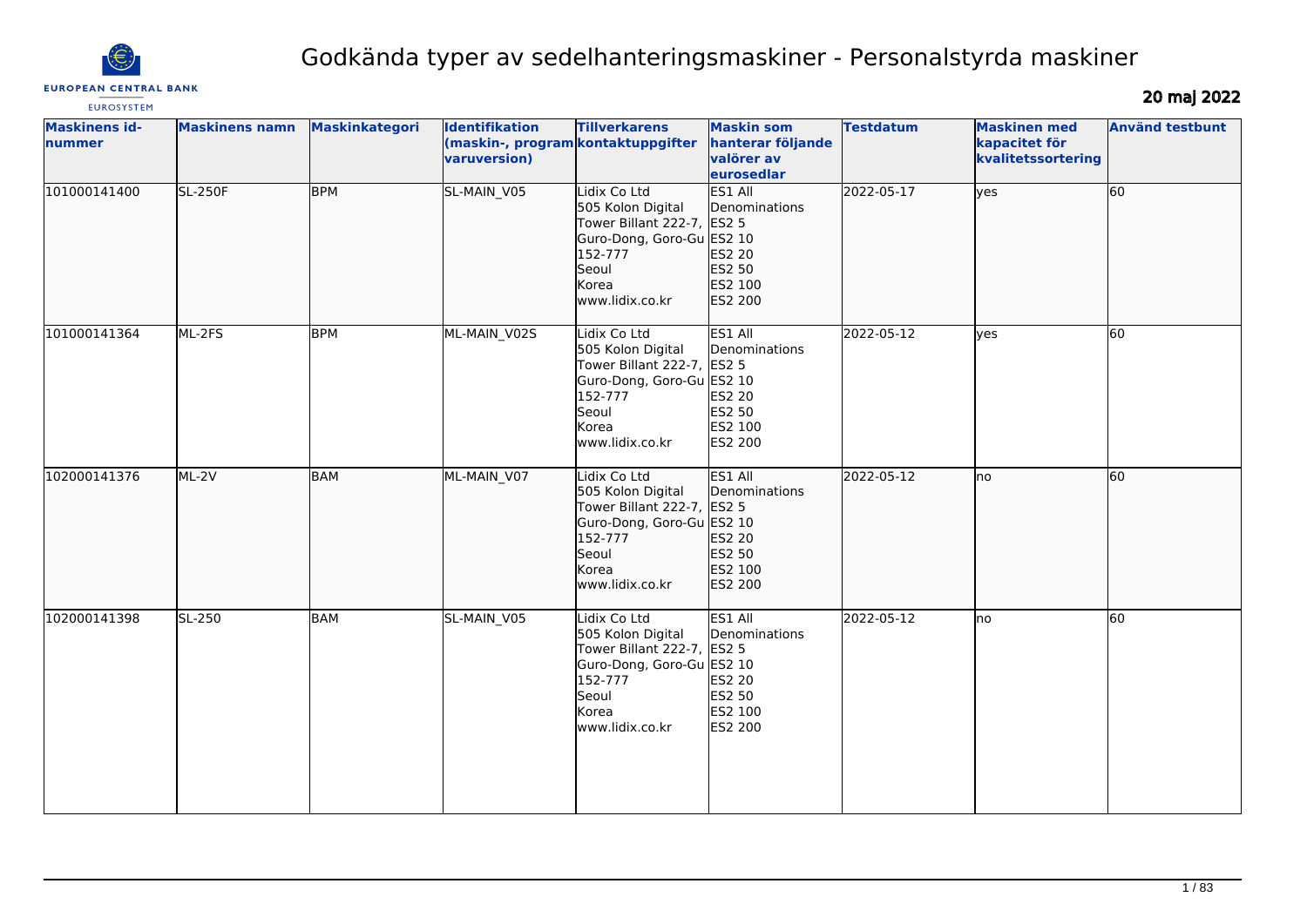

# Godkända typer av sedelhanteringsmaskiner - Personalstyrda maskiner

20 maj 2022

| <b>EUROSYSTEM</b>              |                       |                |                                                                             |                                                                                                                                              |                                                                    |                  |                                                            | 20 HG 4024             |
|--------------------------------|-----------------------|----------------|-----------------------------------------------------------------------------|----------------------------------------------------------------------------------------------------------------------------------------------|--------------------------------------------------------------------|------------------|------------------------------------------------------------|------------------------|
| <b>Maskinens id-</b><br>nummer | <b>Maskinens namn</b> | Maskinkategori | <b>Identifikation</b><br>(maskin-, program kontaktuppgifter<br>varuversion) | <b>Tillverkarens</b>                                                                                                                         | <b>Maskin som</b><br>hanterar följande<br>valörer av<br>eurosedlar | <b>Testdatum</b> | <b>Maskinen med</b><br>kapacitet för<br>kvalitetssortering | <b>Använd testbunt</b> |
| 101000141400                   | <b>SL-250F</b>        | <b>BPM</b>     | SL-MAIN_V05                                                                 | Lidix Co Ltd<br>505 Kolon Digital<br>Tower Billant 222-7, ES2 5<br>Guro-Dong, Goro-Gu ES2 10<br>152-777<br>Seoul<br>Korea<br>www.lidix.co.kr | ES1 All<br>Denominations<br>ES2 20<br>ES2 50<br>ES2 100<br>ES2 200 | 2022-05-17       | $ {\mathsf y}{\mathsf e}{\mathsf s} $                      | 60                     |
| 101000141364                   | ML-2FS                | <b>BPM</b>     | ML-MAIN V02S                                                                | Lidix Co Ltd<br>505 Kolon Digital<br>Tower Billant 222-7, ES2 5<br>Guro-Dong, Goro-Gu ES2 10<br>152-777<br>Seoul<br>Korea<br>www.lidix.co.kr | ES1 All<br>Denominations<br>ES2 20<br>ES2 50<br>ES2 100<br>ES2 200 | 2022-05-12       | lves                                                       | 60                     |
| 102000141376                   | ML-2V                 | <b>BAM</b>     | ML-MAIN V07                                                                 | Lidix Co Ltd<br>505 Kolon Digital<br>Tower Billant 222-7, ES2 5<br>Guro-Dong, Goro-Gu ES2 10<br>152-777<br>Seoul<br>Korea<br>www.lidix.co.kr | ES1 All<br>Denominations<br>ES2 20<br>ES2 50<br>ES2 100<br>ES2 200 | 2022-05-12       | lno                                                        | 60                     |
| 102000141398                   | SL-250                | <b>BAM</b>     | SL-MAIN_V05                                                                 | Lidix Co Ltd<br>505 Kolon Digital<br>Tower Billant 222-7, ES2 5<br>Guro-Dong, Goro-Gu ES2 10<br>152-777<br>Seoul<br>Korea<br>www.lidix.co.kr | ES1 All<br>Denominations<br>ES2 20<br>ES2 50<br>ES2 100<br>ES2 200 | 2022-05-12       | no.                                                        | 60                     |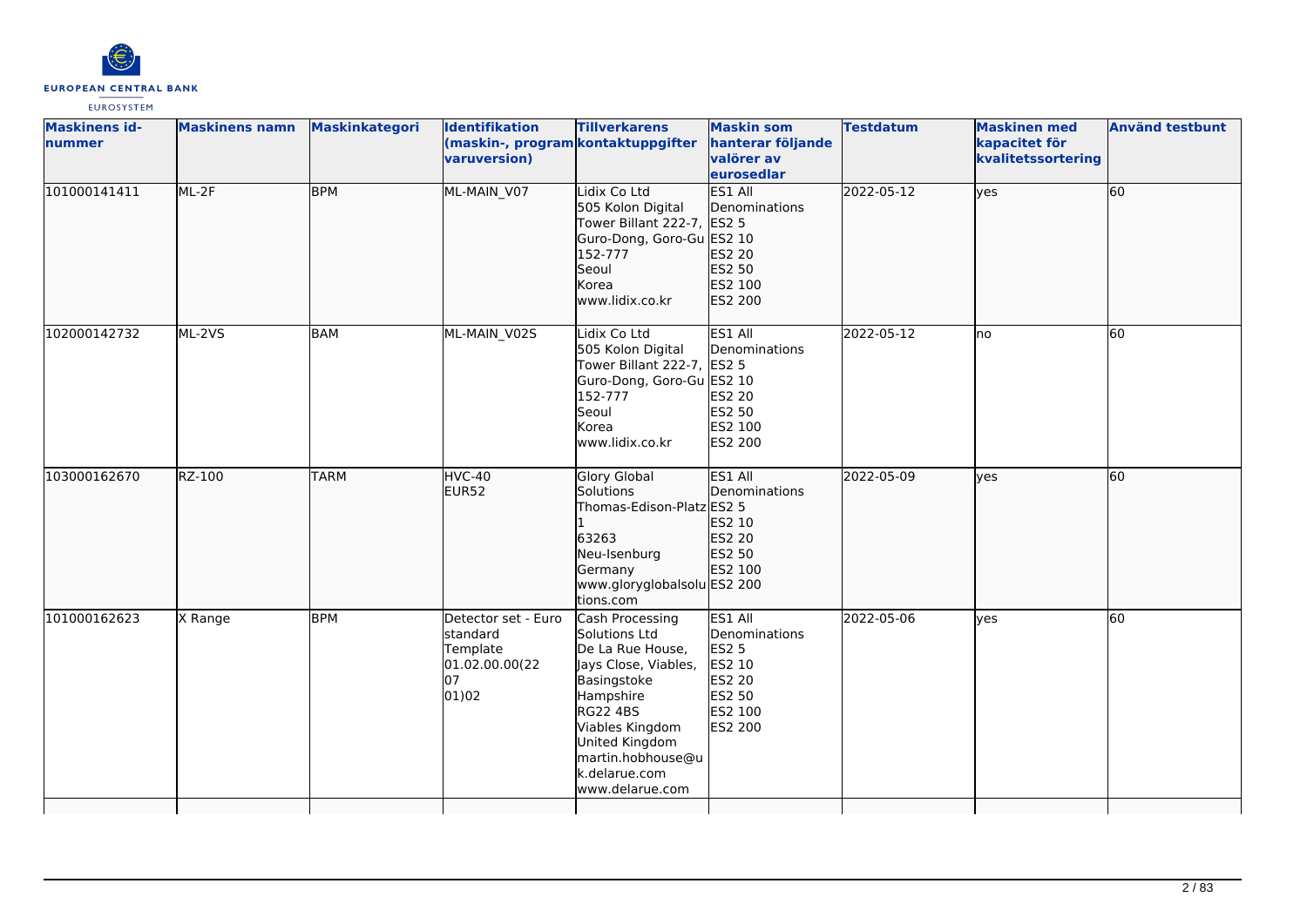

| <b>Maskinens id-</b><br>nummer | <b>Maskinens namn</b> | <b>Maskinkategori</b> | <b>Identifikation</b><br>(maskin-, program kontaktuppgifter<br>varuversion)         | <b>Tillverkarens</b>                                                                                                                                                                                                      | <b>Maskin som</b><br>hanterar följande<br>valörer av<br>eurosedlar                                  | <b>Testdatum</b> | <b>Maskinen med</b><br>kapacitet för<br>kvalitetssortering | <b>Använd testbunt</b> |
|--------------------------------|-----------------------|-----------------------|-------------------------------------------------------------------------------------|---------------------------------------------------------------------------------------------------------------------------------------------------------------------------------------------------------------------------|-----------------------------------------------------------------------------------------------------|------------------|------------------------------------------------------------|------------------------|
| 101000141411                   | $ML-2F$               | <b>BPM</b>            | ML-MAIN V07                                                                         | Lidix Co Ltd<br>505 Kolon Digital<br>Tower Billant 222-7, ES2 5<br>Guro-Dong, Goro-Gu ES2 10<br>152-777<br>Seoul<br>Korea<br>www.lidix.co.kr                                                                              | ES1 All<br>Denominations<br>ES2 20<br>ES2 50<br>ES2 100<br>ES2 200                                  | 2022-05-12       | lyes                                                       | 60                     |
| 102000142732                   | ML-2VS                | <b>BAM</b>            | ML-MAIN_V02S                                                                        | Lidix Co Ltd<br>505 Kolon Digital<br>Tower Billant 222-7, ES2 5<br>Guro-Dong, Goro-Gu ES2 10<br>152-777<br>Seoul<br>Korea<br>www.lidix.co.kr                                                                              | ES1 All<br>Denominations<br>ES2 20<br>ES2 50<br>ES2 100<br>ES2 200                                  | 2022-05-12       | lno                                                        | 60                     |
| 103000162670                   | $RZ-100$              | <b>TARM</b>           | HVC-40<br>EUR52                                                                     | Glory Global<br>Solutions<br>Thomas-Edison-Platz ES2 5<br>63263<br>Neu-Isenburg<br>Germany<br>www.gloryglobalsolu ES2 200<br>tions.com                                                                                    | ES1 All<br>Denominations<br>ES2 10<br>ES2 20<br>ES2 50<br>ES2 100                                   | 2022-05-09       | lyes                                                       | 60                     |
| 101000162623                   | X Range               | <b>BPM</b>            | Detector set - Euro<br><b>standard</b><br>Template<br>01.02.00.00(22<br>07<br>01)02 | Cash Processing<br>Solutions Ltd<br>De La Rue House,<br>Jays Close, Viables,<br>Basingstoke<br>Hampshire<br><b>RG22 4BS</b><br>Viables Kingdom<br>United Kingdom<br>martin.hobhouse@u<br>k.delarue.com<br>www.delarue.com | ES1 All<br>Denominations<br><b>ES2 5</b><br>ES2 10<br><b>ES2 20</b><br>ES2 50<br>ES2 100<br>ES2 200 | 2022-05-06       | yes                                                        | 60                     |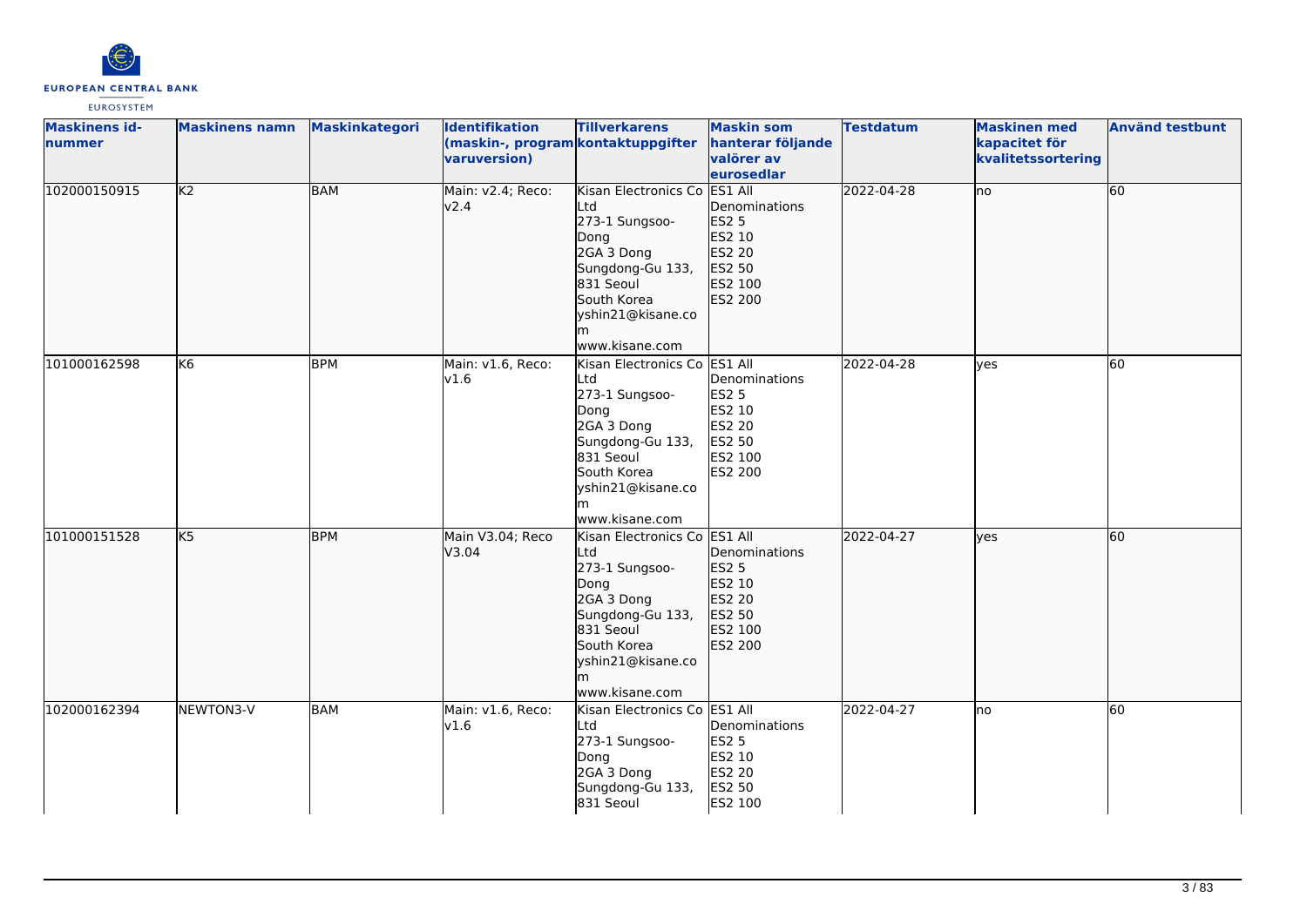

| <b>Maskinens id-</b><br>nummer | <b>Maskinens namn</b> | <b>Maskinkategori</b> | Identifikation<br>(maskin-, program kontaktuppgifter<br>varuversion) | <b>Tillverkarens</b>                                                                                                                                                     | <b>Maskin som</b><br>hanterar följande<br>valörer av<br>eurosedlar                              | <b>Testdatum</b> | <b>Maskinen med</b><br>kapacitet för<br>kvalitetssortering | <b>Använd testbunt</b> |
|--------------------------------|-----------------------|-----------------------|----------------------------------------------------------------------|--------------------------------------------------------------------------------------------------------------------------------------------------------------------------|-------------------------------------------------------------------------------------------------|------------------|------------------------------------------------------------|------------------------|
| 102000150915                   | K <sub>2</sub>        | <b>BAM</b>            | Main: v2.4; Reco:<br>v2.4                                            | Kisan Electronics Co ES1 All<br>Ltd<br>273-1 Sungsoo-<br>Dong<br>2GA 3 Dong<br>Sungdong-Gu 133,<br>831 Seoul<br>South Korea<br>yshin21@kisane.co<br>www.kisane.com       | Denominations<br><b>ES2 5</b><br>ES2 10<br>ES2 20<br>ES2 50<br>ES2 100<br>ES2 200               | 2022-04-28       | lno                                                        | 60                     |
| 101000162598                   | K <sub>6</sub>        | <b>BPM</b>            | Main: v1.6, Reco:<br>v1.6                                            | Kisan Electronics Co ES1 All<br>Ltd<br>273-1 Sungsoo-<br>Dong<br>2GA 3 Dong<br>Sungdong-Gu 133,<br>831 Seoul<br>South Korea<br>yshin21@kisane.co<br>m<br>www.kisane.com  | Denominations<br><b>ES2 5</b><br>ES2 10<br><b>ES2 20</b><br><b>ES2 50</b><br>ES2 100<br>ES2 200 | 2022-04-28       | <b>ves</b>                                                 | 60                     |
| 101000151528                   | K <sub>5</sub>        | <b>BPM</b>            | Main V3.04; Reco<br>V3.04                                            | Kisan Electronics Co ES1 All<br>Ltd<br>273-1 Sungsoo-<br>Dong<br>2GA 3 Dong<br>Sungdong-Gu 133,<br>831 Seoul<br>South Korea<br>yshin21@kisane.co<br>lm<br>www.kisane.com | Denominations<br><b>ES2 5</b><br>ES2 10<br>ES2 20<br>ES2 50<br>ES2 100<br>ES2 200               | 2022-04-27       | lves                                                       | 60                     |
| 102000162394                   | NEWTON3-V             | <b>BAM</b>            | Main: v1.6, Reco:<br>v1.6                                            | Kisan Electronics Co ES1 All<br>Ltd<br>273-1 Sungsoo-<br>Dong<br>2GA 3 Dong<br>Sungdong-Gu 133,<br>831 Seoul                                                             | Denominations<br><b>ES2 5</b><br>ES2 10<br><b>ES2 20</b><br>ES2 50<br>ES2 100                   | 2022-04-27       | lno                                                        | 60                     |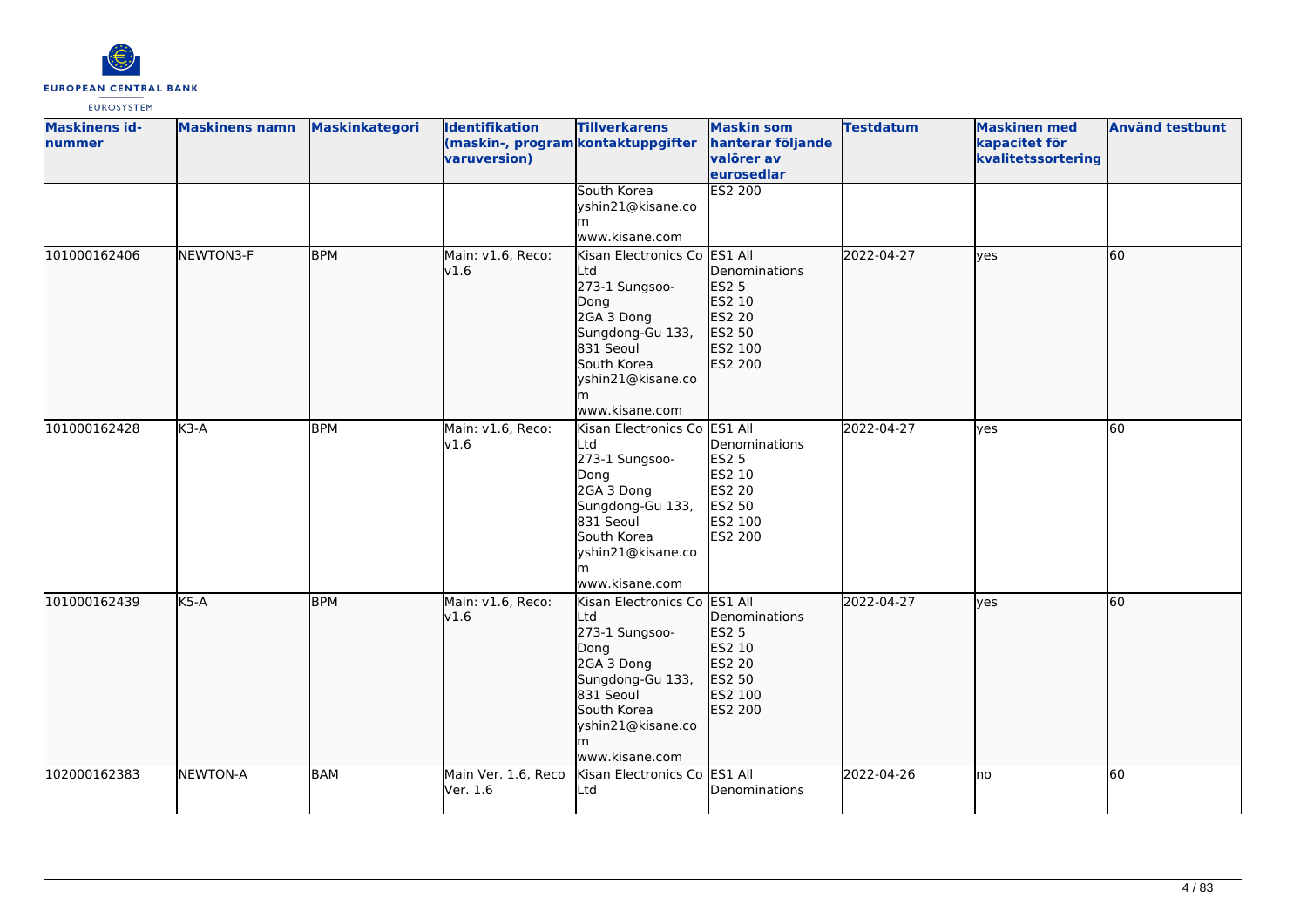

| <b>Maskinens id-</b><br>nummer | <b>Maskinens namn</b> | <b>Maskinkategori</b> | <b>Identifikation</b><br>(maskin-, program kontaktuppgifter<br>varuversion) | <b>Tillverkarens</b><br>South Korea                                                                                                                                      | <b>Maskin som</b><br>hanterar följande<br>valörer av<br>eurosedlar<br>ES2 200            | <b>Testdatum</b> | <b>Maskinen med</b><br>kapacitet för<br>kvalitetssortering | <b>Använd testbunt</b> |
|--------------------------------|-----------------------|-----------------------|-----------------------------------------------------------------------------|--------------------------------------------------------------------------------------------------------------------------------------------------------------------------|------------------------------------------------------------------------------------------|------------------|------------------------------------------------------------|------------------------|
|                                |                       |                       |                                                                             | yshin21@kisane.co<br>www.kisane.com                                                                                                                                      |                                                                                          |                  |                                                            |                        |
| 101000162406                   | NEWTON3-F             | <b>BPM</b>            | Main: v1.6, Reco:<br>v1.6                                                   | Kisan Electronics Co ES1 All<br>Ltd<br>273-1 Sungsoo-<br>Dong<br>2GA 3 Dong<br>Sungdong-Gu 133,<br>831 Seoul<br>South Korea<br>yshin21@kisane.co<br>m<br>www.kisane.com  | Denominations<br><b>ES2 5</b><br>ES2 10<br>ES2 20<br>ES2 50<br>ES2 100<br>ES2 200        | 2022-04-27       | lves                                                       | 60                     |
| 101000162428                   | K3-A                  | <b>BPM</b>            | Main: v1.6, Reco:<br>v1.6                                                   | Kisan Electronics Co ES1 All<br>Ltd<br>273-1 Sungsoo-<br>Dong<br>2GA 3 Dong<br>Sungdong-Gu 133,<br>831 Seoul<br>South Korea<br>yshin21@kisane.co<br>lm<br>www.kisane.com | Denominations<br><b>ES2 5</b><br>ES2 10<br>ES2 20<br><b>ES2 50</b><br>ES2 100<br>ES2 200 | 2022-04-27       | lves                                                       | 60                     |
| 101000162439                   | $K5-A$                | <b>BPM</b>            | Main: v1.6, Reco:<br>v1.6                                                   | Kisan Electronics Co ES1 All<br>Ltd<br>273-1 Sungsoo-<br>Dong<br>2GA 3 Dong<br>Sungdong-Gu 133,<br>831 Seoul<br>South Korea<br>yshin21@kisane.co<br>www.kisane.com       | Denominations<br><b>ES2 5</b><br>ES2 10<br>ES2 20<br>ES2 50<br>ES2 100<br>ES2 200        | 2022-04-27       | lves                                                       | 60                     |
| 102000162383                   | <b>NEWTON-A</b>       | BAM                   | Main Ver. 1.6, Reco<br>Ver. 1.6                                             | Kisan Electronics Co ES1 All<br>Ltd                                                                                                                                      | Denominations                                                                            | 2022-04-26       | lno                                                        | 60                     |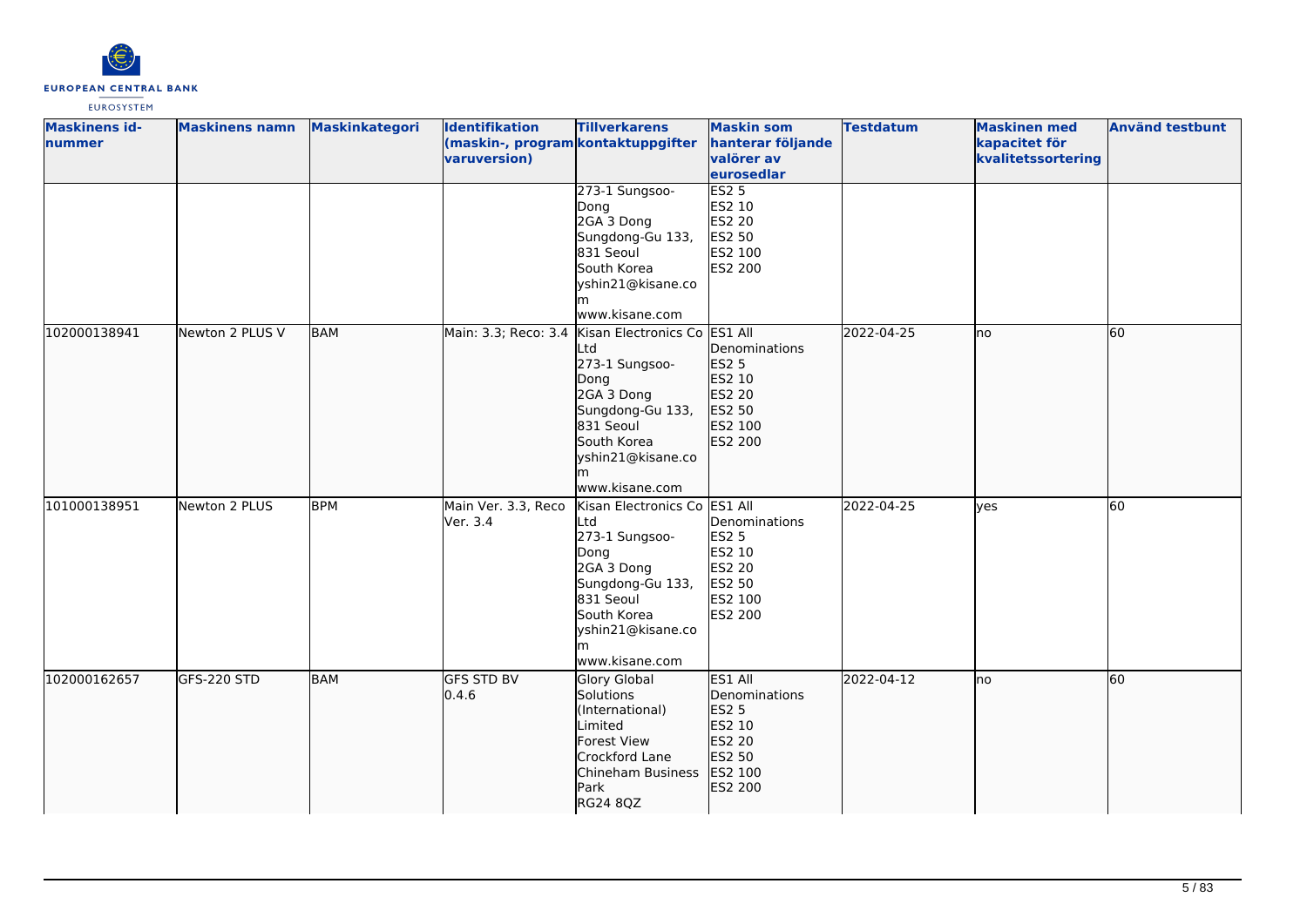

| <b>Maskinens id-</b><br>nummer | <b>Maskinens namn</b> | <b>Maskinkategori</b> | <b>Identifikation</b><br>varuversion) | <b>Tillverkarens</b><br>(maskin-, program kontaktuppgifter                                                                                                              | <b>Maskin som</b><br>hanterar följande<br>valörer av<br>eurosedlar                    | <b>Testdatum</b> | <b>Maskinen med</b><br>kapacitet för<br>kvalitetssortering | <b>Använd testbunt</b> |
|--------------------------------|-----------------------|-----------------------|---------------------------------------|-------------------------------------------------------------------------------------------------------------------------------------------------------------------------|---------------------------------------------------------------------------------------|------------------|------------------------------------------------------------|------------------------|
|                                |                       |                       |                                       | 273-1 Sungsoo-<br>Dong<br>2GA 3 Dong<br>Sungdong-Gu 133,<br>831 Seoul<br>South Korea<br>yshin21@kisane.co<br>www.kisane.com                                             | ES2 <sub>5</sub><br>ES2 10<br><b>ES2 20</b><br><b>ES2 50</b><br>ES2 100<br>ES2 200    |                  |                                                            |                        |
| 102000138941                   | Newton 2 PLUS V       | <b>BAM</b>            | Main: 3.3; Reco: 3.4                  | Kisan Electronics Co ES1 All<br>Ltd<br>273-1 Sungsoo-<br>Dong<br>2GA 3 Dong<br>Sungdong-Gu 133,<br>831 Seoul<br>South Korea<br>yshin21@kisane.co<br>m<br>www.kisane.com | Denominations<br><b>ES2 5</b><br>ES2 10<br>ES2 20<br>ES2 50<br>ES2 100<br>ES2 200     | 2022-04-25       | lno                                                        | 60                     |
| 101000138951                   | Newton 2 PLUS         | <b>BPM</b>            | Main Ver. 3.3, Reco<br>Ver. 3.4       | Kisan Electronics Co ES1 All<br>Ltd<br>273-1 Sungsoo-<br>Dong<br>2GA 3 Dong<br>Sungdong-Gu 133,<br>831 Seoul<br>South Korea<br>yshin21@kisane.co<br>www.kisane.com      | Denominations<br><b>ES2 5</b><br>ES2 10<br>ES2 20<br>ES2 50<br>ES2 100<br>ES2 200     | 2022-04-25       | lyes                                                       | 60                     |
| 102000162657                   | GFS-220 STD           | <b>BAM</b>            | <b>GFS STD BV</b><br> 0.4.6           | <b>Glory Global</b><br>Solutions<br>(International)<br>Limited<br><b>Forest View</b><br>Crockford Lane<br>Chineham Business<br>Park<br>RG24 8QZ                         | ES1 All<br>Denominations<br>ES2 5<br>ES2 10<br>ES2 20<br>ES2 50<br>ES2 100<br>ES2 200 | 2022-04-12       | lno                                                        | 60                     |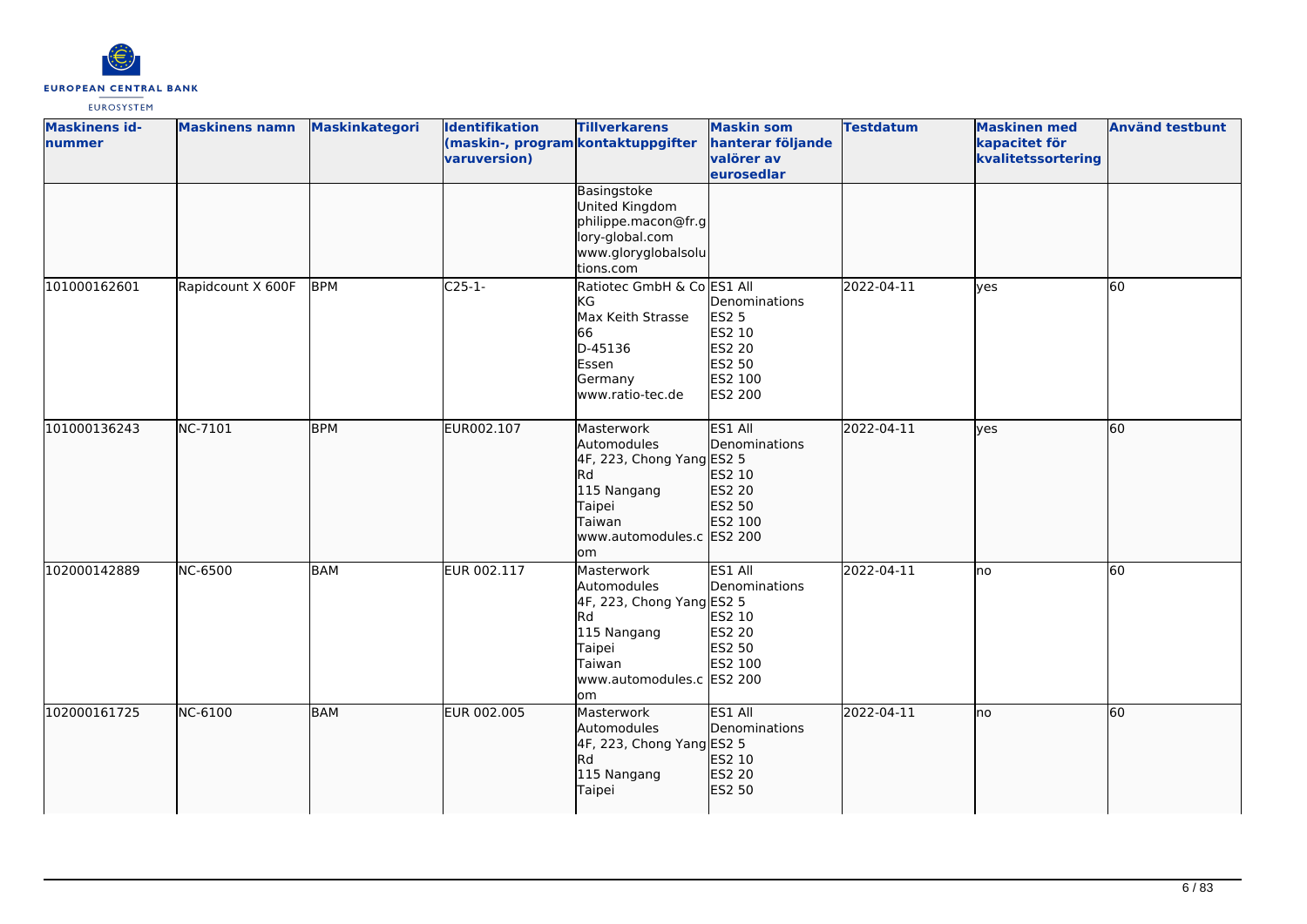

| <b>Maskinens id-</b><br><b>nummer</b> | <b>Maskinens namn</b> | <b>Maskinkategori</b> | Identifikation<br>(maskin-, program kontaktuppgifter<br>varuversion) | <b>Tillverkarens</b>                                                                                                                | <b>Maskin som</b><br>hanterar följande<br>valörer av<br>eurosedlar                              | <b>Testdatum</b> | <b>Maskinen med</b><br>kapacitet för<br>kvalitetssortering | <b>Använd testbunt</b> |
|---------------------------------------|-----------------------|-----------------------|----------------------------------------------------------------------|-------------------------------------------------------------------------------------------------------------------------------------|-------------------------------------------------------------------------------------------------|------------------|------------------------------------------------------------|------------------------|
|                                       |                       |                       |                                                                      | Basingstoke<br>United Kingdom<br>philippe.macon@fr.g<br>lory-global.com<br>www.gloryglobalsolu<br>tions.com                         |                                                                                                 |                  |                                                            |                        |
| 101000162601                          | Rapidcount X 600F     | <b>BPM</b>            | $C25-1-$                                                             | Ratiotec GmbH & Co ES1 All<br>KG<br>Max Keith Strasse<br>66<br>D-45136<br>Essen<br>Germany<br>www.ratio-tec.de                      | Denominations<br><b>ES2 5</b><br>ES2 10<br><b>ES2 20</b><br>ES2 50<br>ES2 100<br><b>ES2 200</b> | 2022-04-11       | ves                                                        | 60                     |
| 101000136243                          | NC-7101               | <b>BPM</b>            | EUR002.107                                                           | Masterwork<br>Automodules<br>4F, 223, Chong Yang ES2 5<br>Rd<br>115 Nangang<br>Taipei<br>Taiwan<br>www.automodules.c ES2 200<br>om  | ES1 All<br>Denominations<br>ES2 10<br>ES2 20<br>ES2 50<br>ES2 100                               | 2022-04-11       | lyes                                                       | 60                     |
| 102000142889                          | <b>NC-6500</b>        | <b>BAM</b>            | EUR 002.117                                                          | Masterwork<br>Automodules<br>4F, 223, Chong Yang ES2 5<br>Rd<br>115 Nangang<br>Taipei<br>Taiwan<br>www.automodules.c ES2 200<br>lom | ES1 All<br>Denominations<br>ES2 10<br>ES2 20<br>ES2 50<br>ES2 100                               | 2022-04-11       | lno                                                        | 60                     |
| 102000161725                          | NC-6100               | <b>BAM</b>            | EUR 002.005                                                          | Masterwork<br>Automodules<br>4F, 223, Chong Yang ES2 5<br>Rd<br>115 Nangang<br>Taipei                                               | ES1 All<br>Denominations<br>ES2 10<br>ES2 20<br>ES2 50                                          | 2022-04-11       | lno                                                        | 60                     |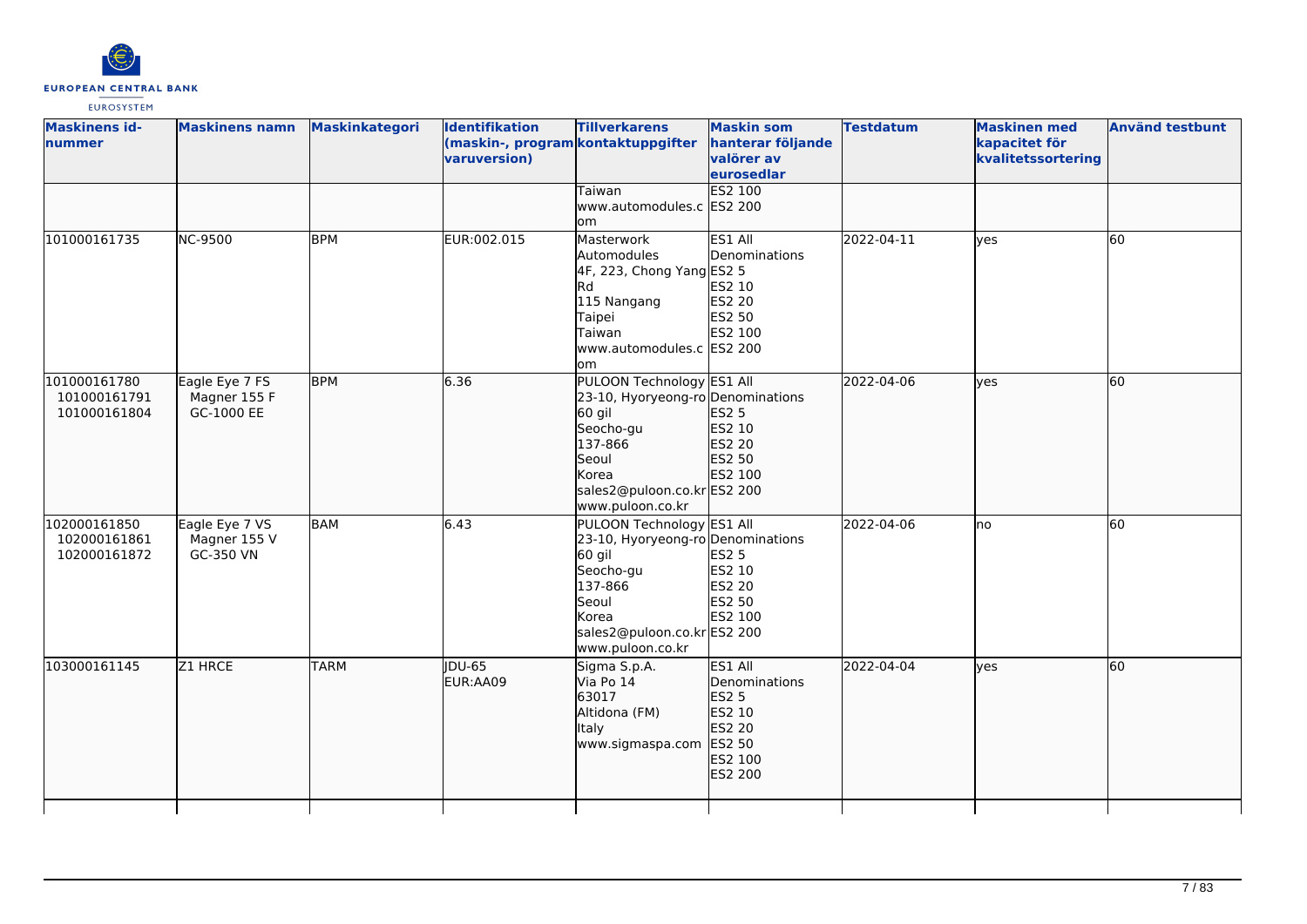

| <b>Maskinens id-</b><br>nummer               | <b>Maskinens namn</b>                        | Maskinkategori | <b>Identifikation</b><br>(maskin-, program kontaktuppgifter<br>varuversion) | <b>Tillverkarens</b>                                                                                                                                                 | <b>Maskin som</b><br>hanterar följande<br>valörer av<br>eurosedlar                    | <b>Testdatum</b> | <b>Maskinen med</b><br>kapacitet för<br>kvalitetssortering | <b>Använd testbunt</b> |
|----------------------------------------------|----------------------------------------------|----------------|-----------------------------------------------------------------------------|----------------------------------------------------------------------------------------------------------------------------------------------------------------------|---------------------------------------------------------------------------------------|------------------|------------------------------------------------------------|------------------------|
|                                              |                                              |                |                                                                             | Taiwan<br>www.automodules.c ES2 200<br>om                                                                                                                            | <b>ES2 100</b>                                                                        |                  |                                                            |                        |
| 101000161735                                 | <b>NC-9500</b>                               | <b>BPM</b>     | EUR:002.015                                                                 | Masterwork<br>Automodules<br>4F, 223, Chong Yang ES2 5<br>Rd<br>115 Nangang<br>Taipei<br>Taiwan<br>www.automodules.c ES2 200<br>lom                                  | ES1 All<br>Denominations<br>ES2 10<br><b>ES2 20</b><br>ES2 50<br>ES2 100              | 2022-04-11       | <b>ves</b>                                                 | 60                     |
| 101000161780<br>101000161791<br>101000161804 | Eagle Eye 7 FS<br>Magner 155 F<br>GC-1000 EE | <b>BPM</b>     | 6.36                                                                        | PULOON Technology ES1 All<br>23-10, Hyoryeong-ro Denominations<br>60 gil<br>Seocho-gu<br>137-866<br>Seoul<br>Korea<br>sales2@puloon.co.krES2 200<br>www.puloon.co.kr | ES2 5<br>ES2 10<br>ES2 20<br>ES2 50<br>ES2 100                                        | 2022-04-06       | lyes                                                       | 60                     |
| 102000161850<br>102000161861<br>102000161872 | Eagle Eye 7 VS<br>Magner 155 V<br>GC-350 VN  | BAM            | 6.43                                                                        | PULOON Technology ES1 All<br>23-10, Hyoryeong-ro Denominations<br>60 gil<br>Seocho-gu<br>137-866<br>Seoul<br>Korea<br>sales2@puloon.co.krES2 200<br>www.puloon.co.kr | <b>ES2 5</b><br>ES2 10<br>ES2 20<br>ES2 50<br>ES2 100                                 | 2022-04-06       | Ino                                                        | 60                     |
| 103000161145                                 | Z1 HRCE                                      | <b>TARM</b>    | $IDU-65$<br>EUR:AA09                                                        | Sigma S.p.A.<br>Via Po 14<br>63017<br>Altidona (FM)<br>Italy<br>www.sigmaspa.com                                                                                     | ES1 All<br>Denominations<br>ES2 5<br>ES2 10<br>ES2 20<br>ES2 50<br>ES2 100<br>ES2 200 | 2022-04-04       | <b>yes</b>                                                 | 60                     |
|                                              |                                              |                |                                                                             |                                                                                                                                                                      |                                                                                       |                  |                                                            |                        |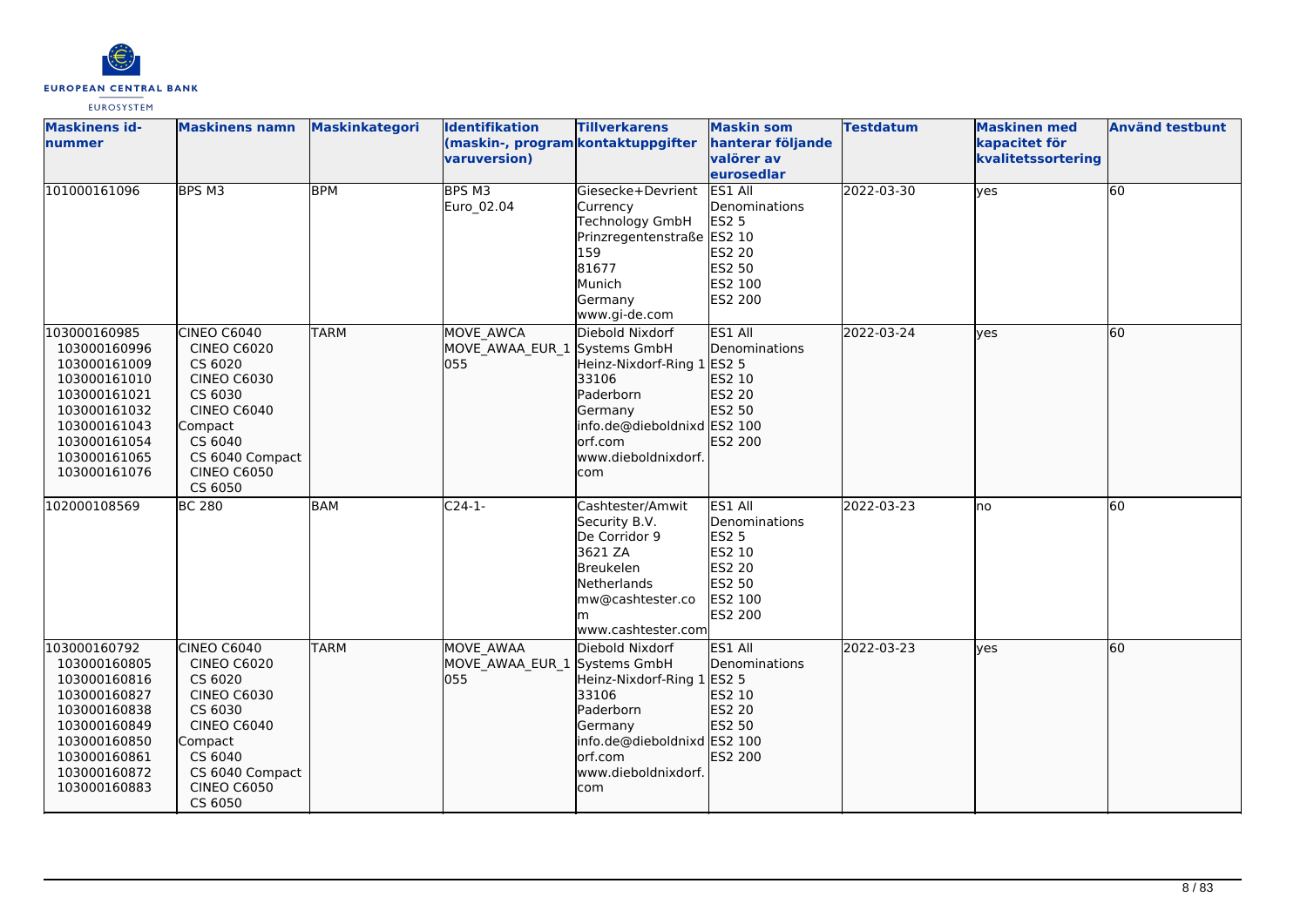

| <b>Maskinens id-</b><br><b>nummer</b>                                                                                                                        | <b>Maskinens namn</b>                                                                                                                                                         | <b>Maskinkategori</b> | <b>Identifikation</b><br>(maskin-, program kontaktuppgifter | <b>Tillverkarens</b>                                                                                                                            | <b>Maskin som</b><br>hanterar följande                                                         | <b>Testdatum</b> | <b>Maskinen med</b><br>kapacitet för | <b>Använd testbunt</b> |
|--------------------------------------------------------------------------------------------------------------------------------------------------------------|-------------------------------------------------------------------------------------------------------------------------------------------------------------------------------|-----------------------|-------------------------------------------------------------|-------------------------------------------------------------------------------------------------------------------------------------------------|------------------------------------------------------------------------------------------------|------------------|--------------------------------------|------------------------|
|                                                                                                                                                              |                                                                                                                                                                               |                       | varuversion)                                                |                                                                                                                                                 | valörer av<br>eurosedlar                                                                       |                  | kvalitetssortering                   |                        |
| 101000161096                                                                                                                                                 | BPS M3                                                                                                                                                                        | <b>BPM</b>            | BPS M3<br>Euro 02.04                                        | Giesecke+Devrient<br>Currency<br><b>Technology GmbH</b><br>Prinzregentenstraße<br>159<br>81677<br>Munich<br>Germany<br>www.gi-de.com            | ES1 All<br>Denominations<br>ES2 5<br>ES2 10<br>ES2 20<br>ES2 50<br>ES2 100<br>ES2 200          | 2022-03-30       | yes                                  | $\overline{60}$        |
| 103000160985<br>103000160996<br>103000161009<br>103000161010<br>103000161021<br>103000161032<br>103000161043<br>103000161054<br>103000161065<br>103000161076 | CINEO C6040<br><b>CINEO C6020</b><br>CS 6020<br><b>CINEO C6030</b><br>CS 6030<br><b>CINEO C6040</b><br>Compact<br>CS 6040<br>CS 6040 Compact<br><b>CINEO C6050</b><br>CS 6050 | <b>TARM</b>           | MOVE AWCA<br>MOVE_AWAA_EUR_1 Systems GmbH<br>055            | Diebold Nixdorf<br>Heinz-Nixdorf-Ring 1<br>33106<br>Paderborn<br>Germany<br>info.de@dieboldnixd<br>orf.com<br>www.dieboldnixdorf.<br>com        | ES1 All<br><b>I</b> Denominations<br>ES2 5<br>ES2 10<br>ES2 20<br>ES2 50<br>ES2 100<br>ES2 200 | 2022-03-24       | lyes                                 | 60                     |
| 102000108569                                                                                                                                                 | <b>BC 280</b>                                                                                                                                                                 | <b>BAM</b>            | $C24-1-$                                                    | Cashtester/Amwit<br>Security B.V.<br>De Corridor 9<br>3621 ZA<br>Breukelen<br><b>Netherlands</b><br>mw@cashtester.co<br>m<br>www.cashtester.com | ES1 All<br>Denominations<br>ES2 5<br>ES2 10<br>ES2 20<br>ES2 50<br>ES2 100<br>ES2 200          | 2022-03-23       | lno                                  | 60                     |
| 103000160792<br>103000160805<br>103000160816<br>103000160827<br>103000160838<br>103000160849<br>103000160850<br>103000160861<br>103000160872<br>103000160883 | CINEO C6040<br><b>CINEO C6020</b><br>CS 6020<br><b>CINEO C6030</b><br>CS 6030<br><b>CINEO C6040</b><br>Compact<br>CS 6040<br>CS 6040 Compact<br><b>CINEO C6050</b><br>CS 6050 | <b>TARM</b>           | <b>MOVE AWAA</b><br>MOVE_AWAA_EUR_1 Systems GmbH<br>055     | Diebold Nixdorf<br>Heinz-Nixdorf-Ring 1<br>33106<br>Paderborn<br>Germany<br>info.de@dieboldnixd<br>lorf.com<br>www.dieboldnixdorf.<br>com       | ES1 All<br>Denominations<br>ES2 5<br>ES2 10<br>ES2 20<br>ES2 50<br>ES2 100<br>ES2 200          | 2022-03-23       | lves                                 | 60                     |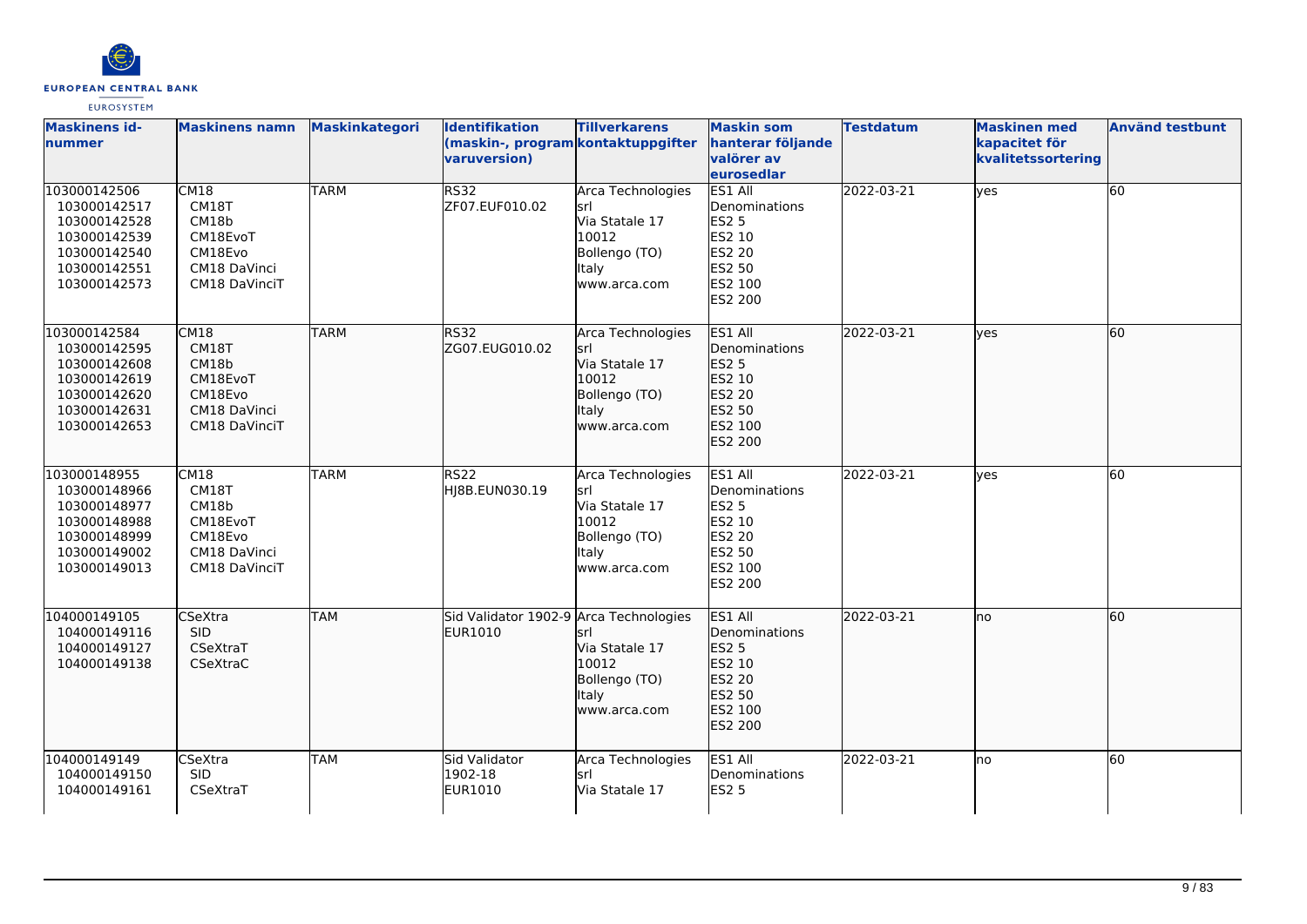

| <b>Maskinens id-</b><br>Inummer                                                                              | <b>Maskinens namn</b>                                                          | <b>Maskinkategori</b> | <b>Identifikation</b><br>(maskin-, program kontaktuppgifter<br>varuversion) | <b>Tillverkarens</b>                                                                                   | <b>Maskin som</b><br>hanterar följande<br>valörer av<br>eurosedlar                                         | <b>Testdatum</b> | <b>Maskinen</b> med<br>kapacitet för<br>kvalitetssortering | <b>Använd testbunt</b> |
|--------------------------------------------------------------------------------------------------------------|--------------------------------------------------------------------------------|-----------------------|-----------------------------------------------------------------------------|--------------------------------------------------------------------------------------------------------|------------------------------------------------------------------------------------------------------------|------------------|------------------------------------------------------------|------------------------|
| 103000142506<br>103000142517<br>103000142528<br>103000142539<br>103000142540<br>103000142551<br>103000142573 | CM18<br>CM18T<br>CM18b<br>CM18EvoT<br>CM18Evo<br>CM18 DaVinci<br>CM18 DaVinciT | <b>TARM</b>           | <b>RS32</b><br>ZF07.EUF010.02                                               | Arca Technologies<br>lsrl<br>Via Statale 17<br>10012<br>Bollengo (TO)<br><b>I</b> taly<br>www.arca.com | ES1 All<br>Denominations<br><b>ES2 5</b><br>ES2 10<br>ES2 20<br>ES2 50<br>ES2 100<br>ES2 200               | 2022-03-21       | <b>l</b> ves                                               | 60                     |
| 103000142584<br>103000142595<br>103000142608<br>103000142619<br>103000142620<br>103000142631<br>103000142653 | CM18<br>CM18T<br>CM18b<br>CM18EvoT<br>CM18Evo<br>CM18 DaVinci<br>CM18 DaVinciT | <b>TARM</b>           | RS32<br>ZG07.EUG010.02                                                      | Arca Technologies<br>lsrl<br>Via Statale 17<br>10012<br>Bollengo (TO)<br><b>Italy</b><br>www.arca.com  | ES1 All<br>Denominations<br>ES2 5<br>ES2 10<br>ES2 20<br>ES2 50<br>ES2 100<br>ES2 200                      | 2022-03-21       | lves                                                       | 60                     |
| 103000148955<br>103000148966<br>103000148977<br>103000148988<br>103000148999<br>103000149002<br>103000149013 | CM18<br>CM18T<br>CM18b<br>CM18EvoT<br>CM18Evo<br>CM18 DaVinci<br>CM18 DaVinciT | <b>TARM</b>           | <b>RS22</b><br>HJ8B.EUN030.19                                               | Arca Technologies<br>srl<br>Via Statale 17<br>10012<br>Bollengo (TO)<br><b>Italy</b><br>www.arca.com   | ES1 All<br>Denominations<br><b>ES2 5</b><br><b>ES2 10</b><br><b>ES2 20</b><br>ES2 50<br>ES2 100<br>ES2 200 | 2022-03-21       | <b>l</b> ves                                               | 60                     |
| 104000149105<br>104000149116<br>104000149127<br>104000149138                                                 | CSeXtra<br><b>SID</b><br>CSeXtraT<br>CSeXtraC                                  | <b>TAM</b>            | Sid Validator 1902-9 Arca Technologies<br><b>EUR1010</b>                    | lsrl<br>Via Statale 17<br>10012<br>Bollengo (TO)<br><b>Italy</b><br>www.arca.com                       | ES1 All<br>Denominations<br>ES2 5<br>ES2 10<br><b>ES2 20</b><br>ES2 50<br>ES2 100<br>ES2 200               | 2022-03-21       | lno                                                        | 60                     |
| 104000149149<br>104000149150<br>104000149161                                                                 | CSeXtra<br><b>SID</b><br>CSeXtraT                                              | <b>TAM</b>            | Sid Validator<br>1902-18<br>EUR1010                                         | Arca Technologies<br>lsrl<br>Via Statale 17                                                            | ES1 All<br>Denominations<br><b>ES2 5</b>                                                                   | 2022-03-21       | lno                                                        | 60                     |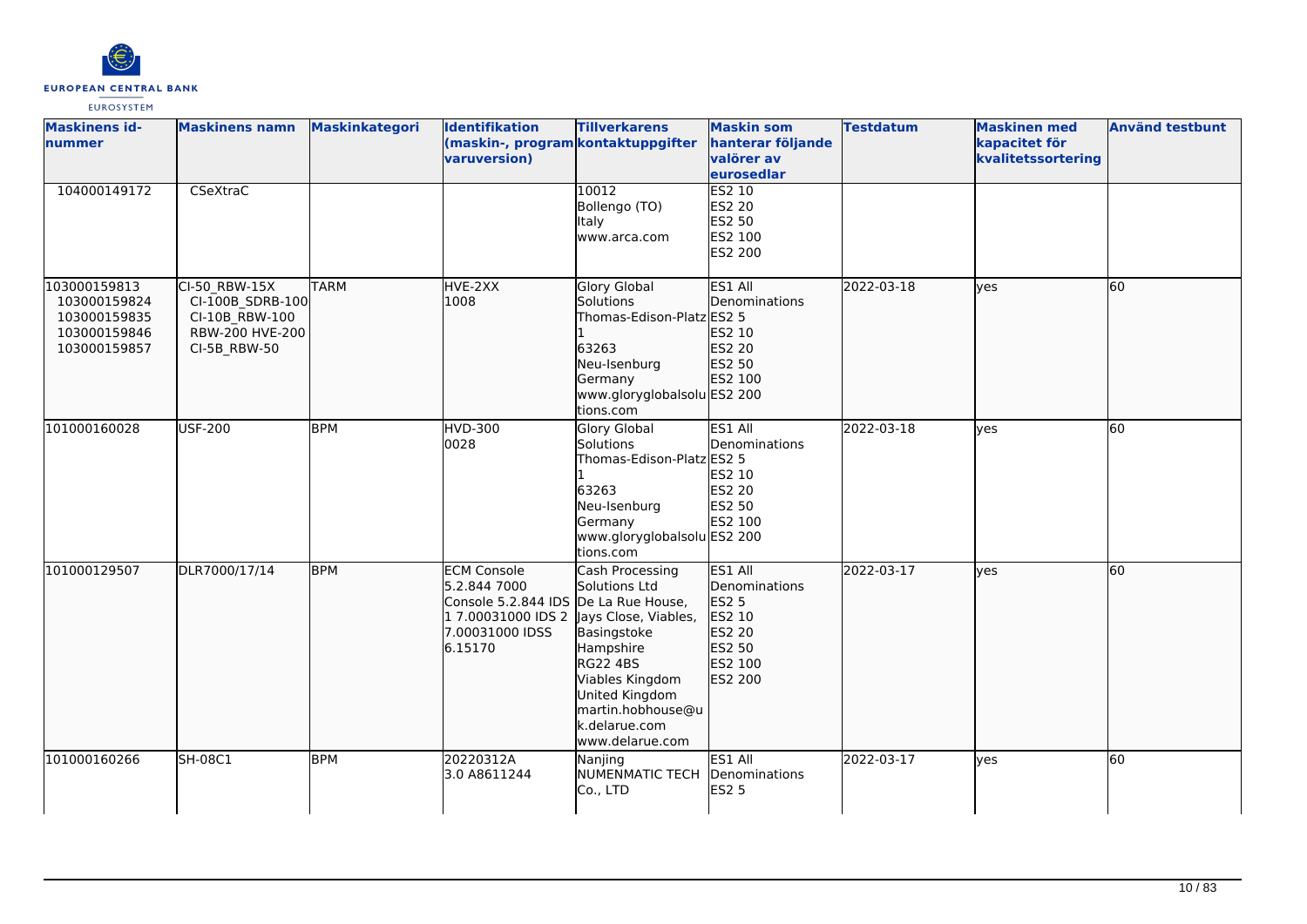

| <b>Maskinens id-</b><br>nummer                                               | <b>Maskinens namn</b>                                                                  | <b>Maskinkategori</b> | Identifikation<br>(maskin-, program kontaktuppgifter<br>varuversion)                                                                                | <b>Tillverkarens</b>                                                                                                                                                          | <b>Maskin som</b><br>hanterar följande<br>valörer av<br>eurosedlar                           | <b>Testdatum</b> | <b>Maskinen med</b><br>kapacitet för<br>kvalitetssortering | <b>Använd testbunt</b> |
|------------------------------------------------------------------------------|----------------------------------------------------------------------------------------|-----------------------|-----------------------------------------------------------------------------------------------------------------------------------------------------|-------------------------------------------------------------------------------------------------------------------------------------------------------------------------------|----------------------------------------------------------------------------------------------|------------------|------------------------------------------------------------|------------------------|
| 104000149172                                                                 | CSeXtraC                                                                               |                       |                                                                                                                                                     | 10012<br>Bollengo (TO)<br>Italy<br>www.arca.com                                                                                                                               | ES2 10<br><b>ES2 20</b><br>ES2 50<br>ES2 100<br>ES2 200                                      |                  |                                                            |                        |
| 103000159813<br>103000159824<br>103000159835<br>103000159846<br>103000159857 | CI-50 RBW-15X<br>CI-100B_SDRB-100<br>CI-10B RBW-100<br>RBW-200 HVE-200<br>CI-5B_RBW-50 | <b>TARM</b>           | HVE-2XX<br>1008                                                                                                                                     | <b>Glory Global</b><br>Solutions<br>Thomas-Edison-Platz ES2 5<br>63263<br>Neu-Isenburg<br>Germany<br>www.gloryglobalsolu ES2 200<br>tions.com                                 | ES1 All<br>Denominations<br>ES2 10<br>ES2 20<br>ES2 50<br>ES2 100                            | 2022-03-18       | ves                                                        | 60                     |
| 101000160028                                                                 | USF-200                                                                                | <b>BPM</b>            | <b>HVD-300</b><br>0028                                                                                                                              | Glory Global<br>Solutions<br>Thomas-Edison-Platz ES2 5<br>63263<br>Neu-Isenburg<br>Germany<br>www.gloryglobalsolu ES2 200<br>tions.com                                        | ES1 All<br>Denominations<br>ES2 10<br><b>ES2 20</b><br>ES2 50<br>ES2 100                     | 2022-03-18       | yes                                                        | 60                     |
| 101000129507                                                                 | DLR7000/17/14                                                                          | <b>BPM</b>            | <b>ECM Console</b><br>5.2.844 7000<br>Console 5.2.844 IDS De La Rue House,<br>1 7.00031000 IDS 2 Jays Close, Viables,<br>7.00031000 IDSS<br>6.15170 | Cash Processing<br>Solutions Ltd<br>Basingstoke<br>Hampshire<br><b>RG22 4BS</b><br>Viables Kingdom<br>United Kingdom<br>martin.hobhouse@u<br>k.delarue.com<br>www.delarue.com | ES1 All<br>Denominations<br><b>ES2 5</b><br>ES2 10<br>ES2 20<br>ES2 50<br>ES2 100<br>ES2 200 | 2022-03-17       | lves                                                       | 60                     |
| 101000160266                                                                 | <b>SH-08C1</b>                                                                         | <b>BPM</b>            | 20220312A<br>3.0 A8611244                                                                                                                           | Nanjing<br>NUMENMATIC TECH<br>Co., LTD                                                                                                                                        | ES1 All<br>Denominations<br><b>ES2 5</b>                                                     | 2022-03-17       | ves                                                        | 60                     |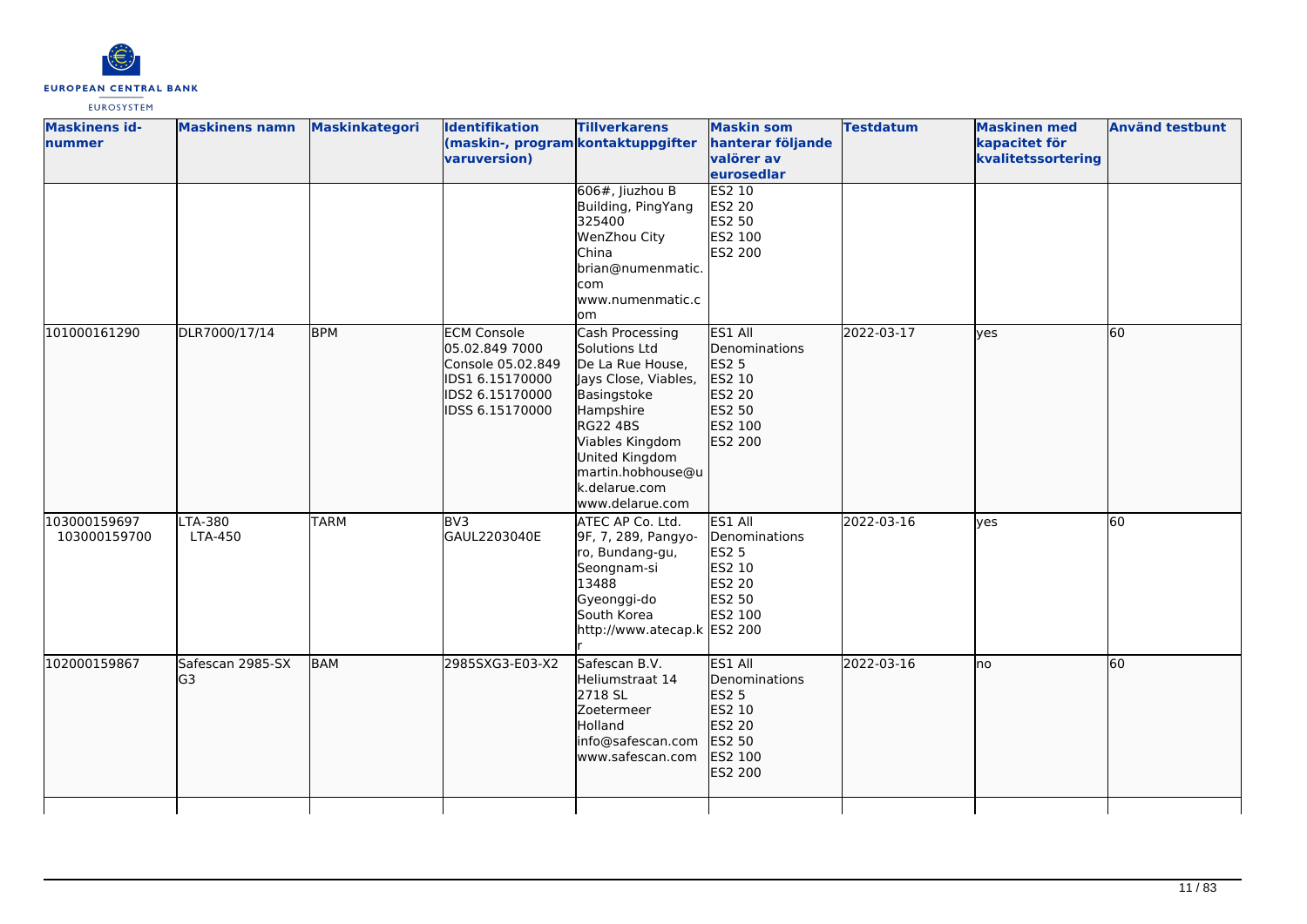

| <b>Maskinens id-</b><br>nummer | <b>Maskinens namn</b>     | Maskinkategori | Identifikation<br>(maskin-, program kontaktuppgifter<br>varuversion)                                               | <b>Tillverkarens</b><br>606#, Jiuzhou B<br>Building, PingYang<br>325400<br>WenZhou City<br>China<br>brian@numenmatic.<br>com<br>www.numenmatic.c<br><b>om</b>                                                             | <b>Maskin som</b><br>hanterar följande<br>valörer av<br>eurosedlar<br><b>ES2 10</b><br><b>ES2 20</b><br>ES2 50<br>ES2 100<br>ES2 200 | <b>Testdatum</b> | <b>Maskinen med</b><br>kapacitet för<br>kvalitetssortering | <b>Använd testbunt</b> |
|--------------------------------|---------------------------|----------------|--------------------------------------------------------------------------------------------------------------------|---------------------------------------------------------------------------------------------------------------------------------------------------------------------------------------------------------------------------|--------------------------------------------------------------------------------------------------------------------------------------|------------------|------------------------------------------------------------|------------------------|
| 101000161290                   | DLR7000/17/14             | <b>BPM</b>     | <b>ECM Console</b><br>05.02.849 7000<br>Console 05.02.849<br>IDS1 6.15170000<br>IDS2 6.15170000<br>IDSS 6.15170000 | Cash Processing<br>Solutions Ltd<br>De La Rue House,<br>Jays Close, Viables,<br>Basingstoke<br>Hampshire<br><b>RG22 4BS</b><br>Viables Kingdom<br>United Kingdom<br>martin.hobhouse@u<br>k.delarue.com<br>www.delarue.com | ES1 All<br>Denominations<br><b>ES2 5</b><br>ES2 10<br>ES2 20<br>ES2 50<br>ES2 100<br>ES2 200                                         | 2022-03-17       | lves                                                       | 60                     |
| 103000159697<br>103000159700   | <b>LTA-380</b><br>LTA-450 | <b>TARM</b>    | BV3<br>GAUL2203040E                                                                                                | ATEC AP Co. Ltd.<br>9F, 7, 289, Pangyo-<br>ro, Bundang-gu,<br>Seongnam-si<br>13488<br>Gyeonggi-do<br>South Korea<br>http://www.atecap.k ES2 200                                                                           | ES1 All<br>Denominations<br><b>ES2 5</b><br>ES2 10<br>ES2 20<br>ES2 50<br>ES2 100                                                    | 2022-03-16       | ves                                                        | 60                     |
| 102000159867                   | Safescan 2985-SX<br>lG3   | <b>BAM</b>     | 2985SXG3-E03-X2                                                                                                    | Safescan B.V.<br>Heliumstraat 14<br>2718 SL<br>Zoetermeer<br>Holland<br>info@safescan.com<br>www.safescan.com                                                                                                             | ES1 All<br><b>Denominations</b><br><b>ES2 5</b><br>ES2 10<br>ES2 20<br>ES2 50<br>ES2 100<br>ES2 200                                  | 2022-03-16       | lno                                                        | 60                     |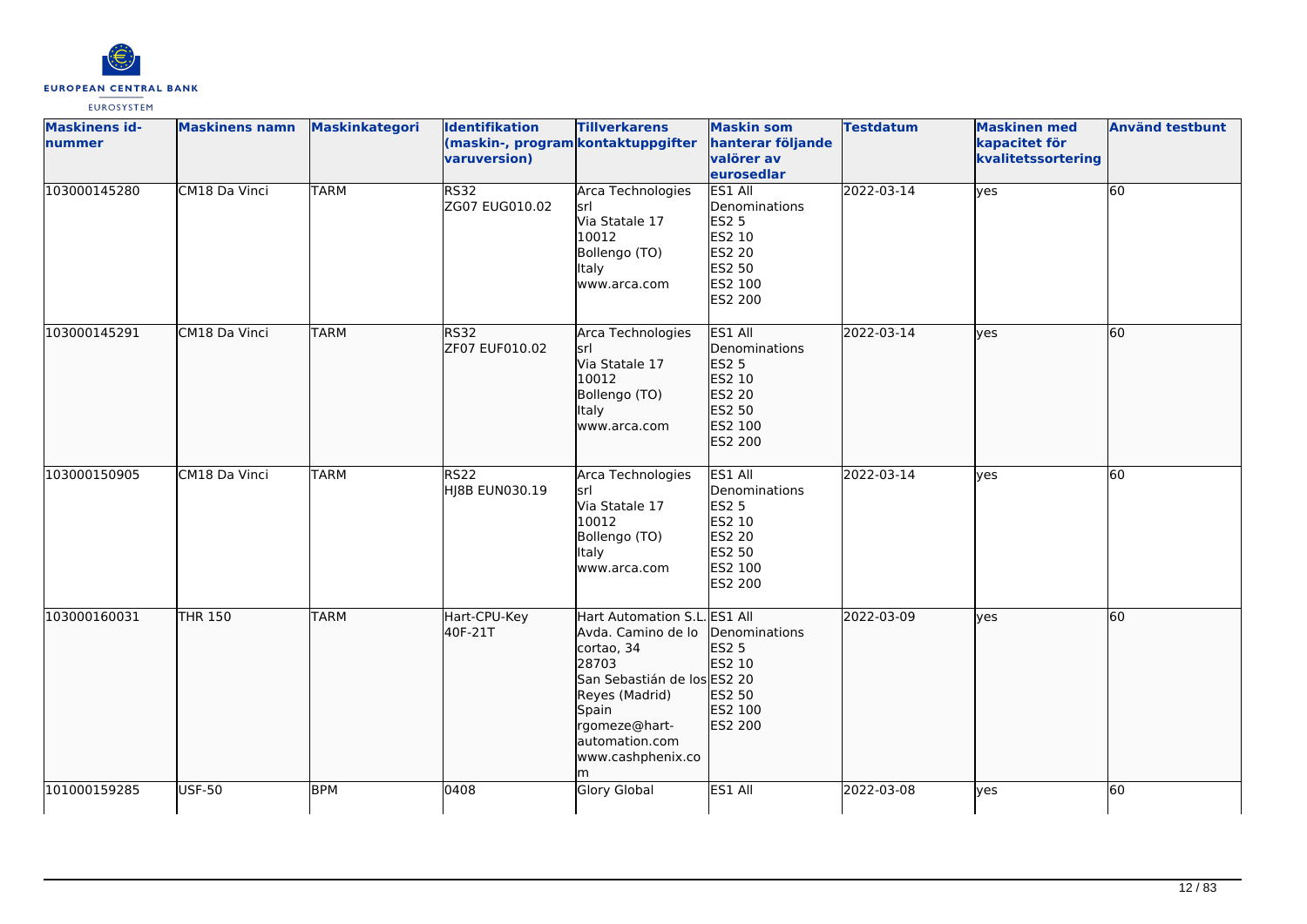

| <b>Maskinens id-</b><br>nummer | <b>Maskinens namn</b> | Maskinkategori | Identifikation<br>(maskin-, program kontaktuppgifter<br>varuversion) | <b>Tillverkarens</b>                                                                                                                                                                              | <b>Maskin som</b><br>hanterar följande<br>valörer av<br>eurosedlar                                         | <b>Testdatum</b> | <b>Maskinen med</b><br>kapacitet för<br>kvalitetssortering | <b>Använd testbunt</b> |
|--------------------------------|-----------------------|----------------|----------------------------------------------------------------------|---------------------------------------------------------------------------------------------------------------------------------------------------------------------------------------------------|------------------------------------------------------------------------------------------------------------|------------------|------------------------------------------------------------|------------------------|
| 103000145280                   | CM18 Da Vinci         | <b>TARM</b>    | <b>RS32</b><br>ZG07 EUG010.02                                        | Arca Technologies<br>lsrl<br>Via Statale 17<br>10012<br>Bollengo (TO)<br>Italy<br>www.arca.com                                                                                                    | ES1 All<br>Denominations<br><b>ES2 5</b><br>ES2 10<br><b>ES2 20</b><br>ES2 50<br>ES2 100<br>ES2 200        | 2022-03-14       | yes                                                        | 60                     |
| 103000145291                   | CM18 Da Vinci         | <b>TARM</b>    | RS32<br>ZF07 EUF010.02                                               | Arca Technologies<br>lsrl<br>Via Statale 17<br>10012<br>Bollengo (TO)<br>Italy<br>www.arca.com                                                                                                    | ES1 All<br>Denominations<br>ES2 5<br>ES2 10<br>ES2 20<br>ES2 50<br>ES2 100<br>ES2 200                      | 2022-03-14       | <b>ves</b>                                                 | 60                     |
| 103000150905                   | CM18 Da Vinci         | <b>TARM</b>    | <b>RS22</b><br>HJ8B EUN030.19                                        | Arca Technologies<br>lsrl<br>Via Statale 17<br>10012<br>Bollengo (TO)<br>Italy<br>www.arca.com                                                                                                    | ES1 All<br>Denominations<br><b>ES2 5</b><br>ES2 10<br><b>ES2 20</b><br>ES2 50<br>ES2 100<br><b>ES2 200</b> | 2022-03-14       | yes                                                        | 60                     |
| 103000160031                   | <b>THR 150</b>        | <b>TARM</b>    | Hart-CPU-Key<br>40F-21T                                              | Hart Automation S.L. ES1 All<br>Avda. Camino de lo<br>cortao, 34<br>28703<br>San Sebastián de los ES2 20<br>Reyes (Madrid)<br>Spain<br>rgomeze@hart-<br>automation.com<br>www.cashphenix.co<br>lm | Denominations<br>ES2 5<br>ES2 10<br>ES2 50<br><b>ES2 100</b><br>ES2 200                                    | 2022-03-09       | lyes                                                       | 60                     |
| 101000159285                   | <b>USF-50</b>         | <b>BPM</b>     | 0408                                                                 | Glory Global                                                                                                                                                                                      | ES1 All                                                                                                    | 2022-03-08       | ves                                                        | 60                     |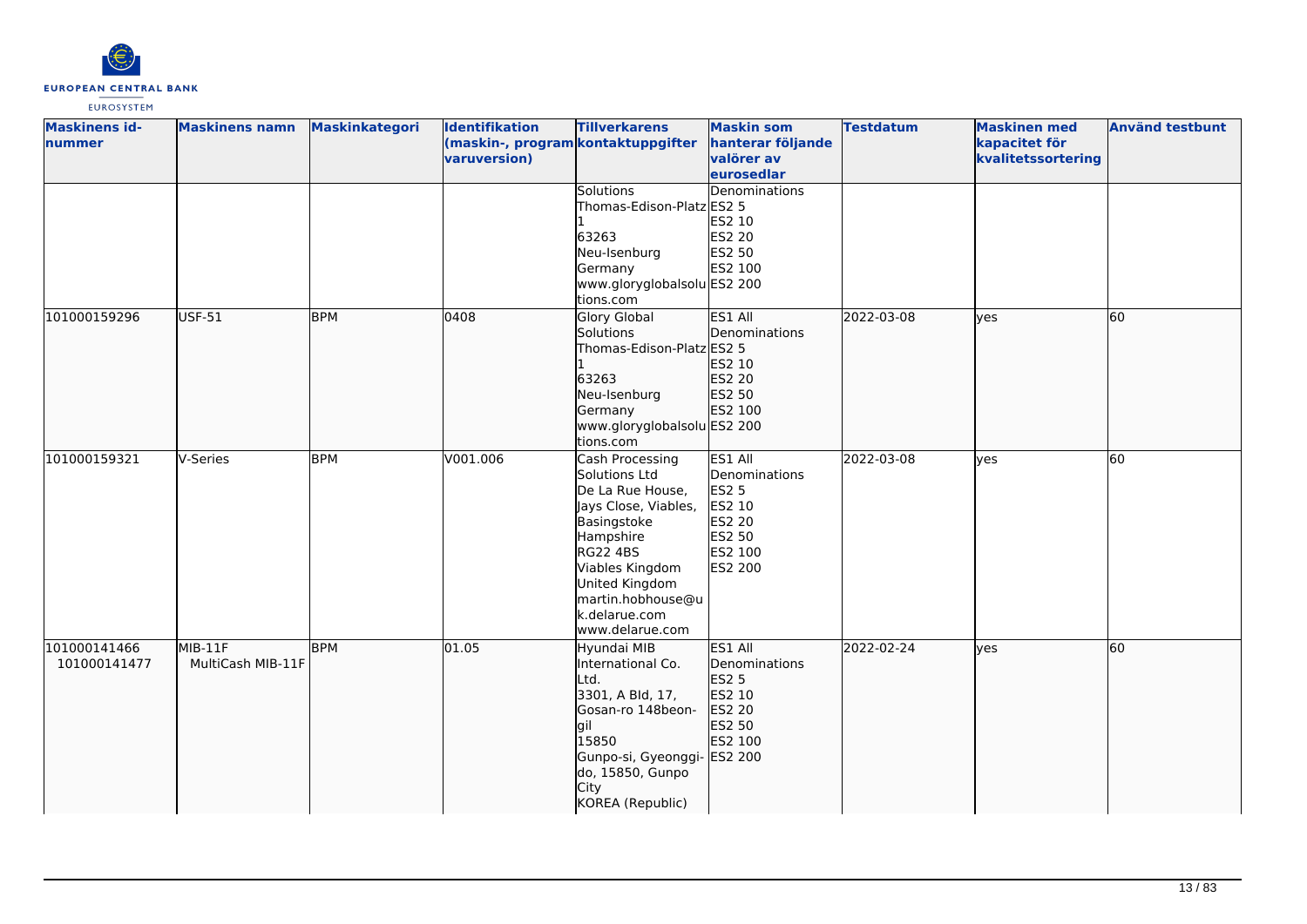

| <b>Maskinens id-</b><br><b>nummer</b> | <b>Maskinens namn</b>          | Maskinkategori | <b>Identifikation</b><br>(maskin-, program kontaktuppgifter<br>varuversion) | <b>Tillverkarens</b><br><b>Solutions</b><br>Thomas-Edison-Platz ES2 5                                                                                                                                                     | <b>Maskin som</b><br>hanterar följande<br>valörer av<br>eurosedlar<br>Denominations                 | <b>Testdatum</b> | <b>Maskinen med</b><br>kapacitet för<br>kvalitetssortering | <b>Använd testbunt</b> |
|---------------------------------------|--------------------------------|----------------|-----------------------------------------------------------------------------|---------------------------------------------------------------------------------------------------------------------------------------------------------------------------------------------------------------------------|-----------------------------------------------------------------------------------------------------|------------------|------------------------------------------------------------|------------------------|
|                                       |                                |                |                                                                             | 63263<br>Neu-Isenburg<br>Germany<br>www.gloryglobalsolu ES2 200<br>tions.com                                                                                                                                              | ES2 10<br>ES2 20<br>ES2 50<br>ES2 100                                                               |                  |                                                            |                        |
| 101000159296                          | USF-51                         | <b>BPM</b>     | 0408                                                                        | Glory Global<br>Solutions<br>Thomas-Edison-Platz ES2 5<br>63263<br>Neu-Isenburg<br>Germany<br>www.gloryglobalsolu ES2 200<br>tions.com                                                                                    | <b>ES1 All</b><br>Denominations<br>ES2 10<br>ES2 20<br>ES2 50<br>ES2 100                            | 2022-03-08       | ves                                                        | 60                     |
| 101000159321                          | V-Series                       | <b>BPM</b>     | V001.006                                                                    | Cash Processing<br>Solutions Ltd<br>De La Rue House,<br>Jays Close, Viables,<br>Basingstoke<br>Hampshire<br><b>RG22 4BS</b><br>Viables Kingdom<br>United Kingdom<br>martin.hobhouse@u<br>k.delarue.com<br>www.delarue.com | ES1 All<br>Denominations<br><b>ES2 5</b><br>ES2 10<br><b>ES2 20</b><br>ES2 50<br>ES2 100<br>ES2 200 | 2022-03-08       | yes                                                        | $\overline{60}$        |
| 101000141466<br>101000141477          | $MIB-11F$<br>MultiCash MIB-11F | <b>BPM</b>     | 01.05                                                                       | Hyundai MIB<br>International Co.<br>Ltd.<br>3301, A Bld, 17,<br>Gosan-ro 148beon-<br>gil<br>15850<br>Gunpo-si, Gyeonggi-<br>do, 15850, Gunpo<br>City<br>KOREA (Republic)                                                  | ES1 All<br>Denominations<br>ES2 5<br>ES2 10<br>ES2 20<br>ES2 50<br>ES2 100<br>ES2 200               | 2022-02-24       | lyes                                                       | 60                     |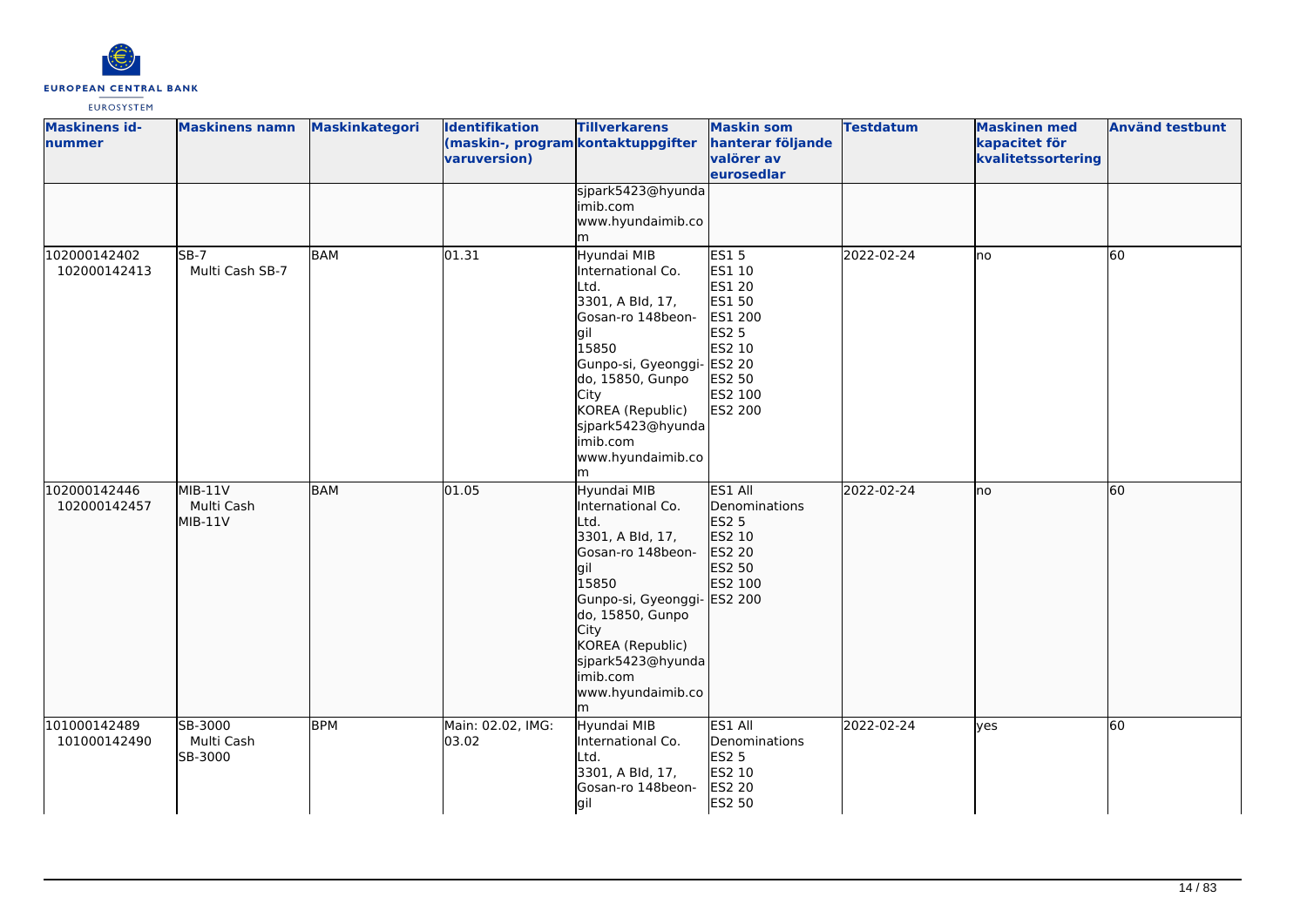

| <b>Maskinens id-</b><br>nummer | <b>Maskinens namn</b>              | <b>Maskinkategori</b> | <b>Identifikation</b><br>(maskin-, program kontaktuppgifter<br>varuversion) | <b>Tillverkarens</b>                                                                                                                                                                                                                                 | <b>Maskin som</b><br>hanterar följande<br>valörer av<br>eurosedlar                                                        | <b>Testdatum</b> | <b>Maskinen med</b><br>kapacitet för<br>kvalitetssortering | <b>Använd testbunt</b> |
|--------------------------------|------------------------------------|-----------------------|-----------------------------------------------------------------------------|------------------------------------------------------------------------------------------------------------------------------------------------------------------------------------------------------------------------------------------------------|---------------------------------------------------------------------------------------------------------------------------|------------------|------------------------------------------------------------|------------------------|
|                                |                                    |                       |                                                                             | sjpark5423@hyunda<br>imib.com<br>www.hyundaimib.co<br>m                                                                                                                                                                                              |                                                                                                                           |                  |                                                            |                        |
| 102000142402<br>102000142413   | $SB-7$<br>Multi Cash SB-7          | BAM                   | 01.31                                                                       | Hyundai MIB<br>International Co.<br>Ltd.<br>3301, A Bld, 17,<br>Gosan-ro 148beon-<br>lgil<br>15850<br>Gunpo-si, Gyeonggi-<br>do, 15850, Gunpo<br><b>City</b><br>KOREA (Republic)<br>sjpark5423@hyunda<br>imib.com<br>www.hyundaimib.co<br>lm         | ES1 5<br>ES1 10<br>ES1 20<br>ES1 50<br>ES1 200<br><b>ES2 5</b><br>ES2 10<br><b>ES2 20</b><br>ES2 50<br>ES2 100<br>ES2 200 | 2022-02-24       | lno                                                        | 60                     |
| 102000142446<br>102000142457   | $MIB-11V$<br>Multi Cash<br>MIB-11V | <b>BAM</b>            | 01.05                                                                       | Hyundai MIB<br>International Co.<br>Ltd.<br>3301, A Bld, 17,<br>Gosan-ro 148beon-<br>gil<br>15850<br>Gunpo-si, Gyeonggi- ES2 200<br>do, 15850, Gunpo<br><b>City</b><br>KOREA (Republic)<br>sjpark5423@hyunda<br>imib.com<br>www.hyundaimib.co<br>lm. | ES1 All<br>Denominations<br><b>ES2 5</b><br>ES2 10<br>ES2 20<br>ES2 50<br>ES2 100                                         | 2022-02-24       | lno                                                        | 60                     |
| 101000142489<br>101000142490   | SB-3000<br>Multi Cash<br>SB-3000   | <b>BPM</b>            | Main: 02.02, IMG:<br>03.02                                                  | Hyundai MIB<br>International Co.<br>Ltd.<br>3301, A Bld, 17,<br>Gosan-ro 148beon-<br>gil                                                                                                                                                             | ES1 All<br>Denominations<br><b>ES2 5</b><br>ES2 10<br><b>ES2 20</b><br>ES2 50                                             | 2022-02-24       | yes                                                        | 60                     |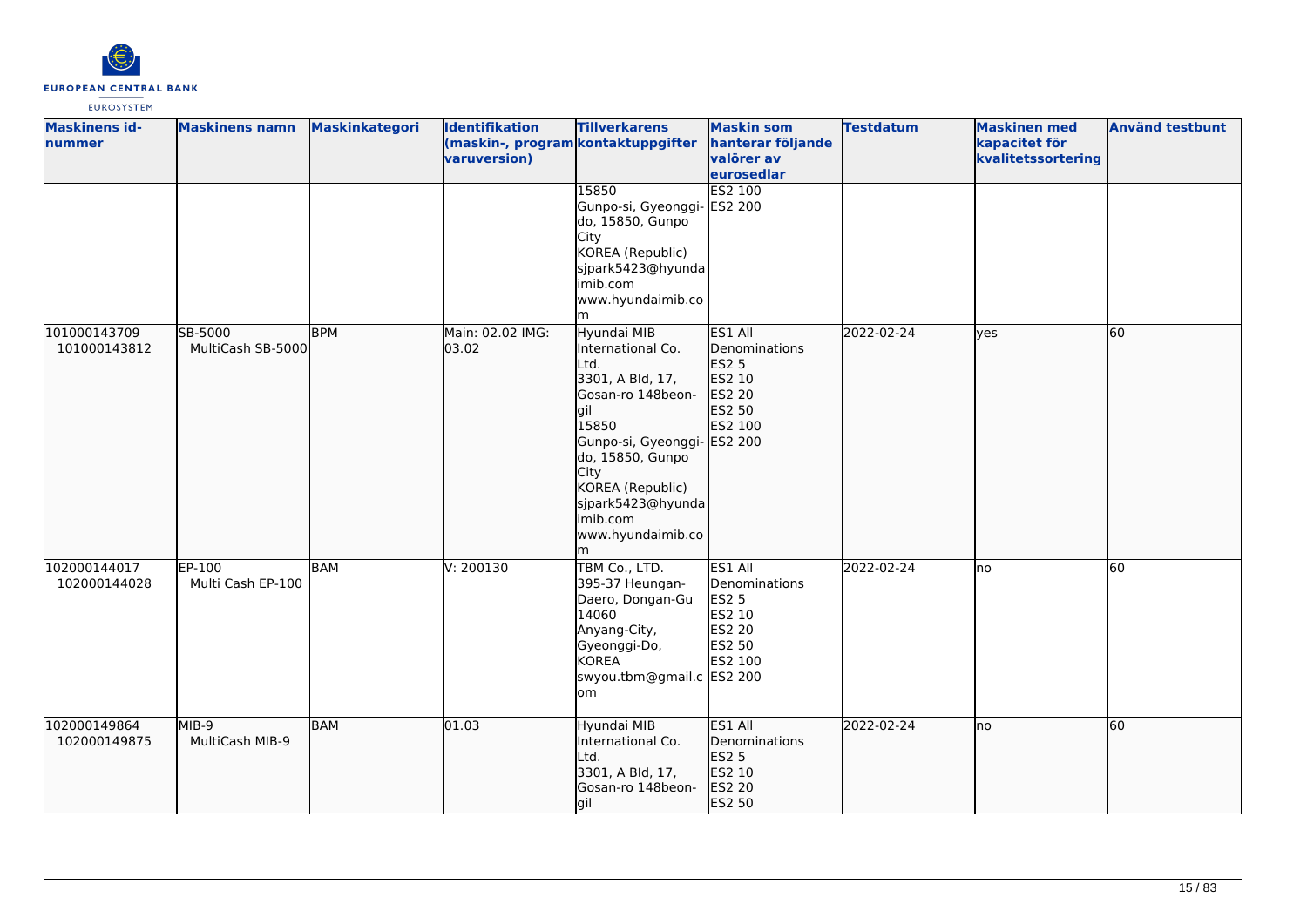

| <b>Maskinens id-</b><br>nummer | <b>Maskinens namn</b>        | <b>Maskinkategori</b> | Identifikation<br>(maskin-, program kontaktuppgifter<br>varuversion) | <b>Tillverkarens</b><br>15850<br>Gunpo-si, Gyeonggi- ES2 200<br>do, 15850, Gunpo<br>City<br>KOREA (Republic)<br>sjpark5423@hyunda<br>imib.com                                                                                                | <b>Maskin som</b><br>hanterar följande<br>valörer av<br>eurosedlar<br>ES2 100     | <b>Testdatum</b> | <b>Maskinen med</b><br>kapacitet för<br>kvalitetssortering | <b>Använd testbunt</b> |
|--------------------------------|------------------------------|-----------------------|----------------------------------------------------------------------|----------------------------------------------------------------------------------------------------------------------------------------------------------------------------------------------------------------------------------------------|-----------------------------------------------------------------------------------|------------------|------------------------------------------------------------|------------------------|
|                                |                              |                       |                                                                      | www.hyundaimib.co<br>m                                                                                                                                                                                                                       |                                                                                   |                  |                                                            |                        |
| 101000143709<br>101000143812   | SB-5000<br>MultiCash SB-5000 | <b>BPM</b>            | Main: 02.02 IMG:<br>03.02                                            | Hyundai MIB<br>International Co.<br>Ltd.<br>3301, A Bld, 17,<br>Gosan-ro 148beon-<br>lail<br>15850<br>Gunpo-si, Gyeonggi- ES2 200<br>do, 15850, Gunpo<br>City<br>KOREA (Republic)<br>sjpark5423@hyunda<br>imib.com<br>www.hyundaimib.co<br>m | ES1 All<br>Denominations<br><b>ES2 5</b><br>ES2 10<br>ES2 20<br>ES2 50<br>ES2 100 | 2022-02-24       | lves                                                       | 60                     |
| 102000144017<br>102000144028   | EP-100<br>Multi Cash EP-100  | BAM                   | V: 200130                                                            | TBM Co., LTD.<br>395-37 Heungan-<br>Daero, Dongan-Gu<br>14060<br>Anyang-City,<br>Gyeonggi-Do,<br><b>KOREA</b><br>swyou.tbm@gmail.c ES2 200<br>om                                                                                             | ES1 All<br>Denominations<br><b>ES2 5</b><br>ES2 10<br>ES2 20<br>ES2 50<br>ES2 100 | 2022-02-24       | lno                                                        | 60                     |
| 102000149864<br>102000149875   | MIB-9<br>MultiCash MIB-9     | <b>BAM</b>            | 01.03                                                                | Hyundai MIB<br>International Co.<br>Ltd.<br>3301, A Bld, 17,<br>Gosan-ro 148beon-<br>lgil                                                                                                                                                    | ES1 All<br>Denominations<br><b>ES2 5</b><br>ES2 10<br>ES2 20<br>ES2 50            | 2022-02-24       | Ino                                                        | 60                     |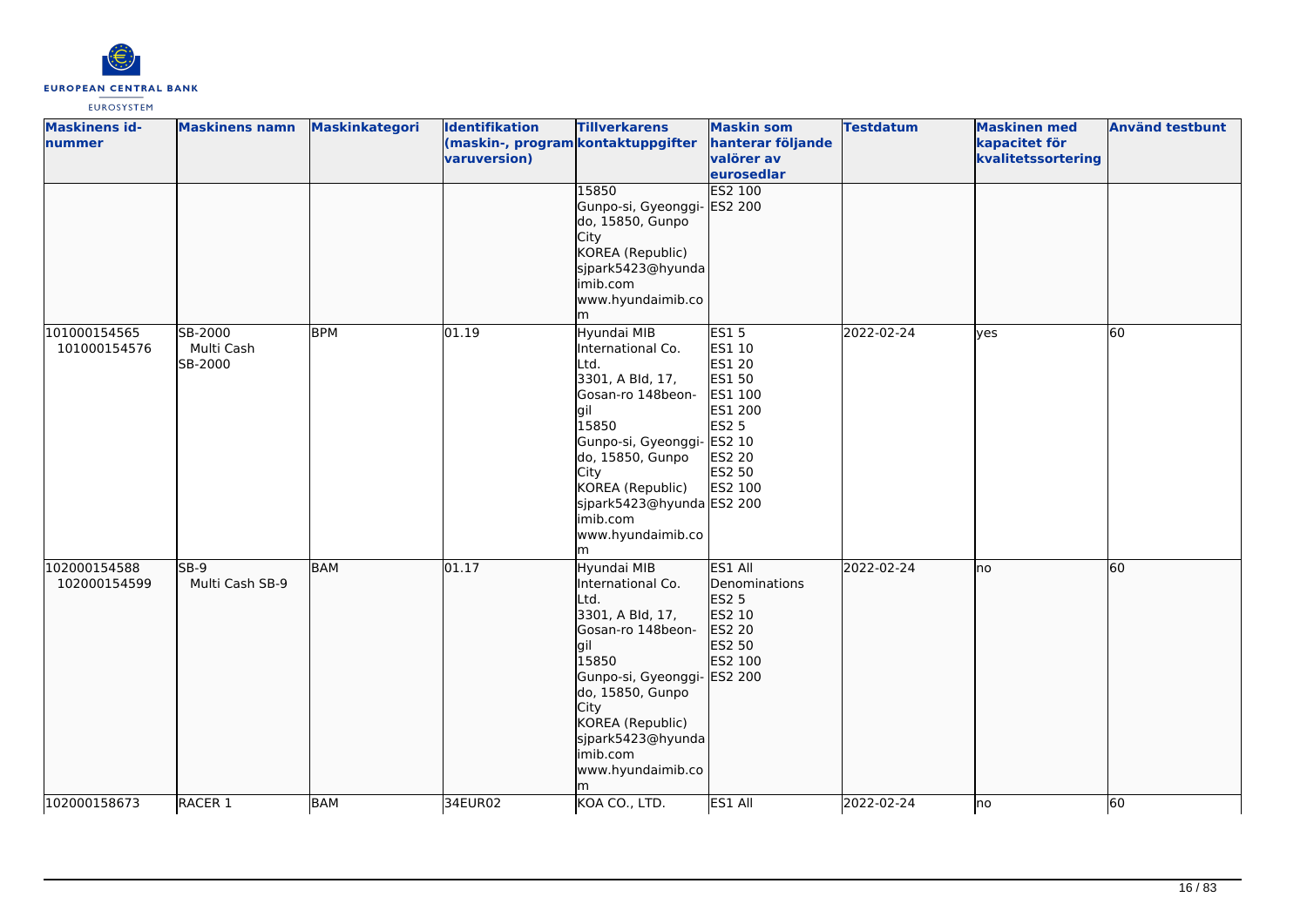

| <b>Maskinens id-</b><br>nummer | <b>Maskinens namn</b>            | Maskinkategori | <b>Identifikation</b><br>(maskin-, program kontaktuppgifter | <b>Tillverkarens</b>                                                                                                                                                                                                                               | <b>Maskin som</b><br>hanterar följande                                                                         | <b>Testdatum</b> | <b>Maskinen med</b><br>kapacitet för | <b>Använd testbunt</b> |
|--------------------------------|----------------------------------|----------------|-------------------------------------------------------------|----------------------------------------------------------------------------------------------------------------------------------------------------------------------------------------------------------------------------------------------------|----------------------------------------------------------------------------------------------------------------|------------------|--------------------------------------|------------------------|
|                                |                                  |                | varuversion)                                                |                                                                                                                                                                                                                                                    | valörer av<br>eurosedlar                                                                                       |                  | kvalitetssortering                   |                        |
|                                |                                  |                |                                                             | 15850<br>Gunpo-si, Gyeonggi- ES2 200<br>do, 15850, Gunpo<br>City<br>KOREA (Republic)<br>sjpark5423@hyunda<br>imib.com<br>www.hyundaimib.co<br>m                                                                                                    | ES2 100                                                                                                        |                  |                                      |                        |
| 101000154565<br>101000154576   | SB-2000<br>Multi Cash<br>SB-2000 | <b>BPM</b>     | 01.19                                                       | Hyundai MIB<br>International Co.<br>Ltd.<br>3301, A Bld, 17,<br>Gosan-ro 148beon-<br>gil<br>15850<br>Gunpo-si, Gyeonggi- ES2 10<br>do, 15850, Gunpo<br>City<br>KOREA (Republic)<br>sjpark5423@hyunda ES2 200<br>imib.com<br>www.hyundaimib.co<br>m | <b>ES15</b><br>ES1 10<br>ES1 20<br>ES1 50<br>ES1 100<br>ES1 200<br><b>ES2 5</b><br>ES2 20<br>ES2 50<br>ES2 100 | 2022-02-24       | <b>ves</b>                           | 60                     |
| 102000154588<br>102000154599   | $SB-9$<br>Multi Cash SB-9        | <b>BAM</b>     | 01.17                                                       | Hyundai MIB<br>International Co.<br>Ltd.<br>3301, A Bld, 17,<br>Gosan-ro 148beon-<br>gil<br>15850<br>Gunpo-si, Gyeonggi- ES2 200<br>do, 15850, Gunpo<br>City<br>KOREA (Republic)<br>sjpark5423@hyunda<br>imib.com<br>www.hyundaimib.co<br>m        | ES1 All<br>Denominations<br><b>ES2 5</b><br>ES2 10<br>ES2 20<br>ES2 50<br>ES2 100                              | 2022-02-24       | lno                                  | 60                     |
| 102000158673                   | RACER 1                          | <b>BAM</b>     | 34EUR02                                                     | KOA CO., LTD.                                                                                                                                                                                                                                      | ES1 All                                                                                                        | 2022-02-24       | lno                                  | 60                     |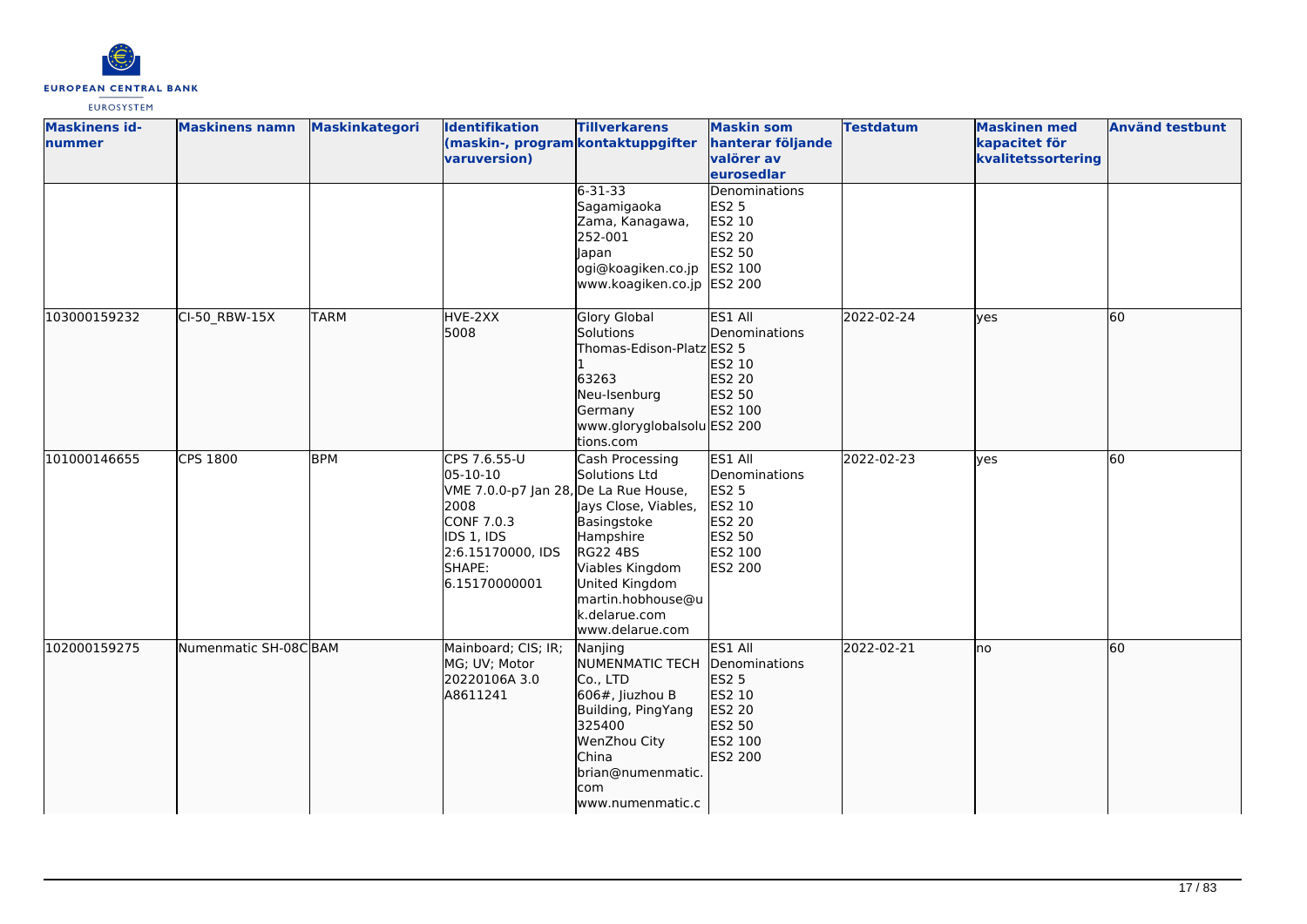

| <b>Maskinens id-</b><br><b>nummer</b> | <b>Maskinens namn</b> | Maskinkategori | Identifikation<br>varuversion)                                                                                                                          | <b>Tillverkarens</b><br>(maskin-, program kontaktuppgifter<br>$6 - 31 - 33$<br>Sagamigaoka<br>Zama, Kanagawa,<br>252-001<br>Japan<br>ogi@koagiken.co.jp<br>www.koagiken.co.jp ES2 200                        | <b>Maskin som</b><br>hanterar följande<br>valörer av<br>eurosedlar<br>Denominations<br><b>ES2 5</b><br>ES2 10<br>ES2 20<br>ES2 50<br>ES2 100 | <b>Testdatum</b> | <b>Maskinen med</b><br>kapacitet för<br>kvalitetssortering | <b>Använd testbunt</b> |
|---------------------------------------|-----------------------|----------------|---------------------------------------------------------------------------------------------------------------------------------------------------------|--------------------------------------------------------------------------------------------------------------------------------------------------------------------------------------------------------------|----------------------------------------------------------------------------------------------------------------------------------------------|------------------|------------------------------------------------------------|------------------------|
| 103000159232                          | CI-50 RBW-15X         | <b>TARM</b>    | HVE-2XX<br>5008                                                                                                                                         | <b>Glory Global</b><br><b>Solutions</b><br>Thomas-Edison-Platz ES2 5<br>63263<br>Neu-Isenburg<br>Germany<br>www.gloryglobalsolu ES2 200<br>tions.com                                                         | <b>ES1 AII</b><br>Denominations<br>ES2 10<br>ES2 20<br>ES2 50<br>ES2 100                                                                     | 2022-02-24       | lves                                                       | 60                     |
| 101000146655                          | CPS 1800              | <b>BPM</b>     | CPS 7.6.55-U<br>$05-10-10$<br>VME 7.0.0-p7 Jan 28, De La Rue House,<br>2008<br>CONF 7.0.3<br>IDS 1, IDS<br>2:6.15170000, IDS<br>SHAPE:<br>6.15170000001 | Cash Processing<br><b>Solutions Ltd</b><br>Jays Close, Viables,<br>Basingstoke<br>Hampshire<br><b>RG22 4BS</b><br>Viables Kingdom<br>United Kingdom<br>martin.hobhouse@u<br>k.delarue.com<br>www.delarue.com | ES1 All<br>Denominations<br><b>ES2 5</b><br>ES2 10<br>ES2 20<br>ES2 50<br>ES2 100<br>ES2 200                                                 | 2022-02-23       | <b>ves</b>                                                 | 60                     |
| 102000159275                          | Numenmatic SH-08CBAM  |                | Mainboard; CIS; IR;<br>MG; UV; Motor<br>20220106A 3.0<br>A8611241                                                                                       | Nanjing<br>NUMENMATIC TECH<br>Co., LTD<br>606#, Jiuzhou B<br>Building, PingYang<br>325400<br>WenZhou City<br>China<br>brian@numenmatic.<br>com<br>www.numenmatic.c                                           | ES1 All<br>Denominations<br>ES2 5<br>ES2 10<br>ES2 20<br>ES2 50<br>ES2 100<br>ES2 200                                                        | 2022-02-21       | lno                                                        | 60                     |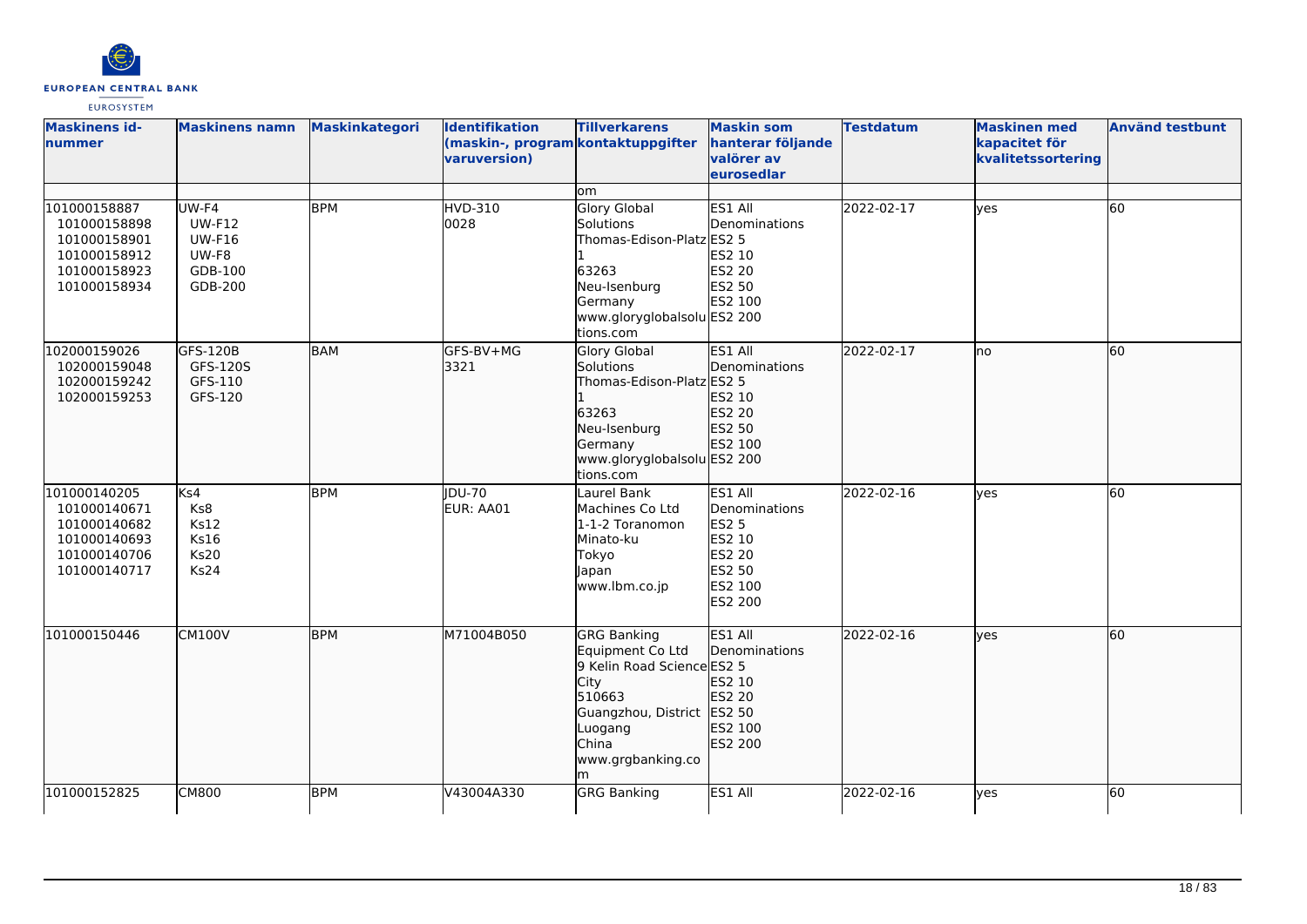

| <b>Maskinens id-</b><br>nummer                                                               | <b>Maskinens namn</b>                                                  | <b>Maskinkategori</b> | <b>Identifikation</b><br>(maskin-, program kontaktuppgifter<br>varuversion) | <b>Tillverkarens</b>                                                                                                                                                | <b>Maskin som</b><br>hanterar följande<br>valörer av<br>eurosedlar                                  | <b>Testdatum</b> | <b>Maskinen med</b><br>kapacitet för<br>kvalitetssortering | <b>Använd testbunt</b> |
|----------------------------------------------------------------------------------------------|------------------------------------------------------------------------|-----------------------|-----------------------------------------------------------------------------|---------------------------------------------------------------------------------------------------------------------------------------------------------------------|-----------------------------------------------------------------------------------------------------|------------------|------------------------------------------------------------|------------------------|
|                                                                                              |                                                                        |                       |                                                                             | om                                                                                                                                                                  |                                                                                                     |                  |                                                            |                        |
| 101000158887<br>101000158898<br>101000158901<br>101000158912<br>101000158923<br>101000158934 | UW-F4<br><b>UW-F12</b><br><b>UW-F16</b><br>UW-F8<br>GDB-100<br>GDB-200 | <b>BPM</b>            | HVD-310<br>0028                                                             | <b>Glory Global</b><br>Solutions<br>Thomas-Edison-Platz ES2 5<br>63263<br>Neu-Isenburg<br>Germany<br>www.gloryglobalsolu ES2 200<br>tions.com                       | ES1 All<br>Denominations<br>ES2 10<br>ES2 20<br>ES2 50<br>ES2 100                                   | 2022-02-17       | lyes                                                       | $\overline{60}$        |
| 102000159026<br>102000159048<br>102000159242<br>102000159253                                 | GFS-120B<br>GFS-120S<br>GFS-110<br>GFS-120                             | <b>BAM</b>            | GFS-BV+MG<br>3321                                                           | <b>Glory Global</b><br>Solutions<br>Thomas-Edison-Platz ES2 5<br>63263<br>Neu-Isenburg<br>Germany<br>www.gloryglobalsolu ES2 200<br>tions.com                       | ES1 All<br>Denominations<br>ES2 10<br>ES2 20<br>ES2 50<br>ES2 100                                   | 2022-02-17       | lno                                                        | 60                     |
| 101000140205<br>101000140671<br>101000140682<br>101000140693<br>101000140706<br>101000140717 | Ks4<br>Ks8<br><b>Ks12</b><br><b>Ks16</b><br>Ks20<br>Ks24               | <b>BPM</b>            | JDU-70<br>EUR: AA01                                                         | Laurel Bank<br>Machines Co Ltd<br>1-1-2 Toranomon<br>Minato-ku<br>Tokyo<br>Japan<br>www.lbm.co.jp                                                                   | ES1 All<br>Denominations<br><b>ES2 5</b><br>ES2 10<br>ES2 20<br><b>ES2 50</b><br>ES2 100<br>ES2 200 | 2022-02-16       | lves                                                       | 60                     |
| 101000150446                                                                                 | <b>CM100V</b>                                                          | <b>BPM</b>            | M71004B050                                                                  | <b>GRG Banking</b><br>Equipment Co Ltd<br>9 Kelin Road Science ES2 5<br>City<br>510663<br>Guangzhou, District ES2 50<br>Luogang<br>China<br>www.grgbanking.co<br>lm | ES1 All<br>Denominations<br>ES2 10<br>ES2 20<br>ES2 100<br>ES2 200                                  | 2022-02-16       | lyes                                                       | 60                     |
| 101000152825                                                                                 | <b>CM800</b>                                                           | <b>BPM</b>            | V43004A330                                                                  | <b>GRG Banking</b>                                                                                                                                                  | ES1 All                                                                                             | 2022-02-16       | yes                                                        | 60                     |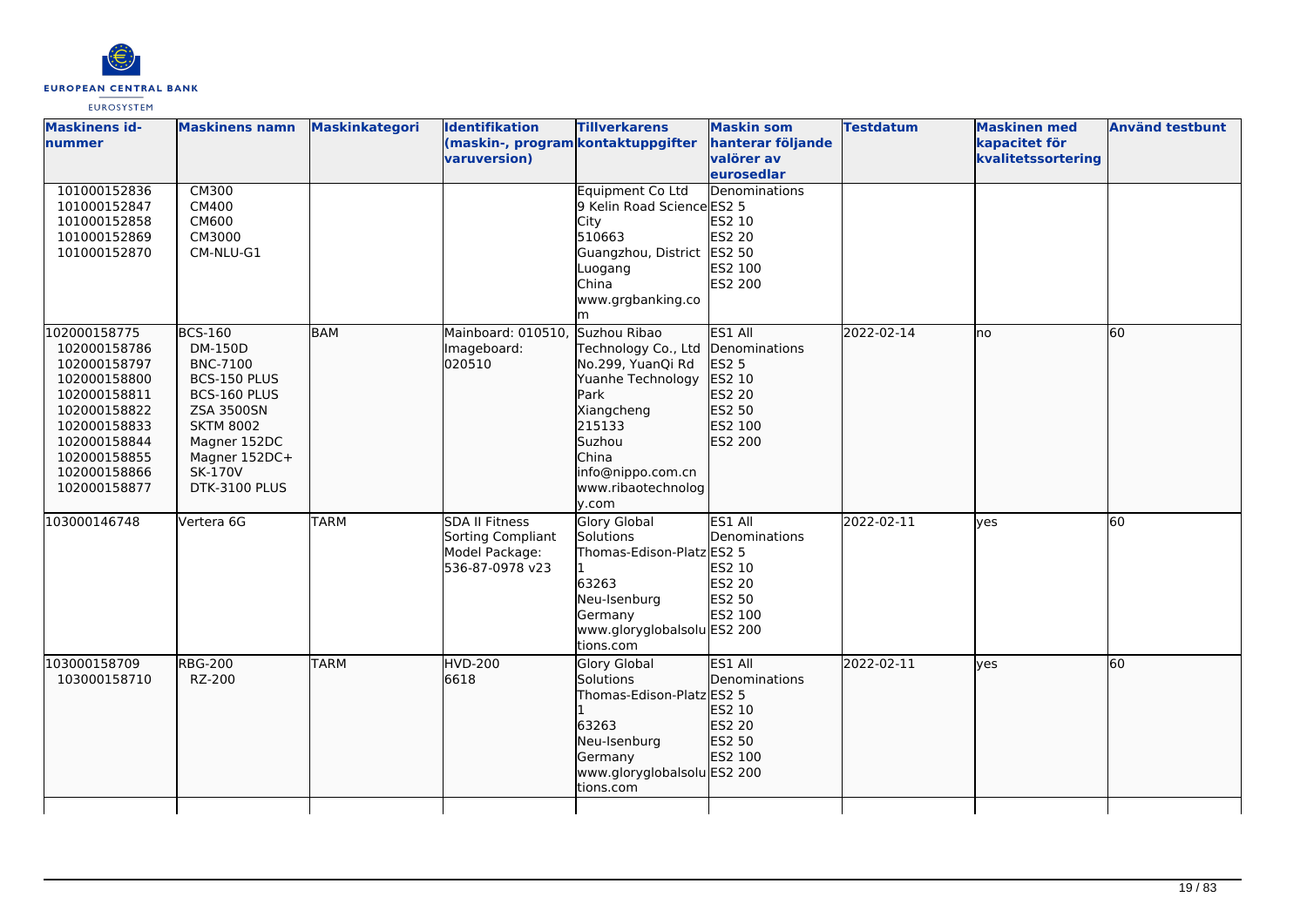

| <b>Maskinens id-</b><br>nummer<br>101000152836<br>101000152847<br>101000152858<br>101000152869<br>101000152870                                                               | <b>Maskinens namn</b><br><b>CM300</b><br>CM400<br>CM600<br>CM3000<br>CM-NLU-G1                                                                                                            | <b>Maskinkategori</b> | <b>Identifikation</b><br>(maskin-, program kontaktuppgifter<br>varuversion)     | <b>Tillverkarens</b><br>Equipment Co Ltd<br>9 Kelin Road Science ES2 5<br>City<br>510663<br>Guangzhou, District ES2 50<br>Luogang<br>China<br>www.grgbanking.co                           | <b>Maskin som</b><br>hanterar följande<br>valörer av<br>eurosedlar<br>Denominations<br>ES2 10<br>ES2 20<br>ES2 100<br>ES2 200 | <b>Testdatum</b> | <b>Maskinen med</b><br>kapacitet för<br>kvalitetssortering | <b>Använd testbunt</b> |
|------------------------------------------------------------------------------------------------------------------------------------------------------------------------------|-------------------------------------------------------------------------------------------------------------------------------------------------------------------------------------------|-----------------------|---------------------------------------------------------------------------------|-------------------------------------------------------------------------------------------------------------------------------------------------------------------------------------------|-------------------------------------------------------------------------------------------------------------------------------|------------------|------------------------------------------------------------|------------------------|
| 102000158775<br>102000158786<br>102000158797<br>102000158800<br>102000158811<br>102000158822<br>102000158833<br>102000158844<br>102000158855<br>102000158866<br>102000158877 | <b>BCS-160</b><br>DM-150D<br><b>BNC-7100</b><br>BCS-150 PLUS<br>BCS-160 PLUS<br><b>ZSA 3500SN</b><br><b>SKTM 8002</b><br>Magner 152DC<br>Magner 152DC+<br><b>SK-170V</b><br>DTK-3100 PLUS | <b>BAM</b>            | Mainboard: 010510,<br>Imageboard:<br>020510                                     | m<br>Suzhou Ribao<br>Technology Co., Ltd<br>No.299, YuanQi Rd<br>Yuanhe Technology<br>Park<br>Xiangcheng<br>215133<br>Suzhou<br>China<br>info@nippo.com.cn<br>www.ribaotechnolog<br>y.com | ES1 All<br>Denominations<br>ES2 5<br>ES2 10<br>ES2 20<br>ES2 50<br>ES2 100<br>ES2 200                                         | 2022-02-14       | lno                                                        | 60                     |
| 103000146748                                                                                                                                                                 | Vertera 6G                                                                                                                                                                                | <b>TARM</b>           | <b>SDA II Fitness</b><br>Sorting Compliant<br>Model Package:<br>536-87-0978 v23 | Glory Global<br>Solutions<br>Thomas-Edison-Platz ES2 5<br>63263<br>Neu-Isenburg<br>Germany<br>www.gloryglobalsolu ES2 200<br>tions.com                                                    | ES1 All<br>Denominations<br>ES2 10<br>ES2 20<br>ES2 50<br>ES2 100                                                             | 2022-02-11       | yes                                                        | 60                     |
| 103000158709<br>103000158710                                                                                                                                                 | <b>RBG-200</b><br>RZ-200                                                                                                                                                                  | <b>TARM</b>           | <b>HVD-200</b><br>6618                                                          | Glory Global<br>Solutions<br>Thomas-Edison-Platz ES2 5<br>63263<br>Neu-Isenburg<br>Germany<br>www.gloryglobalsolu ES2 200<br>tions.com                                                    | ES1 All<br>Denominations<br>ES2 10<br>ES2 20<br>ES2 50<br>ES2 100                                                             | 2022-02-11       | lves                                                       | 60                     |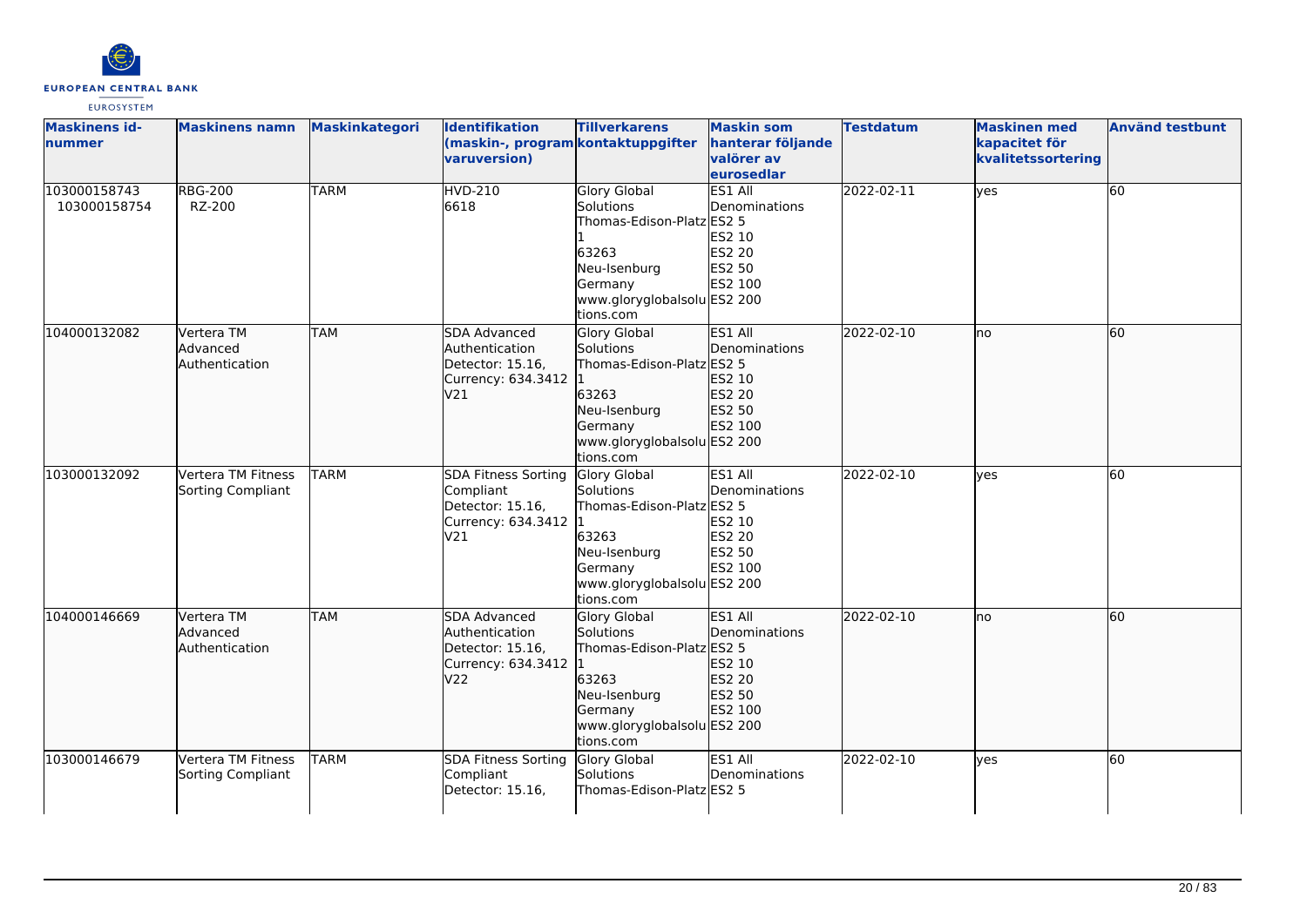

| <b>Maskinens id-</b><br>nummer | <b>Maskinens namn</b>                    | Maskinkategori | <b>Identifikation</b><br>(maskin-, program kontaktuppgifter<br>varuversion)            | <b>Tillverkarens</b>                                                                                                                          | <b>Maskin som</b><br>hanterar följande<br>valörer av<br>eurosedlar       | <b>Testdatum</b> | <b>Maskinen med</b><br>kapacitet för<br>kvalitetssortering | <b>Använd testbunt</b> |
|--------------------------------|------------------------------------------|----------------|----------------------------------------------------------------------------------------|-----------------------------------------------------------------------------------------------------------------------------------------------|--------------------------------------------------------------------------|------------------|------------------------------------------------------------|------------------------|
| 103000158743<br>103000158754   | <b>RBG-200</b><br>RZ-200                 | <b>TARM</b>    | <b>HVD-210</b><br>6618                                                                 | <b>Glory Global</b><br>Solutions<br>Thomas-Edison-Platz ES2 5<br>63263<br>Neu-Isenburg<br>Germany<br>www.gloryglobalsolu ES2 200<br>tions.com | ES1 All<br>Denominations<br>ES2 10<br><b>ES2 20</b><br>ES2 50<br>ES2 100 | 2022-02-11       | yes                                                        | 60                     |
| 104000132082                   | Vertera TM<br>Advanced<br>Authentication | <b>TAM</b>     | SDA Advanced<br>Authentication<br>Detector: 15.16,<br>Currency: 634.3412<br>V21        | Glory Global<br>Solutions<br>Thomas-Edison-Platz ES2 5<br>63263<br>Neu-Isenburg<br>Germany<br>www.gloryglobalsolu ES2 200<br>tions.com        | ES1 All<br>Denominations<br>ES2 10<br>ES2 20<br>ES2 50<br>ES2 100        | 2022-02-10       | no                                                         | 60                     |
| 103000132092                   | Vertera TM Fitness<br>Sorting Compliant  | <b>TARM</b>    | SDA Fitness Sorting<br>Compliant<br>Detector: 15.16,<br>Currency: 634.3412 1<br>V21    | <b>Glory Global</b><br>Solutions<br>Thomas-Edison-Platz ES2 5<br>63263<br>Neu-Isenburg<br>Germany<br>www.gloryglobalsolu ES2 200<br>tions.com | ES1 All<br>Denominations<br>ES2 10<br><b>ES2 20</b><br>ES2 50<br>ES2 100 | 2022-02-10       | lyes                                                       | 60                     |
| 104000146669                   | Vertera TM<br>Advanced<br>Authentication | <b>TAM</b>     | <b>SDA Advanced</b><br>Authentication<br>Detector: 15.16,<br>Currency: 634.3412<br>V22 | Glory Global<br>Solutions<br>Thomas-Edison-Platz ES2 5<br>63263<br>Neu-Isenburg<br>Germany<br>www.gloryglobalsolu ES2 200<br>tions.com        | ES1 All<br>Denominations<br>ES2 10<br>ES2 20<br>ES2 50<br>ES2 100        | 2022-02-10       | lno                                                        | 60                     |
| 103000146679                   | Vertera TM Fitness<br>Sorting Compliant  | <b>TARM</b>    | <b>SDA Fitness Sorting</b><br>Compliant<br>Detector: 15.16,                            | Glory Global<br>Solutions<br>Thomas-Edison-Platz ES2 5                                                                                        | ES1 All<br>Denominations                                                 | 2022-02-10       | lyes                                                       | 60                     |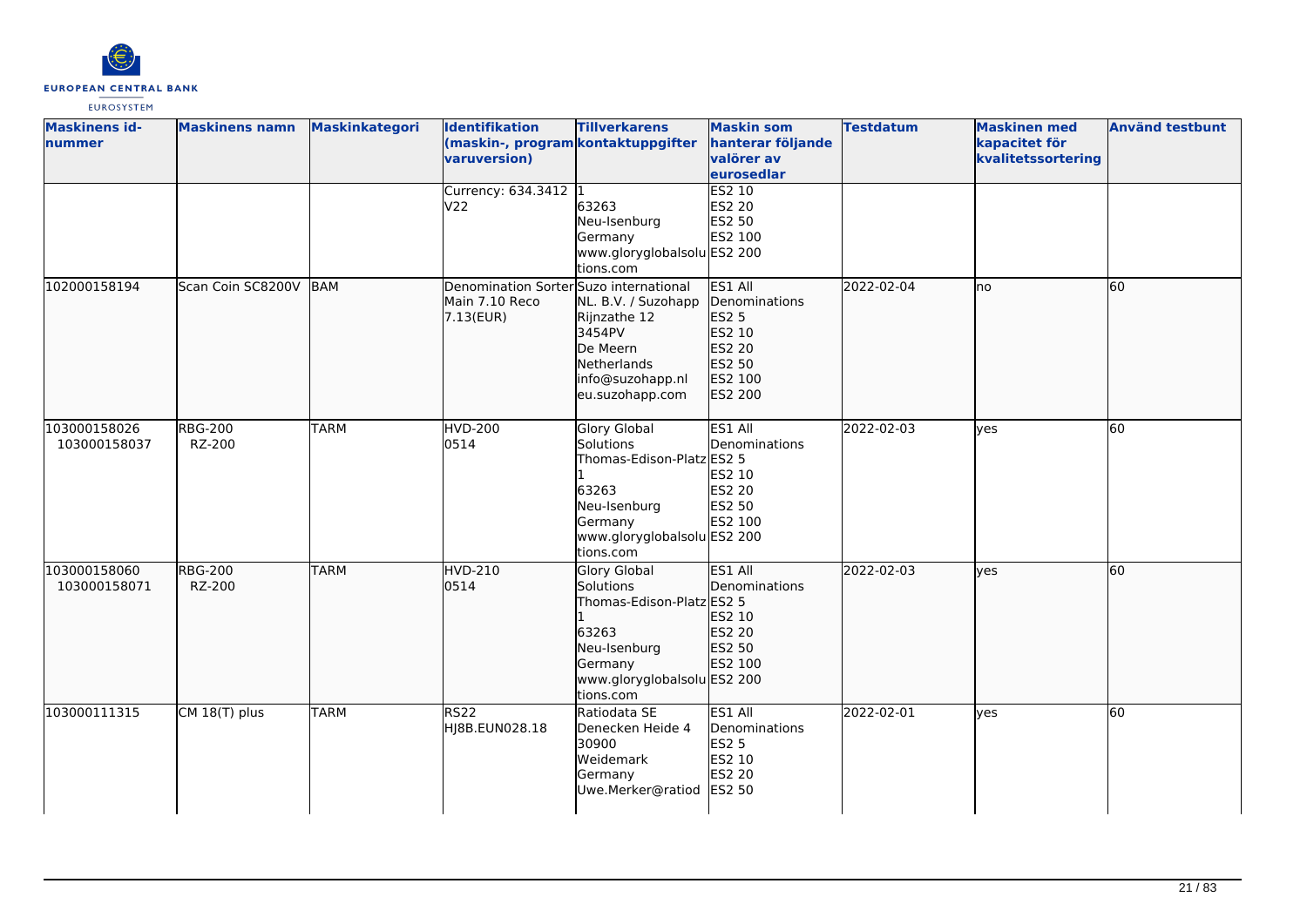

| <b>Maskinens id-</b><br>nummer | <b>Maskinens namn</b>    | <b>Maskinkategori</b> | Identifikation<br>(maskin-, program kontaktuppgifter<br>varuversion)  | <b>Tillverkarens</b>                                                                                                                          | <b>Maskin som</b><br>hanterar följande<br>valörer av<br>eurosedlar                    | <b>Testdatum</b> | <b>Maskinen med</b><br>kapacitet för<br>kvalitetssortering | <b>Använd testbunt</b> |
|--------------------------------|--------------------------|-----------------------|-----------------------------------------------------------------------|-----------------------------------------------------------------------------------------------------------------------------------------------|---------------------------------------------------------------------------------------|------------------|------------------------------------------------------------|------------------------|
|                                |                          |                       | Currency: 634.3412 1<br>V22                                           | 63263<br>Neu-Isenburg<br>Germany<br>www.gloryglobalsolu ES2 200<br>tions.com                                                                  | ES2 10<br>ES2 20<br>ES2 50<br>ES2 100                                                 |                  |                                                            |                        |
| 102000158194                   | Scan Coin SC8200V        | <b>BAM</b>            | Denomination Sorter Suzo international<br>Main 7.10 Reco<br>7.13(EUR) | NL. B.V. / Suzohapp<br>Rijnzathe 12<br>3454PV<br>De Meern<br>Netherlands<br>info@suzohapp.nl<br>eu.suzohapp.com                               | ES1 All<br>Denominations<br>ES2 5<br>ES2 10<br>ES2 20<br>ES2 50<br>ES2 100<br>ES2 200 | 2022-02-04       | no                                                         | 60                     |
| 103000158026<br>103000158037   | <b>RBG-200</b><br>RZ-200 | <b>TARM</b>           | HVD-200<br>0514                                                       | Glory Global<br>Solutions<br>Thomas-Edison-Platz ES2 5<br>63263<br>Neu-Isenburg<br>Germany<br>www.gloryglobalsolu ES2 200<br>tions.com        | ES1 All<br>Denominations<br>ES2 10<br><b>ES2 20</b><br>ES2 50<br>ES2 100              | 2022-02-03       | yes                                                        | 60                     |
| 103000158060<br>103000158071   | <b>RBG-200</b><br>RZ-200 | <b>TARM</b>           | <b>HVD-210</b><br>0514                                                | <b>Glory Global</b><br>Solutions<br>Thomas-Edison-Platz ES2 5<br>63263<br>Neu-Isenburg<br>Germany<br>www.gloryglobalsolu ES2 200<br>tions.com | ES1 All<br>Denominations<br>ES2 10<br>ES2 20<br>ES2 50<br>ES2 100                     | 2022-02-03       | lyes                                                       | 60                     |
| 103000111315                   | CM 18(T) plus            | <b>TARM</b>           | <b>RS22</b><br>HJ8B.EUN028.18                                         | Ratiodata SE<br>Denecken Heide 4<br>30900<br>Weidemark<br>Germany<br>Uwe.Merker@ratiod                                                        | ES1 All<br>Denominations<br><b>ES2 5</b><br>ES2 10<br>ES2 20<br>ES2 50                | 2022-02-01       | lves                                                       | 60                     |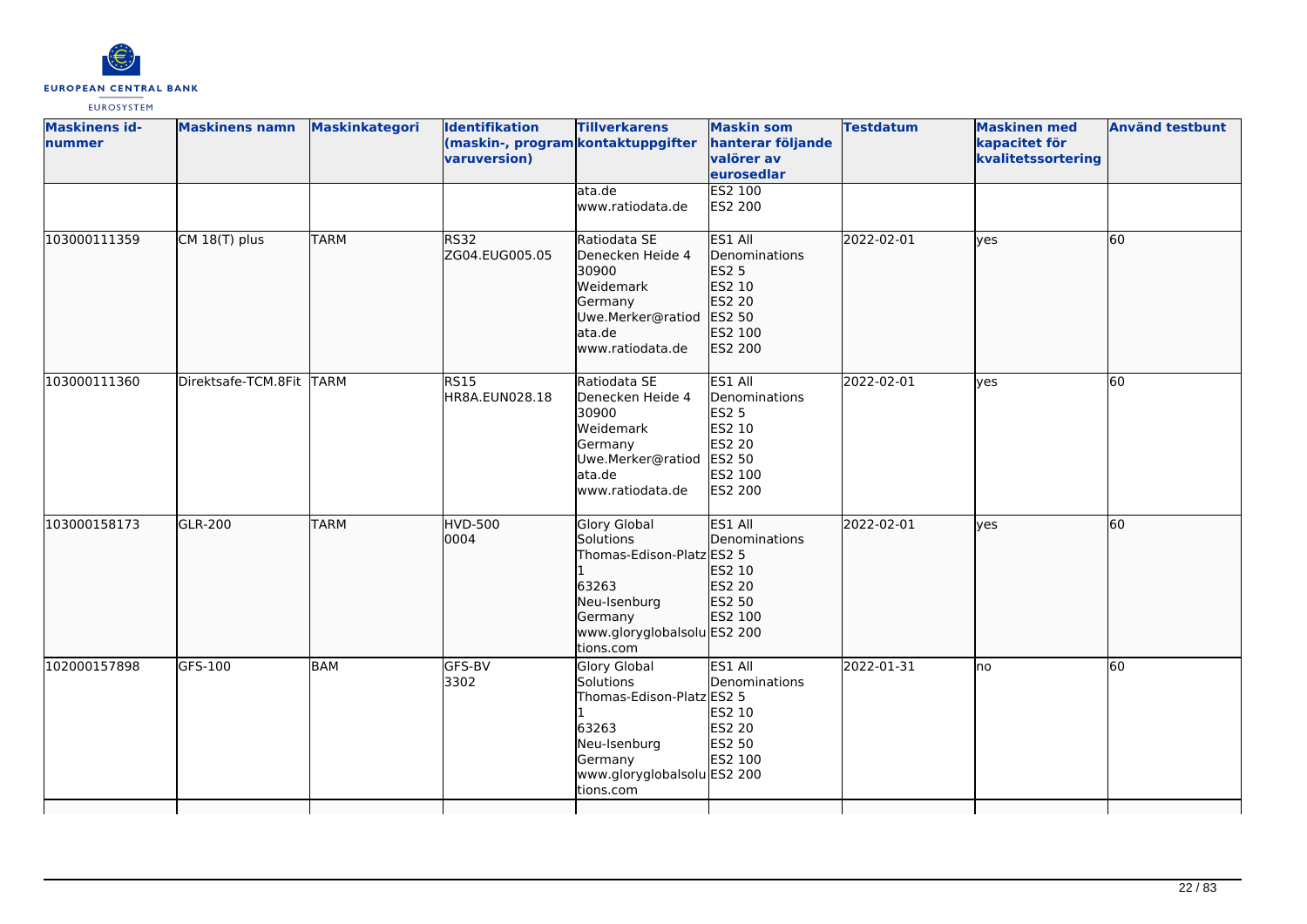

| <b>Maskinens id-</b><br>nummer | <b>Maskinens namn</b>    | <b>Maskinkategori</b> | Identifikation<br>(maskin-, program kontaktuppgifter<br>varuversion) | <b>Tillverkarens</b><br>ata.de<br>www.ratiodata.de                                                                                            | <b>Maskin som</b><br>hanterar följande<br>valörer av<br>eurosedlar<br>ES2 100<br>ES2 200     | <b>Testdatum</b> | <b>Maskinen med</b><br>kapacitet för<br>kvalitetssortering | <b>Använd testbunt</b> |
|--------------------------------|--------------------------|-----------------------|----------------------------------------------------------------------|-----------------------------------------------------------------------------------------------------------------------------------------------|----------------------------------------------------------------------------------------------|------------------|------------------------------------------------------------|------------------------|
| 103000111359                   | CM 18(T) plus            | <b>TARM</b>           | <b>RS32</b><br>ZG04.EUG005.05                                        | Ratiodata SE<br>Denecken Heide 4<br>30900<br>Weidemark<br>Germany<br>Uwe.Merker@ratiod<br>ata.de<br>www.ratiodata.de                          | ES1 All<br>Denominations<br>ES2 5<br>ES2 10<br>ES2 20<br>ES2 50<br>ES2 100<br>ES2 200        | 2022-02-01       | lves                                                       | 60                     |
| 103000111360                   | Direktsafe-TCM.8Fit TARM |                       | <b>RS15</b><br>HR8A.EUN028.18                                        | Ratiodata SE<br>Denecken Heide 4<br>30900<br>Weidemark<br>Germany<br>Uwe.Merker@ratiod<br>ata.de<br>lwww.ratiodata.de                         | ES1 All<br>Denominations<br><b>ES2 5</b><br>ES2 10<br>ES2 20<br>ES2 50<br>ES2 100<br>ES2 200 | 2022-02-01       | yes                                                        | 60                     |
| 103000158173                   | <b>GLR-200</b>           | <b>TARM</b>           | <b>HVD-500</b><br>0004                                               | <b>Glory Global</b><br>Solutions<br>Thomas-Edison-Platz ES2 5<br>63263<br>Neu-Isenburg<br>Germany<br>www.gloryglobalsolu ES2 200<br>tions.com | ES1 All<br>Denominations<br>ES2 10<br>ES2 20<br>ES2 50<br>ES2 100                            | 2022-02-01       | <b>lves</b>                                                | 60                     |
| 102000157898                   | GFS-100                  | BAM                   | GFS-BV<br>3302                                                       | Glory Global<br>Solutions<br>Thomas-Edison-Platz ES2 5<br>63263<br>Neu-Isenburg<br>Germany<br>www.gloryglobalsolu ES2 200<br>tions.com        | ES1 All<br>Denominations<br>ES2 10<br>ES2 20<br>ES2 50<br>ES2 100                            | 2022-01-31       | lno                                                        | 60                     |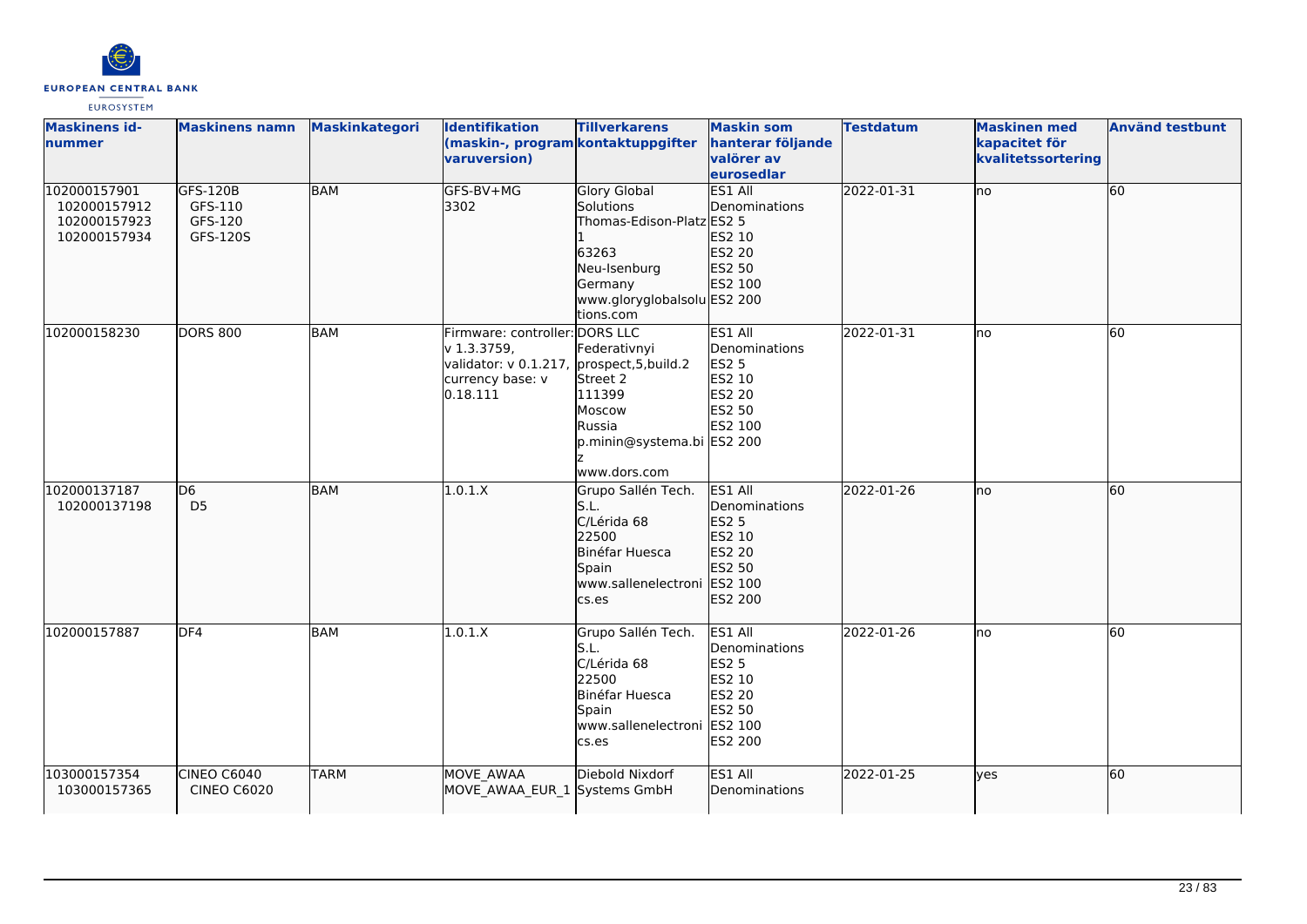

| <b>Maskinens id-</b><br>nummer                               | <b>Maskinens namn</b>                      | <b>Maskinkategori</b> | <b>Identifikation</b><br>(maskin-, program kontaktuppgifter<br>varuversion)                                                 | <b>Tillverkarens</b>                                                                                                                          | <b>Maskin som</b><br>hanterar följande<br>valörer av<br>eurosedlar                              | <b>Testdatum</b> | <b>Maskinen med</b><br>kapacitet för<br>kvalitetssortering | <b>Använd testbunt</b> |
|--------------------------------------------------------------|--------------------------------------------|-----------------------|-----------------------------------------------------------------------------------------------------------------------------|-----------------------------------------------------------------------------------------------------------------------------------------------|-------------------------------------------------------------------------------------------------|------------------|------------------------------------------------------------|------------------------|
| 102000157901<br>102000157912<br>102000157923<br>102000157934 | GFS-120B<br>GFS-110<br>GFS-120<br>GFS-120S | <b>BAM</b>            | GFS-BV+MG<br>3302                                                                                                           | <b>Glory Global</b><br>Solutions<br>Thomas-Edison-Platz ES2 5<br>63263<br>Neu-Isenburg<br>Germany<br>www.gloryglobalsolu ES2 200<br>tions.com | ES1 All<br>Denominations<br>ES2 10<br>ES2 20<br>ES2 50<br>ES2 100                               | 2022-01-31       | lno                                                        | 60                     |
| 102000158230                                                 | <b>DORS 800</b>                            | <b>BAM</b>            | Firmware: controller: DORS LLC<br>v 1.3.3759,<br>validator: v 0.1.217, prospect, 5, build.2<br>currency base: v<br>0.18.111 | Federativnyi<br>Street 2<br>111399<br>Moscow<br>Russia<br>p.minin@systema.bi ES2 200<br>www.dors.com                                          | ES1 All<br>Denominations<br><b>ES2 5</b><br>ES2 10<br>ES2 20<br>ES2 50<br>ES2 100               | 2022-01-31       | lno                                                        | 60                     |
| 102000137187<br>102000137198                                 | D6<br>D <sub>5</sub>                       | <b>BAM</b>            | 1.0.1.X                                                                                                                     | Grupo Sallén Tech.<br>S.L.<br>C/Lérida 68<br>22500<br>Binéfar Huesca<br>Spain<br>www.sallenelectroni ES2 100<br>cs.es                         | ES1 All<br><b>I</b> Denominations<br><b>ES2 5</b><br>ES2 10<br>ES2 20<br>ES2 50<br>ES2 200      | 2022-01-26       | no                                                         | 60                     |
| 102000157887                                                 | DF4                                        | <b>BAM</b>            | 1.0.1.X                                                                                                                     | Grupo Sallén Tech.<br>S.L.<br>C/Lérida 68<br>22500<br>Binéfar Huesca<br>Spain<br>www.sallenelectroni ES2 100<br>cs.es                         | ES1 All<br>Denominations<br><b>ES2 5</b><br>ES2 10<br><b>ES2 20</b><br><b>ES2 50</b><br>ES2 200 | 2022-01-26       | no                                                         | 60                     |
| 103000157354<br>103000157365                                 | CINEO C6040<br><b>CINEO C6020</b>          | <b>TARM</b>           | MOVE AWAA<br>MOVE AWAA EUR 1 Systems GmbH                                                                                   | Diebold Nixdorf                                                                                                                               | ES1 All<br><b>I</b> Denominations                                                               | 2022-01-25       | lyes                                                       | 60                     |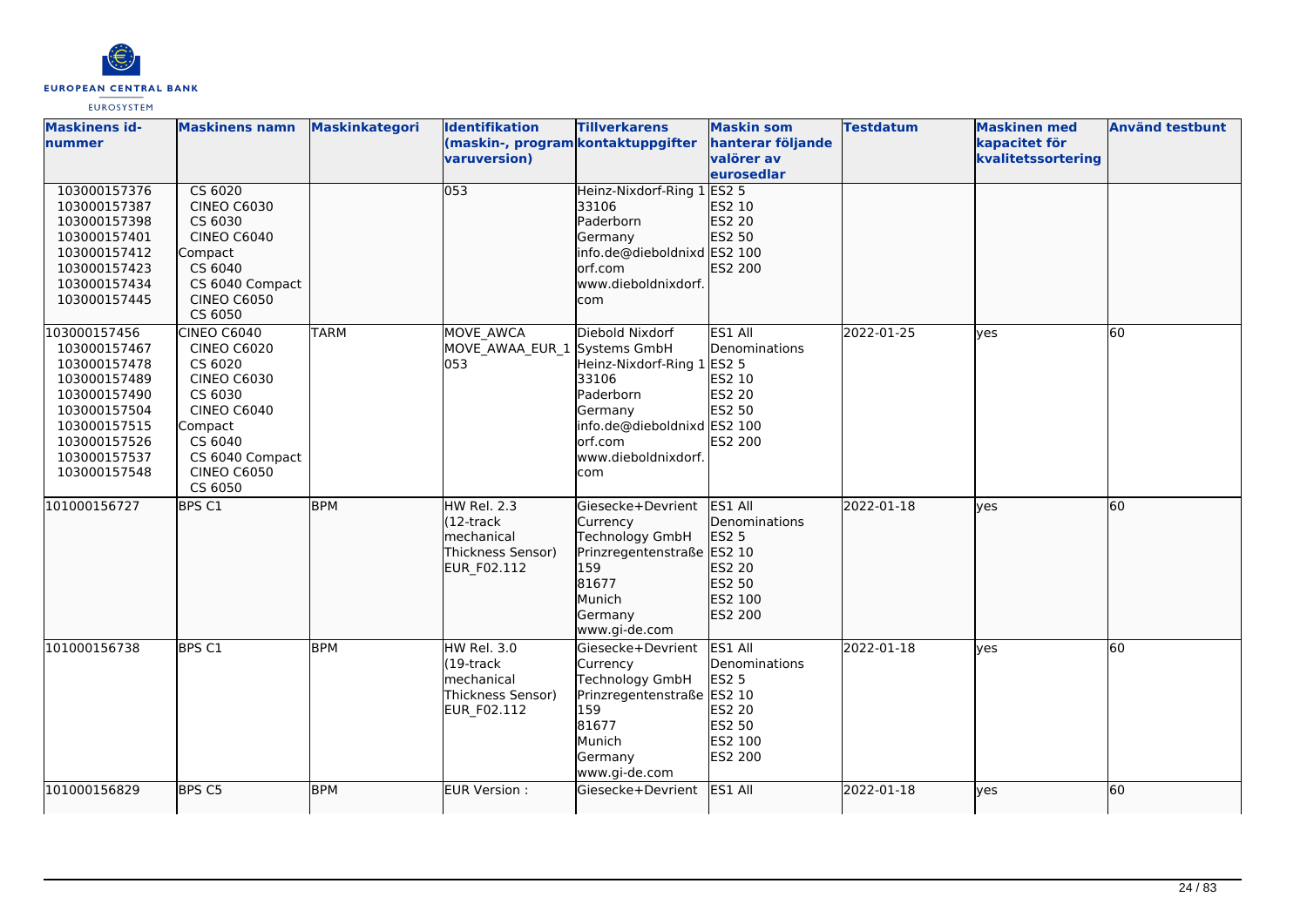

| <b>Maskinens id-</b><br>nummer                                                                                                                               | <b>Maskinens namn</b>                                                                                                                                                                | <b>Maskinkategori</b> | <b>Identifikation</b><br>(maskin-, program kontaktuppgifter<br>varuversion)        | <b>Tillverkarens</b>                                                                                                                                   | <b>Maskin som</b><br>hanterar följande<br>valörer av<br>eurosedlar                               | <b>Testdatum</b> | <b>Maskinen med</b><br>kapacitet för<br>kvalitetssortering | <b>Använd testbunt</b> |
|--------------------------------------------------------------------------------------------------------------------------------------------------------------|--------------------------------------------------------------------------------------------------------------------------------------------------------------------------------------|-----------------------|------------------------------------------------------------------------------------|--------------------------------------------------------------------------------------------------------------------------------------------------------|--------------------------------------------------------------------------------------------------|------------------|------------------------------------------------------------|------------------------|
| 103000157376<br>103000157387<br>103000157398<br>103000157401<br>103000157412<br>103000157423<br>103000157434<br>103000157445                                 | $CS$ 6020<br><b>CINEO C6030</b><br>CS 6030<br><b>CINEO C6040</b><br>Compact<br>CS 6040<br>CS 6040 Compact<br><b>CINEO C6050</b><br>CS 6050                                           |                       | 053                                                                                | Heinz-Nixdorf-Ring 1 ES2 5<br>33106<br>Paderborn<br>Germany<br>info.de@dieboldnixd ES2 100<br>orf.com<br>www.dieboldnixdorf.<br>com                    | ES2 10<br>ES2 20<br><b>ES2 50</b><br>ES2 200                                                     |                  |                                                            |                        |
| 103000157456<br>103000157467<br>103000157478<br>103000157489<br>103000157490<br>103000157504<br>103000157515<br>103000157526<br>103000157537<br>103000157548 | <b>CINEO C6040</b><br><b>CINEO C6020</b><br>CS 6020<br><b>CINEO C6030</b><br>CS 6030<br><b>CINEO C6040</b><br>Compact<br>CS 6040<br>CS 6040 Compact<br><b>CINEO C6050</b><br>CS 6050 | <b>TARM</b>           | <b>MOVE AWCA</b><br>MOVE AWAA EUR 1 Systems GmbH<br>053                            | Diebold Nixdorf<br>Heinz-Nixdorf-Ring 1 ES2 5<br>33106<br>Paderborn<br>Germany<br>info.de@dieboldnixd ES2 100<br>orf.com<br>www.dieboldnixdorf.<br>com | ES1 All<br>Denominations<br>ES2 10<br>ES2 20<br>ES2 50<br>ES2 200                                | 2022-01-25       | <b>ves</b>                                                 | 60                     |
| 101000156727                                                                                                                                                 | BPS <sub>C1</sub>                                                                                                                                                                    | <b>BPM</b>            | HW Rel. 2.3<br>(12-track<br><b>Imechanical</b><br>Thickness Sensor)<br>EUR_F02.112 | Giesecke+Devrient<br>Currency<br>Technology GmbH<br>Prinzregentenstraße ES2 10<br>159<br>81677<br>Munich<br>Germany<br>www.gi-de.com                   | ES1 All<br>Denominations<br><b>ES2 5</b><br>ES2 20<br>ES2 50<br>ES2 100<br>ES2 200               | 2022-01-18       | lves                                                       | 60                     |
| 101000156738                                                                                                                                                 | BPS C1                                                                                                                                                                               | <b>BPM</b>            | HW Rel. 3.0<br>$(19$ -track<br>mechanical<br>Thickness Sensor)<br>EUR_F02.112      | Giesecke+Devrient<br>Currency<br>Technology GmbH<br>Prinzregentenstraße ES2 10<br>159<br>81677<br>Munich<br>Germany<br>www.gi-de.com                   | ES1 All<br>Denominations<br><b>ES2 5</b><br><b>ES2 20</b><br><b>ES2 50</b><br>ES2 100<br>ES2 200 | 2022-01-18       | lves                                                       | 60                     |
| 101000156829                                                                                                                                                 | BPS C5                                                                                                                                                                               | <b>BPM</b>            | EUR Version :                                                                      | Giesecke+Devrient                                                                                                                                      | ES1 All                                                                                          | 2022-01-18       | lyes                                                       | 60                     |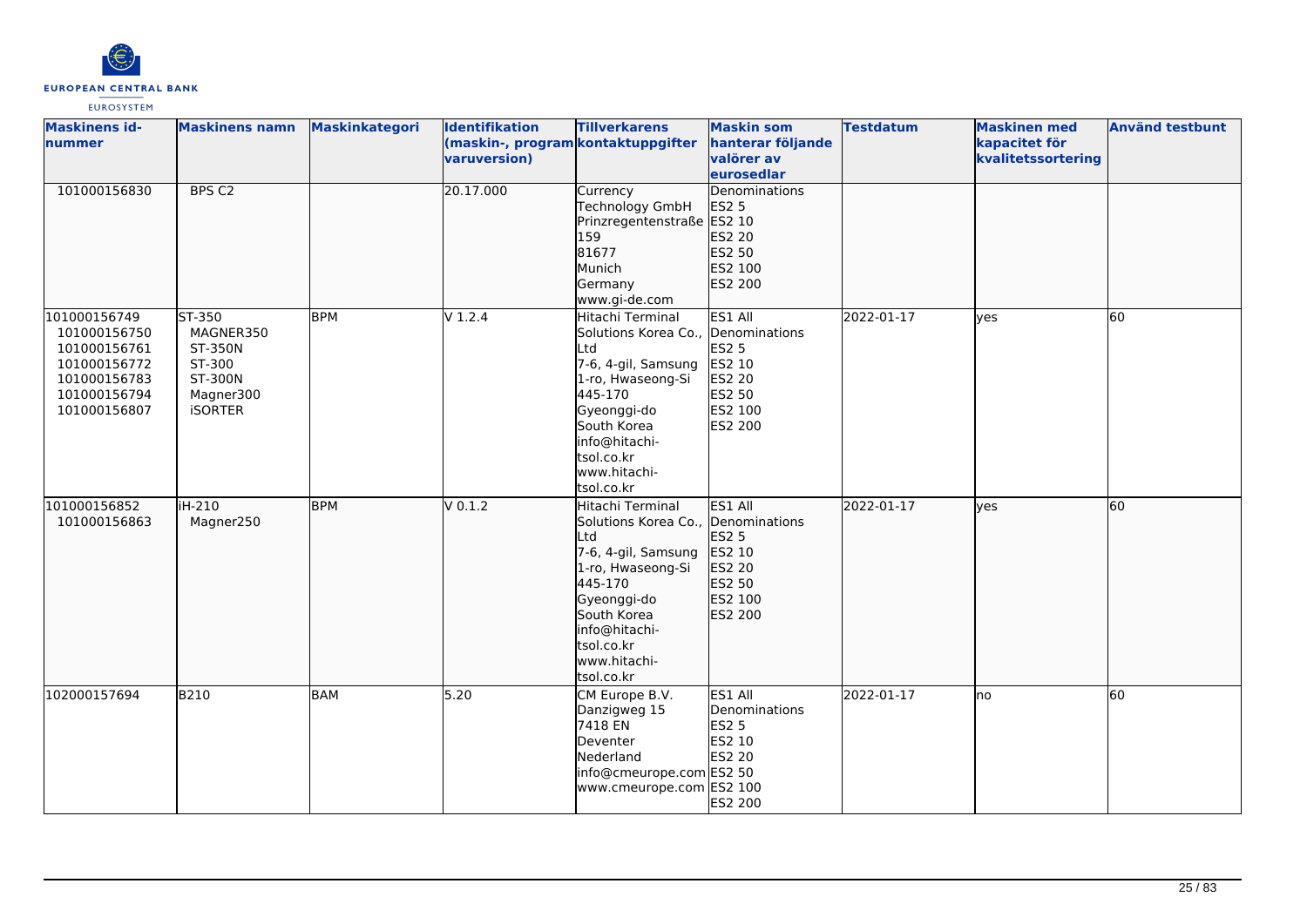

| <b>Maskinens id-</b><br>nummer                                                                               | <b>Maskinens namn</b>                                                              | Maskinkategori | Identifikation<br>(maskin-, program kontaktuppgifter<br>varuversion) | <b>Tillverkarens</b>                                                                                                                                                                                             | <b>Maskin som</b><br>hanterar följande<br>valörer av<br>eurosedlar             | <b>Testdatum</b> | <b>Maskinen med</b><br>kapacitet för<br>kvalitetssortering | <b>Använd testbunt</b> |
|--------------------------------------------------------------------------------------------------------------|------------------------------------------------------------------------------------|----------------|----------------------------------------------------------------------|------------------------------------------------------------------------------------------------------------------------------------------------------------------------------------------------------------------|--------------------------------------------------------------------------------|------------------|------------------------------------------------------------|------------------------|
| 101000156830                                                                                                 | BPS <sub>C2</sub>                                                                  |                | 20.17.000                                                            | Currency<br>Technology GmbH<br>Prinzregentenstraße ES2 10<br>159<br>81677<br>Munich<br>Germany<br>www.gi-de.com                                                                                                  | Denominations<br>ES2 5<br>ES2 20<br>ES2 50<br>ES2 100<br>ES2 200               |                  |                                                            |                        |
| 101000156749<br>101000156750<br>101000156761<br>101000156772<br>101000156783<br>101000156794<br>101000156807 | ST-350<br>MAGNER350<br>ST-350N<br>ST-300<br>ST-300N<br>Magner300<br><b>iSORTER</b> | <b>BPM</b>     | $V$ 1.2.4                                                            | Hitachi Terminal<br>Solutions Korea Co., Denominations<br>Ltd<br>7-6, 4-gil, Samsung<br>1-ro, Hwaseong-Si<br>445-170<br>Gyeonggi-do<br>South Korea<br>info@hitachi-<br>tsol.co.kr<br>lwww.hitachi-<br>tsol.co.kr | ES1 All<br><b>ES2 5</b><br>ES2 10<br>ES2 20<br>ES2 50<br>ES2 100<br>ES2 200    | 2022-01-17       | <b>ves</b>                                                 | 60                     |
| 101000156852<br>101000156863                                                                                 | <b>iH-210</b><br>Magner250                                                         | <b>BPM</b>     | $V$ 0.1.2                                                            | Hitachi Terminal<br>Solutions Korea Co., Denominations<br>Ltd<br>7-6, 4-gil, Samsung<br>1-ro, Hwaseong-Si<br>445-170<br>Gyeonggi-do<br>South Korea<br>info@hitachi-<br>tsol.co.kr<br>www.hitachi-<br>tsol.co.kr  | ES1 All<br>ES2 5<br>ES2 10<br>ES2 20<br>ES2 50<br>ES2 100<br>ES2 200           | 2022-01-17       | lyes                                                       | 60                     |
| 102000157694                                                                                                 | B210                                                                               | <b>BAM</b>     | 5.20                                                                 | CM Europe B.V.<br>Danzigweg 15<br>7418 EN<br>Deventer<br>Nederland<br>info@cmeurope.com ES2 50<br>www.cmeurope.com ES2 100                                                                                       | ES1 All<br>Denominations<br><b>ES2 5</b><br>ES2 10<br><b>ES2 20</b><br>ES2 200 | 2022-01-17       | lno                                                        | 60                     |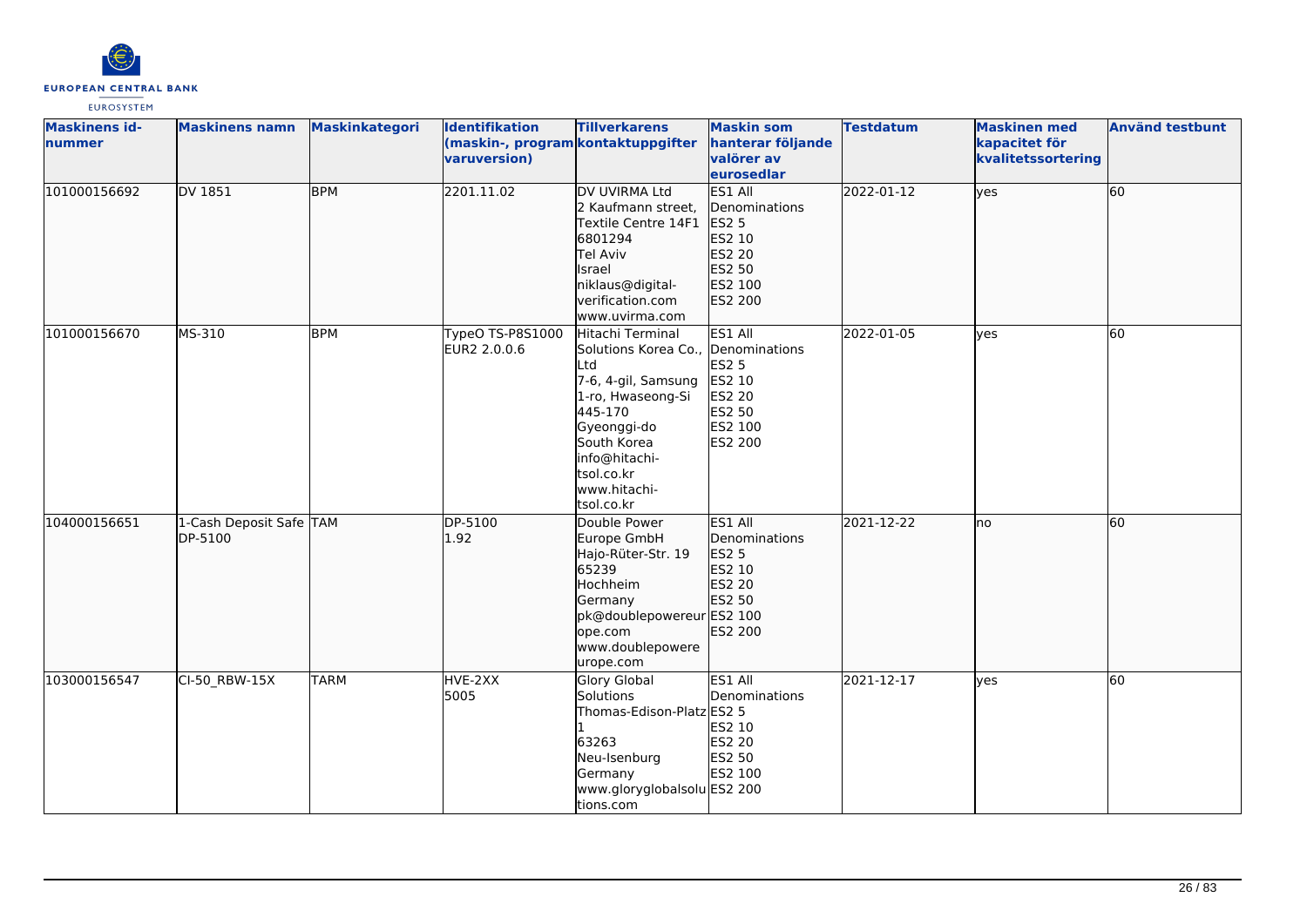

| <b>Maskinens id-</b><br>nummer | <b>Maskinens namn</b>              | <b>Maskinkategori</b> | Identifikation<br>(maskin-, program kontaktuppgifter<br>varuversion) | <b>Tillverkarens</b>                                                                                                                                                                                            | <b>Maskin som</b><br>hanterar följande<br>valörer av<br>eurosedlar                           | <b>Testdatum</b> | <b>Maskinen med</b><br>kapacitet för<br>kvalitetssortering | <b>Använd testbunt</b> |
|--------------------------------|------------------------------------|-----------------------|----------------------------------------------------------------------|-----------------------------------------------------------------------------------------------------------------------------------------------------------------------------------------------------------------|----------------------------------------------------------------------------------------------|------------------|------------------------------------------------------------|------------------------|
| 101000156692                   | DV 1851                            | <b>BPM</b>            | 2201.11.02                                                           | DV UVIRMA Ltd<br>2 Kaufmann street,<br>Textile Centre 14F1<br>6801294<br><b>Tel Aviv</b><br>Israel<br>niklaus@digital-<br>verification.com<br>www.uvirma.com                                                    | ES1 All<br>Denominations<br><b>ES2 5</b><br>ES2 10<br>ES2 20<br>ES2 50<br>ES2 100<br>ES2 200 | 2022-01-12       | lyes                                                       | 60                     |
| 101000156670                   | MS-310                             | <b>BPM</b>            | TypeO TS-P8S1000<br>EUR2 2.0.0.6                                     | Hitachi Terminal<br>Solutions Korea Co., Denominations<br>_td<br>7-6, 4-gil, Samsung<br>1-ro, Hwaseong-Si<br>445-170<br>Gyeonggi-do<br>South Korea<br>info@hitachi-<br>tsol.co.kr<br>www.hitachi-<br>tsol.co.kr | ES1 All<br><b>ES2 5</b><br>ES2 10<br><b>ES2 20</b><br>ES2 50<br>ES2 100<br><b>ES2 200</b>    | 2022-01-05       | lves                                                       | 60                     |
| 104000156651                   | 1-Cash Deposit Safe TAM<br>DP-5100 |                       | DP-5100<br>1.92                                                      | Double Power<br>Europe GmbH<br>Hajo-Rüter-Str. 19<br>65239<br>Hochheim<br>Germany<br>pk@doublepowereur ES2 100<br>ope.com<br>www.doublepowere<br>urope.com                                                      | ES1 All<br>Denominations<br><b>ES2 5</b><br>ES2 10<br>ES2 20<br>ES2 50<br>ES2 200            | 2021-12-22       | lno                                                        | 60                     |
| 103000156547                   | CI-50 RBW-15X                      | <b>TARM</b>           | HVE-2XX<br>5005                                                      | Glory Global<br>Solutions<br>Thomas-Edison-Platz ES2 5<br>63263<br>Neu-Isenburg<br>Germany<br>www.gloryglobalsolu ES2 200<br>tions.com                                                                          | ES1 All<br>Denominations<br>ES2 10<br>ES2 20<br>ES2 50<br>ES2 100                            | 2021-12-17       | yes                                                        | 60                     |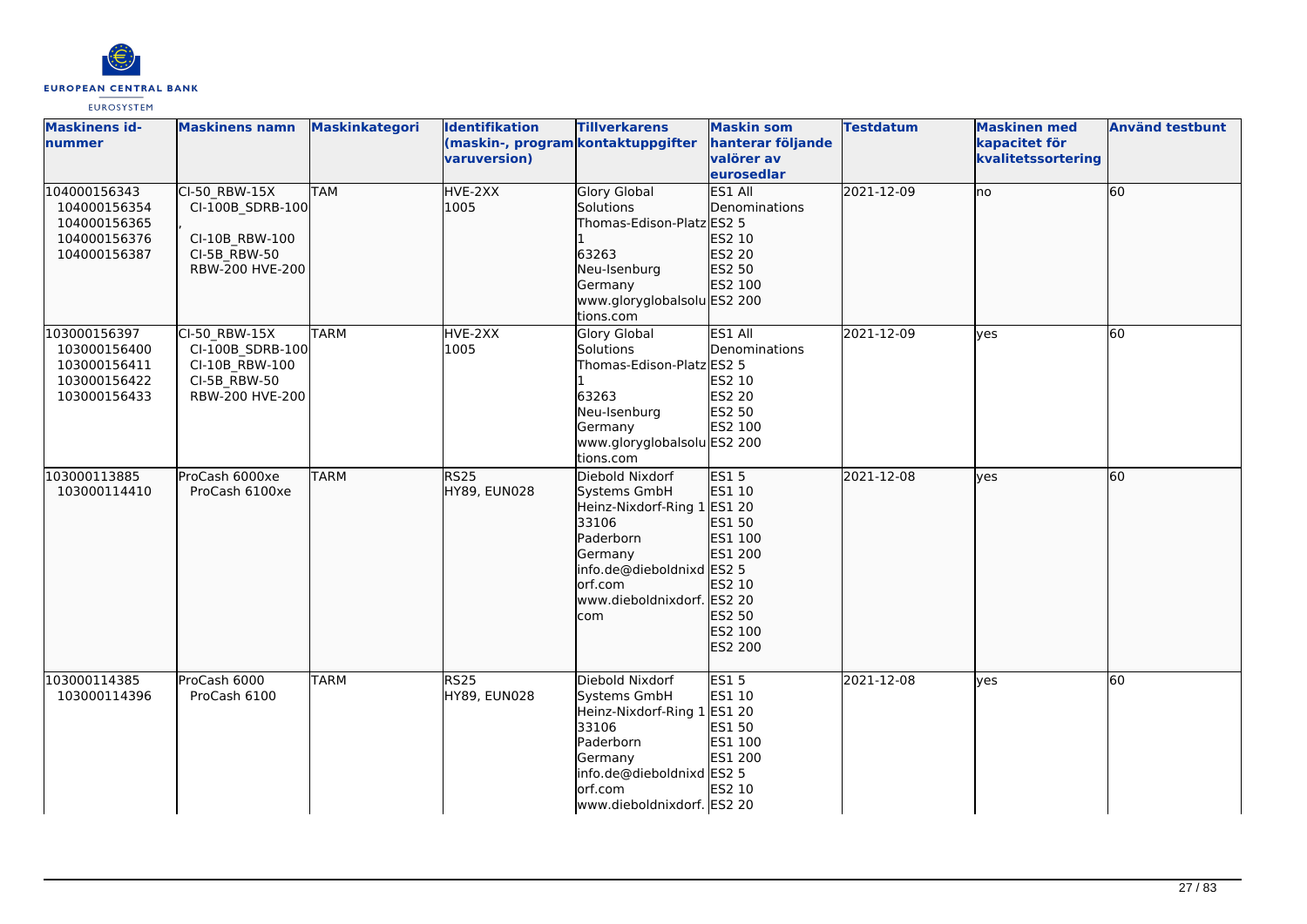

| <b>Maskinens id-</b><br>nummer                                               | <b>Maskinens namn</b>                                                                  | Maskinkategori | <b>Identifikation</b><br>(maskin-, program kontaktuppgifter<br>varuversion) | <b>Tillverkarens</b>                                                                                                                                           | <b>Maskin som</b><br>hanterar följande<br>valörer av<br>eurosedlar                                                  | <b>Testdatum</b> | <b>Maskinen med</b><br>kapacitet för<br>kvalitetssortering | <b>Använd testbunt</b> |
|------------------------------------------------------------------------------|----------------------------------------------------------------------------------------|----------------|-----------------------------------------------------------------------------|----------------------------------------------------------------------------------------------------------------------------------------------------------------|---------------------------------------------------------------------------------------------------------------------|------------------|------------------------------------------------------------|------------------------|
| 104000156343<br>104000156354<br>104000156365<br>104000156376<br>104000156387 | CI-50 RBW-15X<br>CI-100B SDRB-100<br>CI-10B_RBW-100<br>CI-5B_RBW-50<br>RBW-200 HVE-200 | <b>TAM</b>     | HVE-2XX<br>1005                                                             | Glory Global<br>Solutions<br>Thomas-Edison-Platz ES2 5<br>63263<br>Neu-Isenburg<br>Germany<br>www.gloryglobalsolu ES2 200<br>tions.com                         | ES1 All<br>Denominations<br>ES2 10<br>ES2 20<br>ES2 50<br>ES2 100                                                   | 2021-12-09       | lno                                                        | 60                     |
| 103000156397<br>103000156400<br>103000156411<br>103000156422<br>103000156433 | CI-50 RBW-15X<br>CI-100B_SDRB-100<br>CI-10B RBW-100<br>CI-5B_RBW-50<br>RBW-200 HVE-200 | <b>TARM</b>    | HVE-2XX<br>1005                                                             | Glory Global<br>Solutions<br>Thomas-Edison-Platz ES2 5<br>63263<br>Neu-Isenburg<br>Germany<br>www.gloryglobalsolu ES2 200<br>tions.com                         | ES1 All<br>Denominations<br>ES2 10<br><b>ES2 20</b><br>ES2 50<br>ES2 100                                            | 2021-12-09       | lves                                                       | 60                     |
| 103000113885<br>103000114410                                                 | ProCash 6000xe<br>ProCash 6100xe                                                       | <b>TARM</b>    | RS <sub>25</sub><br>HY89, EUN028                                            | Diebold Nixdorf<br>Systems GmbH<br>Heinz-Nixdorf-Ring 1<br>33106<br>Paderborn<br>Germany<br>info.de@dieboldnixd ES2 5<br>orf.com<br>www.dieboldnixdorf.<br>com | <b>ES15</b><br>ES1 10<br>ES1 20<br>ES1 50<br>ES1 100<br>ES1 200<br>ES2 10<br>ES2 20<br>ES2 50<br>ES2 100<br>ES2 200 | 2021-12-08       | lyes                                                       | 60                     |
| 103000114385<br>103000114396                                                 | ProCash 6000<br>ProCash 6100                                                           | <b>TARM</b>    | <b>RS25</b><br>HY89, EUN028                                                 | Diebold Nixdorf<br>Systems GmbH<br>Heinz-Nixdorf-Ring 1<br>33106<br>Paderborn<br>Germany<br>info.de@dieboldnixd ES2 5<br>orf.com<br>www.dieboldnixdorf. ES2 20 | <b>ES15</b><br>ES1 10<br>ES1 20<br>ES1 50<br>ES1 100<br>ES1 200<br>ES2 10                                           | 2021-12-08       | yes                                                        | 60                     |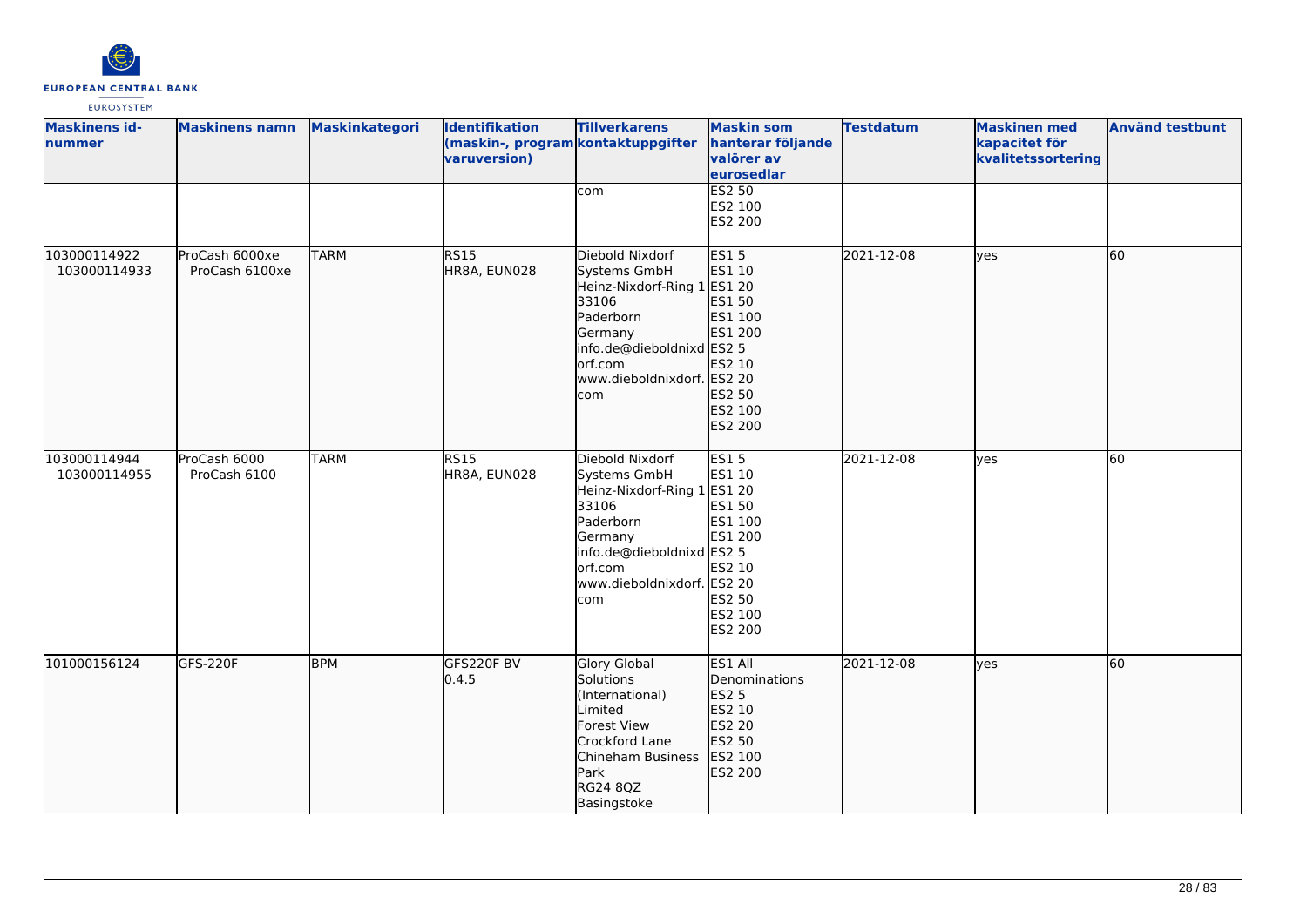

| <b>Maskinens id-</b><br>nummer | <b>Maskinens namn</b>            | Maskinkategori | Identifikation<br>(maskin-, program kontaktuppgifter<br>varuversion) | <b>Tillverkarens</b><br>com                                                                                                                                                  | <b>Maskin som</b><br>hanterar följande<br>valörer av<br>eurosedlar<br>ES2 50<br>ES2 100<br>ES2 200        | <b>Testdatum</b> | <b>Maskinen med</b><br>kapacitet för<br>kvalitetssortering | <b>Använd testbunt</b> |
|--------------------------------|----------------------------------|----------------|----------------------------------------------------------------------|------------------------------------------------------------------------------------------------------------------------------------------------------------------------------|-----------------------------------------------------------------------------------------------------------|------------------|------------------------------------------------------------|------------------------|
| 103000114922<br>103000114933   | ProCash 6000xe<br>ProCash 6100xe | <b>TARM</b>    | <b>RS15</b><br>HR8A, EUN028                                          | Diebold Nixdorf<br>Systems GmbH<br>Heinz-Nixdorf-Ring 1<br>33106<br>Paderborn<br>Germany<br>info.de@dieboldnixd ES2 5<br>orf.com<br>www.dieboldnixdorf. ES2 20<br>com        | <b>ES15</b><br>ES1 10<br>ES1 20<br>ES1 50<br>ES1 100<br>ES1 200<br>ES2 10<br>ES2 50<br>ES2 100<br>ES2 200 | 2021-12-08       | lves                                                       | 60                     |
| 103000114944<br>103000114955   | ProCash 6000<br>ProCash 6100     | <b>TARM</b>    | <b>RS15</b><br>HR8A, EUN028                                          | Diebold Nixdorf<br>Systems GmbH<br>Heinz-Nixdorf-Ring 1 ES1 20<br>33106<br>Paderborn<br>Germany<br>info.de@dieboldnixd ES2 5<br>orf.com<br>www.dieboldnixdorf. ES2 20<br>com | <b>ES15</b><br>ES1 10<br>ES1 50<br>ES1 100<br>ES1 200<br><b>ES2 10</b><br>ES2 50<br>ES2 100<br>ES2 200    | 2021-12-08       | yes                                                        | $\overline{60}$        |
| 101000156124                   | GFS-220F                         | <b>BPM</b>     | GFS220F BV<br> 0.4.5                                                 | <b>Glory Global</b><br>Solutions<br>(International)<br>Limited<br>Forest View<br>Crockford Lane<br>Chineham Business<br>Park<br>RG24 8QZ<br>Basingstoke                      | ES1 All<br>Denominations<br>ES2 5<br>ES2 10<br>ES2 20<br>ES2 50<br>ES2 100<br>ES2 200                     | 2021-12-08       | lyes                                                       | 60                     |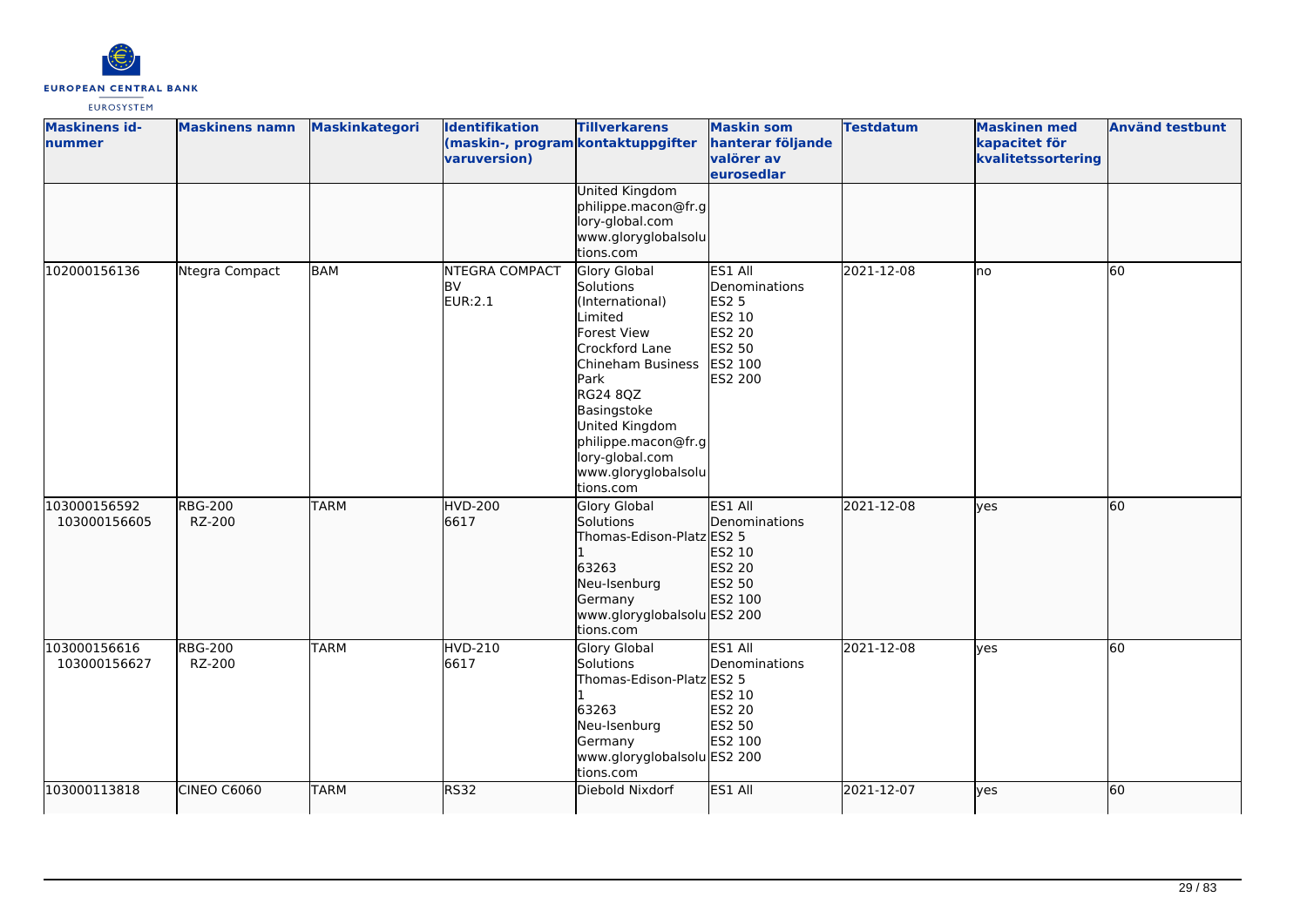

| <b>Maskinens id-</b><br>nummer | <b>Maskinens namn</b>    | <b>Maskinkategori</b> | <b>Identifikation</b><br>(maskin-, program kontaktuppgifter<br>varuversion) | <b>Tillverkarens</b>                                                                                                                                                                                                                                    | <b>Maskin som</b><br>hanterar följande<br>valörer av<br>eurosedlar                                  | <b>Testdatum</b> | <b>Maskinen med</b><br>kapacitet för<br>kvalitetssortering | <b>Använd testbunt</b> |
|--------------------------------|--------------------------|-----------------------|-----------------------------------------------------------------------------|---------------------------------------------------------------------------------------------------------------------------------------------------------------------------------------------------------------------------------------------------------|-----------------------------------------------------------------------------------------------------|------------------|------------------------------------------------------------|------------------------|
|                                |                          |                       |                                                                             | <b>United Kingdom</b><br>philippe.macon@fr.g<br>lory-global.com<br>www.gloryglobalsolu<br>tions.com                                                                                                                                                     |                                                                                                     |                  |                                                            |                        |
| 102000156136                   | Ntegra Compact           | <b>BAM</b>            | <b>NTEGRA COMPACT</b><br><b>BV</b><br>EUR:2.1                               | Glory Global<br>Solutions<br>(International)<br>Limited<br>Forest View<br>Crockford Lane<br>Chineham Business<br>Park<br><b>RG24 8QZ</b><br>Basingstoke<br>United Kingdom<br>philippe.macon@fr.g<br>lory-global.com<br>www.gloryglobalsolu<br>tions.com | ES1 All<br>Denominations<br><b>ES2 5</b><br>ES2 10<br><b>ES2 20</b><br>ES2 50<br>ES2 100<br>ES2 200 | 2021-12-08       | no                                                         | 60                     |
| 103000156592<br>103000156605   | <b>RBG-200</b><br>RZ-200 | <b>TARM</b>           | <b>HVD-200</b><br>6617                                                      | <b>Glory Global</b><br>Solutions<br>Thomas-Edison-Platz ES2 5<br>63263<br>Neu-Isenburg<br>Germany<br>www.gloryglobalsolu ES2 200<br>tions.com                                                                                                           | ES1 All<br>Denominations<br>ES2 10<br>ES2 20<br>ES2 50<br>ES2 100                                   | 2021-12-08       | lves                                                       | 60                     |
| 103000156616<br>103000156627   | <b>RBG-200</b><br>RZ-200 | <b>TARM</b>           | <b>HVD-210</b><br>6617                                                      | Glory Global<br>Solutions<br>Thomas-Edison-Platz ES2 5<br>63263<br>Neu-Isenburg<br>Germany<br>www.gloryglobalsolu ES2 200<br>tions.com                                                                                                                  | ES1 All<br>Denominations<br>ES2 10<br><b>ES2 20</b><br>ES2 50<br>ES2 100                            | 2021-12-08       | ves                                                        | 60                     |
| 103000113818                   | CINEO C6060              | <b>TARM</b>           | <b>RS32</b>                                                                 | Diebold Nixdorf                                                                                                                                                                                                                                         | ES1 All                                                                                             | 2021-12-07       | yes                                                        | 60                     |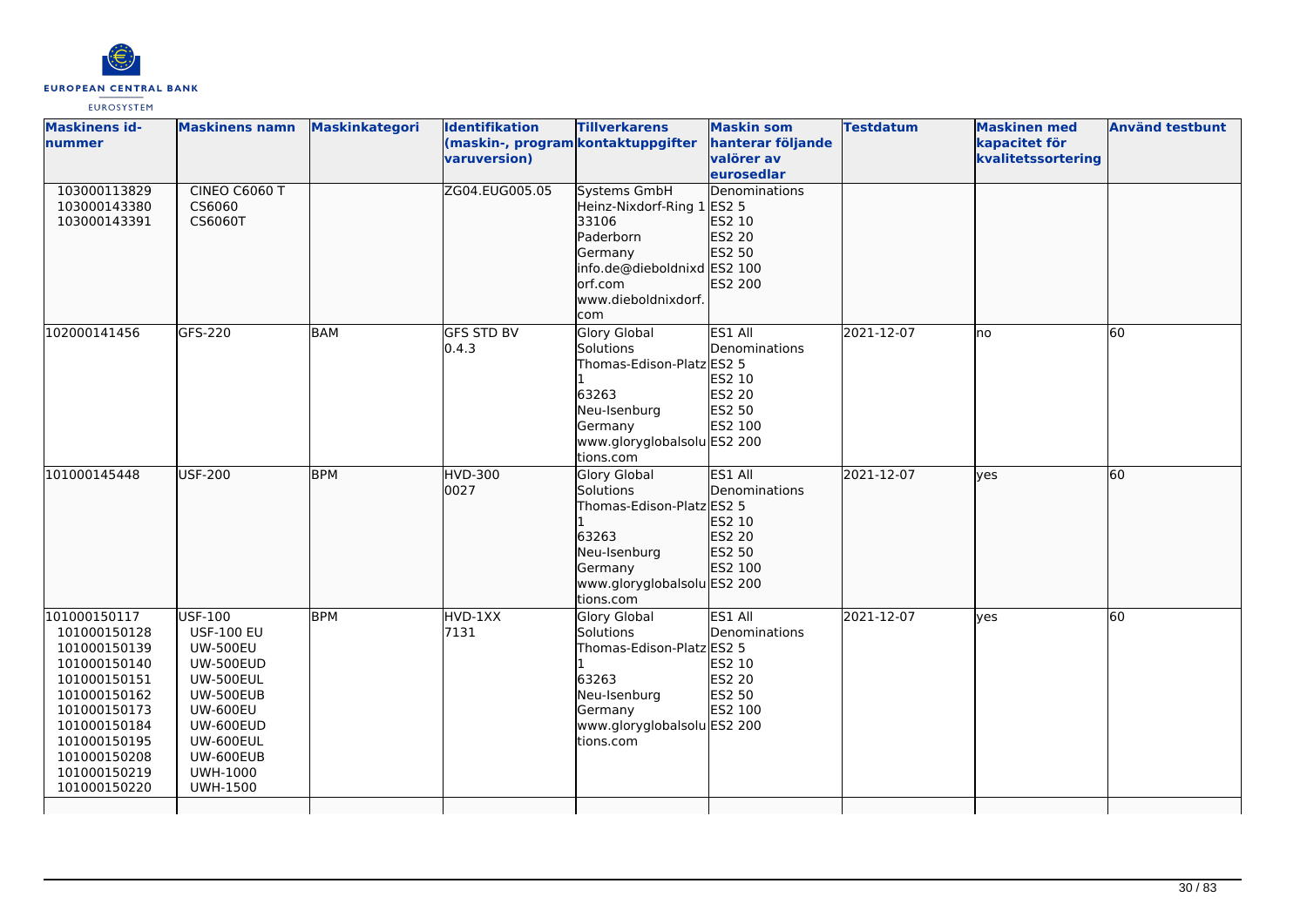

| <b>Maskinens id-</b><br>nummer                                                                                                                                                               | <b>Maskinens namn</b>                                                                                                                                                                                | Maskinkategori | <b>Identifikation</b><br>(maskin-, program kontaktuppgifter<br>varuversion) | <b>Tillverkarens</b>                                                                                                                                 | <b>Maskin som</b><br>hanterar följande<br>valörer av<br>eurosedlar       | <b>Testdatum</b> | <b>Maskinen</b> med<br>kapacitet för<br>kvalitetssortering | <b>Använd testbunt</b> |
|----------------------------------------------------------------------------------------------------------------------------------------------------------------------------------------------|------------------------------------------------------------------------------------------------------------------------------------------------------------------------------------------------------|----------------|-----------------------------------------------------------------------------|------------------------------------------------------------------------------------------------------------------------------------------------------|--------------------------------------------------------------------------|------------------|------------------------------------------------------------|------------------------|
| 103000113829<br>103000143380<br>103000143391                                                                                                                                                 | CINEO C6060 T<br>CS6060<br>CS6060T                                                                                                                                                                   |                | ZG04.EUG005.05                                                              | <b>Systems GmbH</b><br>Heinz-Nixdorf-Ring 1<br>33106<br>Paderborn<br>Germany<br>info.de@dieboldnixd ES2 100<br>orf.com<br>www.dieboldnixdorf.<br>com | Denominations<br>ES2 5<br>ES2 10<br>ES2 20<br>ES2 50<br>ES2 200          |                  |                                                            |                        |
| 102000141456                                                                                                                                                                                 | GFS-220                                                                                                                                                                                              | BAM            | <b>GFS STD BV</b><br>0.4.3                                                  | Glory Global<br>Solutions<br>Thomas-Edison-Platz ES2 5<br>63263<br>Neu-Isenburg<br>Germany<br>www.gloryglobalsolu ES2 200<br>tions.com               | ES1 All<br>Denominations<br>ES2 10<br>ES2 20<br>ES2 50<br>ES2 100        | 2021-12-07       | lno                                                        | 60                     |
| 101000145448                                                                                                                                                                                 | <b>USF-200</b>                                                                                                                                                                                       | <b>BPM</b>     | HVD-300<br>0027                                                             | Glory Global<br>Solutions<br>Thomas-Edison-Platz ES2 5<br>63263<br>Neu-Isenburg<br>Germany<br>www.gloryglobalsolu ES2 200<br>tions.com               | ES1 All<br>Denominations<br>ES2 10<br>ES2 20<br>ES2 50<br>ES2 100        | 2021-12-07       | yes                                                        | 60                     |
| 101000150117<br>101000150128<br>101000150139<br>101000150140<br>101000150151<br>101000150162<br>101000150173<br>101000150184<br>101000150195<br>101000150208<br>101000150219<br>101000150220 | USF-100<br><b>USF-100 EU</b><br><b>UW-500EU</b><br><b>UW-500EUD</b><br><b>UW-500EUL</b><br>UW-500EUB<br><b>UW-600EU</b><br>UW-600EUD<br>UW-600EUL<br>UW-600EUB<br><b>UWH-1000</b><br><b>UWH-1500</b> | <b>BPM</b>     | HVD-1XX<br>7131                                                             | <b>Glory Global</b><br>Solutions<br>Thomas-Edison-Platz ES2 5<br>63263<br>Neu-Isenburg<br>Germany<br>www.gloryglobalsolu ES2 200<br>tions.com        | ES1 All<br>Denominations<br>ES2 10<br><b>ES2 20</b><br>ES2 50<br>ES2 100 | 2021-12-07       | yes                                                        | 60                     |
|                                                                                                                                                                                              |                                                                                                                                                                                                      |                |                                                                             |                                                                                                                                                      |                                                                          |                  |                                                            |                        |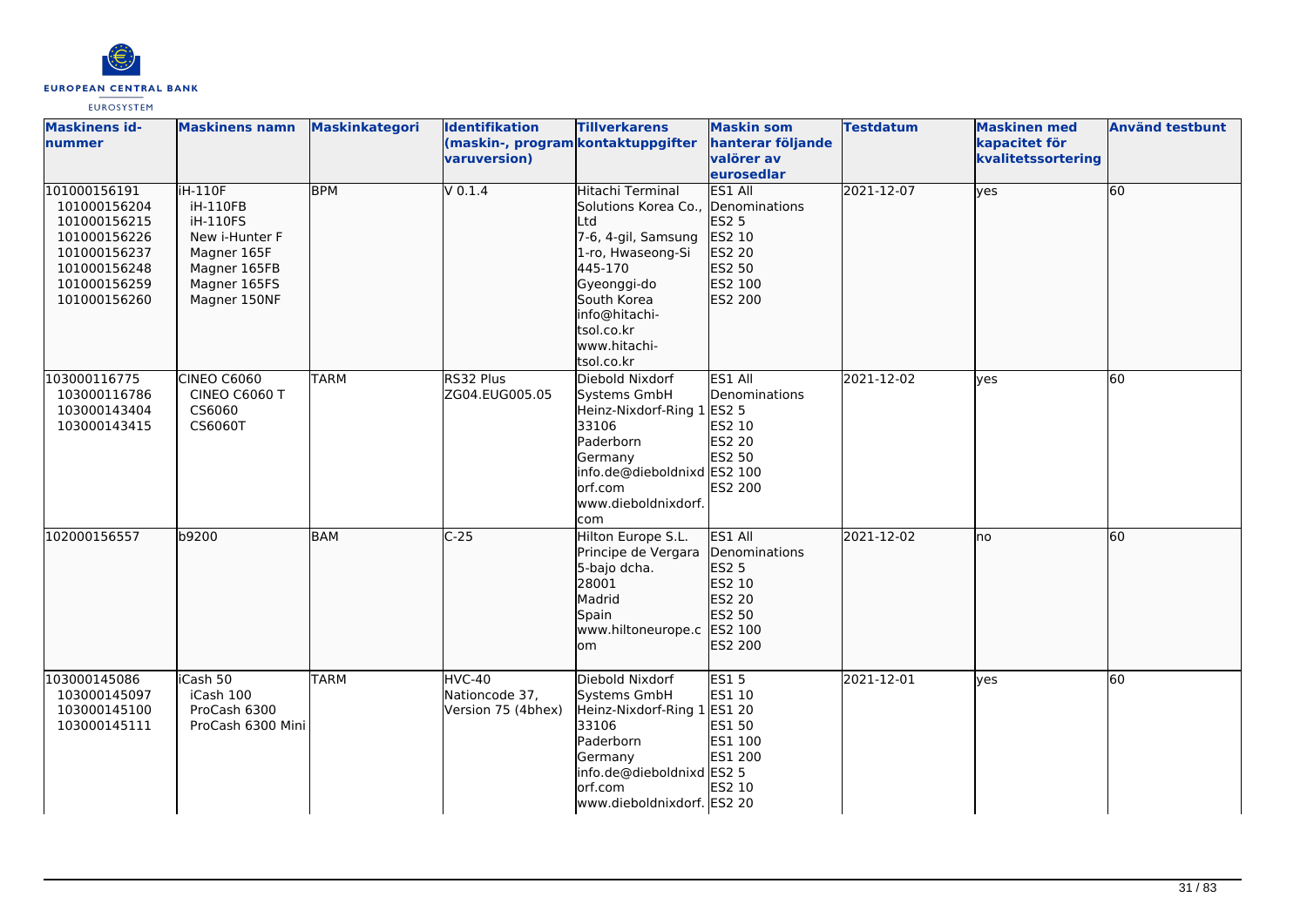

| <b>Maskinens id-</b><br><b>Inummer</b>                                                                                       | <b>Maskinens namn</b>                                                                                                   | <b>Maskinkategori</b> | <b>Identifikation</b><br>(maskin-, program kontaktuppgifter<br>varuversion) | <b>Tillverkarens</b>                                                                                                                                                                                            | <b>Maskin som</b><br>hanterar följande<br>valörer av<br>eurosedlar                    | <b>Testdatum</b> | <b>Maskinen med</b><br>kapacitet för<br>kvalitetssortering | <b>Använd testbunt</b> |
|------------------------------------------------------------------------------------------------------------------------------|-------------------------------------------------------------------------------------------------------------------------|-----------------------|-----------------------------------------------------------------------------|-----------------------------------------------------------------------------------------------------------------------------------------------------------------------------------------------------------------|---------------------------------------------------------------------------------------|------------------|------------------------------------------------------------|------------------------|
| 101000156191<br>101000156204<br>101000156215<br>101000156226<br>101000156237<br>101000156248<br>101000156259<br>101000156260 | <b>iH-110F</b><br>iH-110FB<br>iH-110FS<br>New i-Hunter F<br>Magner 165F<br>Magner 165FB<br>Magner 165FS<br>Magner 150NF | <b>BPM</b>            | $V$ 0.1.4                                                                   | Hitachi Terminal<br>Solutions Korea Co., Denominations<br>Ltd<br>7-6, 4-gil, Samsung<br>1-ro, Hwaseong-Si<br>445-170<br>Gyeonggi-do<br>South Korea<br>info@hitachi-<br>tsol.co.kr<br>www.hitachi-<br>tsol.co.kr | ES1 All<br>ES2 5<br>ES2 10<br>ES2 20<br>ES2 50<br>ES2 100<br>ES2 200                  | 2021-12-07       | lves                                                       | 60                     |
| 103000116775<br>103000116786<br>103000143404<br>103000143415                                                                 | <b>CINEO C6060</b><br>CINEO C6060 T<br>CS6060<br>CS6060T                                                                | <b>TARM</b>           | RS32 Plus<br>ZG04.EUG005.05                                                 | Diebold Nixdorf<br>Systems GmbH<br>Heinz-Nixdorf-Ring 1 ES2 5<br>33106<br>Paderborn<br>Germany<br>info.de@dieboldnixd ES2 100<br>orf.com<br>www.dieboldnixdorf.<br>com                                          | ES1 All<br>Denominations<br>ES2 10<br>ES2 20<br>ES2 50<br><b>ES2 200</b>              | 2021-12-02       | lyes                                                       | 60                     |
| 102000156557                                                                                                                 | b9200                                                                                                                   | <b>BAM</b>            | $C-25$                                                                      | Hilton Europe S.L.<br>Principe de Vergara<br>5-bajo dcha.<br>28001<br>Madrid<br>Spain<br>www.hiltoneurope.c<br>lom                                                                                              | ES1 All<br>Denominations<br>ES2 5<br>ES2 10<br>ES2 20<br>ES2 50<br>ES2 100<br>ES2 200 | 2021-12-02       | lno                                                        | 60                     |
| 103000145086<br>103000145097<br>103000145100<br>103000145111                                                                 | iCash 50<br>iCash 100<br>ProCash 6300<br>ProCash 6300 Mini                                                              | <b>TARM</b>           | HVC-40<br>Nationcode 37,<br>Version 75 (4bhex)                              | Diebold Nixdorf<br>Systems GmbH<br>Heinz-Nixdorf-Ring 1 ES1 20<br>33106<br>Paderborn<br>Germany<br>info.de@dieboldnixd ES2 5<br>orf.com<br>www.dieboldnixdorf. ES2 20                                           | <b>ES15</b><br>ES1 10<br>ES1 50<br>ES1 100<br>ES1 200<br>ES2 10                       | 2021-12-01       | lyes                                                       | 60                     |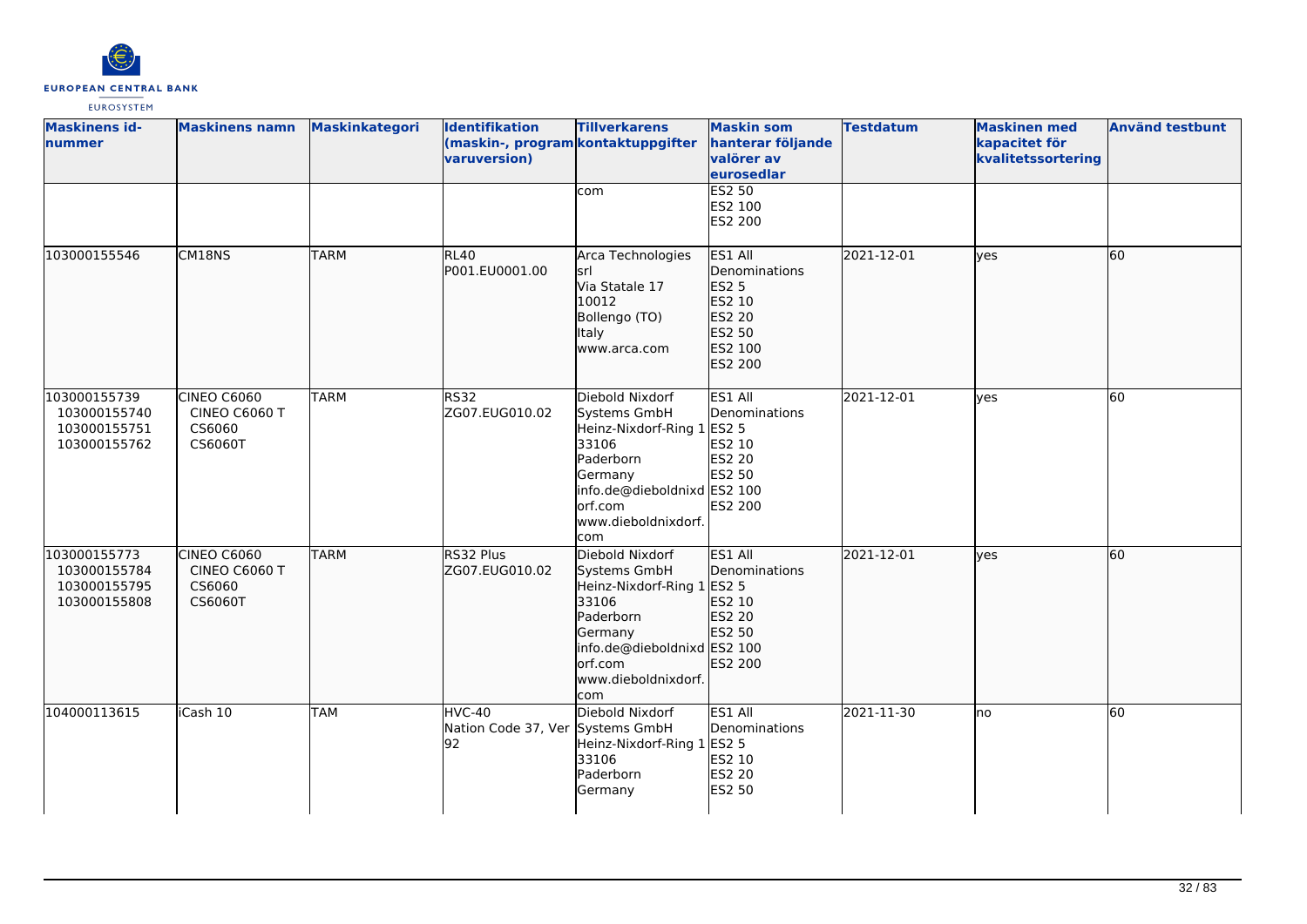

| <b>Maskinens id-</b><br>nummer                               | <b>Maskinens namn</b>                             | Maskinkategori | <b>Identifikation</b><br>(maskin-, program kontaktuppgifter<br>varuversion) | <b>Tillverkarens</b>                                                                                                                                              | <b>Maskin som</b><br>hanterar följande<br>valörer av<br>eurosedlar                              | <b>Testdatum</b> | <b>Maskinen med</b><br>kapacitet för<br>kvalitetssortering | <b>Använd testbunt</b> |
|--------------------------------------------------------------|---------------------------------------------------|----------------|-----------------------------------------------------------------------------|-------------------------------------------------------------------------------------------------------------------------------------------------------------------|-------------------------------------------------------------------------------------------------|------------------|------------------------------------------------------------|------------------------|
|                                                              |                                                   |                |                                                                             | com                                                                                                                                                               | ES2 50<br>ES2 100<br>ES2 200                                                                    |                  |                                                            |                        |
| 103000155546                                                 | CM18NS                                            | <b>TARM</b>    | <b>RL40</b><br>P001.EU0001.00                                               | Arca Technologies<br>srl<br>Via Statale 17<br>10012<br>Bollengo (TO)<br>Italy<br>www.arca.com                                                                     | ES1 All<br>Denominations<br>ES2 5<br>ES2 10<br>ES2 20<br>ES2 50<br>ES2 100<br>ES2 200           | 2021-12-01       | lyes                                                       | 60                     |
| 103000155739<br>103000155740<br>103000155751<br>103000155762 | CINEO C6060<br>CINEO C6060 T<br>CS6060<br>CS6060T | <b>TARM</b>    | <b>RS32</b><br>ZG07.EUG010.02                                               | Diebold Nixdorf<br>Systems GmbH<br>Heinz-Nixdorf-Ring 1<br>33106<br>Paderborn<br>Germany<br>info.de@dieboldnixd ES2 100<br>lorf.com<br>www.dieboldnixdorf.<br>com | ES1 All<br>Denominations<br><b>ES2 5</b><br>ES2 10<br><b>ES2 20</b><br>ES2 50<br><b>ES2 200</b> | 2021-12-01       | lyes                                                       | 60                     |
| 103000155773<br>103000155784<br>103000155795<br>103000155808 | CINEO C6060<br>CINEO C6060 T<br>CS6060<br>CS6060T | <b>TARM</b>    | RS32 Plus<br>ZG07.EUG010.02                                                 | Diebold Nixdorf<br>Systems GmbH<br>Heinz-Nixdorf-Ring 1<br>33106<br>Paderborn<br>Germany<br>info.de@dieboldnixd ES2 100<br>orf.com<br>www.dieboldnixdorf.<br>com  | ES1 All<br>Denominations<br>ES2 5<br>ES2 10<br>ES2 20<br>ES2 50<br>ES2 200                      | 2021-12-01       | lyes                                                       | 60                     |
| 104000113615                                                 | iCash 10                                          | <b>TAM</b>     | HVC-40<br>Nation Code 37, Ver Systems GmbH<br>92                            | Diebold Nixdorf<br>Heinz-Nixdorf-Ring 1 ES2 5<br>33106<br>Paderborn<br>Germany                                                                                    | ES1 All<br>Denominations<br>ES2 10<br>ES2 20<br>ES2 50                                          | 2021-11-30       | lno                                                        | 60                     |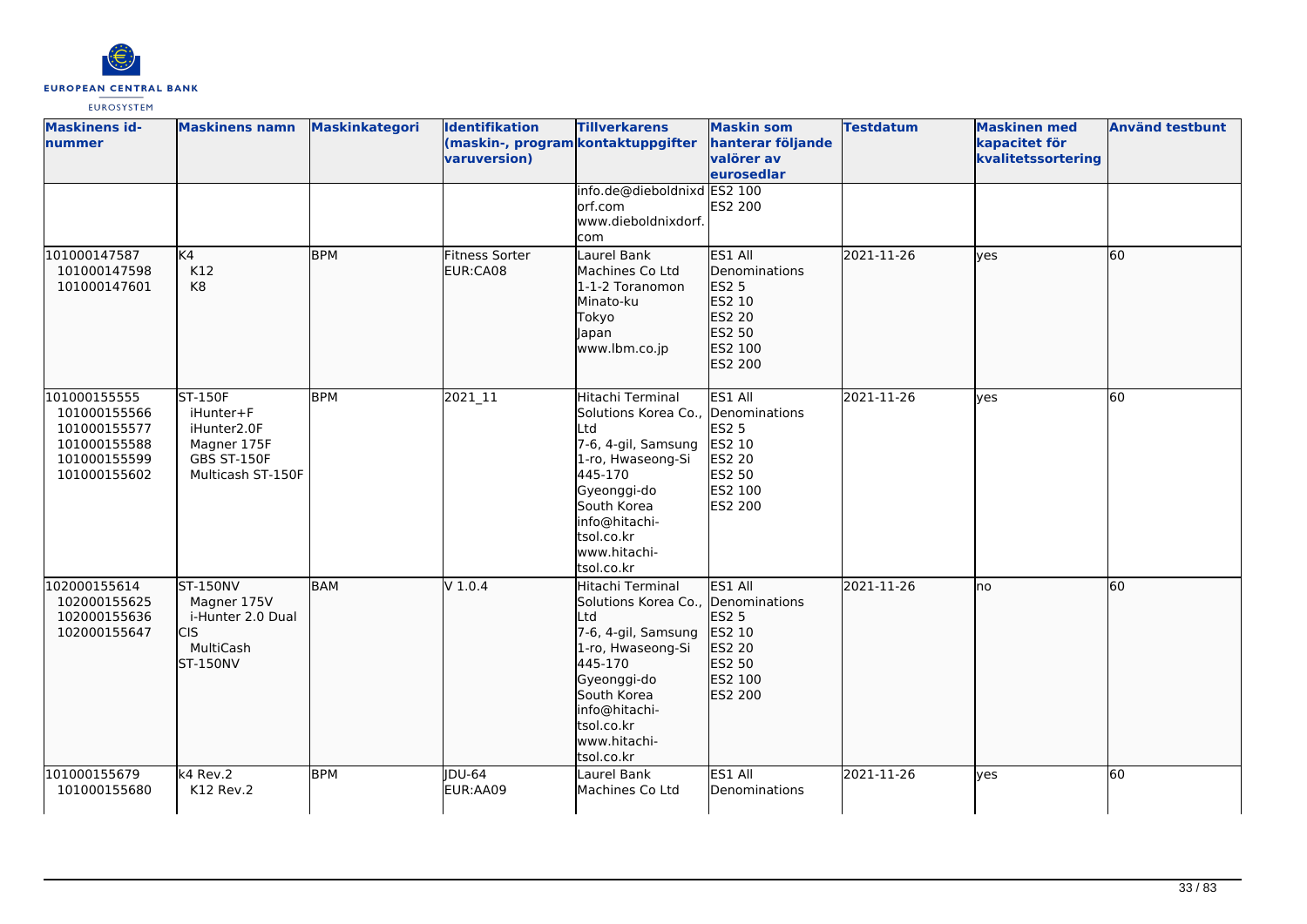

| <b>Maskinens id-</b><br>nummer                                                               | <b>Maskinens namn</b>                                                                 | <b>Maskinkategori</b>    | <b>Identifikation</b><br>(maskin-, program kontaktuppgifter<br>varuversion) | <b>Tillverkarens</b><br>info.de@dieboldnixd ES2 100<br>lorf.com<br>www.dieboldnixdorf.                                                                                                                          | <b>Maskin som</b><br>hanterar följande<br>valörer av<br>eurosedlar<br>ES2 200                    | <b>Testdatum</b> | <b>Maskinen</b> med<br>kapacitet för<br>kvalitetssortering | <b>Använd testbunt</b> |
|----------------------------------------------------------------------------------------------|---------------------------------------------------------------------------------------|--------------------------|-----------------------------------------------------------------------------|-----------------------------------------------------------------------------------------------------------------------------------------------------------------------------------------------------------------|--------------------------------------------------------------------------------------------------|------------------|------------------------------------------------------------|------------------------|
| 101000147587<br>101000147598<br>101000147601                                                 | K4<br>K12<br>K <sub>8</sub><br><b>ST-150F</b>                                         | <b>BPM</b><br><b>BPM</b> | Fitness Sorter<br>EUR:CA08                                                  | com<br>Laurel Bank<br>Machines Co Ltd<br>1-1-2 Toranomon<br>Minato-ku<br>Tokyo<br>Japan<br>www.lbm.co.jp                                                                                                        | ES1 All<br>Denominations<br>ES2 5<br>ES2 10<br>ES2 20<br>ES2 50<br>ES2 100<br>ES2 200<br>ES1 All | 2021-11-26       | lves                                                       | 60                     |
| 101000155555<br>101000155566<br>101000155577<br>101000155588<br>101000155599<br>101000155602 | iHunter+F<br>iHunter2.0F<br>Magner 175F<br>GBS ST-150F<br>Multicash ST-150F           |                          | 2021_11                                                                     | Hitachi Terminal<br>Solutions Korea Co., Denominations<br>Ltd<br>7-6, 4-gil, Samsung<br>1-ro, Hwaseong-Si<br>445-170<br>Gyeonggi-do<br>South Korea<br>info@hitachi-<br>tsol.co.kr<br>www.hitachi-<br>tsol.co.kr | <b>ES2 5</b><br>ES2 10<br><b>ES2 20</b><br>ES2 50<br>ES2 100<br>ES2 200                          | 2021-11-26       | lves                                                       | 60                     |
| 102000155614<br>102000155625<br>102000155636<br>102000155647                                 | ST-150NV<br>Magner 175V<br>i-Hunter 2.0 Dual<br>ICIS.<br>MultiCash<br><b>ST-150NV</b> | <b>BAM</b>               | V 1.0.4                                                                     | Hitachi Terminal<br>Solutions Korea Co., Denominations<br>Ltd<br>7-6, 4-gil, Samsung<br>1-ro, Hwaseong-Si<br>445-170<br>Gyeonggi-do<br>South Korea<br>info@hitachi-<br>tsol.co.kr<br>www.hitachi-<br>tsol.co.kr | ES1 All<br><b>ES2 5</b><br>ES2 10<br>ES2 20<br>ES2 50<br>ES2 100<br>ES2 200                      | 2021-11-26       | lno                                                        | 60                     |
| 101000155679<br>101000155680                                                                 | k4 Rev.2<br>K12 Rev.2                                                                 | <b>BPM</b>               | <b>IDU-64</b><br>EUR:AA09                                                   | Laurel Bank<br>Machines Co Ltd                                                                                                                                                                                  | ES1 All<br>Denominations                                                                         | 2021-11-26       | yes                                                        | 60                     |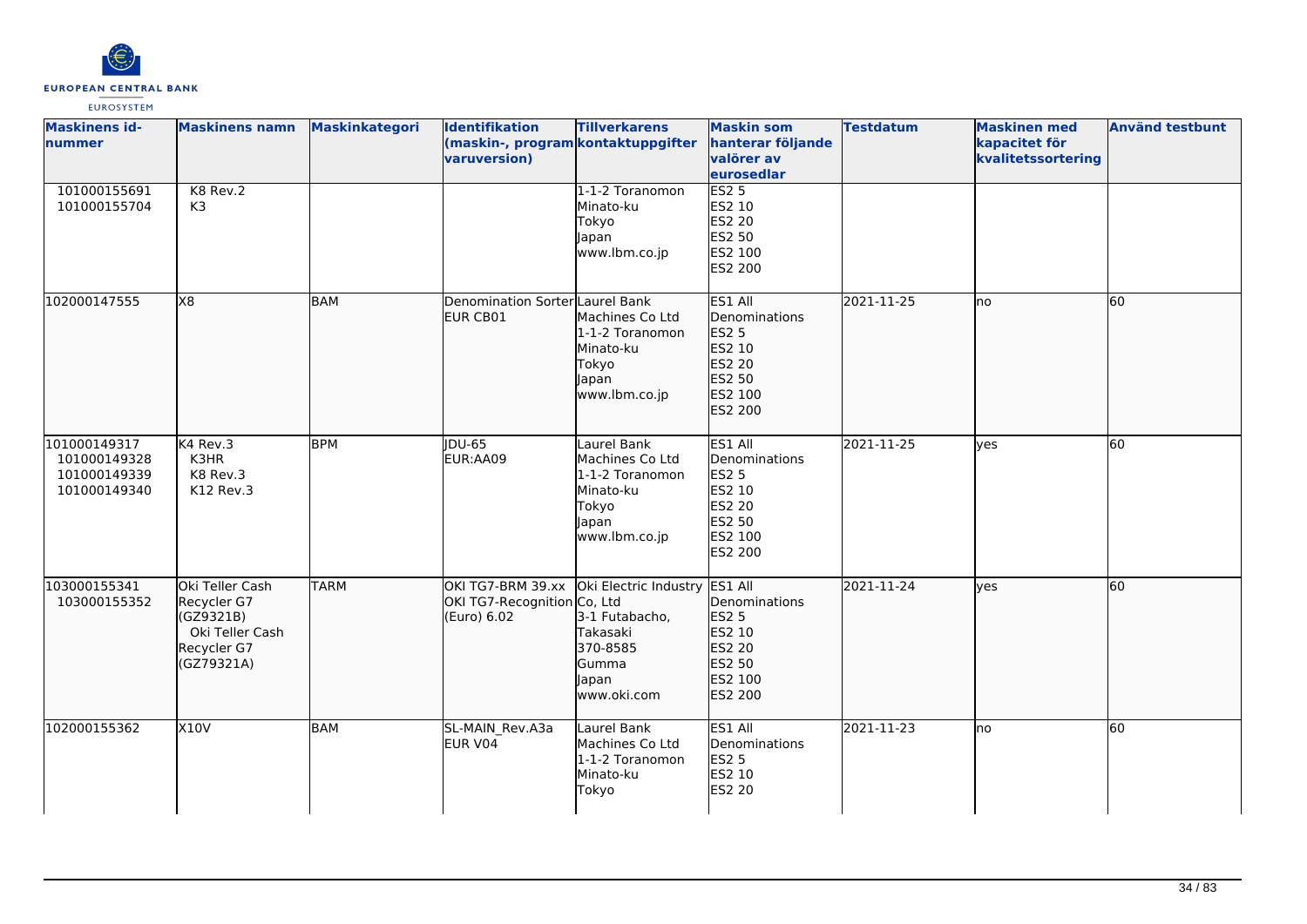

| <b>Maskinens id-</b><br>nummer<br>101000155691<br>101000155704 | <b>Maskinens namn</b><br>K8 Rev.2<br>K <sub>3</sub>                                         | <b>Maskinkategori</b> | <b>Identifikation</b><br>(maskin-, program kontaktuppgifter<br>varuversion) | <b>Tillverkarens</b><br>1-1-2 Toranomon<br>Minato-ku                                                     | <b>Maskin som</b><br>hanterar följande<br>valörer av<br>eurosedlar<br>ES2 <sub>5</sub><br>ES2 10           | <b>Testdatum</b> | <b>Maskinen med</b><br>kapacitet för<br>kvalitetssortering | <b>Använd testbunt</b> |
|----------------------------------------------------------------|---------------------------------------------------------------------------------------------|-----------------------|-----------------------------------------------------------------------------|----------------------------------------------------------------------------------------------------------|------------------------------------------------------------------------------------------------------------|------------------|------------------------------------------------------------|------------------------|
|                                                                |                                                                                             |                       |                                                                             | Tokyo<br>Japan<br>www.lbm.co.jp                                                                          | ES2 20<br>ES2 50<br>ES2 100<br>ES2 200                                                                     |                  |                                                            |                        |
| 102000147555                                                   | X8                                                                                          | <b>BAM</b>            | Denomination Sorter Laurel Bank<br>EUR CB01                                 | Machines Co Ltd<br>1-1-2 Toranomon<br>Minato-ku<br>Tokyo<br>Japan<br>www.lbm.co.jp                       | ES1 All<br>Denominations<br>ES2 5<br>ES2 10<br>ES2 20<br>ES2 50<br>ES2 100<br>ES2 200                      | 2021-11-25       | lno                                                        | 60                     |
| 101000149317<br>101000149328<br>101000149339<br>101000149340   | K4 Rev.3<br>K3HR<br>K8 Rev.3<br>K12 Rev.3                                                   | <b>BPM</b>            | <b>IDU-65</b><br>EUR:AA09                                                   | Laurel Bank<br>Machines Co Ltd<br>1-1-2 Toranomon<br>Minato-ku<br>Tokyo<br>Japan<br>www.lbm.co.jp        | ES1 All<br>Denominations<br><b>ES2 5</b><br>ES2 10<br><b>ES2 20</b><br>ES2 50<br>ES2 100<br><b>ES2 200</b> | 2021-11-25       | lves                                                       | 60                     |
| 103000155341<br>103000155352                                   | Oki Teller Cash<br>Recycler G7<br>(GZ9321B)<br>Oki Teller Cash<br>Recycler G7<br>(GZ79321A) | <b>TARM</b>           | OKI TG7-BRM 39.xx<br>OKI TG7-Recognition Co, Ltd<br>(Euro) 6.02             | Oki Electric Industry ES1 All<br>3-1 Futabacho,<br>Takasaki<br>370-8585<br>Gumma<br>Japan<br>www.oki.com | Denominations<br>ES2 5<br>ES2 10<br>ES2 20<br>ES2 50<br>ES2 100<br>ES2 200                                 | 2021-11-24       | lves                                                       | 60                     |
| 102000155362                                                   | <b>X10V</b>                                                                                 | BAM                   | SL-MAIN Rev.A3a<br>EUR V04                                                  | Laurel Bank<br>Machines Co Ltd<br>1-1-2 Toranomon<br>Minato-ku<br>Tokyo                                  | ES1 All<br>Denominations<br><b>ES2 5</b><br>ES2 10<br><b>ES2 20</b>                                        | 2021-11-23       | Ino                                                        | 60                     |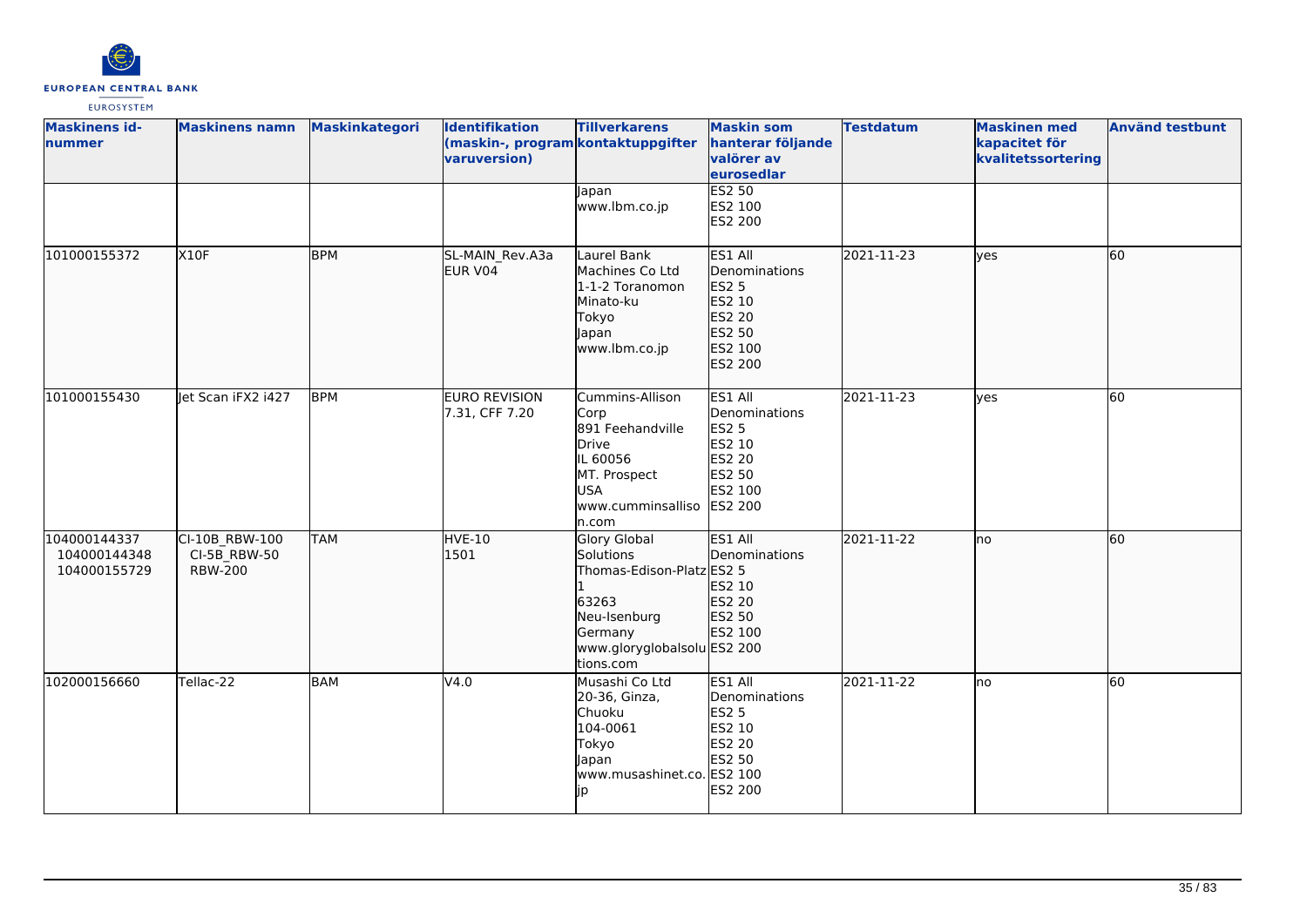

| <b>Maskinens id-</b><br>nummer               | <b>Maskinens namn</b>                                         | Maskinkategori | Identifikation<br>(maskin-, program kontaktuppgifter<br>varuversion) | <b>Tillverkarens</b>                                                                                                                          | <b>Maskin som</b><br>hanterar följande<br>valörer av<br>eurosedlar                           | <b>Testdatum</b> | <b>Maskinen med</b><br>kapacitet för<br>kvalitetssortering | <b>Använd testbunt</b> |
|----------------------------------------------|---------------------------------------------------------------|----------------|----------------------------------------------------------------------|-----------------------------------------------------------------------------------------------------------------------------------------------|----------------------------------------------------------------------------------------------|------------------|------------------------------------------------------------|------------------------|
|                                              |                                                               |                |                                                                      | apan<br>www.lbm.co.jp                                                                                                                         | ES2 50<br>ES2 100<br>ES2 200                                                                 |                  |                                                            |                        |
| 101000155372                                 | X10F                                                          | <b>BPM</b>     | SL-MAIN_Rev.A3a<br>EUR V04                                           | Laurel Bank<br>Machines Co Ltd<br>1-1-2 Toranomon<br>Minato-ku<br>Tokyo<br>Japan<br>www.lbm.co.jp                                             | ES1 All<br>Denominations<br>ES2 5<br>ES2 10<br>ES2 20<br>ES2 50<br>ES2 100<br>ES2 200        | 2021-11-23       | lyes                                                       | 60                     |
| 101000155430                                 | let Scan iFX2 i427                                            | <b>BPM</b>     | <b>EURO REVISION</b><br>7.31, CFF 7.20                               | Cummins-Allison<br>Corp<br>891 Feehandville<br>Drive<br>IL 60056<br>MT. Prospect<br><b>USA</b><br>www.cumminsalliso<br>n.com                  | ES1 All<br>Denominations<br><b>ES2 5</b><br>ES2 10<br>ES2 20<br>ES2 50<br>ES2 100<br>ES2 200 | 2021-11-23       | yes                                                        | 60                     |
| 104000144337<br>104000144348<br>104000155729 | CI-10B RBW-100<br>$CI-5B$ <sub>RBW-50</sub><br><b>RBW-200</b> | <b>TAM</b>     | <b>HVE-10</b><br>1501                                                | <b>Glory Global</b><br>Solutions<br>Thomas-Edison-Platz ES2 5<br>63263<br>Neu-Isenburg<br>Germany<br>www.gloryglobalsolu ES2 200<br>tions.com | ES1 All<br>Denominations<br>ES2 10<br>ES2 20<br>ES2 50<br>ES2 100                            | 2021-11-22       | Ino                                                        | 60                     |
| 102000156660                                 | Tellac-22                                                     | <b>BAM</b>     | V4.0                                                                 | Musashi Co Ltd<br>20-36, Ginza,<br>Chuoku<br>104-0061<br>Tokyo<br><b>Japan</b><br>www.musashinet.co. ES2 100                                  | ES1 All<br>Denominations<br><b>ES2 5</b><br>ES2 10<br><b>ES2 20</b><br>ES2 50<br>ES2 200     | 2021-11-22       | Ino                                                        | 60                     |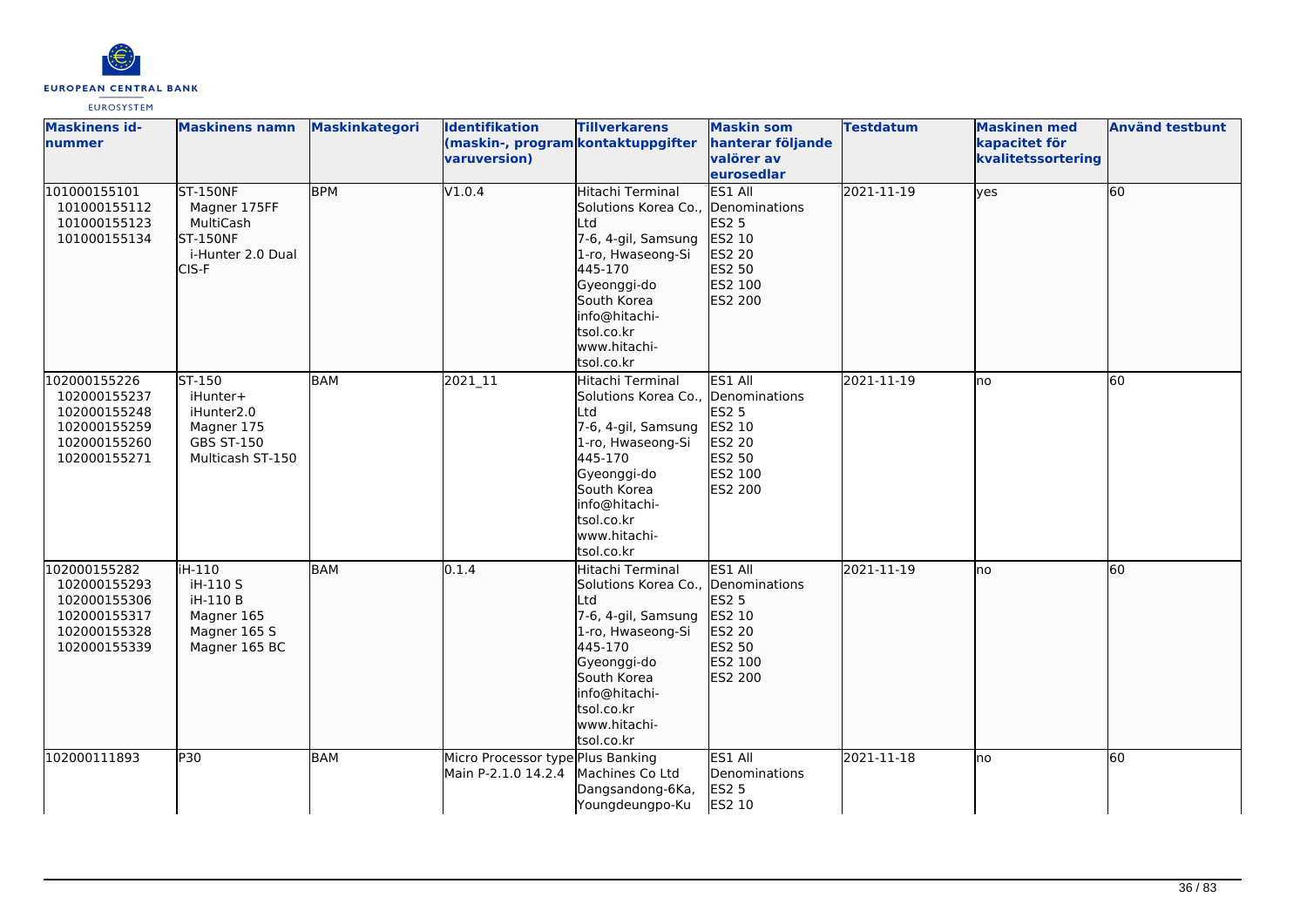

| <b>Maskinens id-</b><br><b>Inummer</b>                                                       | <b>Maskinens namn</b>                                                                         | Maskinkategori | <b>Identifikation</b><br>(maskin-, program kontaktuppgifter<br>varuversion) | <b>Tillverkarens</b>                                                                                                                                                                                            | <b>Maskin som</b><br>hanterar följande<br>valörer av<br>eurosedlar                           | <b>Testdatum</b> | <b>Maskinen med</b><br>kapacitet för<br>kvalitetssortering | <b>Använd testbunt</b> |
|----------------------------------------------------------------------------------------------|-----------------------------------------------------------------------------------------------|----------------|-----------------------------------------------------------------------------|-----------------------------------------------------------------------------------------------------------------------------------------------------------------------------------------------------------------|----------------------------------------------------------------------------------------------|------------------|------------------------------------------------------------|------------------------|
| 101000155101<br>101000155112<br>101000155123<br>101000155134                                 | <b>ST-150NF</b><br>Magner 175FF<br>MultiCash<br><b>ST-150NF</b><br>i-Hunter 2.0 Dual<br>CIS-F | <b>BPM</b>     | V1.0.4                                                                      | Hitachi Terminal<br>Solutions Korea Co., Denominations<br>Ltd<br>7-6, 4-gil, Samsung<br>1-ro, Hwaseong-Si<br>445-170<br>Gyeonggi-do<br>South Korea<br>info@hitachi-<br>tsol.co.kr<br>www.hitachi-<br>tsol.co.kr | ES1 All<br>ES2 5<br>ES2 10<br>ES2 20<br>ES2 50<br>ES2 100<br>ES2 200                         | 2021-11-19       | lves                                                       | 60                     |
| 102000155226<br>102000155237<br>102000155248<br>102000155259<br>102000155260<br>102000155271 | ST-150<br>iHunter+<br>iHunter2.0<br>Magner 175<br><b>GBS ST-150</b><br>Multicash ST-150       | <b>BAM</b>     | 2021_11                                                                     | Hitachi Terminal<br>Solutions Korea Co., Denominations<br>Ltd<br>7-6, 4-gil, Samsung<br>1-ro, Hwaseong-Si<br>445-170<br>Gyeonggi-do<br>South Korea<br>info@hitachi-<br>tsol.co.kr<br>www.hitachi-<br>tsol.co.kr | ES1 All<br>ES2 5<br>ES2 10<br><b>ES2 20</b><br>ES2 50<br>ES2 100<br><b>ES2 200</b>           | 2021-11-19       | Ino                                                        | 60                     |
| 102000155282<br>102000155293<br>102000155306<br>102000155317<br>102000155328<br>102000155339 | liH-110<br>iH-110 S<br>iH-110 B<br>Magner 165<br>Magner 165 S<br>Magner 165 BC                | BAM            | 0.1.4                                                                       | Hitachi Terminal<br>Solutions Korea Co.,<br>Ltd<br>7-6, 4-gil, Samsung<br>1-ro, Hwaseong-Si<br>445-170<br>Gyeonggi-do<br>South Korea<br>info@hitachi-<br>tsol.co.kr<br>www.hitachi-<br>tsol.co.kr               | ES1 All<br>Denominations<br>ES2 5<br>ES2 10<br>ES2 20<br>ES2 50<br>ES2 100<br><b>ES2 200</b> | 2021-11-19       | Ino                                                        | 60                     |
| 102000111893                                                                                 | P30                                                                                           | <b>BAM</b>     | Micro Processor type Plus Banking<br>Main P-2.1.0 14.2.4                    | Machines Co Ltd<br>Dangsandong-6Ka,<br>Youngdeungpo-Ku                                                                                                                                                          | ES1 All<br>Denominations<br><b>ES2 5</b><br>ES2 10                                           | 2021-11-18       | lno                                                        | 60                     |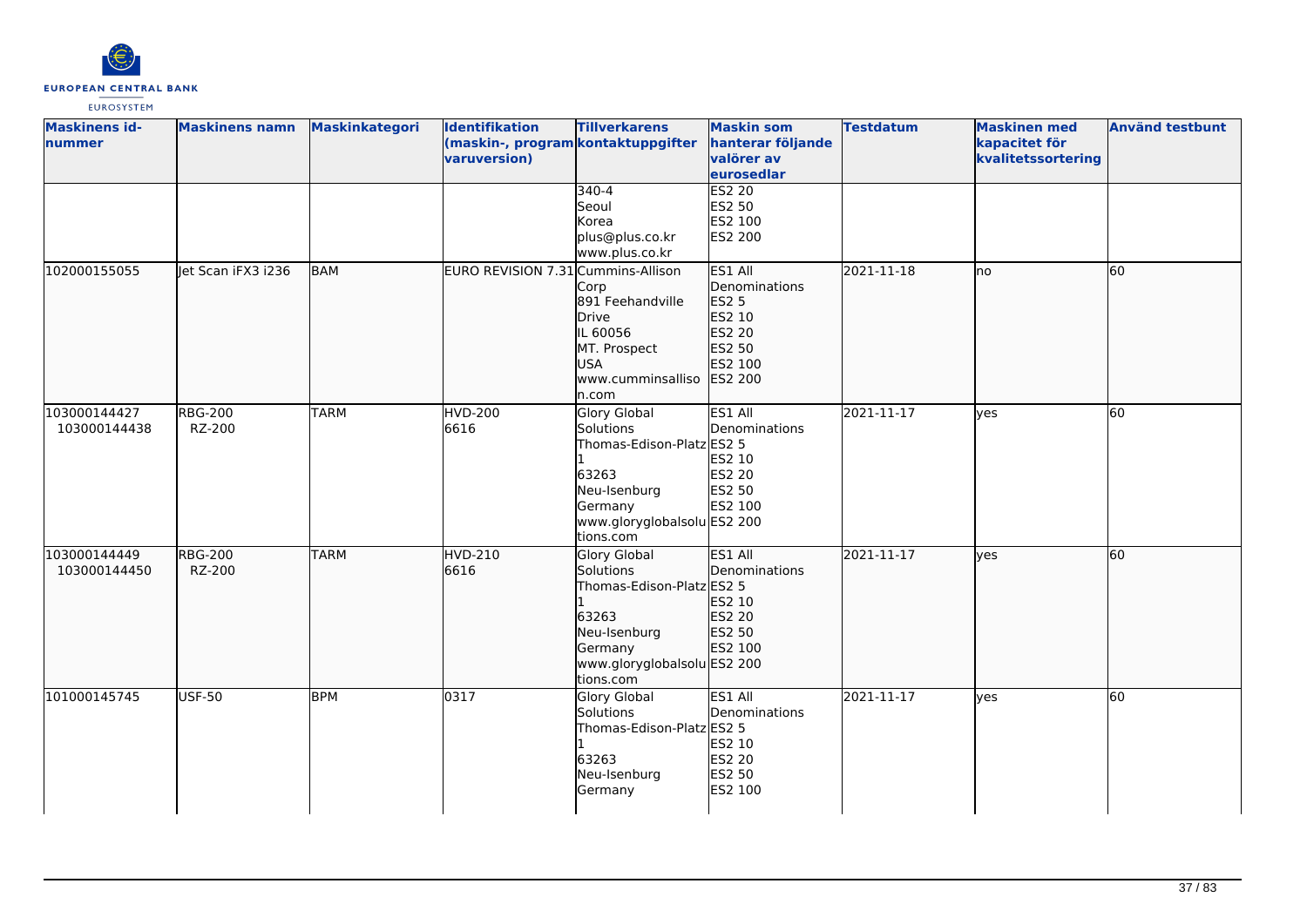

| <b>Maskinens id-</b><br>nummer | <b>Maskinens namn</b>    | <b>Maskinkategori</b> | Identifikation<br>(maskin-, program kontaktuppgifter<br>varuversion) | <b>Tillverkarens</b>                                                                                                                          | <b>Maskin som</b><br>hanterar följande<br>valörer av<br>eurosedlar                           | <b>Testdatum</b> | <b>Maskinen med</b><br>kapacitet för<br>kvalitetssortering | <b>Använd testbunt</b> |
|--------------------------------|--------------------------|-----------------------|----------------------------------------------------------------------|-----------------------------------------------------------------------------------------------------------------------------------------------|----------------------------------------------------------------------------------------------|------------------|------------------------------------------------------------|------------------------|
|                                |                          |                       |                                                                      | $340 - 4$<br>Seoul<br>Korea<br>plus@plus.co.kr<br>www.plus.co.kr                                                                              | <b>ES2 20</b><br>ES2 50<br>ES2 100<br>ES2 200                                                |                  |                                                            |                        |
| 102000155055                   | let Scan iFX3 i236       | <b>BAM</b>            | EURO REVISION 7.31 Cummins-Allison                                   | Corp<br>891 Feehandville<br>Drive<br>IL 60056<br>MT. Prospect<br><b>USA</b><br>www.cumminsalliso<br>n.com                                     | ES1 All<br>Denominations<br>ES2 5<br>ES2 10<br>ES2 20<br>ES2 50<br>ES2 100<br><b>ES2 200</b> | 2021-11-18       | no                                                         | 60                     |
| 103000144427<br>103000144438   | <b>RBG-200</b><br>RZ-200 | <b>TARM</b>           | <b>HVD-200</b><br>6616                                               | <b>Glory Global</b><br>Solutions<br>Thomas-Edison-Platz ES2 5<br>63263<br>Neu-Isenburg<br>Germany<br>www.gloryglobalsolu ES2 200<br>tions.com | ES1 All<br>Denominations<br>ES2 10<br>ES2 20<br>ES2 50<br>ES2 100                            | 2021-11-17       | lyes                                                       | 60                     |
| 103000144449<br>103000144450   | <b>RBG-200</b><br>RZ-200 | <b>TARM</b>           | <b>HVD-210</b><br>6616                                               | <b>Glory Global</b><br>Solutions<br>Thomas-Edison-Platz ES2 5<br>63263<br>Neu-Isenburg<br>Germany<br>www.gloryglobalsolu ES2 200<br>tions.com | ES1 All<br>Denominations<br>ES2 10<br>ES2 20<br>ES2 50<br>ES2 100                            | 2021-11-17       | <b>l</b> ves                                               | 60                     |
| 101000145745                   | <b>USF-50</b>            | <b>BPM</b>            | 0317                                                                 | Glory Global<br>Solutions<br>Thomas-Edison-Platz ES2 5<br>63263<br>Neu-Isenburg<br>Germany                                                    | ES1 All<br>Denominations<br>ES2 10<br><b>ES2 20</b><br>ES2 50<br>ES2 100                     | 2021-11-17       | <b>ves</b>                                                 | 60                     |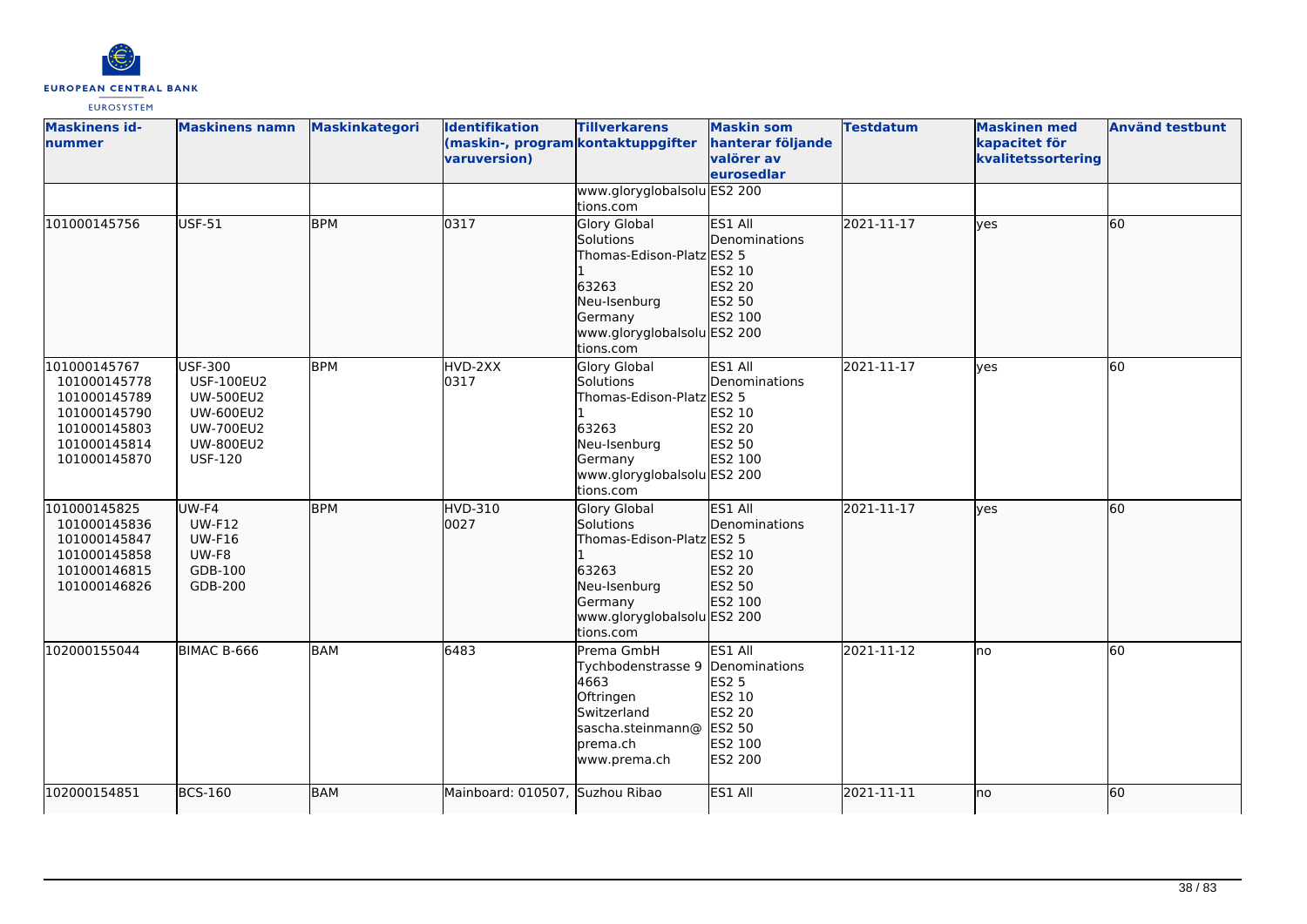

| <b>Maskinens id-</b><br>nummer                                                                               | <b>Maskinens namn</b>                                                                                                                 | Maskinkategori | <b>Identifikation</b><br>(maskin-, program kontaktuppgifter<br>varuversion) | <b>Tillverkarens</b>                                                                                                                          | <b>Maskin som</b><br>hanterar följande<br>valörer av<br>eurosedlar                                         | <b>Testdatum</b> | <b>Maskinen med</b><br>kapacitet för<br>kvalitetssortering | <b>Använd testbunt</b> |
|--------------------------------------------------------------------------------------------------------------|---------------------------------------------------------------------------------------------------------------------------------------|----------------|-----------------------------------------------------------------------------|-----------------------------------------------------------------------------------------------------------------------------------------------|------------------------------------------------------------------------------------------------------------|------------------|------------------------------------------------------------|------------------------|
|                                                                                                              |                                                                                                                                       |                |                                                                             | www.gloryglobalsolu ES2 200<br>tions.com                                                                                                      |                                                                                                            |                  |                                                            |                        |
| 101000145756                                                                                                 | USF-51                                                                                                                                | <b>BPM</b>     | 0317                                                                        | <b>Glory Global</b><br>Solutions<br>Thomas-Edison-Platz ES2 5<br>63263<br>Neu-Isenburg<br>Germany<br>www.gloryglobalsolu ES2 200<br>tions.com | ES1 All<br>Denominations<br>ES2 10<br>ES2 20<br>ES2 50<br>ES2 100                                          | 2021-11-17       | ves                                                        | 60                     |
| 101000145767<br>101000145778<br>101000145789<br>101000145790<br>101000145803<br>101000145814<br>101000145870 | <b>USF-300</b><br><b>USF-100EU2</b><br><b>UW-500EU2</b><br><b>UW-600EU2</b><br><b>UW-700EU2</b><br><b>UW-800EU2</b><br><b>USF-120</b> | <b>BPM</b>     | HVD-2XX<br>0317                                                             | <b>Glory Global</b><br>Solutions<br>Thomas-Edison-Platz ES2 5<br>63263<br>Neu-Isenburg<br>Germany<br>www.gloryglobalsolu ES2 200<br>tions.com | ES1 All<br>Denominations<br>ES2 10<br><b>ES2 20</b><br>ES2 50<br>ES2 100                                   | 2021-11-17       | ves                                                        | $\overline{60}$        |
| 101000145825<br>101000145836<br>101000145847<br>101000145858<br>101000146815<br>101000146826                 | UW-F4<br><b>UW-F12</b><br><b>UW-F16</b><br>UW-F8<br>GDB-100<br>GDB-200                                                                | <b>BPM</b>     | <b>HVD-310</b><br>0027                                                      | Glory Global<br>Solutions<br>Thomas-Edison-Platz ES2 5<br>63263<br>Neu-Isenburg<br>Germany<br>www.gloryglobalsolu ES2 200<br>tions.com        | ES1 All<br>Denominations<br>ES2 10<br>ES2 20<br>ES2 50<br>ES2 100                                          | 2021-11-17       | <b>ves</b>                                                 | 60                     |
| 102000155044                                                                                                 | BIMAC B-666                                                                                                                           | <b>BAM</b>     | 6483                                                                        | Prema GmbH<br>Tychbodenstrasse 9<br>4663<br>Oftringen<br>Switzerland<br>sascha.steinmann@<br>lprema.ch<br>www.prema.ch                        | ES1 All<br>Denominations<br><b>ES2 5</b><br>ES2 10<br><b>ES2 20</b><br>ES2 50<br>ES2 100<br><b>ES2 200</b> | 2021-11-12       | Ino                                                        | $\overline{60}$        |
| 102000154851                                                                                                 | <b>BCS-160</b>                                                                                                                        | <b>BAM</b>     | Mainboard: 010507, Suzhou Ribao                                             |                                                                                                                                               | ES1 All                                                                                                    | 2021-11-11       | lno                                                        | 60                     |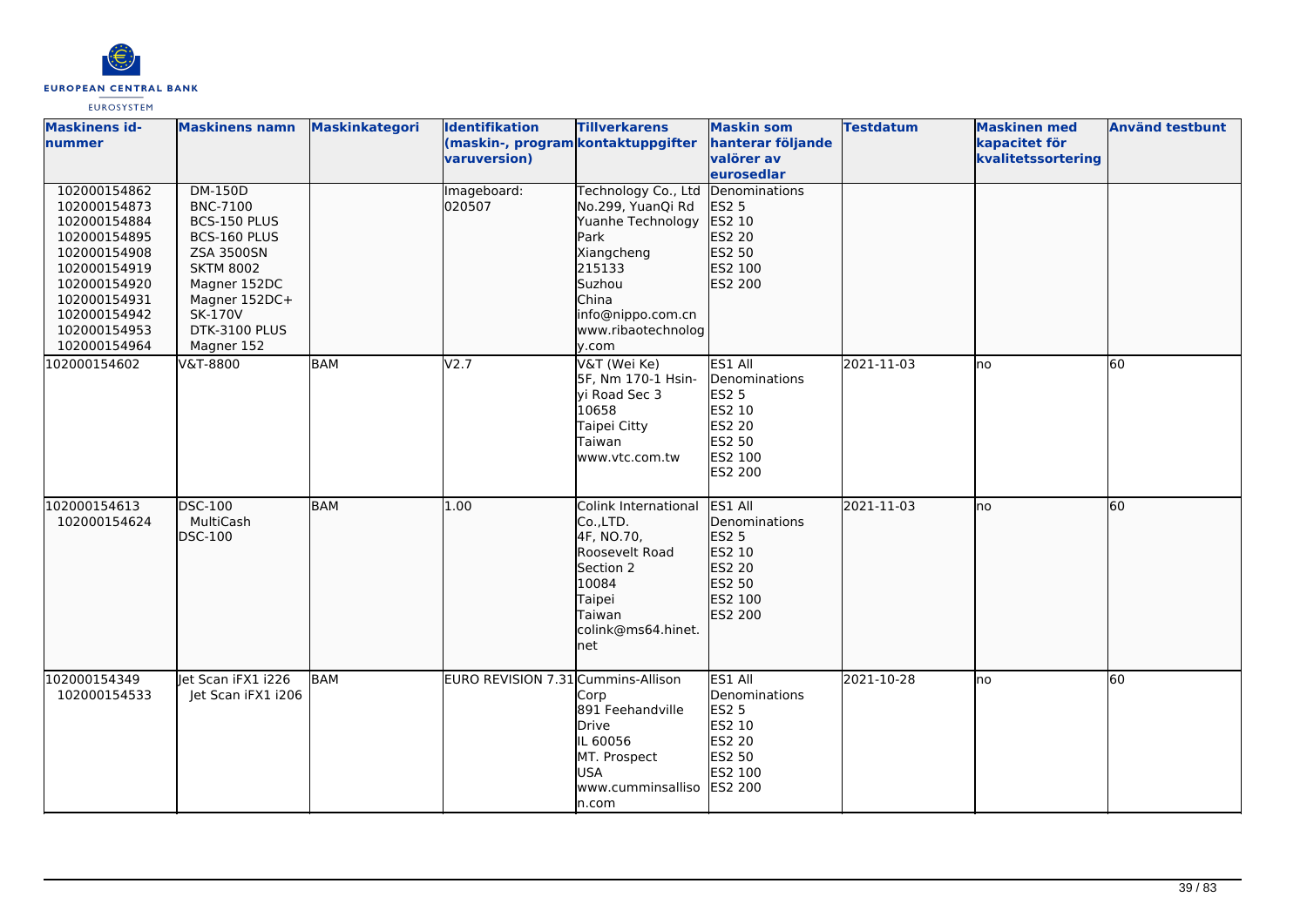

| <b>Maskinens id-</b><br><b>Inummer</b>                                                                                                                                       | <b>Maskinens namn</b>                                                                                                                                                                        | Maskinkategori | <b>Identifikation</b><br>(maskin-, program kontaktuppgifter<br>varuversion) | <b>Tillverkarens</b>                                                                                                                                                 | <b>Maskin som</b><br>hanterar följande<br>valörer av<br>eurosedlar                                         | <b>Testdatum</b> | <b>Maskinen med</b><br>kapacitet för<br>kvalitetssortering | <b>Använd testbunt</b> |
|------------------------------------------------------------------------------------------------------------------------------------------------------------------------------|----------------------------------------------------------------------------------------------------------------------------------------------------------------------------------------------|----------------|-----------------------------------------------------------------------------|----------------------------------------------------------------------------------------------------------------------------------------------------------------------|------------------------------------------------------------------------------------------------------------|------------------|------------------------------------------------------------|------------------------|
| 102000154862<br>102000154873<br>102000154884<br>102000154895<br>102000154908<br>102000154919<br>102000154920<br>102000154931<br>102000154942<br>102000154953<br>102000154964 | <b>DM-150D</b><br><b>BNC-7100</b><br>BCS-150 PLUS<br>BCS-160 PLUS<br><b>ZSA 3500SN</b><br><b>SKTM 8002</b><br>Magner 152DC<br>Magner 152DC+<br><b>SK-170V</b><br>DTK-3100 PLUS<br>Magner 152 |                | Imageboard:<br>020507                                                       | Technology Co., Ltd<br>No.299, YuanQi Rd<br>Yuanhe Technology<br>Park<br>Xiangcheng<br>215133<br>Suzhou<br>China<br>info@nippo.com.cn<br>www.ribaotechnolog<br>v.com | Denominations<br><b>ES2 5</b><br>ES2 10<br>ES2 20<br>ES2 50<br>ES2 100<br>ES2 200                          |                  |                                                            |                        |
| 102000154602                                                                                                                                                                 | V&T-8800                                                                                                                                                                                     | BAM            | V <sub>2.7</sub>                                                            | V&T (Wei Ke)<br>5F, Nm 170-1 Hsin-<br>yi Road Sec 3<br>10658<br>Taipei Citty<br>Taiwan<br>www.vtc.com.tw                                                             | ES1 All<br>Denominations<br><b>ES2 5</b><br>ES2 10<br><b>ES2 20</b><br>ES2 50<br>ES2 100<br><b>ES2 200</b> | 2021-11-03       | no                                                         | 60                     |
| 102000154613<br>102000154624                                                                                                                                                 | <b>DSC-100</b><br>MultiCash<br><b>DSC-100</b>                                                                                                                                                | BAM            | 1.00                                                                        | Colink International<br>Co.,LTD.<br>4F, NO.70,<br>Roosevelt Road<br>Section 2<br>10084<br>Taipei<br>Taiwan<br>colink@ms64.hinet.<br><b>net</b>                       | ES1 All<br>Denominations<br><b>ES2 5</b><br>ES2 10<br>ES2 20<br>ES2 50<br>ES2 100<br>ES2 200               | 2021-11-03       | no                                                         | 60                     |
| 102000154349<br>102000154533                                                                                                                                                 | let Scan iFX1 i226<br>Jet Scan iFX1 i206                                                                                                                                                     | <b>BAM</b>     | EURO REVISION 7.31 Cummins-Allison                                          | Corp<br>891 Feehandville<br><b>Drive</b><br>IL 60056<br>MT. Prospect<br><b>USA</b><br>www.cumminsalliso<br>n.com                                                     | ES1 All<br>Denominations<br><b>ES2 5</b><br>ES2 10<br>ES2 20<br>ES2 50<br>ES2 100<br>ES2 200               | 2021-10-28       | Ino                                                        | 60                     |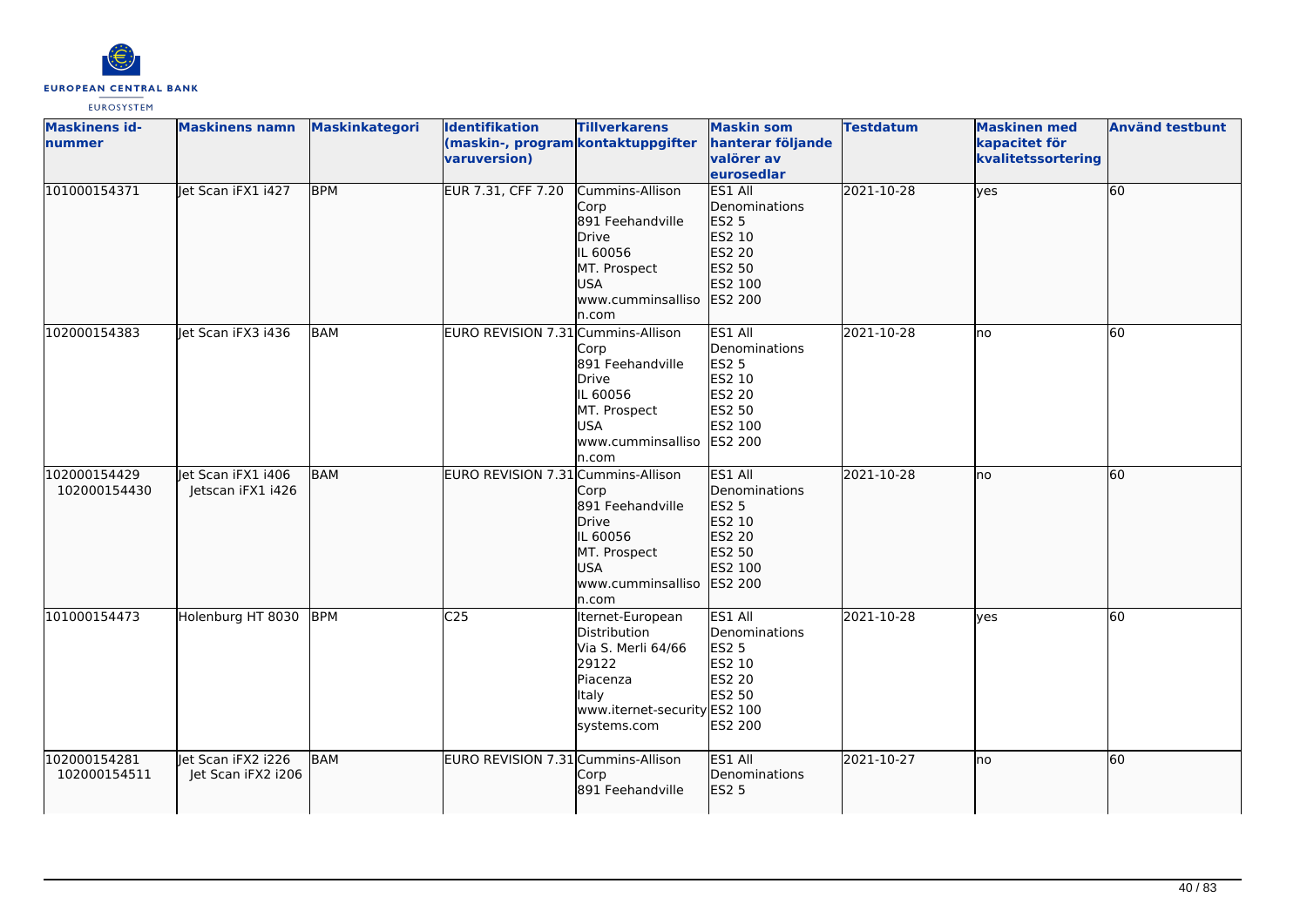

| <b>Maskinens id-</b><br>nummer | <b>Maskinens namn</b>                    | Maskinkategori | Identifikation<br>(maskin-, program kontaktuppgifter | <b>Tillverkarens</b>                                                                                                                       | <b>Maskin som</b><br>hanterar följande                                                                     | <b>Testdatum</b> | <b>Maskinen med</b><br>kapacitet för | <b>Använd testbunt</b> |
|--------------------------------|------------------------------------------|----------------|------------------------------------------------------|--------------------------------------------------------------------------------------------------------------------------------------------|------------------------------------------------------------------------------------------------------------|------------------|--------------------------------------|------------------------|
|                                |                                          |                | varuversion)                                         |                                                                                                                                            | valörer av<br>eurosedlar                                                                                   |                  | kvalitetssortering                   |                        |
| 101000154371                   | Jet Scan iFX1 i427                       | <b>BPM</b>     | EUR 7.31, CFF 7.20                                   | Cummins-Allison<br>Corp<br>891 Feehandville<br>Drive<br>IL 60056<br>MT. Prospect<br><b>USA</b><br>www.cumminsalliso<br>n.com               | <b>ES1 All</b><br>Denominations<br>ES2 5<br>ES2 10<br><b>ES2 20</b><br>ES2 50<br>ES2 100<br><b>ES2 200</b> | 2021-10-28       | yes                                  | 60                     |
| 102000154383                   | let Scan iFX3 i436                       | <b>BAM</b>     | EURO REVISION 7.31 Cummins-Allison                   | Corp<br>891 Feehandville<br>Drive<br>IL 60056<br>MT. Prospect<br>USA<br>www.cumminsalliso ES2 200<br>ln.com                                | ES1 All<br>Denominations<br><b>ES2 5</b><br><b>ES2 10</b><br>ES2 20<br>ES2 50<br>ES2 100                   | 2021-10-28       | lno                                  | 60                     |
| 102000154429<br>102000154430   | let Scan iFX1 i406<br>Jetscan iFX1 i426  | <b>BAM</b>     | EURO REVISION 7.31 Cummins-Allison                   | Corp<br>891 Feehandville<br><b>Drive</b><br>IL 60056<br>MT. Prospect<br><b>USA</b><br>www.cumminsalliso<br>n.com                           | ES1 All<br>Denominations<br>ES2 5<br>ES2 10<br>ES2 20<br>ES2 50<br>ES2 100<br><b>ES2 200</b>               | 2021-10-28       | lno                                  | 60                     |
| 101000154473                   | Holenburg HT 8030                        | <b>BPM</b>     | C <sub>25</sub>                                      | Iternet-European<br>Distribution<br>Via S. Merli 64/66<br>29122<br><b>Piacenza</b><br>Italy<br>www.iternet-security ES2 100<br>systems.com | ES1 All<br>Denominations<br><b>ES2 5</b><br>ES2 10<br><b>ES2 20</b><br>ES2 50<br><b>ES2 200</b>            | 2021-10-28       | ves                                  | 60                     |
| 102000154281<br>102000154511   | let Scan iFX2 i226<br>Jet Scan iFX2 i206 | BAM            | EURO REVISION 7.31 Cummins-Allison                   | Corp<br>891 Feehandville                                                                                                                   | ES1 All<br>Denominations<br>ES2 5                                                                          | 2021-10-27       | lno                                  | 60                     |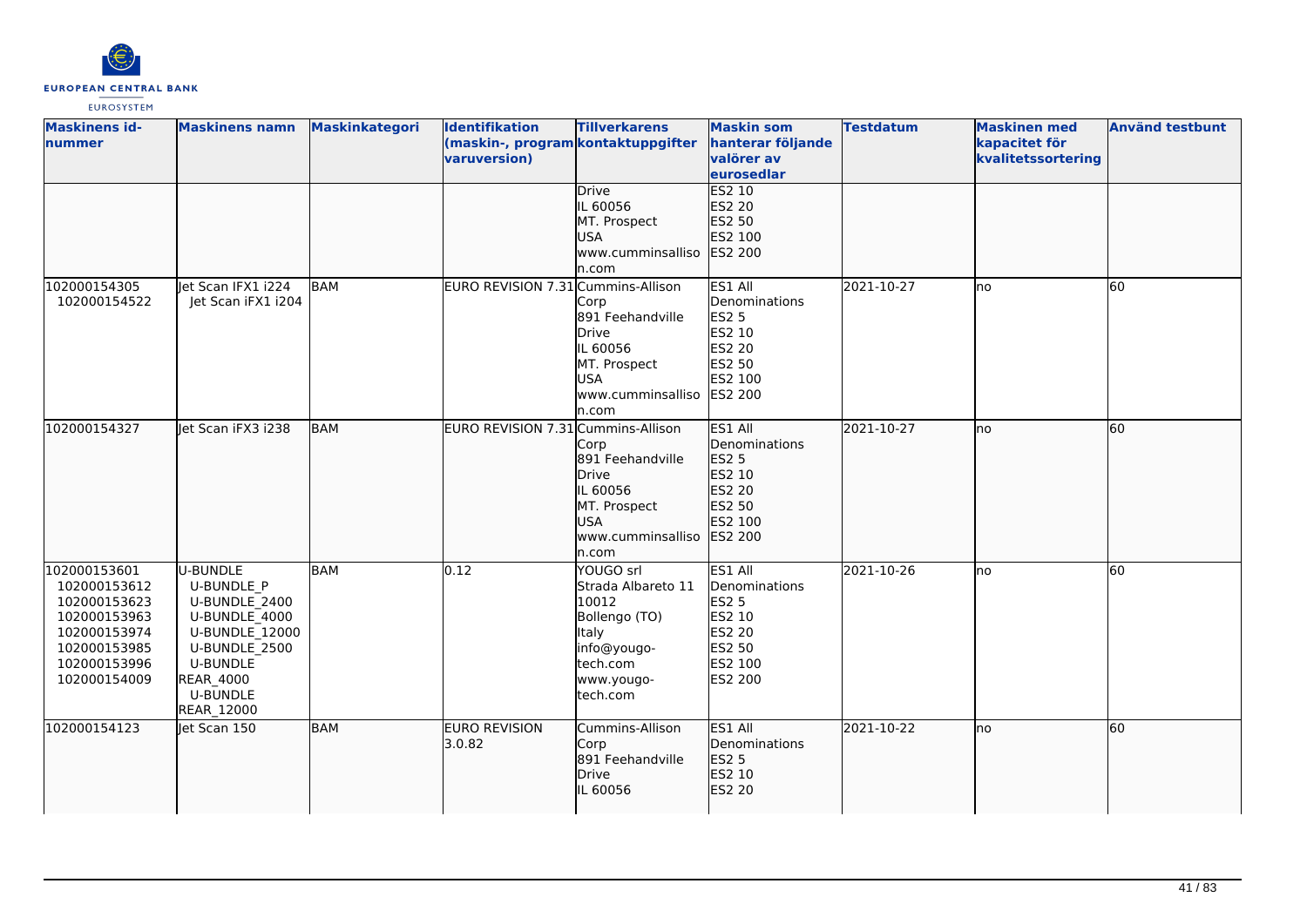

| <b>Maskinens id-</b><br>nummer                                                                                               | <b>Maskinens namn</b>                                                                                                                                                      | Maskinkategori | Identifikation<br>(maskin-, program kontaktuppgifter<br>varuversion) | <b>Tillverkarens</b>                                                                                                    | <b>Maskin som</b><br>hanterar följande<br>valörer av<br>eurosedlar                                         | <b>Testdatum</b> | <b>Maskinen med</b><br>kapacitet för<br>kvalitetssortering | <b>Använd testbunt</b> |
|------------------------------------------------------------------------------------------------------------------------------|----------------------------------------------------------------------------------------------------------------------------------------------------------------------------|----------------|----------------------------------------------------------------------|-------------------------------------------------------------------------------------------------------------------------|------------------------------------------------------------------------------------------------------------|------------------|------------------------------------------------------------|------------------------|
|                                                                                                                              |                                                                                                                                                                            |                |                                                                      | <b>Drive</b><br>IL 60056<br>MT. Prospect<br><b>USA</b><br>lwww.cumminsalliso<br>n.com                                   | ES2 10<br>ES2 20<br>ES2 50<br>ES2 100<br>ES2 200                                                           |                  |                                                            |                        |
| 102000154305<br>102000154522                                                                                                 | let Scan IFX1 i224<br>Jet Scan iFX1 i204                                                                                                                                   | <b>BAM</b>     | EURO REVISION 7.31 Cummins-Allison                                   | Corp<br>891 Feehandville<br>Drive<br>IL 60056<br>MT. Prospect<br><b>IUSA</b><br>www.cumminsalliso<br>ln.com             | ES1 All<br>Denominations<br><b>ES2 5</b><br>ES2 10<br>ES2 20<br>ES2 50<br>ES2 100<br>ES2 200               | 2021-10-27       | Ino                                                        | 60                     |
| 102000154327                                                                                                                 | et Scan iFX3 i238                                                                                                                                                          | BAM            | EURO REVISION 7.31 Cummins-Allison                                   | Corp<br>891 Feehandville<br>Drive<br>IL 60056<br>MT. Prospect<br><b>USA</b><br>www.cumminsalliso<br>n.com               | ES1 All<br>Denominations<br>ES2 5<br>ES2 10<br>ES2 20<br>ES2 50<br>ES2 100<br>ES2 200                      | 2021-10-27       | lno                                                        | 60                     |
| 102000153601<br>102000153612<br>102000153623<br>102000153963<br>102000153974<br>102000153985<br>102000153996<br>102000154009 | U-BUNDLE<br><b>U-BUNDLE P</b><br>U-BUNDLE 2400<br>U-BUNDLE 4000<br>U-BUNDLE 12000<br>U-BUNDLE_2500<br><b>U-BUNDLE</b><br><b>REAR_4000</b><br><b>U-BUNDLE</b><br>REAR_12000 | <b>BAM</b>     | 0.12                                                                 | YOUGO srl<br>Strada Albareto 11<br>10012<br>Bollengo (TO)<br>Italy<br>info@yougo-<br>tech.com<br>www.yougo-<br>tech.com | ES1 All<br>Denominations<br><b>ES2 5</b><br>ES2 10<br><b>ES2 20</b><br>ES2 50<br>ES2 100<br><b>ES2 200</b> | 2021-10-26       | lno                                                        | 60                     |
| 102000154123                                                                                                                 | let Scan 150                                                                                                                                                               | BAM            | EURO REVISION<br>3.0.82                                              | Cummins-Allison<br>Corp<br>891 Feehandville<br>Drive<br>IL 60056                                                        | ES1 All<br>Denominations<br>ES2 5<br>ES2 10<br>ES2 20                                                      | 2021-10-22       | lno                                                        | 60                     |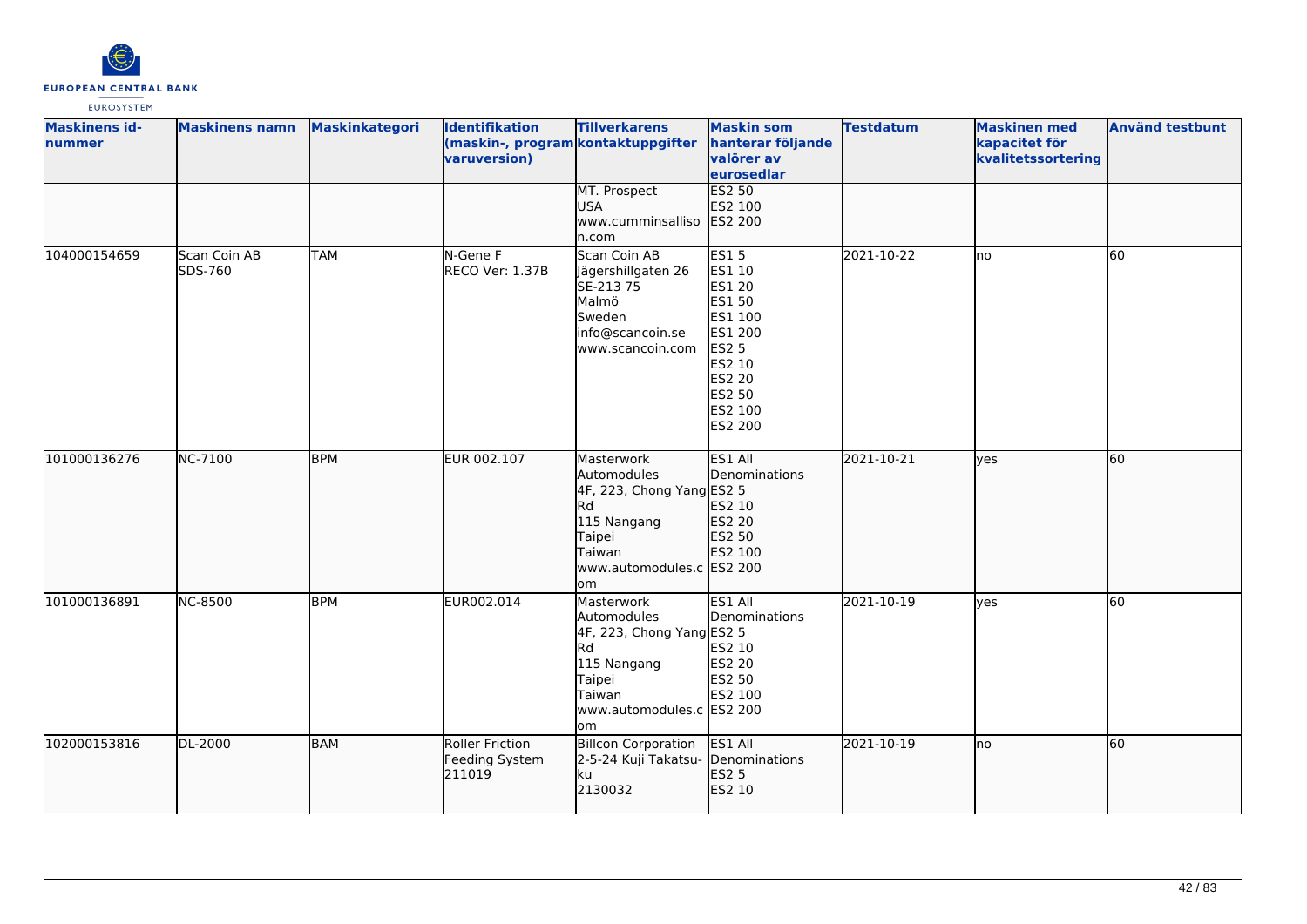

| <b>Maskinens id-</b><br>nummer | <b>Maskinens namn</b>   | <b>Maskinkategori</b> | <b>Identifikation</b><br>(maskin-, program kontaktuppgifter<br>varuversion) | <b>Tillverkarens</b><br>MT. Prospect                                                                                                         | <b>Maskin som</b><br>hanterar följande<br>valörer av<br>eurosedlar<br>ES2 50                                                        | <b>Testdatum</b> | <b>Maskinen med</b><br>kapacitet för<br>kvalitetssortering | <b>Använd testbunt</b> |
|--------------------------------|-------------------------|-----------------------|-----------------------------------------------------------------------------|----------------------------------------------------------------------------------------------------------------------------------------------|-------------------------------------------------------------------------------------------------------------------------------------|------------------|------------------------------------------------------------|------------------------|
|                                |                         |                       |                                                                             | <b>USA</b><br>www.cumminsalliso<br>n.com                                                                                                     | ES2 100<br>ES2 200                                                                                                                  |                  |                                                            |                        |
| 104000154659                   | Scan Coin AB<br>SDS-760 | <b>TAM</b>            | N-Gene F<br>RECO Ver: 1.37B                                                 | Scan Coin AB<br>Jägershillgaten 26<br>SE-213 75<br>Malmö<br>Sweden<br>info@scancoin.se<br>www.scancoin.com                                   | <b>ES15</b><br>ES1 10<br><b>ES1 20</b><br>ES1 50<br>ES1 100<br>ES1 200<br>ES2 5<br>ES2 10<br>ES2 20<br>ES2 50<br>ES2 100<br>ES2 200 | 2021-10-22       | lno                                                        | 60                     |
| 101000136276                   | NC-7100                 | <b>BPM</b>            | EUR 002.107                                                                 | Masterwork<br>Automodules<br>4F, 223, Chong Yang ES2 5<br><b>I</b> Rd<br>115 Nangang<br>Taipei<br>Taiwan<br>www.automodules.c ES2 200<br>lom | ES1 All<br>Denominations<br>ES2 10<br>ES2 20<br>ES2 50<br>ES2 100                                                                   | 2021-10-21       | lyes                                                       | 60                     |
| 101000136891                   | <b>NC-8500</b>          | <b>BPM</b>            | EUR002.014                                                                  | Masterwork<br>Automodules<br>4F, 223, Chong Yang ES2 5<br>Rd<br>115 Nangang<br>Taipei<br>Taiwan<br>www.automodules.c ES2 200<br>lom          | ES1 All<br>Denominations<br>ES2 10<br><b>ES2 20</b><br>ES2 50<br>ES2 100                                                            | 2021-10-19       | lves                                                       | 60                     |
| 102000153816                   | DL-2000                 | <b>BAM</b>            | Roller Friction<br>Feeding System<br>211019                                 | <b>Billcon Corporation</b><br>2-5-24 Kuji Takatsu-<br>ku<br>2130032                                                                          | ES1 All<br>Denominations<br><b>ES2 5</b><br>ES2 10                                                                                  | 2021-10-19       | lno                                                        | 60                     |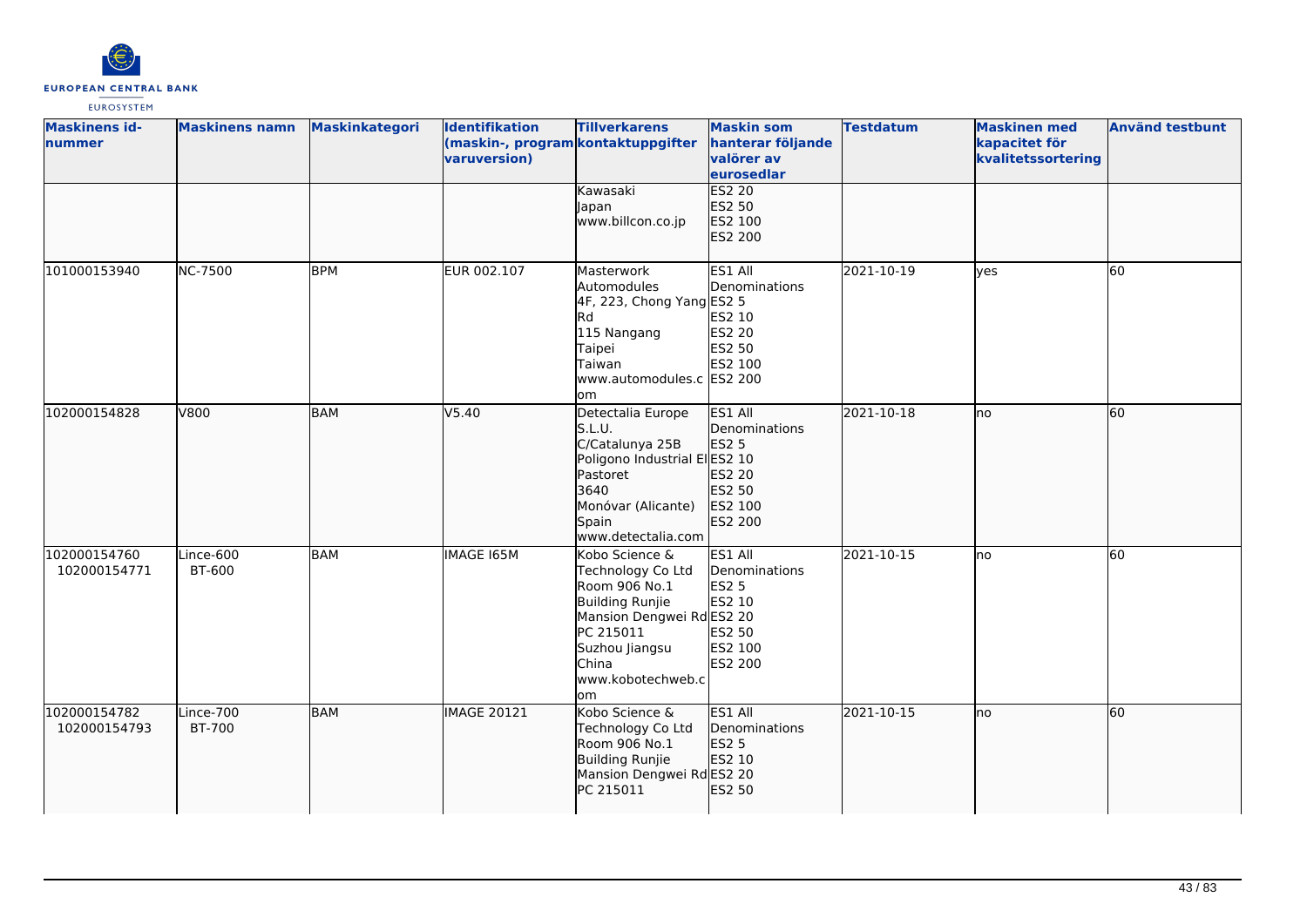

| <b>Maskinens id-</b><br>nummer | <b>Maskinens namn</b> | Maskinkategori | Identifikation<br>(maskin-, program kontaktuppgifter<br>varuversion) | <b>Tillverkarens</b>                                                                                                                                                    | <b>Maskin som</b><br>hanterar följande<br>valörer av<br>eurosedlar                     | <b>Testdatum</b> | <b>Maskinen med</b><br>kapacitet för<br>kvalitetssortering | <b>Använd testbunt</b> |
|--------------------------------|-----------------------|----------------|----------------------------------------------------------------------|-------------------------------------------------------------------------------------------------------------------------------------------------------------------------|----------------------------------------------------------------------------------------|------------------|------------------------------------------------------------|------------------------|
|                                |                       |                |                                                                      | Kawasaki<br>Japan<br>www.billcon.co.jp                                                                                                                                  | <b>ES2 20</b><br>ES2 50<br>ES2 100<br>ES2 200                                          |                  |                                                            |                        |
| 101000153940                   | NC-7500               | <b>BPM</b>     | EUR 002.107                                                          | Masterwork<br>Automodules<br>4F, 223, Chong Yang ES2 5<br>lRd.<br>115 Nangang<br>Taipei<br>Taiwan<br>www.automodules.c ES2 200<br>lom                                   | ES1 All<br>Denominations<br>ES2 10<br>ES2 20<br>ES2 50<br>ES2 100                      | 2021-10-19       | ves                                                        | 60                     |
| 102000154828                   | V800                  | <b>BAM</b>     | V5.40                                                                | Detectalia Europe<br>S.L.U.<br>C/Catalunya 25B<br>Poligono Industrial ElES2 10<br>Pastoret<br>3640<br>Monóvar (Alicante)<br>Spain<br>www.detectalia.com                 | ES1 All<br>Denominations<br>ES2 5<br>ES2 20<br>ES2 50<br>ES2 100<br>ES2 200            | 2021-10-18       | lno                                                        | 60                     |
| 102000154760<br>102000154771   | Lince-600<br>BT-600   | <b>BAM</b>     | <b>IMAGE 165M</b>                                                    | Kobo Science &<br>Technology Co Ltd<br>Room 906 No.1<br>Building Runjie<br>Mansion Dengwei RdES2 20<br>PC 215011<br>Suzhou Jiangsu<br>China<br>www.kobotechweb.c<br>lom | ES1 All<br>Denominations<br>ES2 <sub>5</sub><br>ES2 10<br>ES2 50<br>ES2 100<br>ES2 200 | 2021-10-15       | lno                                                        | 60                     |
| 102000154782<br>102000154793   | Lince-700<br>BT-700   | <b>BAM</b>     | <b>IMAGE 20121</b>                                                   | Kobo Science &<br>Technology Co Ltd<br>Room 906 No.1<br>Building Runjie<br>Mansion Dengwei RdES2 20<br>PC 215011                                                        | ES1 All<br>Denominations<br>ES2 5<br>ES2 10<br>ES2 50                                  | 2021-10-15       | lno                                                        | 60                     |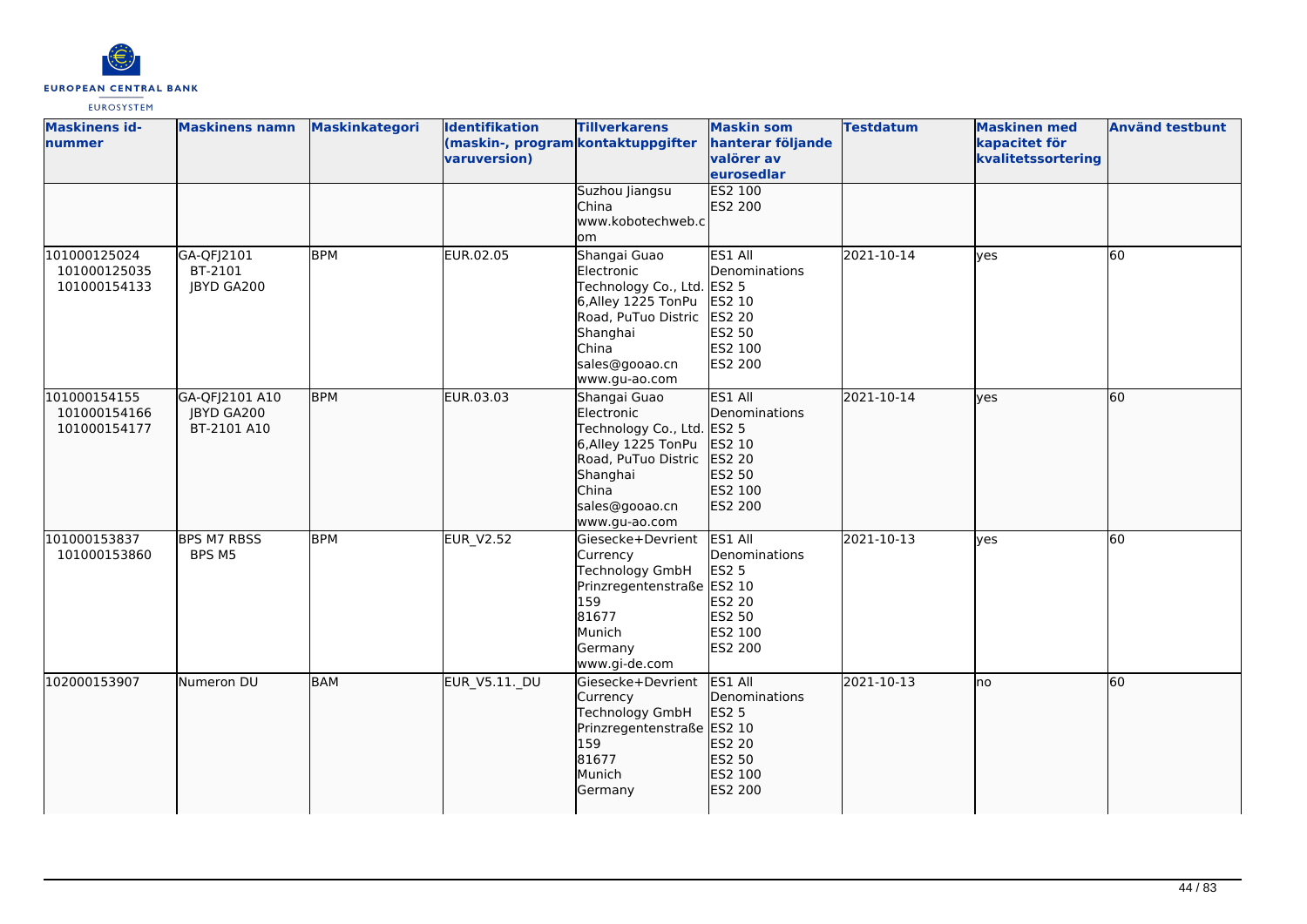

| <b>Maskinens id-</b><br>nummer               | <b>Maskinens namn</b>                              | <b>Maskinkategori</b> | <b>Identifikation</b><br>(maskin-, program kontaktuppgifter<br>varuversion) | <b>Tillverkarens</b>                                                                                                                                     | <b>Maskin som</b><br>hanterar följande<br>valörer av<br>eurosedlar<br>ES2 100                       | <b>Testdatum</b> | <b>Maskinen med</b><br>kapacitet för<br>kvalitetssortering | <b>Använd testbunt</b> |
|----------------------------------------------|----------------------------------------------------|-----------------------|-----------------------------------------------------------------------------|----------------------------------------------------------------------------------------------------------------------------------------------------------|-----------------------------------------------------------------------------------------------------|------------------|------------------------------------------------------------|------------------------|
|                                              |                                                    |                       |                                                                             | Suzhou Jiangsu<br><b>China</b><br>www.kobotechweb.c<br>om                                                                                                | ES2 200                                                                                             |                  |                                                            |                        |
| 101000125024<br>101000125035<br>101000154133 | GA-QFJ2101<br>BT-2101<br>JBYD GA200                | <b>BPM</b>            | EUR.02.05                                                                   | Shangai Guao<br>Electronic<br>Technology Co., Ltd.<br>6, Alley 1225 TonPu<br>Road, PuTuo Distric<br>Shanghai<br>China<br>sales@gooao.cn<br>www.gu-ao.com | ES1 All<br>Denominations<br>ES2 5<br>ES2 10<br><b>ES2 20</b><br>ES2 50<br>ES2 100<br><b>ES2 200</b> | 2021-10-14       | lves                                                       | 60                     |
| 101000154155<br>101000154166<br>101000154177 | GA-QFJ2101 A10<br><b>JBYD GA200</b><br>BT-2101 A10 | <b>BPM</b>            | EUR.03.03                                                                   | Shangai Guao<br>Electronic<br>Technology Co., Ltd.<br>6, Alley 1225 TonPu<br>Road, PuTuo Distric<br>Shanghai<br>China<br>sales@gooao.cn<br>www.gu-ao.com | ES1 All<br>Denominations<br>ES2 <sub>5</sub><br>ES2 10<br>ES2 20<br>ES2 50<br>ES2 100<br>ES2 200    | 2021-10-14       | lves                                                       | 60                     |
| 101000153837<br>101000153860                 | <b>BPS M7 RBSS</b><br>BPS M5                       | <b>BPM</b>            | <b>EUR V2.52</b>                                                            | lGiesecke+Devrient<br>Currency<br>Technology GmbH<br>Prinzregentenstraße<br>159<br>81677<br>Munich<br>Germany<br>www.gi-de.com                           | ES1 All<br>Denominations<br><b>ES2 5</b><br>ES2 10<br>ES2 20<br>ES2 50<br>ES2 100<br>ES2 200        | 2021-10-13       | <b>l</b> ves                                               | 60                     |
| 102000153907                                 | Numeron DU                                         | <b>BAM</b>            | EUR_V5.11._DU                                                               | Giesecke+Devrient<br>Currency<br>Technology GmbH<br>Prinzregentenstraße ES2 10<br>159<br>81677<br>Munich<br>Germany                                      | ES1 All<br><b>IDenominations</b><br>ES2 5<br>ES2 20<br>ES2 50<br>ES2 100<br>ES2 200                 | 2021-10-13       | Ino                                                        | 60                     |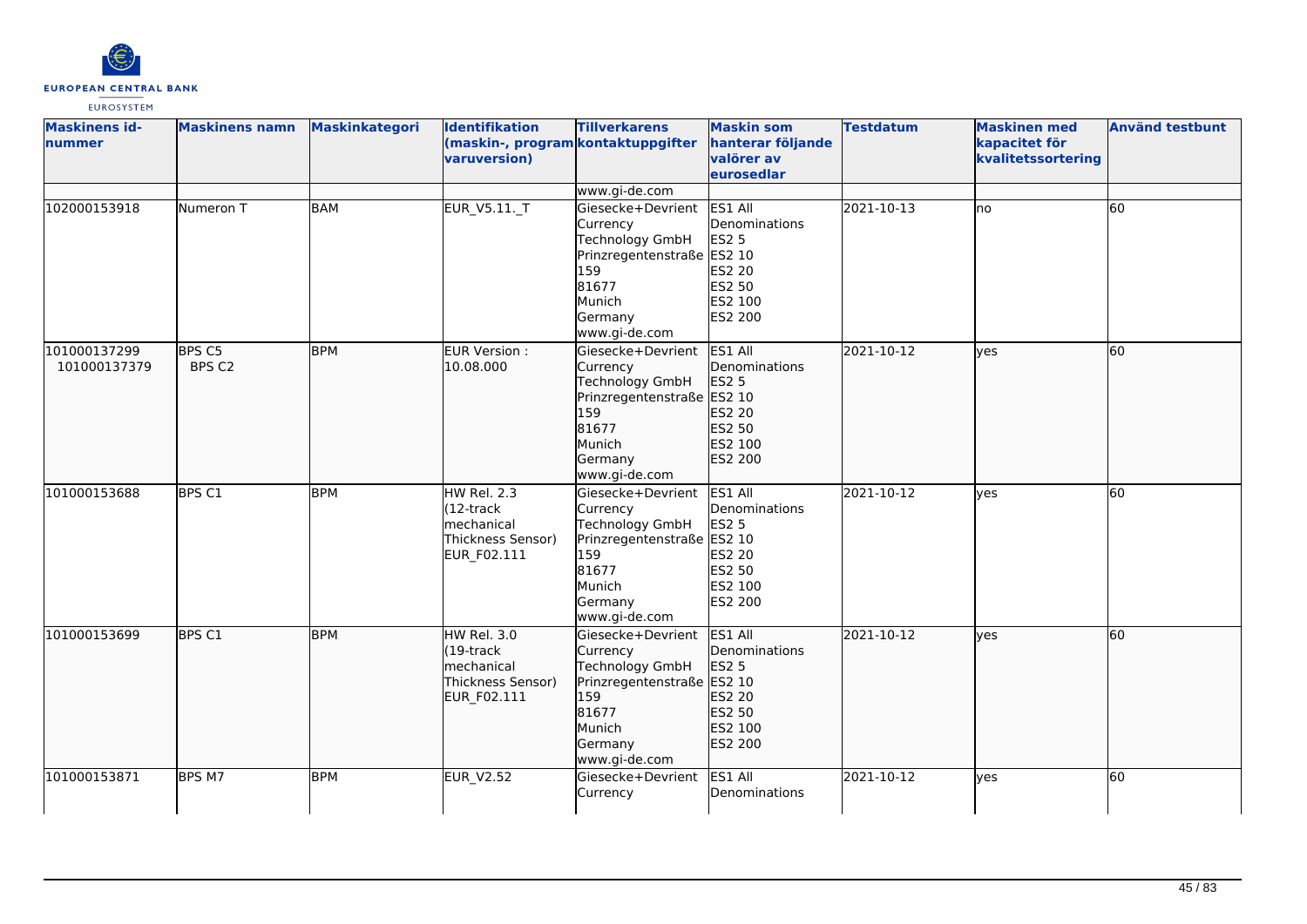

| <b>Maskinens id-</b><br>nummer | <b>Maskinens namn</b>       | Maskinkategori | Identifikation<br>(maskin-, program kontaktuppgifter<br>varuversion)           | <b>Tillverkarens</b>                                                                                                                 | <b>Maskin som</b><br>hanterar följande<br>valörer av<br>eurosedlar                                  | <b>Testdatum</b> | <b>Maskinen med</b><br>kapacitet för<br>kvalitetssortering | <b>Använd testbunt</b> |
|--------------------------------|-----------------------------|----------------|--------------------------------------------------------------------------------|--------------------------------------------------------------------------------------------------------------------------------------|-----------------------------------------------------------------------------------------------------|------------------|------------------------------------------------------------|------------------------|
|                                |                             |                |                                                                                | www.gi-de.com                                                                                                                        |                                                                                                     |                  |                                                            |                        |
| 102000153918                   | Numeron T                   | <b>BAM</b>     | EUR_V5.11._T                                                                   | Giesecke+Devrient<br>Currency<br>Technology GmbH<br>Prinzregentenstraße ES2 10<br>159<br>81677<br>Munich<br>Germany<br>www.gi-de.com | ES1 All<br>Denominations<br><b>ES2 5</b><br>ES2 20<br>ES2 50<br>ES2 100<br><b>ES2 200</b>           | 2021-10-13       | no                                                         | 60                     |
| 101000137299<br>101000137379   | BPS C5<br>BPS <sub>C2</sub> | <b>BPM</b>     | EUR Version:<br>10.08.000                                                      | Giesecke+Devrient<br>Currency<br>Technology GmbH<br>Prinzregentenstraße ES2 10<br>159<br>81677<br>Munich<br>Germany<br>www.gi-de.com | ES1 All<br>Denominations<br>ES2 5<br>ES2 20<br>ES2 50<br>ES2 100<br>ES2 200                         | 2021-10-12       | lves                                                       | 60                     |
| 101000153688                   | BPS C1                      | <b>BPM</b>     | HW Rel. 2.3<br>$(12 -$ track<br>mechanical<br>Thickness Sensor)<br>EUR_F02.111 | Giesecke+Devrient<br>Currency<br>Technology GmbH<br>Prinzregentenstraße<br>159<br>81677<br>Munich<br>Germany<br>www.gi-de.com        | ES1 All<br>Denominations<br><b>ES2 5</b><br>ES2 10<br><b>ES2 20</b><br>ES2 50<br>ES2 100<br>ES2 200 | 2021-10-12       | yes                                                        | 60                     |
| 101000153699                   | BPS C1                      | <b>BPM</b>     | HW Rel. 3.0<br>$(19$ -track<br>lmechanical<br>Thickness Sensor)<br>EUR_F02.111 | Giesecke+Devrient<br>Currency<br>Technology GmbH<br>Prinzregentenstraße ES2 10<br>159<br>81677<br>Munich<br>Germany<br>www.gi-de.com | ES1 All<br>Denominations<br>ES2 5<br><b>ES2 20</b><br>ES2 50<br>ES2 100<br>ES2 200                  | 2021-10-12       | lyes                                                       | 60                     |
| 101000153871                   | BPS M7                      | <b>BPM</b>     | <b>EUR V2.52</b>                                                               | Giesecke+Devrient<br>Currency                                                                                                        | ES1 All<br>Denominations                                                                            | 2021-10-12       | lyes                                                       | 60                     |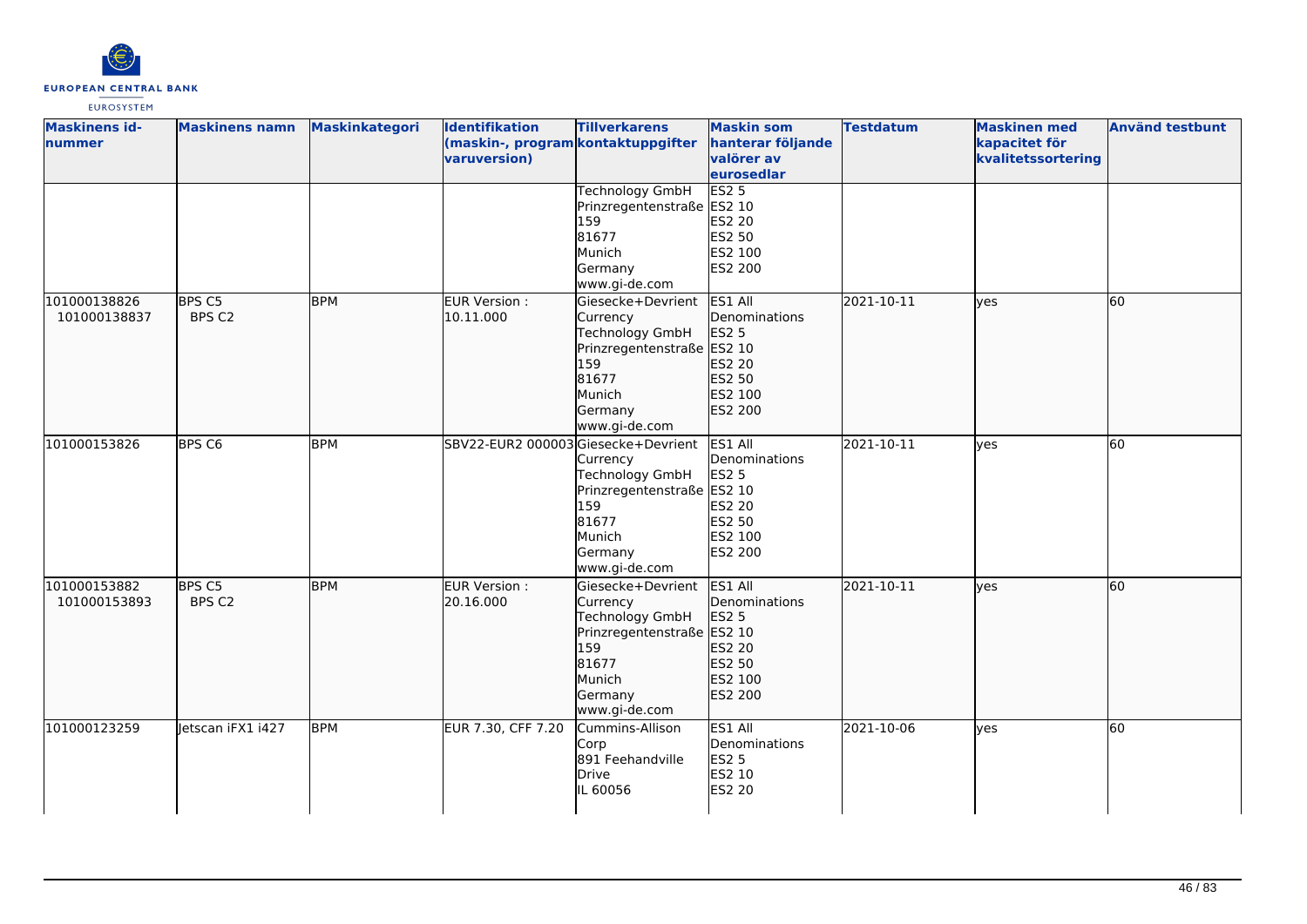

| <b>Maskinens id-</b><br>nummer | <b>Maskinens namn</b>       | <b>Maskinkategori</b> | <b>Identifikation</b><br>(maskin-, program kontaktuppgifter<br>varuversion) | <b>Tillverkarens</b>                                                                                                                        | <b>Maskin som</b><br>hanterar följande<br>valörer av<br>eurosedlar                               | <b>Testdatum</b> | <b>Maskinen med</b><br>kapacitet för<br>kvalitetssortering | <b>Använd testbunt</b> |
|--------------------------------|-----------------------------|-----------------------|-----------------------------------------------------------------------------|---------------------------------------------------------------------------------------------------------------------------------------------|--------------------------------------------------------------------------------------------------|------------------|------------------------------------------------------------|------------------------|
|                                |                             |                       |                                                                             | Technology GmbH<br>Prinzregentenstraße ES2 10<br>159<br>81677<br>Munich<br>Germany<br>www.gi-de.com                                         | ES2 <sub>5</sub><br>ES2 20<br><b>ES2 50</b><br>ES2 100<br>ES2 200                                |                  |                                                            |                        |
| 101000138826<br>101000138837   | BPS C5<br>BPS C2            | <b>BPM</b>            | EUR Version:<br>10.11.000                                                   | Giesecke+Devrient<br>Currency<br><b>Technology GmbH</b><br>Prinzregentenstraße ES2 10<br>159<br>81677<br>Munich<br>Germany<br>www.gi-de.com | ES1 All<br><b>IDenominations</b><br>ES2 5<br>ES2 20<br>ES2 50<br>ES2 100<br>ES2 200              | 2021-10-11       | lves                                                       | 60                     |
| 101000153826                   | BPS C6                      | <b>BPM</b>            | SBV22-EUR2 000003Giesecke+Devrient                                          | Currency<br>Technology GmbH<br>Prinzregentenstraße ES2 10<br>159<br>81677<br>Munich<br>Germany<br>www.gi-de.com                             | ES1 All<br>Denominations<br><b>ES2 5</b><br>ES2 20<br><b>ES2 50</b><br>ES2 100<br><b>ES2 200</b> | 2021-10-11       | ves                                                        | 60                     |
| 101000153882<br>101000153893   | BPS <sub>C5</sub><br>BPS C2 | <b>BPM</b>            | EUR Version :<br>20.16.000                                                  | Giesecke+Devrient<br>Currency<br><b>Technology GmbH</b><br>Prinzregentenstraße ES2 10<br>159<br>81677<br>Munich<br>Germany<br>www.gi-de.com | ES1 All<br>Denominations<br>ES2 5<br>ES2 20<br>ES2 50<br>ES2 100<br>ES2 200                      | 2021-10-11       | lyes                                                       | 60                     |
| 101000123259                   | letscan iFX1 i427           | <b>BPM</b>            | EUR 7.30, CFF 7.20                                                          | Cummins-Allison<br>Corp<br>891 Feehandville<br>Drive<br>IL 60056                                                                            | ES1 All<br>Denominations<br><b>ES2 5</b><br>ES2 10<br>ES2 20                                     | 2021-10-06       | yes                                                        | 60                     |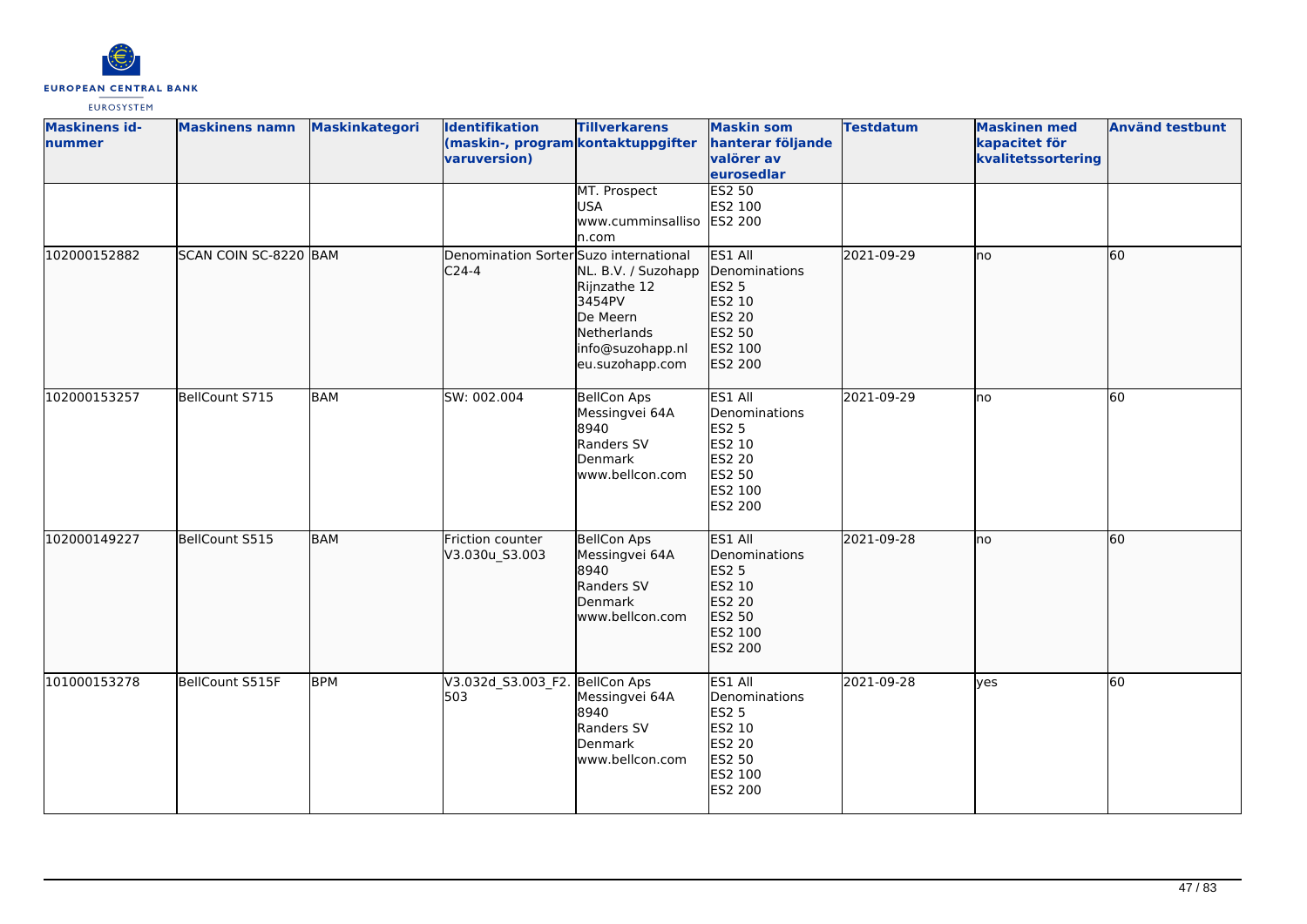

| <b>Maskinens id-</b><br>nummer | <b>Maskinens namn</b> | <b>Maskinkategori</b> | Identifikation<br>(maskin-, program kontaktuppgifter<br>varuversion) | <b>Tillverkarens</b>                                                                                            | <b>Maskin som</b><br>hanterar följande<br>valörer av<br>eurosedlar                                  | <b>Testdatum</b> | <b>Maskinen med</b><br>kapacitet för<br>kvalitetssortering | <b>Använd testbunt</b> |
|--------------------------------|-----------------------|-----------------------|----------------------------------------------------------------------|-----------------------------------------------------------------------------------------------------------------|-----------------------------------------------------------------------------------------------------|------------------|------------------------------------------------------------|------------------------|
|                                |                       |                       |                                                                      | MT. Prospect<br><b>USA</b><br>www.cumminsalliso<br>n.com                                                        | ES2 50<br>ES2 100<br>ES2 200                                                                        |                  |                                                            |                        |
| 102000152882                   | SCAN COIN SC-8220 BAM |                       | Denomination Sorter Suzo international<br>$C24-4$                    | NL. B.V. / Suzohapp<br>Rijnzathe 12<br>3454PV<br>De Meern<br>Netherlands<br>info@suzohapp.nl<br>eu.suzohapp.com | ES1 All<br>Denominations<br>ES2 5<br>ES2 10<br>ES2 20<br>ES2 50<br>ES2 100<br>ES2 200               | 2021-09-29       | lno                                                        | 60                     |
| 102000153257                   | BellCount S715        | <b>BAM</b>            | SW: 002.004                                                          | <b>BellCon Aps</b><br>Messingvei 64A<br>8940<br>Randers SV<br>Denmark<br>www.bellcon.com                        | ES1 All<br>Denominations<br><b>ES2 5</b><br>ES2 10<br><b>ES2 20</b><br>ES2 50<br>ES2 100<br>ES2 200 | 2021-09-29       | lno                                                        | 60                     |
| 102000149227                   | BellCount S515        | <b>BAM</b>            | Friction counter<br>V3.030u_S3.003                                   | <b>BellCon Aps</b><br>Messingvei 64A<br>8940<br>Randers SV<br>Denmark<br>www.bellcon.com                        | ES1 All<br>Denominations<br>ES2 5<br>ES2 10<br><b>ES2 20</b><br>ES2 50<br>ES2 100<br>ES2 200        | 2021-09-28       | no                                                         | 60                     |
| 101000153278                   | BellCount S515F       | <b>BPM</b>            | V3.032d_S3.003_F2. BellCon Aps<br>503                                | Messingvei 64A<br>8940<br>Randers SV<br>Denmark<br>www.bellcon.com                                              | ES1 All<br>Denominations<br><b>ES2 5</b><br>ES2 10<br><b>ES2 20</b><br>ES2 50<br>ES2 100<br>ES2 200 | 2021-09-28       | <b>l</b> ves                                               | 60                     |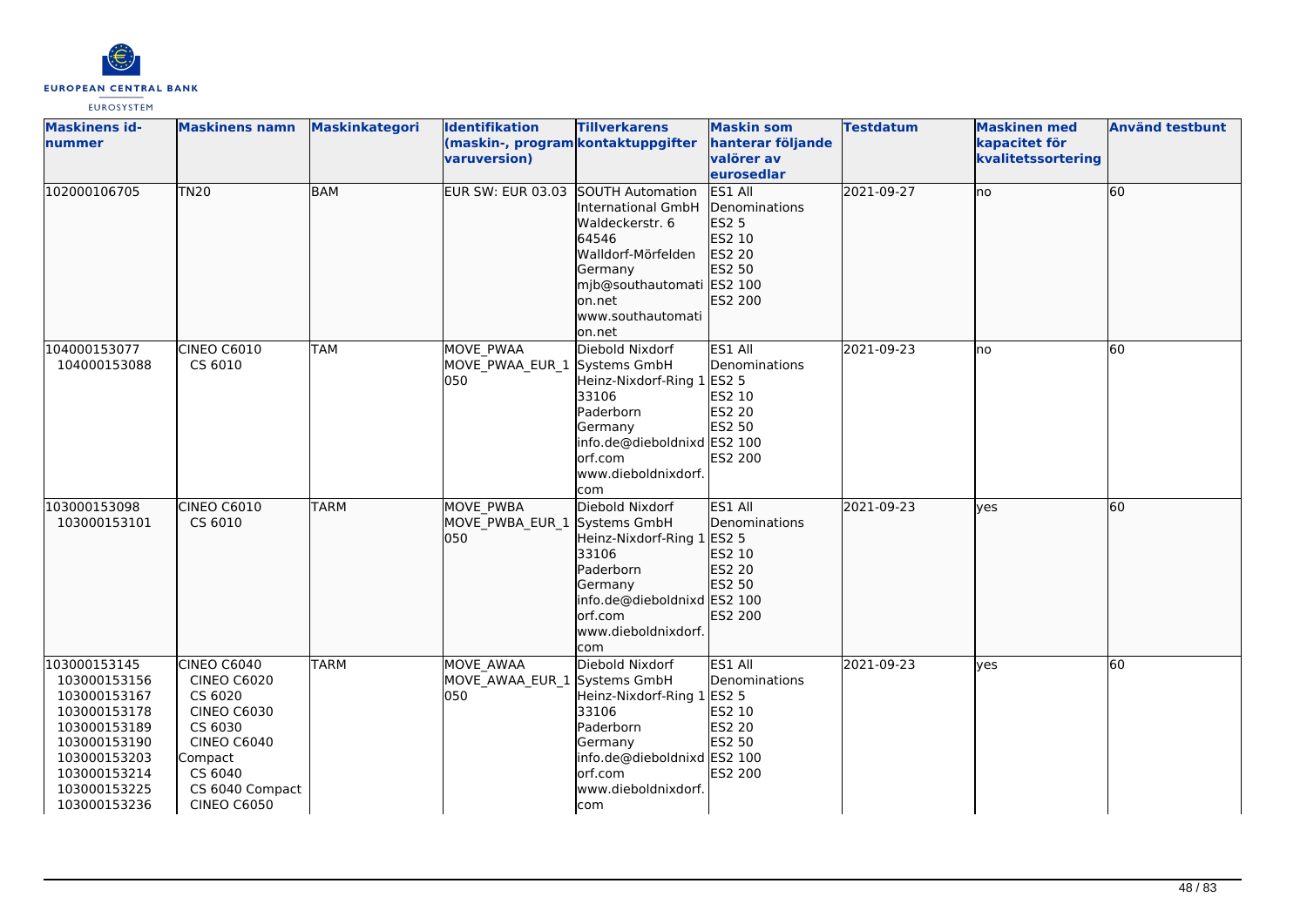

| <b>Maskinens id-</b><br>nummer                                                                                                                               | <b>Maskinens namn</b>                                                                                                                                              | Maskinkategori | Identifikation<br>(maskin-, program kontaktuppgifter<br>varuversion) | <b>Tillverkarens</b>                                                                                                                                                                    | <b>Maskin som</b><br>hanterar följande<br>valörer av<br>eurosedlar                       | <b>Testdatum</b> | <b>Maskinen med</b><br>kapacitet för<br>kvalitetssortering | <b>Använd testbunt</b> |
|--------------------------------------------------------------------------------------------------------------------------------------------------------------|--------------------------------------------------------------------------------------------------------------------------------------------------------------------|----------------|----------------------------------------------------------------------|-----------------------------------------------------------------------------------------------------------------------------------------------------------------------------------------|------------------------------------------------------------------------------------------|------------------|------------------------------------------------------------|------------------------|
| 102000106705                                                                                                                                                 | <b>TN20</b>                                                                                                                                                        | <b>BAM</b>     | <b>EUR SW: EUR 03.03</b>                                             | <b>SOUTH Automation</b><br><b>International GmbH</b><br>Waldeckerstr. 6<br>64546<br>Walldorf-Mörfelden<br>Germany<br>mjb@southautomati ES2 100<br>on.net<br>www.southautomati<br>on.net | ES1 All<br>Denominations<br>ES2 5<br>ES2 10<br>ES2 20<br>ES2 50<br>ES2 200               | 2021-09-27       | lno                                                        | 60                     |
| 104000153077<br>104000153088                                                                                                                                 | CINEO C6010<br>CS 6010                                                                                                                                             | <b>TAM</b>     | <b>MOVE PWAA</b><br>MOVE PWAA EUR 1<br>050                           | Diebold Nixdorf<br>Systems GmbH<br>Heinz-Nixdorf-Ring 1<br>33106<br>Paderborn<br>Germany<br>info.de@dieboldnixd ES2 100<br>orf.com<br>www.dieboldnixdorf.<br>com                        | ES1 All<br>Denominations<br><b>ES2 5</b><br>ES2 10<br><b>ES2 20</b><br>ES2 50<br>ES2 200 | 2021-09-23       | lno                                                        | 60                     |
| 103000153098<br>103000153101                                                                                                                                 | CINEO C6010<br>CS 6010                                                                                                                                             | <b>TARM</b>    | <b>MOVE PWBA</b><br>MOVE PWBA EUR 1<br>lo50                          | Diebold Nixdorf<br>Systems GmbH<br>Heinz-Nixdorf-Ring 1<br>33106<br>Paderborn<br>Germany<br>info.de@dieboldnixd ES2 100<br>lorf.com<br>www.dieboldnixdorf.<br>com                       | ES1 All<br><b>IDenominations</b><br>ES2 5<br>ES2 10<br>ES2 20<br>ES2 50<br>ES2 200       | 2021-09-23       | lves                                                       | 60                     |
| 103000153145<br>103000153156<br>103000153167<br>103000153178<br>103000153189<br>103000153190<br>103000153203<br>103000153214<br>103000153225<br>103000153236 | CINEO C6040<br><b>CINEO C6020</b><br>CS 6020<br><b>CINEO C6030</b><br>CS 6030<br><b>CINEO C6040</b><br>Compact<br>CS 6040<br>CS 6040 Compact<br><b>CINEO C6050</b> | <b>TARM</b>    | <b>MOVE AWAA</b><br>MOVE_AWAA_EUR_1 Systems GmbH<br>050              | Diebold Nixdorf<br>Heinz-Nixdorf-Ring 1<br>33106<br>Paderborn<br>Germany<br>info.de@dieboldnixd ES2 100<br>lorf.com<br>www.dieboldnixdorf.<br>com                                       | ES1 All<br>Denominations<br><b>ES2 5</b><br>ES2 10<br>ES2 20<br>ES2 50<br><b>ES2 200</b> | 2021-09-23       | <b>ves</b>                                                 | 60                     |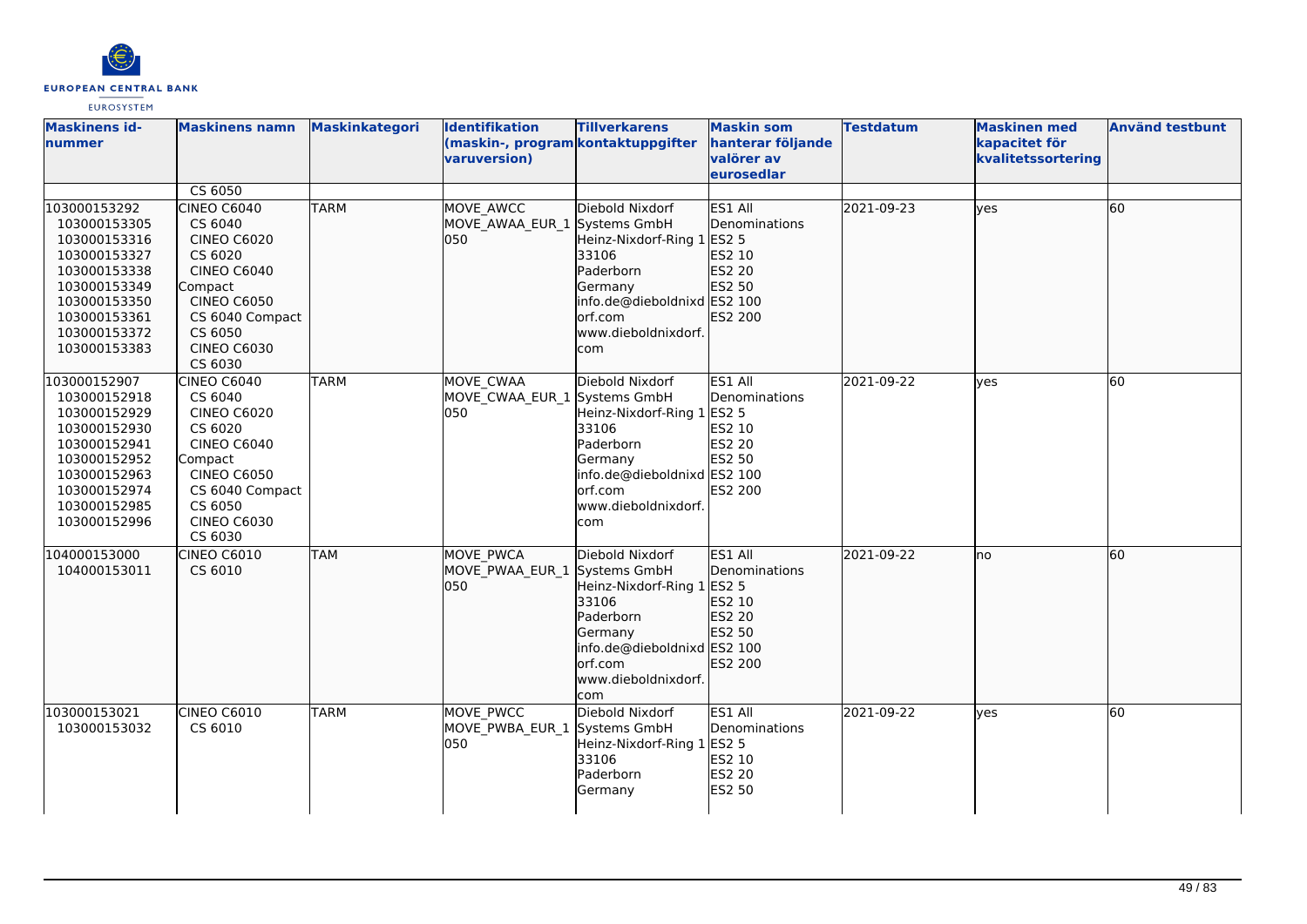

| <b>Maskinens id-</b><br>nummer                                                                                                                               | <b>Maskinens namn</b>                                                                                                                                                                | <b>Maskinkategori</b> | <b>Identifikation</b><br>(maskin-, program kontaktuppgifter<br>varuversion) | <b>Tillverkarens</b>                                                                                                                                   | <b>Maskin som</b><br>hanterar följande<br>valörer av<br>eurosedlar              | <b>Testdatum</b> | <b>Maskinen med</b><br>kapacitet för<br>kvalitetssortering | <b>Använd testbunt</b> |
|--------------------------------------------------------------------------------------------------------------------------------------------------------------|--------------------------------------------------------------------------------------------------------------------------------------------------------------------------------------|-----------------------|-----------------------------------------------------------------------------|--------------------------------------------------------------------------------------------------------------------------------------------------------|---------------------------------------------------------------------------------|------------------|------------------------------------------------------------|------------------------|
|                                                                                                                                                              | CS 6050                                                                                                                                                                              |                       |                                                                             |                                                                                                                                                        |                                                                                 |                  |                                                            |                        |
| 103000153292<br>103000153305<br>103000153316<br>103000153327<br>103000153338<br>103000153349<br>103000153350<br>103000153361<br>103000153372<br>103000153383 | <b>CINEO C6040</b><br>CS 6040<br><b>CINEO C6020</b><br>CS 6020<br><b>CINEO C6040</b><br>Compact<br><b>CINEO C6050</b><br>CS 6040 Compact<br>CS 6050<br><b>CINEO C6030</b><br>CS 6030 | <b>TARM</b>           | MOVE AWCC<br>MOVE AWAA EUR 1 Systems GmbH<br>lo50                           | Diebold Nixdorf<br>Heinz-Nixdorf-Ring 1 ES2 5<br>33106<br>Paderborn<br>Germany<br>info.de@dieboldnixd ES2 100<br>orf.com<br>www.dieboldnixdorf.<br>com | ES1 All<br>Denominations<br>ES2 10<br><b>ES2 20</b><br>ES2 50<br>ES2 200        | 2021-09-23       | <b>yes</b>                                                 | 60                     |
| 103000152907<br>103000152918<br>103000152929<br>103000152930<br>103000152941<br>103000152952<br>103000152963<br>103000152974<br>103000152985<br>103000152996 | <b>CINEO C6040</b><br>CS 6040<br><b>CINEO C6020</b><br>CS 6020<br><b>CINEO C6040</b><br>Compact<br><b>CINEO C6050</b><br>CS 6040 Compact<br>CS 6050<br><b>CINEO C6030</b><br>CS 6030 | <b>TARM</b>           | MOVE CWAA<br>MOVE CWAA EUR 1 Systems GmbH<br>050                            | Diebold Nixdorf<br>Heinz-Nixdorf-Ring 1 ES2 5<br>33106<br>Paderborn<br>Germany<br>info.de@dieboldnixd ES2 100<br>orf.com<br>www.dieboldnixdorf.<br>com | ES1 All<br>Denominations<br>ES2 10<br><b>ES2 20</b><br>ES2 50<br><b>ES2 200</b> | 2021-09-22       | <b>ves</b>                                                 | 60                     |
| 104000153000<br>104000153011                                                                                                                                 | <b>CINEO C6010</b><br>CS 6010                                                                                                                                                        | <b>TAM</b>            | <b>MOVE PWCA</b><br>MOVE_PWAA_EUR_1 Systems GmbH<br>lo50                    | Diebold Nixdorf<br>Heinz-Nixdorf-Ring 1 ES2 5<br>33106<br>Paderborn<br>Germany<br>info.de@dieboldnixd ES2 100<br>orf.com<br>www.dieboldnixdorf.<br>com | ES1 All<br>Denominations<br>ES2 10<br>ES2 20<br>ES2 50<br>ES2 200               | 2021-09-22       | lno                                                        | 60                     |
| 103000153021<br>103000153032                                                                                                                                 | <b>CINEO C6010</b><br>CS 6010                                                                                                                                                        | <b>TARM</b>           | MOVE PWCC<br>MOVE_PWBA_EUR_1 Systems GmbH<br>050                            | Diebold Nixdorf<br>Heinz-Nixdorf-Ring 1 ES2 5<br>33106<br>Paderborn<br>Germany                                                                         | ES1 All<br>Denominations<br>ES2 10<br>ES2 20<br>ES2 50                          | 2021-09-22       | <b>ves</b>                                                 | 60                     |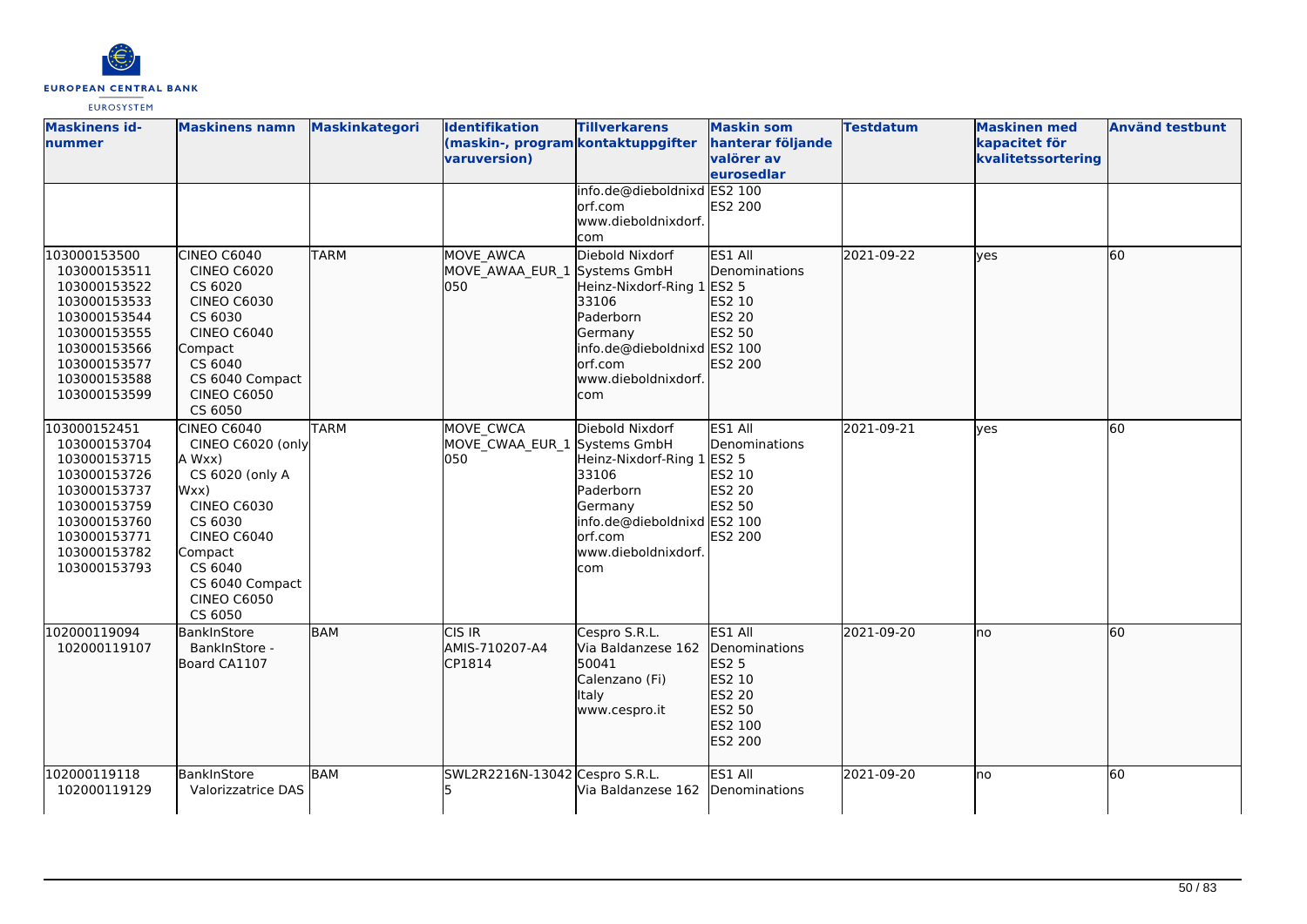

| <b>Maskinens id-</b><br>nummer                                                                                                                               | <b>Maskinens namn</b>                                                                                                                                                                                         | <b>Maskinkategori</b> | <b>Identifikation</b><br>(maskin-, program kontaktuppgifter<br>varuversion) | <b>Tillverkarens</b><br>info.de@dieboldnixd ES2 100<br>lorf.com<br>www.dieboldnixdorf.<br>com                                                     | <b>Maskin som</b><br>hanterar följande<br>valörer av<br>eurosedlar<br>ES2 200                   | <b>Testdatum</b> | <b>Maskinen med</b><br>kapacitet för<br>kvalitetssortering | <b>Använd testbunt</b> |
|--------------------------------------------------------------------------------------------------------------------------------------------------------------|---------------------------------------------------------------------------------------------------------------------------------------------------------------------------------------------------------------|-----------------------|-----------------------------------------------------------------------------|---------------------------------------------------------------------------------------------------------------------------------------------------|-------------------------------------------------------------------------------------------------|------------------|------------------------------------------------------------|------------------------|
| 103000153500<br>103000153511<br>103000153522<br>103000153533<br>103000153544<br>103000153555<br>103000153566<br>103000153577<br>103000153588<br>103000153599 | CINEO C6040<br><b>CINEO C6020</b><br>CS 6020<br><b>CINEO C6030</b><br>CS 6030<br><b>CINEO C6040</b><br>Compact<br>CS 6040<br>CS 6040 Compact<br><b>CINEO C6050</b><br>CS 6050                                 | <b>TARM</b>           | MOVE AWCA<br>MOVE AWAA EUR 1 Systems GmbH<br>lo50                           | Diebold Nixdorf<br>Heinz-Nixdorf-Ring 1<br>33106<br>Paderborn<br>Germany<br>info.de@dieboldnixd ES2 100<br>orf.com<br>www.dieboldnixdorf.<br>com  | ES1 All<br><b>IDenominations</b><br><b>ES2 5</b><br>ES2 10<br>ES2 20<br>ES2 50<br>ES2 200       | 2021-09-22       | <b>l</b> ves                                               | 60                     |
| 103000152451<br>103000153704<br>103000153715<br>103000153726<br>103000153737<br>103000153759<br>103000153760<br>103000153771<br>103000153782<br>103000153793 | <b>CINEO C6040</b><br>CINEO C6020 (only<br>A Wxx)<br>CS 6020 (only A<br>Wxx)<br><b>CINEO C6030</b><br>CS 6030<br><b>CINEO C6040</b><br>Compact<br>CS 6040<br>CS 6040 Compact<br><b>CINEO C6050</b><br>CS 6050 | <b>TARM</b>           | MOVE CWCA<br>MOVE_CWAA_EUR_1 Systems GmbH<br>050                            | Diebold Nixdorf<br>Heinz-Nixdorf-Ring 1<br>33106<br>Paderborn<br>Germany<br>info.de@dieboldnixd ES2 100<br>lorf.com<br>www.dieboldnixdorf.<br>com | ES1 All<br>Denominations<br><b>ES2 5</b><br>ES2 10<br><b>ES2 20</b><br>ES2 50<br><b>ES2 200</b> | 2021-09-21       | lyes                                                       | 60                     |
| 102000119094<br>102000119107                                                                                                                                 | BankInStore<br>BankInStore -<br>Board CA1107                                                                                                                                                                  | BAM                   | ICIS IR<br>AMIS-710207-A4<br>CP1814                                         | Cespro S.R.L.<br>Via Baldanzese 162<br>50041<br>Calenzano (Fi)<br>Italy<br>www.cespro.it                                                          | ES1 All<br>Denominations<br><b>ES2 5</b><br>ES2 10<br>ES2 20<br>ES2 50<br>ES2 100<br>ES2 200    | 2021-09-20       | lno                                                        | 60                     |
| 102000119118<br>102000119129                                                                                                                                 | BankInStore<br>Valorizzatrice DAS                                                                                                                                                                             | <b>BAM</b>            | SWL2R2216N-13042 Cespro S.R.L.                                              | Via Baldanzese 162                                                                                                                                | ES1 All<br>Denominations                                                                        | 2021-09-20       | lno                                                        | 60                     |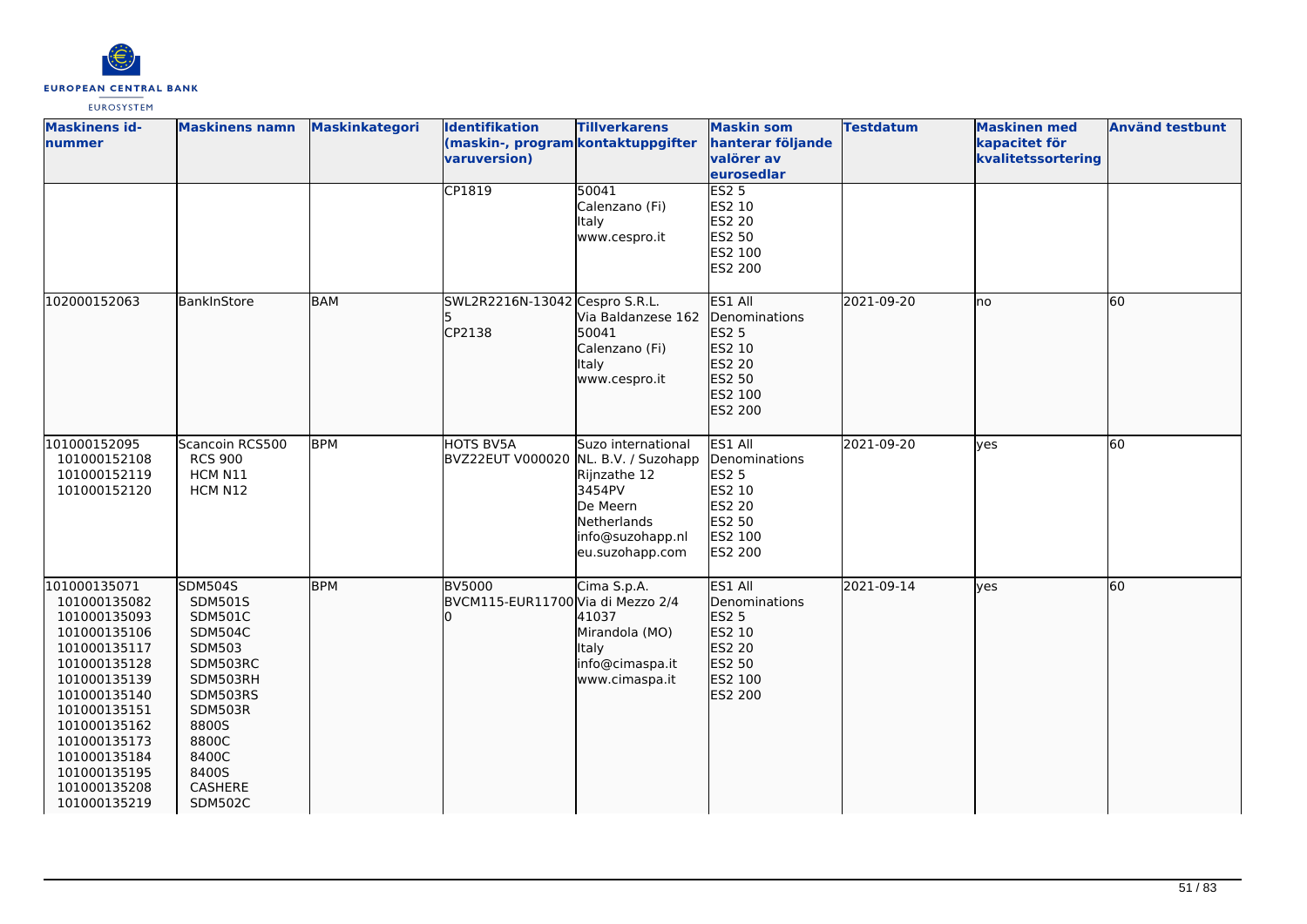

| <b>Maskinens id-</b><br>Inummer                                                                                                                                                                                                              | <b>Maskinens namn</b>                                                                                                                                                                          | Maskinkategori | <b>Identifikation</b><br>(maskin-, program kontaktuppgifter<br>varuversion) | <b>Tillverkarens</b>                                                                                           | <b>Maskin som</b><br>hanterar följande<br>valörer av<br>eurosedlar                                  | <b>Testdatum</b> | <b>Maskinen med</b><br>kapacitet för<br>kvalitetssortering | <b>Använd testbunt</b> |
|----------------------------------------------------------------------------------------------------------------------------------------------------------------------------------------------------------------------------------------------|------------------------------------------------------------------------------------------------------------------------------------------------------------------------------------------------|----------------|-----------------------------------------------------------------------------|----------------------------------------------------------------------------------------------------------------|-----------------------------------------------------------------------------------------------------|------------------|------------------------------------------------------------|------------------------|
|                                                                                                                                                                                                                                              |                                                                                                                                                                                                |                | CP1819                                                                      | 50041<br>Calenzano (Fi)<br>Italy<br>www.cespro.it                                                              | ES25<br>ES2 10<br><b>ES2 20</b><br>ES2 50<br>ES2 100<br><b>ES2 200</b>                              |                  |                                                            |                        |
| 102000152063                                                                                                                                                                                                                                 | BankInStore                                                                                                                                                                                    | BAM            | SWL2R2216N-13042 Cespro S.R.L.<br>CP2138                                    | Via Baldanzese 162<br>50041<br>Calenzano (Fi)<br>Italy<br>www.cespro.it                                        | ES1 All<br>Denominations<br><b>ES2 5</b><br>ES2 10<br>ES2 20<br>ES2 50<br>ES2 100<br>ES2 200        | 2021-09-20       | lno                                                        | 60                     |
| 101000152095<br>101000152108<br>101000152119<br>101000152120                                                                                                                                                                                 | Scancoin RCS500<br><b>RCS 900</b><br>HCM N11<br>HCM N12                                                                                                                                        | <b>BPM</b>     | <b>HOTS BV5A</b><br>BVZ22EUT V000020 NL. B.V. / Suzohapp                    | Suzo international<br>Rijnzathe 12<br>3454PV<br>De Meern<br>Netherlands<br>info@suzohapp.nl<br>eu.suzohapp.com | ES1 All<br>Denominations<br><b>ES2 5</b><br>ES2 10<br><b>ES2 20</b><br>ES2 50<br>ES2 100<br>ES2 200 | 2021-09-20       | lves                                                       | 60                     |
| 101000135071<br>101000135082<br>101000135093<br>101000135106<br>101000135117<br>101000135128<br>101000135139<br>101000135140<br>101000135151<br>101000135162<br>101000135173<br>101000135184<br>101000135195<br>101000135208<br>101000135219 | <b>SDM504S</b><br>SDM501S<br><b>SDM501C</b><br><b>SDM504C</b><br><b>SDM503</b><br>SDM503RC<br>SDM503RH<br>SDM503RS<br>SDM503R<br>8800S<br>8800C<br>8400C<br>8400S<br>CASHERE<br><b>SDM502C</b> | <b>BPM</b>     | <b>BV5000</b><br>BVCM115-EUR11700 Via di Mezzo 2/4                          | Cima S.p.A.<br>41037<br>Mirandola (MO)<br><b>Italy</b><br>info@cimaspa.it<br>www.cimaspa.it                    | ES1 All<br>Denominations<br><b>ES2 5</b><br>ES2 10<br>ES2 20<br>ES2 50<br>ES2 100<br>ES2 200        | 2021-09-14       | lyes                                                       | 60                     |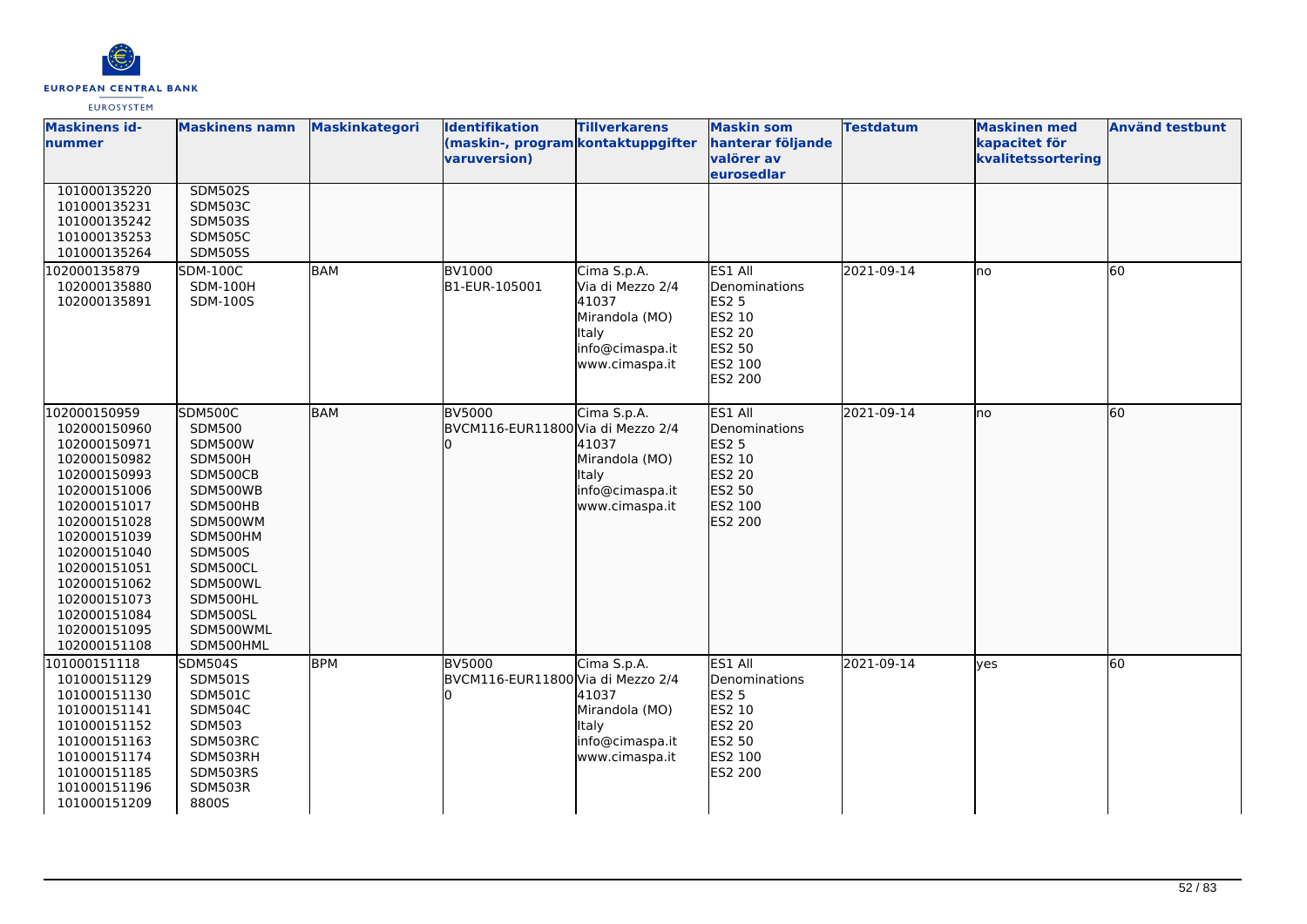

| <b>Maskinens id-</b><br>nummer                                                                                                                                                                                                                               | <b>Maskinens namn</b>                                                                                                                                                                                                | <b>Maskinkategori</b> | Identifikation<br>(maskin-, program kontaktuppgifter<br>varuversion) | <b>Tillverkarens</b>                                                                                     | <b>Maskin som</b><br>hanterar följande<br>valörer av                                                | <b>Testdatum</b> | <b>Maskinen med</b><br>kapacitet för<br>kvalitetssortering | <b>Använd testbunt</b> |
|--------------------------------------------------------------------------------------------------------------------------------------------------------------------------------------------------------------------------------------------------------------|----------------------------------------------------------------------------------------------------------------------------------------------------------------------------------------------------------------------|-----------------------|----------------------------------------------------------------------|----------------------------------------------------------------------------------------------------------|-----------------------------------------------------------------------------------------------------|------------------|------------------------------------------------------------|------------------------|
| 101000135220<br>101000135231<br>101000135242<br>101000135253<br>101000135264                                                                                                                                                                                 | <b>SDM502S</b><br><b>SDM503C</b><br>SDM503S<br><b>SDM505C</b><br><b>SDM505S</b>                                                                                                                                      |                       |                                                                      |                                                                                                          | eurosedlar                                                                                          |                  |                                                            |                        |
| 102000135879<br>102000135880<br>102000135891                                                                                                                                                                                                                 | <b>SDM-100C</b><br><b>SDM-100H</b><br>SDM-100S                                                                                                                                                                       | BAM                   | <b>BV1000</b><br>B1-EUR-105001                                       | Cima S.p.A.<br>Via di Mezzo 2/4<br>41037<br>Mirandola (MO)<br>Italy<br>info@cimaspa.it<br>www.cimaspa.it | ES1 All<br>Denominations<br><b>ES2 5</b><br>ES2 10<br><b>ES2 20</b><br>ES2 50<br>ES2 100<br>ES2 200 | 2021-09-14       | lno                                                        | 60                     |
| 102000150959<br>102000150960<br>102000150971<br>102000150982<br>102000150993<br>102000151006<br>102000151017<br>102000151028<br>102000151039<br>102000151040<br>102000151051<br>102000151062<br>102000151073<br>102000151084<br>102000151095<br>102000151108 | <b>SDM500C</b><br><b>SDM500</b><br><b>SDM500W</b><br>SDM500H<br>SDM500CB<br>SDM500WB<br>SDM500HB<br>SDM500WM<br>SDM500HM<br><b>SDM500S</b><br>SDM500CL<br>SDM500WL<br>SDM500HL<br>SDM500SL<br>SDM500WML<br>SDM500HML | <b>BAM</b>            | <b>BV5000</b><br>BVCM116-EUR11800 Via di Mezzo 2/4                   | Cima S.p.A.<br>41037<br>Mirandola (MO)<br>Italy<br>info@cimaspa.it<br>www.cimaspa.it                     | ES1 All<br>Denominations<br><b>ES2 5</b><br>ES2 10<br>ES2 20<br>ES2 50<br>ES2 100<br>ES2 200        | 2021-09-14       | lno                                                        | 60                     |
| 101000151118<br>101000151129<br>101000151130<br>101000151141<br>101000151152<br>101000151163<br>101000151174<br>101000151185<br>101000151196<br>101000151209                                                                                                 | <b>SDM504S</b><br>SDM501S<br><b>SDM501C</b><br><b>SDM504C</b><br>SDM503<br>SDM503RC<br>SDM503RH<br>SDM503RS<br>SDM503R<br>8800S                                                                                      | <b>BPM</b>            | <b>BV5000</b><br>BVCM116-EUR11800 Via di Mezzo 2/4                   | Cima S.p.A.<br>41037<br>Mirandola (MO)<br>Italy<br>info@cimaspa.it<br>www.cimaspa.it                     | ES1 All<br>Denominations<br><b>ES2 5</b><br>ES2 10<br><b>ES2 20</b><br>ES2 50<br>ES2 100<br>ES2 200 | 2021-09-14       | <b>l</b> ves                                               | 60                     |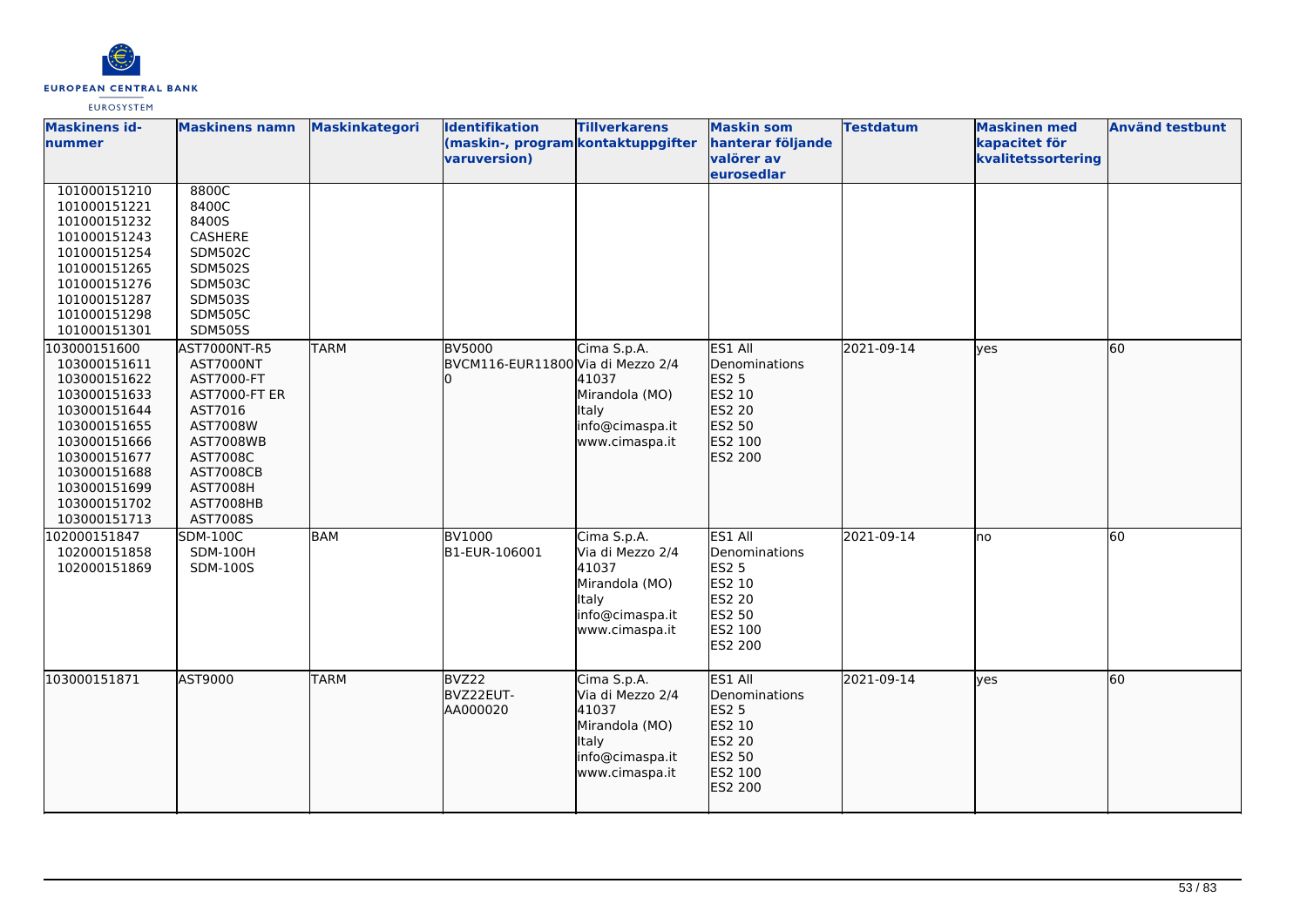

| <b>Maskinens id-</b><br>nummer                                                                                                                                                               | <b>Maskinens namn</b>                                                                                                                                                                         | Maskinkategori | Identifikation<br>(maskin-, program kontaktuppgifter<br>varuversion) | <b>Tillverkarens</b>                                                                                     | <b>Maskin som</b><br>hanterar följande<br>valörer av<br>eurosedlar                                         | <b>Testdatum</b> | <b>Maskinen med</b><br>kapacitet för<br>kvalitetssortering | <b>Använd testbunt</b> |
|----------------------------------------------------------------------------------------------------------------------------------------------------------------------------------------------|-----------------------------------------------------------------------------------------------------------------------------------------------------------------------------------------------|----------------|----------------------------------------------------------------------|----------------------------------------------------------------------------------------------------------|------------------------------------------------------------------------------------------------------------|------------------|------------------------------------------------------------|------------------------|
| 101000151210<br>101000151221<br>101000151232<br>101000151243<br>101000151254<br>101000151265<br>101000151276<br>101000151287<br>101000151298<br>101000151301                                 | 8800C<br>8400C<br>8400S<br>CASHERE<br><b>SDM502C</b><br><b>SDM502S</b><br><b>SDM503C</b><br><b>SDM503S</b><br><b>SDM505C</b><br><b>SDM505S</b>                                                |                |                                                                      |                                                                                                          |                                                                                                            |                  |                                                            |                        |
| 103000151600<br>103000151611<br>103000151622<br>103000151633<br>103000151644<br>103000151655<br>103000151666<br>103000151677<br>103000151688<br>103000151699<br>103000151702<br>103000151713 | AST7000NT-R5<br><b>AST7000NT</b><br>AST7000-FT<br><b>AST7000-FT ER</b><br>AST7016<br>AST7008W<br><b>AST7008WB</b><br>AST7008C<br><b>AST7008CB</b><br><b>AST7008H</b><br>AST7008HB<br>AST7008S | <b>TARM</b>    | <b>BV5000</b><br>BVCM116-EUR11800 Via di Mezzo 2/4<br>10             | Cima S.p.A.<br>41037<br>Mirandola (MO)<br>Italy<br>info@cimaspa.it<br>www.cimaspa.it                     | ES1 All<br><b>Denominations</b><br><b>ES2 5</b><br>ES2 10<br>ES2 20<br>ES2 50<br>ES2 100<br>ES2 200        | 2021-09-14       | lyes                                                       | 60                     |
| 102000151847<br>102000151858<br>102000151869                                                                                                                                                 | <b>SDM-100C</b><br><b>SDM-100H</b><br><b>SDM-100S</b>                                                                                                                                         | BAM            | <b>BV1000</b><br>B1-EUR-106001                                       | Cima S.p.A.<br>Via di Mezzo 2/4<br>41037<br>Mirandola (MO)<br>Italy<br>info@cimaspa.it<br>www.cimaspa.it | ES1 All<br>Denominations<br><b>ES2 5</b><br>ES2 10<br><b>ES2 20</b><br>ES2 50<br>ES2 100<br><b>ES2 200</b> | 2021-09-14       | Ino                                                        | 60                     |
| 103000151871                                                                                                                                                                                 | AST9000                                                                                                                                                                                       | <b>TARM</b>    | BVZ22<br>BVZ22EUT-<br>AA000020                                       | Cima S.p.A.<br>Via di Mezzo 2/4<br>41037<br>Mirandola (MO)<br>Italy<br>info@cimaspa.it<br>www.cimaspa.it | ES1 All<br>Denominations<br>ES2 5<br>ES2 10<br>ES2 20<br>ES2 50<br>ES2 100<br>ES2 200                      | 2021-09-14       | lyes                                                       | 60                     |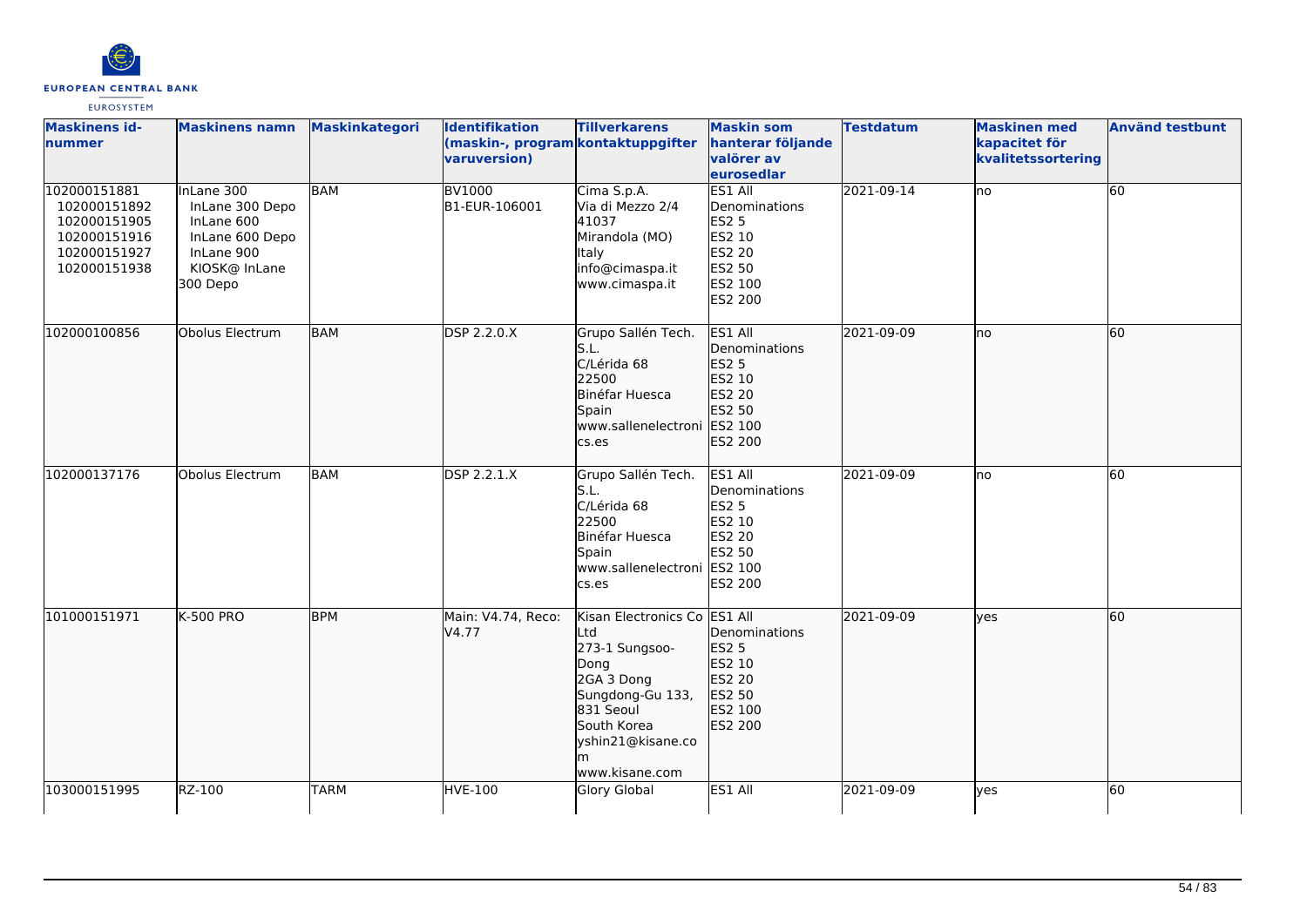

| <b>Maskinens id-</b><br>lnummer                                                              | <b>Maskinens namn</b>                                                                                     | Maskinkategori | Identifikation<br>(maskin-, program kontaktuppgifter<br>varuversion) | <b>Tillverkarens</b>                                                                                                                                       | <b>Maskin som</b><br>hanterar följande<br>valörer av<br>eurosedlar                                         | <b>Testdatum</b> | <b>Maskinen med</b><br>kapacitet för<br>kvalitetssortering | <b>Använd testbunt</b> |
|----------------------------------------------------------------------------------------------|-----------------------------------------------------------------------------------------------------------|----------------|----------------------------------------------------------------------|------------------------------------------------------------------------------------------------------------------------------------------------------------|------------------------------------------------------------------------------------------------------------|------------------|------------------------------------------------------------|------------------------|
| 102000151881<br>102000151892<br>102000151905<br>102000151916<br>102000151927<br>102000151938 | InLane 300<br>InLane 300 Depo<br>InLane 600<br>InLane 600 Depo<br>InLane 900<br>KIOSK@ InLane<br>300 Depo | <b>BAM</b>     | <b>BV1000</b><br>B1-EUR-106001                                       | Cima S.p.A.<br>Via di Mezzo 2/4<br>41037<br>Mirandola (MO)<br>Italy<br>info@cimaspa.it<br>www.cimaspa.it                                                   | <b>ES1 All</b><br>Denominations<br><b>ES2 5</b><br>ES2 10<br><b>ES2 20</b><br>ES2 50<br>ES2 100<br>ES2 200 | 2021-09-14       | lno                                                        | 60                     |
| 102000100856                                                                                 | Obolus Electrum                                                                                           | <b>BAM</b>     | <b>DSP 2.2.0.X</b>                                                   | Grupo Sallén Tech.<br>S.L.<br>C/Lérida 68<br>22500<br>Binéfar Huesca<br>Spain<br>www.sallenelectroni<br>cs.es                                              | ES1 All<br><b>Denominations</b><br><b>ES2 5</b><br>ES2 10<br>ES2 20<br>ES2 50<br>ES2 100<br>ES2 200        | 2021-09-09       | Ino                                                        | 60                     |
| 102000137176                                                                                 | Obolus Electrum                                                                                           | <b>BAM</b>     | DSP 2.2.1.X                                                          | Grupo Sallén Tech.<br>S.L.<br>C/Lérida 68<br>22500<br>Binéfar Huesca<br>Spain<br>www.sallenelectroni ES2 100<br>cs.es                                      | ES1 All<br>Denominations<br><b>ES2 5</b><br>ES2 10<br><b>ES2 20</b><br>ES2 50<br><b>ES2 200</b>            | 2021-09-09       | lno                                                        | 60                     |
| 101000151971                                                                                 | <b>K-500 PRO</b>                                                                                          | <b>BPM</b>     | Main: V4.74, Reco:<br>V4.77                                          | Kisan Electronics Co<br>Ltd<br>273-1 Sungsoo-<br>Dong<br>2GA 3 Dong<br>Sungdong-Gu 133,<br>831 Seoul<br>South Korea<br>yshin21@kisane.co<br>www.kisane.com | ES1 All<br>Denominations<br>ES2 5<br>ES2 10<br>ES2 20<br>ES2 50<br>ES2 100<br>ES2 200                      | 2021-09-09       | <b>l</b> ves                                               | 60                     |
| 103000151995                                                                                 | RZ-100                                                                                                    | <b>TARM</b>    | <b>HVE-100</b>                                                       | Glory Global                                                                                                                                               | ES1 All                                                                                                    | 2021-09-09       | <b>ves</b>                                                 | 60                     |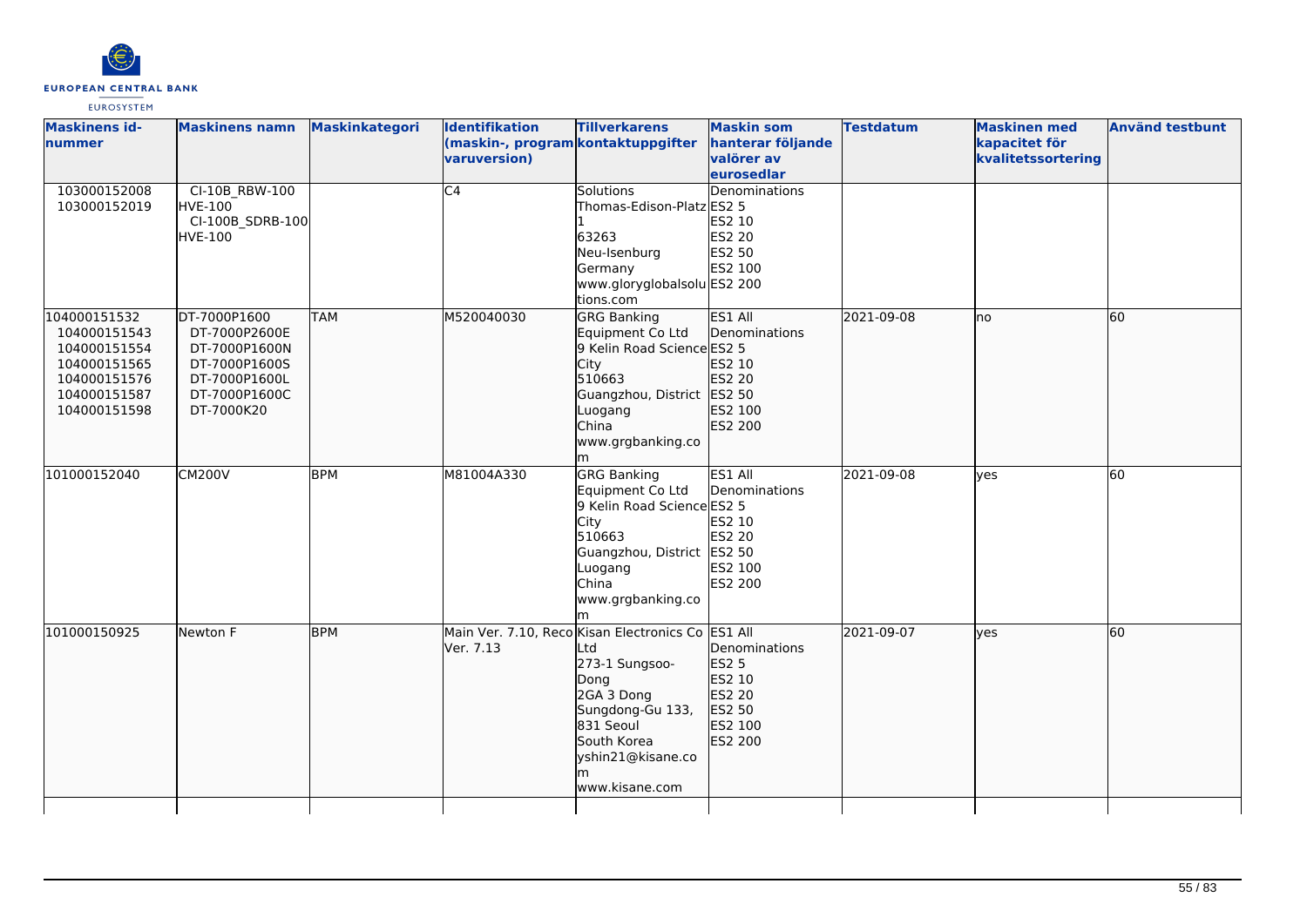

| <b>Maskinens id-</b><br>nummer                                                               | <b>Maskinens namn</b>                                                                           | <b>Maskinkategori</b> | Identifikation<br>(maskin-, program kontaktuppgifter<br>varuversion) | <b>Tillverkarens</b>                                                                                                                                   | <b>Maskin som</b><br>hanterar följande<br>valörer av                              | <b>Testdatum</b> | <b>Maskinen med</b><br>kapacitet för<br>kvalitetssortering | <b>Använd testbunt</b> |
|----------------------------------------------------------------------------------------------|-------------------------------------------------------------------------------------------------|-----------------------|----------------------------------------------------------------------|--------------------------------------------------------------------------------------------------------------------------------------------------------|-----------------------------------------------------------------------------------|------------------|------------------------------------------------------------|------------------------|
|                                                                                              |                                                                                                 |                       |                                                                      |                                                                                                                                                        | eurosedlar                                                                        |                  |                                                            |                        |
| 103000152008<br>103000152019<br>104000151532                                                 | CI-10B_RBW-100<br><b>HVE-100</b><br>CI-100B_SDRB-100<br><b>HVE-100</b><br>DT-7000P1600          | <b>TAM</b>            | $\overline{C4}$<br>M520040030                                        | Solutions<br>Thomas-Edison-Platz ES2 5<br>63263<br>Neu-Isenburg<br>Germany<br>www.gloryglobalsolu ES2 200<br>tions.com<br><b>GRG Banking</b>           | Denominations<br>ES2 10<br><b>ES2 20</b><br>ES2 50<br>ES2 100<br>ES1 All          | 2021-09-08       | no                                                         | 60                     |
| 104000151543<br>104000151554<br>104000151565<br>104000151576<br>104000151587<br>104000151598 | DT-7000P2600E<br>DT-7000P1600N<br>DT-7000P1600S<br>DT-7000P1600L<br>DT-7000P1600C<br>DT-7000K20 |                       |                                                                      | Equipment Co Ltd<br>9 Kelin Road Science ES2 5<br>City<br>510663<br>Guangzhou, District ES2 50<br>Luogang<br>China<br>www.grgbanking.co<br>m           | Denominations<br>ES2 10<br>ES2 20<br>ES2 100<br>ES2 200                           |                  |                                                            |                        |
| 101000152040                                                                                 | <b>CM200V</b>                                                                                   | <b>BPM</b>            | M81004A330                                                           | GRG Banking<br>Equipment Co Ltd<br>9 Kelin Road Science ES2 5<br>City<br>510663<br>Guangzhou, District ES2 50<br>Luogang<br>China<br>www.grgbanking.co | ES1 All<br>Denominations<br>ES2 10<br><b>ES2 20</b><br>ES2 100<br>ES2 200         | 2021-09-08       | yes                                                        | 60                     |
| 101000150925                                                                                 | Newton F                                                                                        | <b>BPM</b>            | Main Ver. 7.10, Reco Kisan Electronics Co ES1 All<br>Ver. 7.13       | Ltd<br>273-1 Sungsoo-<br>Dong<br>2GA 3 Dong<br>Sungdong-Gu 133,<br>831 Seoul<br>South Korea<br>yshin21@kisane.co<br>lm.<br>www.kisane.com              | Denominations<br><b>ES2 5</b><br>ES2 10<br>ES2 20<br>ES2 50<br>ES2 100<br>ES2 200 | 2021-09-07       | lyes                                                       | 60                     |
|                                                                                              |                                                                                                 |                       |                                                                      |                                                                                                                                                        |                                                                                   |                  |                                                            |                        |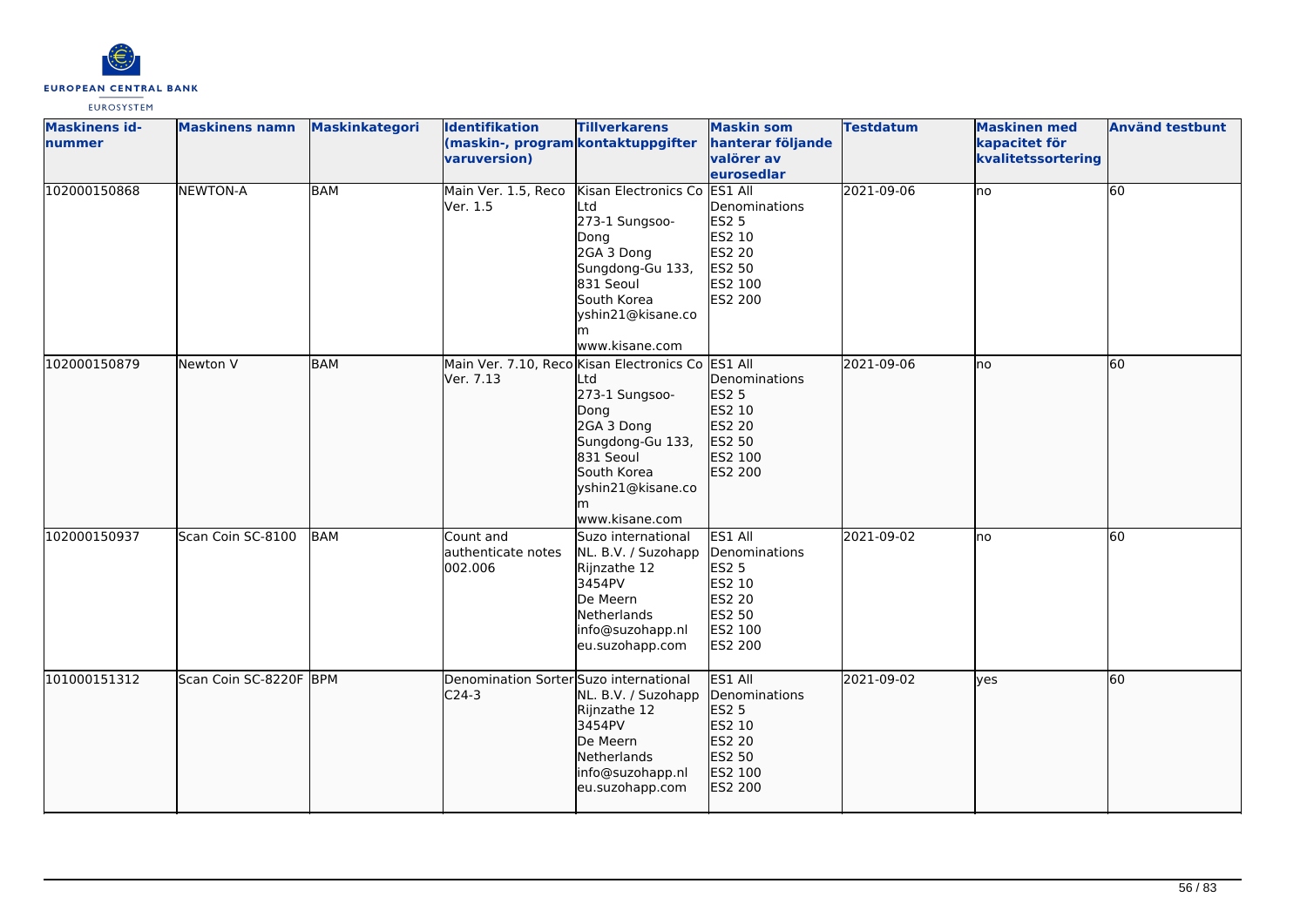

| <b>Maskinens id-</b><br>nummer | <b>Maskinens namn</b>  | <b>Maskinkategori</b> | <b>Identifikation</b><br>(maskin-, program kontaktuppgifter<br>varuversion) | <b>Tillverkarens</b>                                                                                                                                                                    | <b>Maskin som</b><br>hanterar följande<br>valörer av<br>eurosedlar                                  | <b>Testdatum</b> | <b>Maskinen med</b><br>kapacitet för<br>kvalitetssortering | <b>Använd testbunt</b> |
|--------------------------------|------------------------|-----------------------|-----------------------------------------------------------------------------|-----------------------------------------------------------------------------------------------------------------------------------------------------------------------------------------|-----------------------------------------------------------------------------------------------------|------------------|------------------------------------------------------------|------------------------|
| 102000150868                   | <b>NEWTON-A</b>        | <b>BAM</b>            | Main Ver. 1.5, Reco<br>Ver. 1.5                                             | Kisan Electronics Co ES1 All<br>Ltd<br>273-1 Sungsoo-<br>Dong<br>2GA 3 Dong<br>Sungdong-Gu 133,<br>831 Seoul<br>South Korea<br>yshin21@kisane.co<br>www.kisane.com                      | Denominations<br><b>ES2 5</b><br>ES2 10<br>ES2 20<br>ES2 50<br>ES2 100<br>ES2 200                   | 2021-09-06       | no                                                         | $\overline{60}$        |
| 102000150879                   | Newton V               | <b>BAM</b>            | Ver. 7.13                                                                   | Main Ver. 7.10, Reco Kisan Electronics Co ES1 All<br>Ltd<br>273-1 Sungsoo-<br>Dong<br>2GA 3 Dong<br>Sungdong-Gu 133,<br>831 Seoul<br>South Korea<br>yshin21@kisane.co<br>www.kisane.com | Denominations<br>ES2 5<br>ES2 10<br>ES2 20<br>ES2 50<br>ES2 100<br>ES2 200                          | 2021-09-06       | lno                                                        | 60                     |
| 102000150937                   | Scan Coin SC-8100      | <b>BAM</b>            | Count and<br>authenticate notes<br>002.006                                  | Suzo international<br>NL. B.V. / Suzohapp<br>Rijnzathe 12<br>3454PV<br>De Meern<br>Netherlands<br>info@suzohapp.nl<br>eu.suzohapp.com                                                   | ES1 All<br>Denominations<br><b>ES2 5</b><br>ES2 10<br>ES2 20<br><b>ES2 50</b><br>ES2 100<br>ES2 200 | 2021-09-02       | lno                                                        | 60                     |
| 101000151312                   | Scan Coin SC-8220F BPM |                       | Denomination Sorter Suzo international<br>$C24-3$                           | NL. B.V. / Suzohapp<br>Rijnzathe 12<br>3454PV<br>De Meern<br>Netherlands<br>info@suzohapp.nl<br>eu.suzohapp.com                                                                         | ES1 All<br>Denominations<br>ES2 5<br>ES2 10<br>ES2 20<br>ES2 50<br>ES2 100<br>ES2 200               | 2021-09-02       | lyes                                                       | 60                     |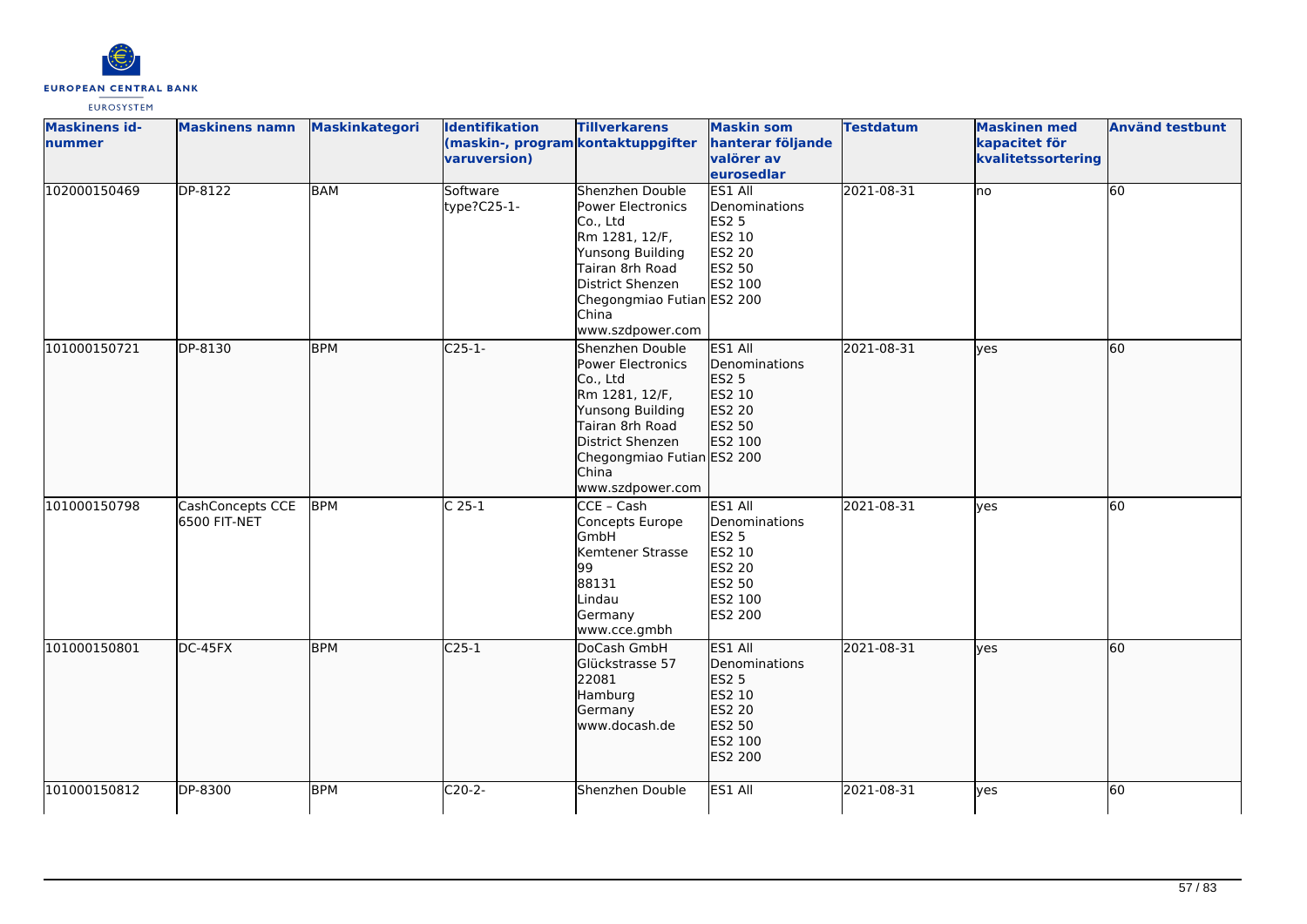

| <b>Maskinens id-</b><br>nummer | <b>Maskinens namn</b>            | Maskinkategori | <b>Identifikation</b><br>(maskin-, program kontaktuppgifter<br>varuversion) | <b>Tillverkarens</b>                                                                                                                                                                     | <b>Maskin som</b><br>hanterar följande<br>valörer av<br>eurosedlar                           | <b>Testdatum</b> | <b>Maskinen med</b><br>kapacitet för<br>kvalitetssortering | <b>Använd testbunt</b> |
|--------------------------------|----------------------------------|----------------|-----------------------------------------------------------------------------|------------------------------------------------------------------------------------------------------------------------------------------------------------------------------------------|----------------------------------------------------------------------------------------------|------------------|------------------------------------------------------------|------------------------|
| 102000150469                   | <b>DP-8122</b>                   | <b>BAM</b>     | Software<br>type?C25-1-                                                     | Shenzhen Double<br>Power Electronics<br>Co., Ltd<br>Rm 1281, 12/F,<br>Yunsong Building<br>Tairan 8rh Road<br>District Shenzen<br>Chegongmiao Futian ES2 200<br>China<br>www.szdpower.com | ES1 All<br>Denominations<br><b>ES2 5</b><br>ES2 10<br><b>ES2 20</b><br>ES2 50<br>ES2 100     | 2021-08-31       | lno                                                        | 60                     |
| 101000150721                   | DP-8130                          | <b>BPM</b>     | $C25-1$                                                                     | Shenzhen Double<br>Power Electronics<br>Co., Ltd<br>Rm 1281, 12/F,<br>Yunsong Building<br>Tairan 8rh Road<br>District Shenzen<br>Chegongmiao Futian ES2 200<br>China<br>www.szdpower.com | ES1 All<br>Denominations<br>ES2 5<br>ES2 10<br>ES2 20<br>ES2 50<br>ES2 100                   | 2021-08-31       | lyes                                                       | 60                     |
| 101000150798                   | CashConcepts CCE<br>6500 FIT-NET | <b>BPM</b>     | $C25-1$                                                                     | CCE - Cash<br>Concepts Europe<br><b>GmbH</b><br>Kemtener Strasse<br>99<br>88131<br>Lindau<br>Germany<br>www.cce.gmbh                                                                     | ES1 All<br>Denominations<br><b>ES2 5</b><br>ES2 10<br>ES2 20<br>ES2 50<br>ES2 100<br>ES2 200 | 2021-08-31       | yes                                                        | 60                     |
| 101000150801                   | $DC-45FX$                        | <b>BPM</b>     | $C25-1$                                                                     | DoCash GmbH<br>Glückstrasse 57<br>22081<br>Hamburg<br>Germany<br>www.docash.de                                                                                                           | ES1 All<br>Denominations<br>ES2 5<br>ES2 10<br>ES2 20<br>ES2 50<br>ES2 100<br>ES2 200        | 2021-08-31       | lyes                                                       | 60                     |
| 101000150812                   | DP-8300                          | <b>BPM</b>     | $C20-2-$                                                                    | Shenzhen Double                                                                                                                                                                          | ES1 All                                                                                      | 2021-08-31       | yes                                                        | 60                     |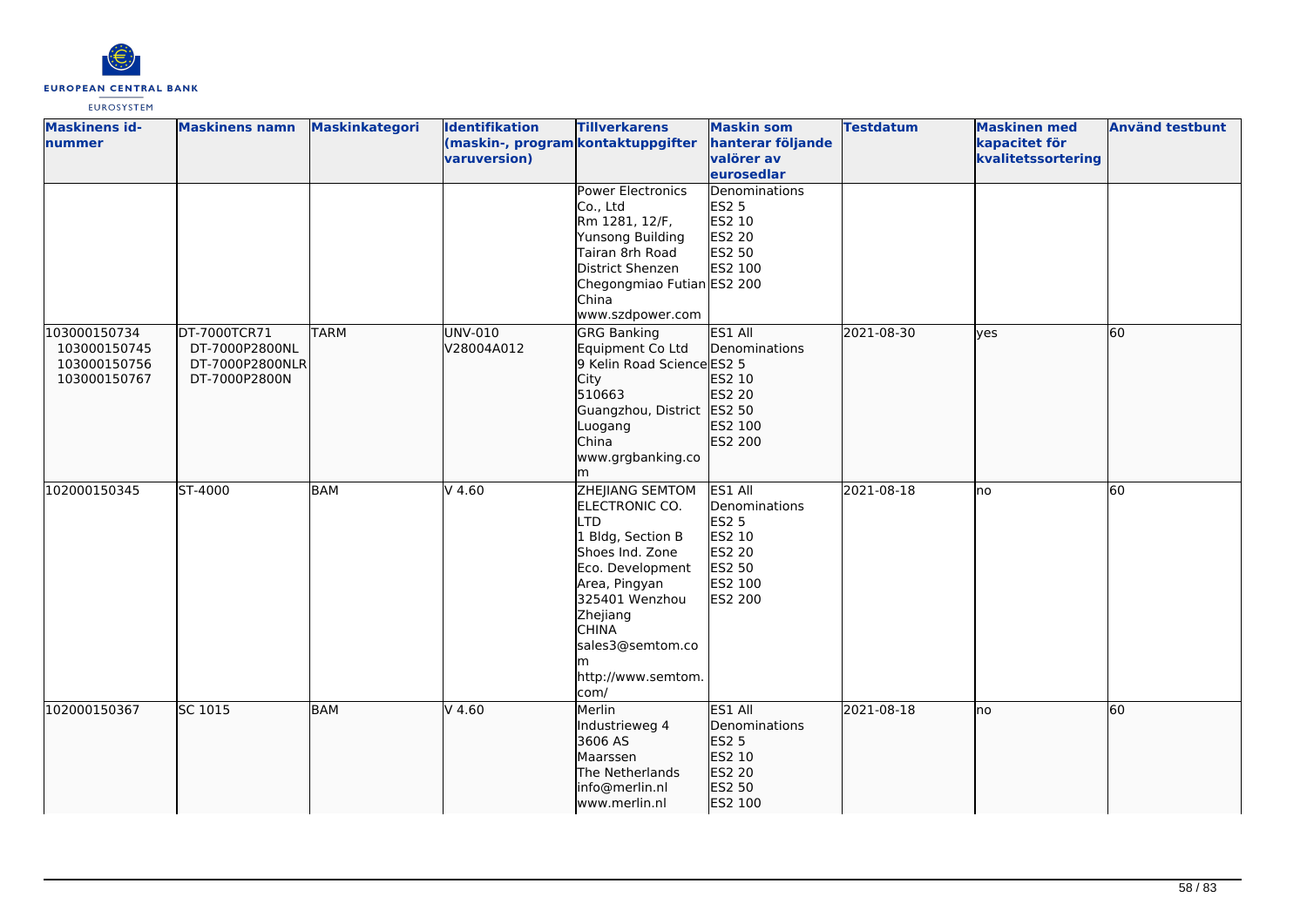

| <b>Maskinens id-</b><br>nummer                               | <b>Maskinens namn</b>                                              | Maskinkategori | <b>Identifikation</b><br>(maskin-, program kontaktuppgifter<br>varuversion) | <b>Tillverkarens</b>                                                                                                                                                                                                                     | <b>Maskin som</b><br>hanterar följande<br>valörer av<br>eurosedlar                           | <b>Testdatum</b> | <b>Maskinen med</b><br>kapacitet för<br>kvalitetssortering | <b>Använd testbunt</b> |
|--------------------------------------------------------------|--------------------------------------------------------------------|----------------|-----------------------------------------------------------------------------|------------------------------------------------------------------------------------------------------------------------------------------------------------------------------------------------------------------------------------------|----------------------------------------------------------------------------------------------|------------------|------------------------------------------------------------|------------------------|
|                                                              |                                                                    |                |                                                                             | <b>Power Electronics</b><br>Co., Ltd<br>Rm 1281, 12/F,<br>Yunsong Building<br>Tairan 8rh Road<br><b>District Shenzen</b><br>Chegongmiao Futian ES2 200<br>China<br>www.szdpower.com                                                      | Denominations<br><b>ES2 5</b><br>ES2 10<br><b>ES2 20</b><br>ES2 50<br>ES2 100                |                  |                                                            |                        |
| 103000150734<br>103000150745<br>103000150756<br>103000150767 | DT-7000TCR71<br>DT-7000P2800NL<br>DT-7000P2800NLR<br>DT-7000P2800N | <b>TARM</b>    | UNV-010<br>V28004A012                                                       | <b>GRG Banking</b><br>Equipment Co Ltd<br>9 Kelin Road Science ES2 5<br>City<br>510663<br>Guangzhou, District ES2 50<br>Luogang<br>China<br>www.grgbanking.co<br>m                                                                       | ES1 All<br>Denominations<br>ES2 10<br>ES2 20<br>ES2 100<br>ES2 200                           | 2021-08-30       | lves                                                       | 60                     |
| 102000150345                                                 | ST-4000                                                            | <b>BAM</b>     | $V$ 4.60                                                                    | <b>ZHEJIANG SEMTOM</b><br>ELECTRONIC CO.<br><b>LTD</b><br>1 Bldg, Section B<br>Shoes Ind. Zone<br>Eco. Development<br>Area, Pingyan<br>325401 Wenzhou<br>Zhejiang<br><b>CHINA</b><br>sales3@semtom.co<br>m<br>http://www.semtom.<br>com/ | ES1 All<br>Denominations<br><b>ES2 5</b><br>ES2 10<br>ES2 20<br>ES2 50<br>ES2 100<br>ES2 200 | 2021-08-18       | lno                                                        | 60                     |
| 102000150367                                                 | SC 1015                                                            | <b>BAM</b>     | $V$ 4.60                                                                    | Merlin<br>Industrieweg 4<br>3606 AS<br>Maarssen<br>The Netherlands<br>info@merlin.nl<br>www.merlin.nl                                                                                                                                    | ES1 All<br>Denominations<br>ES2 5<br>ES2 10<br>ES2 20<br>ES2 50<br>ES2 100                   | 2021-08-18       | lno                                                        | 60                     |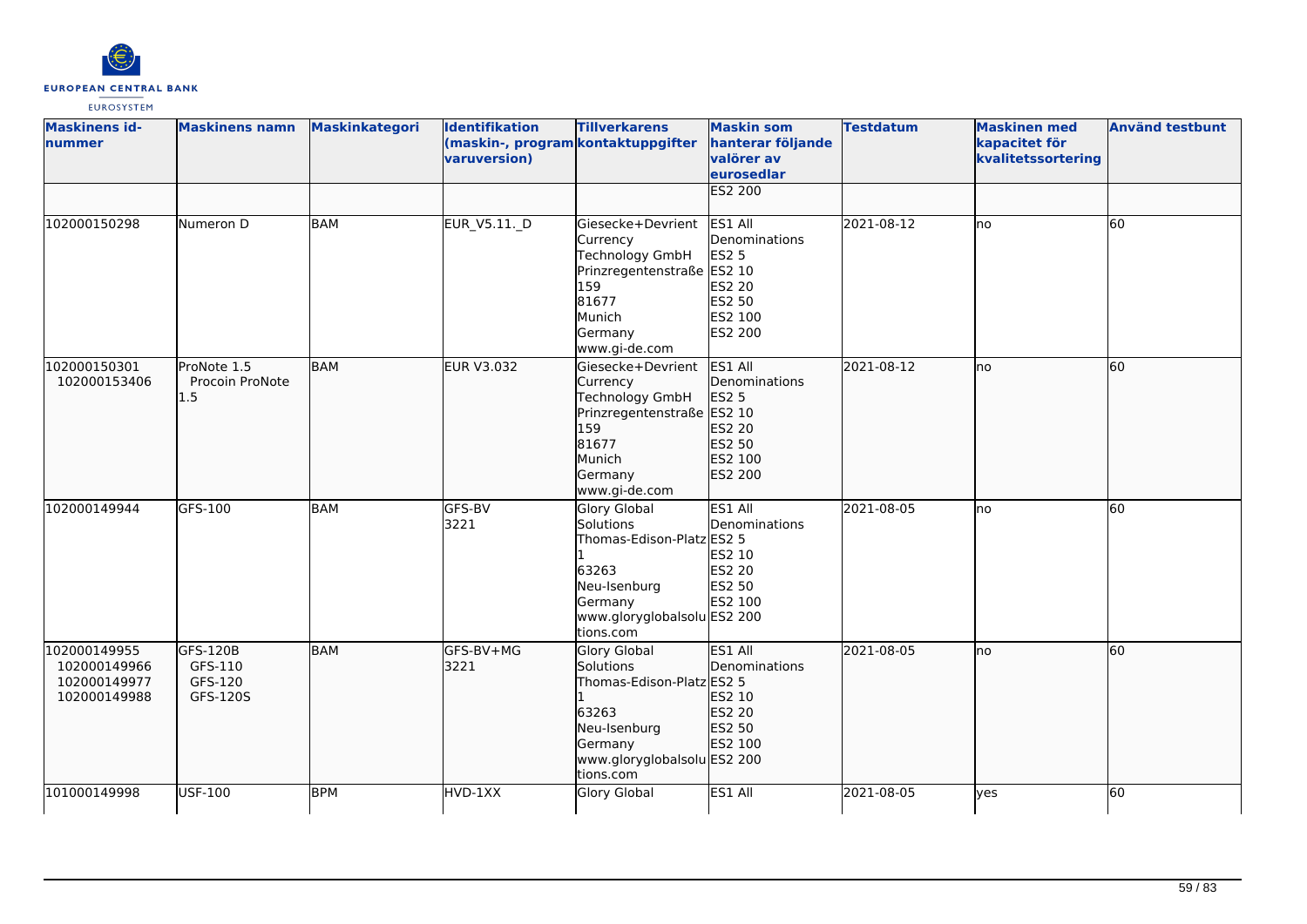

| <b>Maskinens id-</b><br>nummer                               | <b>Maskinens namn</b>                      | <b>Maskinkategori</b> | <b>Identifikation</b><br>(maskin-, program kontaktuppgifter<br>varuversion) | <b>Tillverkarens</b>                                                                                                                   | <b>Maskin som</b><br>hanterar följande<br>valörer av<br>eurosedlar<br>ES2 200                    | <b>Testdatum</b> | <b>Maskinen med</b><br>kapacitet för<br>kvalitetssortering | <b>Använd testbunt</b> |
|--------------------------------------------------------------|--------------------------------------------|-----------------------|-----------------------------------------------------------------------------|----------------------------------------------------------------------------------------------------------------------------------------|--------------------------------------------------------------------------------------------------|------------------|------------------------------------------------------------|------------------------|
|                                                              |                                            |                       |                                                                             |                                                                                                                                        |                                                                                                  |                  |                                                            |                        |
| 102000150298                                                 | Numeron D                                  | <b>BAM</b>            | EUR_V5.11._D                                                                | Giesecke+Devrient<br>Currency<br>Technology GmbH<br>Prinzregentenstraße ES2 10<br>159<br>81677<br>Munich<br>Germany<br>www.gi-de.com   | ES1 All<br>Denominations<br><b>ES2 5</b><br>ES2 20<br><b>ES2 50</b><br>ES2 100<br><b>ES2 200</b> | 2021-08-12       | lno                                                        | 60                     |
| 102000150301<br>102000153406                                 | ProNote 1.5<br>Procoin ProNote<br>1.5      | <b>BAM</b>            | <b>EUR V3.032</b>                                                           | Giesecke+Devrient<br>Currency<br>Technology GmbH<br>Prinzregentenstraße ES2 10<br>159<br>81677<br>Munich<br>Germany<br>www.gi-de.com   | ES1 All<br>Denominations<br><b>ES2 5</b><br>ES2 20<br>ES2 50<br>ES2 100<br>ES2 200               | 2021-08-12       | Ino                                                        | 60                     |
| 102000149944                                                 | GFS-100                                    | BAM                   | GFS-BV<br>3221                                                              | Glory Global<br>Solutions<br>Thomas-Edison-Platz ES2 5<br>63263<br>Neu-Isenburg<br>Germany<br>www.gloryglobalsolu ES2 200<br>tions.com | ES1 All<br>Denominations<br>ES2 10<br><b>ES2 20</b><br>ES2 50<br>ES2 100                         | 2021-08-05       | Ino                                                        | 60                     |
| 102000149955<br>102000149966<br>102000149977<br>102000149988 | GFS-120B<br>GFS-110<br>GFS-120<br>GFS-120S | <b>BAM</b>            | GFS-BV+MG<br>3221                                                           | Glory Global<br>Solutions<br>Thomas-Edison-Platz ES2 5<br>63263<br>Neu-Isenburg<br>Germany<br>www.gloryglobalsolu ES2 200<br>tions.com | ES1 All<br><b>Denominations</b><br>ES2 10<br>ES2 20<br>ES2 50<br>ES2 100                         | 2021-08-05       | lno                                                        | 60                     |
| 101000149998                                                 | USF-100                                    | <b>BPM</b>            | HVD-1XX                                                                     | Glory Global                                                                                                                           | ES1 All                                                                                          | 2021-08-05       | lyes                                                       | 60                     |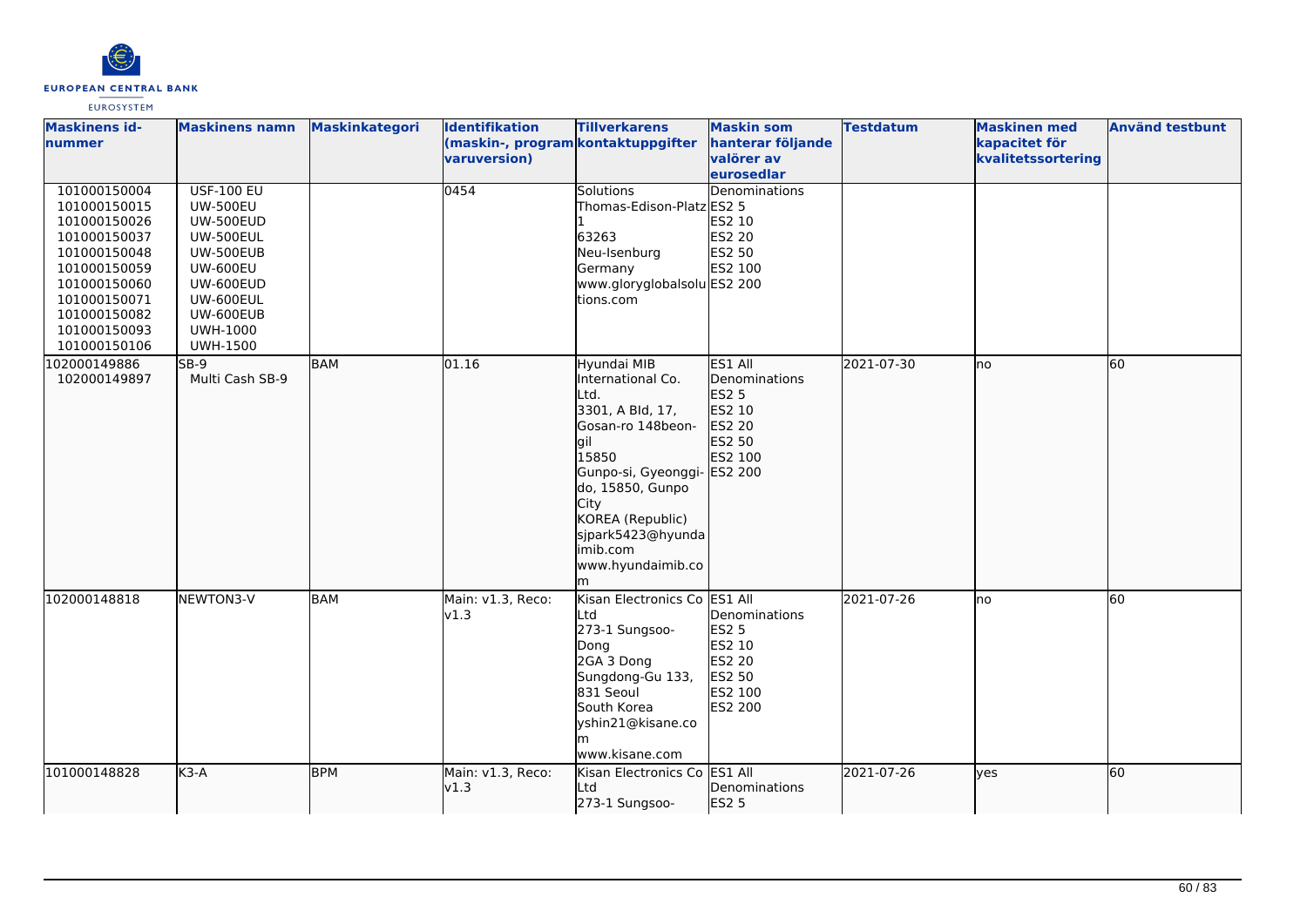

| <b>Maskinens id-</b><br>nummer                                                                                                                                               | <b>Maskinens namn</b>                                                                                                                                                                     | Maskinkategori | <b>Identifikation</b><br>(maskin-, program kontaktuppgifter<br>varuversion) | <b>Tillverkarens</b>                                                                                                                                                                                                           | <b>Maskin som</b><br>hanterar följande<br>valörer av                                                | <b>Testdatum</b> | <b>Maskinen</b> med<br>kapacitet för<br>kvalitetssortering | <b>Använd testbunt</b> |
|------------------------------------------------------------------------------------------------------------------------------------------------------------------------------|-------------------------------------------------------------------------------------------------------------------------------------------------------------------------------------------|----------------|-----------------------------------------------------------------------------|--------------------------------------------------------------------------------------------------------------------------------------------------------------------------------------------------------------------------------|-----------------------------------------------------------------------------------------------------|------------------|------------------------------------------------------------|------------------------|
| 101000150004<br>101000150015<br>101000150026<br>101000150037<br>101000150048<br>101000150059<br>101000150060<br>101000150071<br>101000150082<br>101000150093<br>101000150106 | <b>USF-100 EU</b><br><b>UW-500EU</b><br><b>UW-500EUD</b><br><b>UW-500EUL</b><br>UW-500EUB<br><b>UW-600EU</b><br>UW-600EUD<br>UW-600EUL<br>UW-600EUB<br><b>UWH-1000</b><br><b>UWH-1500</b> |                | 0454                                                                        | <b>Solutions</b><br>Thomas-Edison-Platz ES2 5<br>63263<br>Neu-Isenburg<br>Germany<br>www.gloryglobalsolu ES2 200<br>tions.com                                                                                                  | eurosedlar<br>Denominations<br>ES2 10<br>ES2 20<br>ES2 50<br>ES2 100                                |                  |                                                            |                        |
| 102000149886<br>102000149897                                                                                                                                                 | SB-9<br>Multi Cash SB-9                                                                                                                                                                   | <b>BAM</b>     | 01.16                                                                       | Hyundai MIB<br>nternational Co.<br>Ltd.<br>3301, A Bld, 17,<br>Gosan-ro 148beon-<br>lgil<br>15850<br>Gunpo-si, Gyeonggi-<br>do, 15850, Gunpo<br>City<br>KOREA (Republic)<br>sjpark5423@hyunda<br>imib.com<br>www.hyundaimib.co | ES1 All<br>Denominations<br><b>ES2 5</b><br>ES2 10<br>ES2 20<br>ES2 50<br>ES2 100<br><b>ES2 200</b> | 2021-07-30       | no                                                         | 60                     |
| 102000148818                                                                                                                                                                 | NEWTON3-V                                                                                                                                                                                 | <b>BAM</b>     | Main: v1.3, Reco:<br>v1.3                                                   | Kisan Electronics Co ES1 All<br>Ltd<br>273-1 Sungsoo-<br>Dong<br>2GA 3 Dong<br>Sungdong-Gu 133,<br>831 Seoul<br>South Korea<br>yshin21@kisane.co<br>www.kisane.com                                                             | Denominations<br><b>ES2 5</b><br>ES2 10<br>ES2 20<br>ES2 50<br>ES2 100<br>ES2 200                   | 2021-07-26       | Ino                                                        | 60                     |
| 101000148828                                                                                                                                                                 | $K3-A$                                                                                                                                                                                    | <b>BPM</b>     | Main: v1.3, Reco:<br>v1.3                                                   | Kisan Electronics Co ES1 All<br>Ltd<br>273-1 Sungsoo-                                                                                                                                                                          | Denominations<br>ES2 5                                                                              | 2021-07-26       | lyes                                                       | 60                     |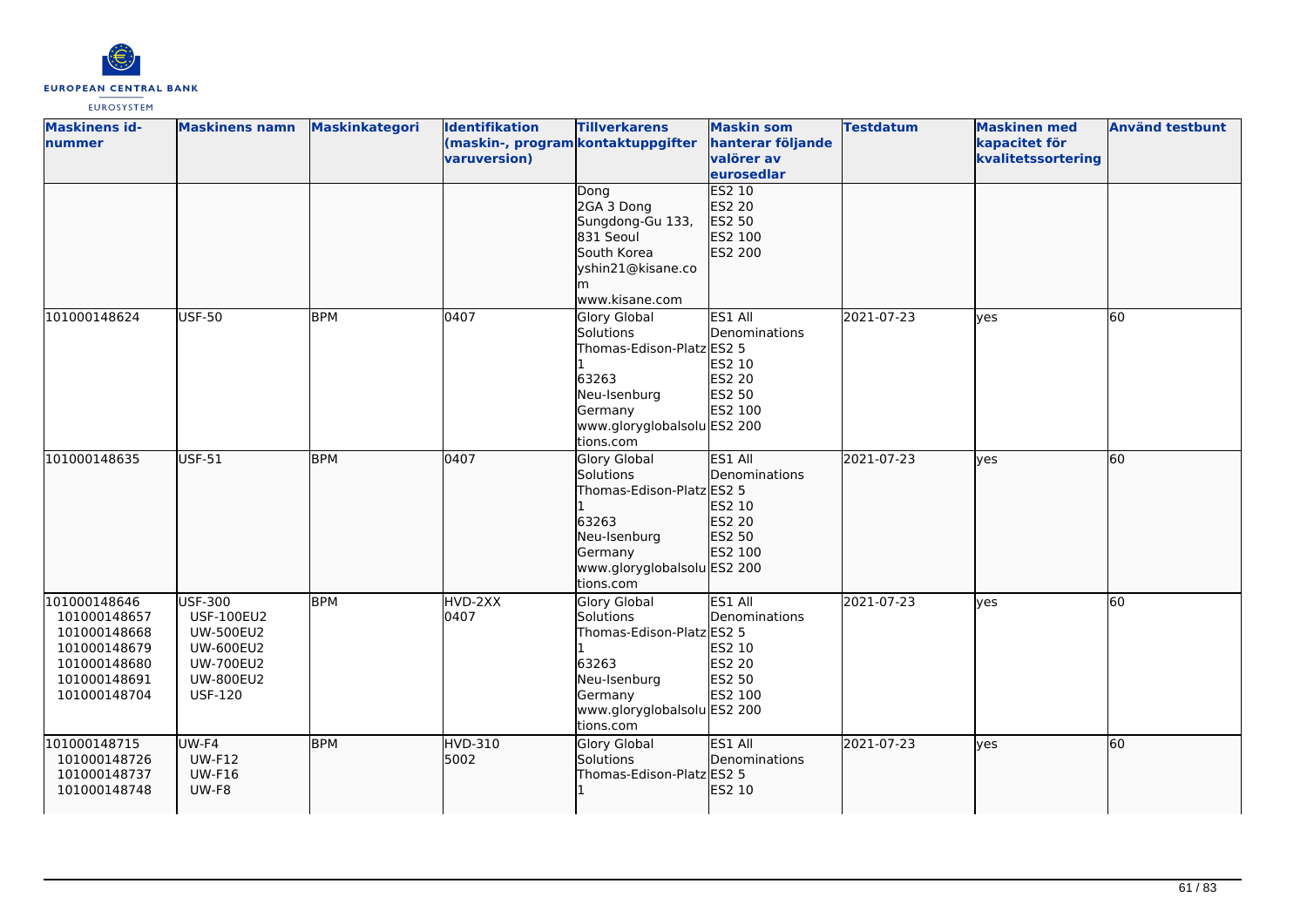

| <b>Maskinens id-</b><br>nummer                                                                               | <b>Maskinens namn</b>                                                                                                                 | <b>Maskinkategori</b> | <b>Identifikation</b><br>(maskin-, program kontaktuppgifter<br>varuversion) | <b>Tillverkarens</b>                                                                                                                   | <b>Maskin som</b><br>hanterar följande<br>valörer av<br>eurosedlar       | <b>Testdatum</b> | <b>Maskinen med</b><br>kapacitet för<br>kvalitetssortering | <b>Använd testbunt</b> |
|--------------------------------------------------------------------------------------------------------------|---------------------------------------------------------------------------------------------------------------------------------------|-----------------------|-----------------------------------------------------------------------------|----------------------------------------------------------------------------------------------------------------------------------------|--------------------------------------------------------------------------|------------------|------------------------------------------------------------|------------------------|
|                                                                                                              |                                                                                                                                       |                       |                                                                             | Dong<br>2GA 3 Dong<br>Sungdong-Gu 133,<br>831 Seoul<br>South Korea<br>yshin21@kisane.co<br>www.kisane.com                              | <b>ES2 10</b><br>ES2 20<br>ES2 50<br>ES2 100<br>ES2 200                  |                  |                                                            |                        |
| 101000148624                                                                                                 | <b>USF-50</b>                                                                                                                         | <b>BPM</b>            | 0407                                                                        | Glory Global<br>Solutions<br>Thomas-Edison-Platz ES2 5<br>63263<br>Neu-Isenburg<br>Germany<br>www.gloryglobalsolu ES2 200<br>tions.com | ES1 All<br>Denominations<br>ES2 10<br><b>ES2 20</b><br>ES2 50<br>ES2 100 | 2021-07-23       | yes                                                        | 60                     |
| 101000148635                                                                                                 | <b>USF-51</b>                                                                                                                         | <b>BPM</b>            | 0407                                                                        | Glory Global<br>Solutions<br>Thomas-Edison-Platz ES2 5<br>63263<br>Neu-Isenburg<br>Germany<br>www.gloryglobalsolu ES2 200<br>tions.com | ES1 All<br>Denominations<br>ES2 10<br>ES2 20<br>ES2 50<br>ES2 100        | 2021-07-23       | lves                                                       | 60                     |
| 101000148646<br>101000148657<br>101000148668<br>101000148679<br>101000148680<br>101000148691<br>101000148704 | <b>USF-300</b><br><b>USF-100EU2</b><br><b>UW-500EU2</b><br><b>UW-600EU2</b><br><b>UW-700EU2</b><br><b>UW-800EU2</b><br><b>USF-120</b> | <b>BPM</b>            | HVD-2XX<br>0407                                                             | Glory Global<br>Solutions<br>Thomas-Edison-Platz ES2 5<br>63263<br>Neu-Isenburg<br>Germany<br>www.gloryglobalsolu ES2 200<br>tions.com | ES1 All<br>Denominations<br>ES2 10<br><b>ES2 20</b><br>ES2 50<br>ES2 100 | 2021-07-23       | ves                                                        | 60                     |
| 101000148715<br>101000148726<br>101000148737<br>101000148748                                                 | UW-F4<br><b>UW-F12</b><br><b>UW-F16</b><br>UW-F8                                                                                      | <b>BPM</b>            | HVD-310<br>5002                                                             | Glory Global<br>Solutions<br>Thomas-Edison-Platz ES2 5                                                                                 | <b>ES1 All</b><br>Denominations<br>ES2 10                                | 2021-07-23       | <b>ves</b>                                                 | 60                     |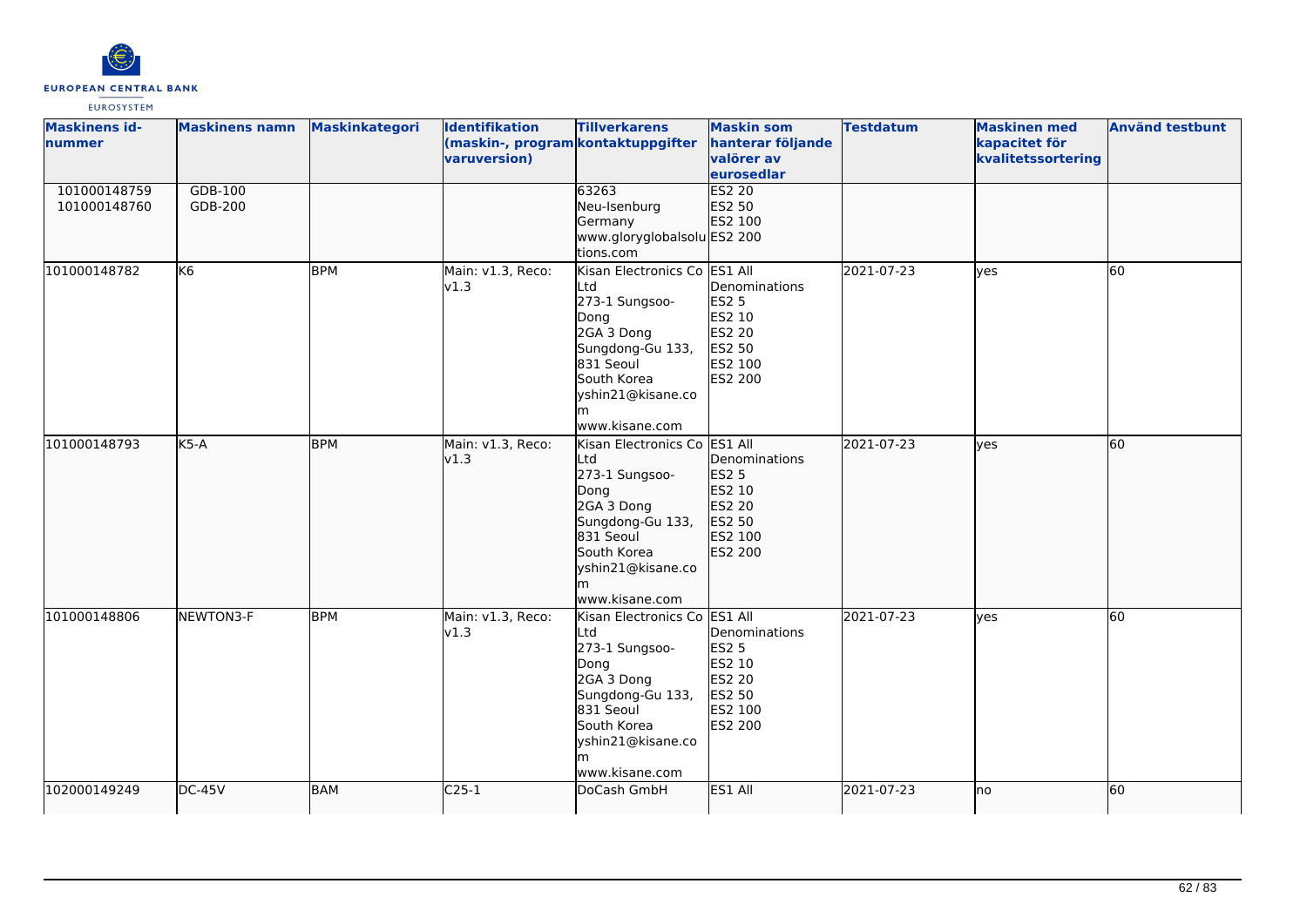

| <b>Maskinens id-</b><br>nummer<br>101000148759<br>101000148760 | <b>Maskinens namn</b><br>GDB-100<br>GDB-200 | Maskinkategori | <b>Identifikation</b><br>(maskin-, program kontaktuppgifter<br>varuversion) | <b>Tillverkarens</b><br>63263<br>Neu-Isenburg<br>Germany<br>www.gloryglobalsolu ES2 200<br>tions.com                                                                    | <b>Maskin som</b><br>hanterar följande<br>valörer av<br>eurosedlar<br><b>ES2 20</b><br>ES2 50<br>ES2 100 | <b>Testdatum</b> | <b>Maskinen med</b><br>kapacitet för<br>kvalitetssortering | <b>Använd testbunt</b> |
|----------------------------------------------------------------|---------------------------------------------|----------------|-----------------------------------------------------------------------------|-------------------------------------------------------------------------------------------------------------------------------------------------------------------------|----------------------------------------------------------------------------------------------------------|------------------|------------------------------------------------------------|------------------------|
| 101000148782                                                   | K <sub>6</sub>                              | <b>BPM</b>     | Main: v1.3, Reco:<br>v1.3                                                   | Kisan Electronics Co ES1 All<br>_td<br>273-1 Sungsoo-<br>Dong<br>2GA 3 Dong<br>Sungdong-Gu 133,<br>831 Seoul<br>South Korea<br>yshin21@kisane.co<br>www.kisane.com      | Denominations<br>ES2 5<br>ES2 10<br><b>ES2 20</b><br>ES2 50<br>ES2 100<br>ES2 200                        | 2021-07-23       | yes                                                        | 60                     |
| 101000148793                                                   | $K5-A$                                      | <b>BPM</b>     | Main: v1.3, Reco:<br>v1.3                                                   | Kisan Electronics Co ES1 All<br>Ltd<br>273-1 Sungsoo-<br>Dong<br>2GA 3 Dong<br>Sungdong-Gu 133,<br>831 Seoul<br>South Korea<br>yshin21@kisane.co<br>m<br>www.kisane.com | Denominations<br><b>ES2 5</b><br>ES2 10<br>ES2 20<br>ES2 50<br>ES2 100<br>ES2 200                        | 2021-07-23       | lyes                                                       | 60                     |
| 101000148806                                                   | NEWTON3-F                                   | <b>BPM</b>     | Main: v1.3, Reco:<br>v1.3                                                   | Kisan Electronics Co ES1 All<br>Ltd<br>273-1 Sungsoo-<br>Dong<br>2GA 3 Dong<br>Sungdong-Gu 133,<br>831 Seoul<br>South Korea<br>yshin21@kisane.co<br>www.kisane.com      | Denominations<br><b>ES2 5</b><br>ES2 10<br>ES2 20<br>ES2 50<br>ES2 100<br>ES2 200                        | 2021-07-23       | yes                                                        | 60                     |
| 102000149249                                                   | <b>DC-45V</b>                               | <b>BAM</b>     | $C25-1$                                                                     | DoCash GmbH                                                                                                                                                             | ES1 All                                                                                                  | 2021-07-23       | Ino                                                        | 60                     |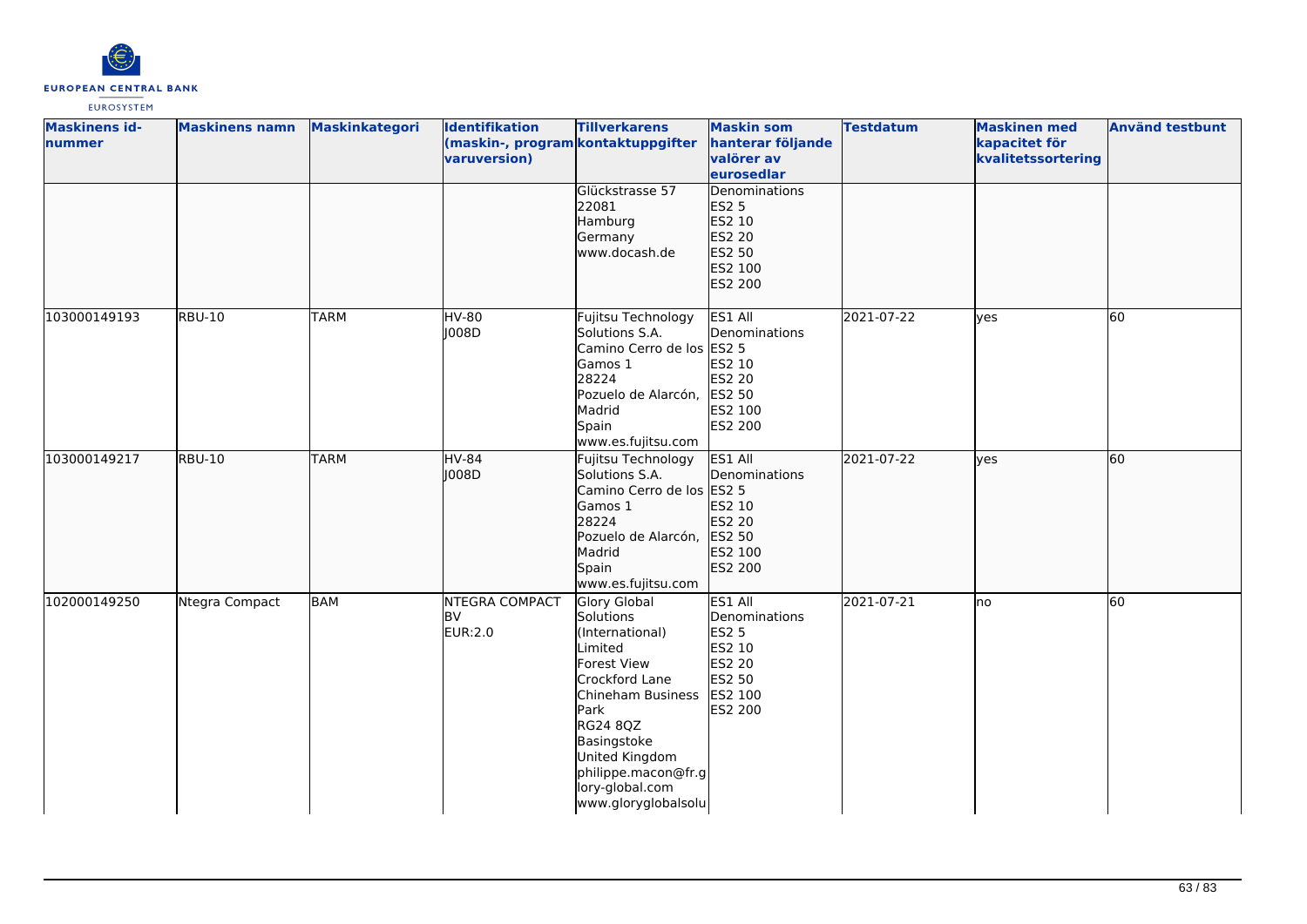

| <b>Maskinens id-</b><br>nummer | <b>Maskinens namn</b> | Maskinkategori | <b>Identifikation</b><br>(maskin-, program kontaktuppgifter<br>varuversion) | <b>Tillverkarens</b>                                                                                                                                                                                                                | <b>Maskin som</b><br>hanterar följande<br>valörer av<br>eurosedlar                                  | <b>Testdatum</b> | <b>Maskinen med</b><br>kapacitet för<br>kvalitetssortering | <b>Använd testbunt</b> |
|--------------------------------|-----------------------|----------------|-----------------------------------------------------------------------------|-------------------------------------------------------------------------------------------------------------------------------------------------------------------------------------------------------------------------------------|-----------------------------------------------------------------------------------------------------|------------------|------------------------------------------------------------|------------------------|
|                                |                       |                |                                                                             | Glückstrasse 57<br>22081<br>Hamburg<br>Germany<br>www.docash.de                                                                                                                                                                     | Denominations<br><b>ES2 5</b><br>ES2 10<br>ES2 20<br>ES2 50<br>ES2 100<br>ES2 200                   |                  |                                                            |                        |
| 103000149193                   | <b>RBU-10</b>         | <b>TARM</b>    | HV-80<br>J008D                                                              | Fujitsu Technology<br>Solutions S.A.<br>Camino Cerro de los ES2 5<br>Gamos 1<br>28224<br>Pozuelo de Alarcón,<br>Madrid<br>Spain<br>www.es.fujitsu.com                                                                               | ES1 All<br>Denominations<br>ES2 10<br><b>ES2 20</b><br>ES2 50<br>ES2 100<br><b>ES2 200</b>          | 2021-07-22       | yes                                                        | 60                     |
| 103000149217                   | <b>RBU-10</b>         | <b>TARM</b>    | $HV-84$<br> J008D                                                           | Fujitsu Technology<br>Solutions S.A.<br>Camino Cerro de los ES2 5<br>Gamos 1<br>28224<br>Pozuelo de Alarcón,<br>Madrid<br>Spain<br>www.es.fujitsu.com                                                                               | ES1 All<br>Denominations<br>ES2 10<br>ES2 20<br>ES2 50<br>ES2 100<br>ES2 200                        | 2021-07-22       | lyes                                                       | 60                     |
| 102000149250                   | Ntegra Compact        | <b>BAM</b>     | NTEGRA COMPACT<br><b>BV</b><br>EUR:2.0                                      | Glory Global<br>Solutions<br>(International)<br>Limited<br>Forest View<br>Crockford Lane<br>Chineham Business<br>Park<br>RG24 8QZ<br>Basingstoke<br>United Kingdom<br>philippe.macon@fr.g<br>lory-global.com<br>www.gloryglobalsolu | ES1 All<br>Denominations<br><b>ES2 5</b><br>ES2 10<br><b>ES2 20</b><br>ES2 50<br>ES2 100<br>ES2 200 | 2021-07-21       | Ino                                                        | 60                     |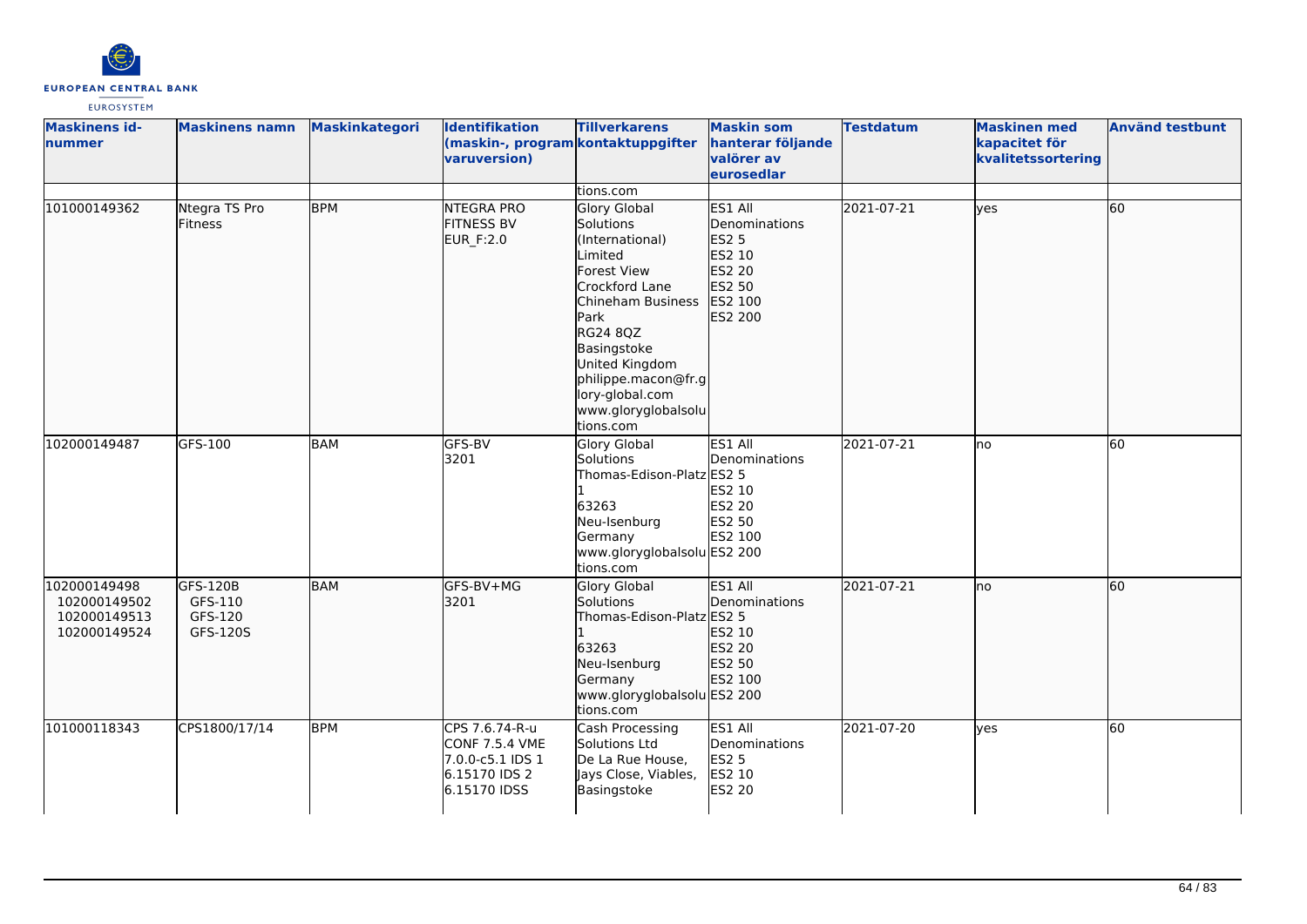

| <b>Maskinens id-</b><br>nummer                               | <b>Maskinens namn</b>                      | Maskinkategori | Identifikation<br>(maskin-, program kontaktuppgifter<br>varuversion)                         | <b>Tillverkarens</b>                                                                                                                                                                                                                             | <b>Maskin som</b><br>hanterar följande<br>valörer av<br>eurosedlar                           | <b>Testdatum</b> | <b>Maskinen med</b><br>kapacitet för<br>kvalitetssortering | <b>Använd testbunt</b> |
|--------------------------------------------------------------|--------------------------------------------|----------------|----------------------------------------------------------------------------------------------|--------------------------------------------------------------------------------------------------------------------------------------------------------------------------------------------------------------------------------------------------|----------------------------------------------------------------------------------------------|------------------|------------------------------------------------------------|------------------------|
|                                                              |                                            |                |                                                                                              | tions.com                                                                                                                                                                                                                                        |                                                                                              |                  |                                                            |                        |
| 101000149362                                                 | Ntegra TS Pro<br>Fitness                   | <b>BPM</b>     | <b>NTEGRA PRO</b><br><b>FITNESS BV</b><br>EUR_F:2.0                                          | Glory Global<br>Solutions<br>(International)<br>Limited<br>Forest View<br>Crockford Lane<br>Chineham Business<br>Park<br>RG24 8QZ<br>Basingstoke<br>United Kingdom<br>philippe.macon@fr.g<br>lory-global.com<br>www.gloryglobalsolu<br>tions.com | ES1 All<br>Denominations<br>ES2 5<br>ES2 10<br><b>ES2 20</b><br>ES2 50<br>ES2 100<br>ES2 200 | 2021-07-21       | lyes                                                       | 60                     |
| 102000149487                                                 | GFS-100                                    | <b>BAM</b>     | GFS-BV<br>3201                                                                               | <b>Glory Global</b><br>Solutions<br>Thomas-Edison-Platz ES2 5<br>63263<br>Neu-Isenburg<br>Germany<br>www.gloryglobalsolu ES2 200<br>tions.com                                                                                                    | ES1 All<br>Denominations<br>ES2 10<br>ES2 20<br>ES2 50<br>ES2 100                            | 2021-07-21       | lno                                                        | 60                     |
| 102000149498<br>102000149502<br>102000149513<br>102000149524 | GFS-120B<br>GFS-110<br>GFS-120<br>GFS-120S | <b>BAM</b>     | GFS-BV+MG<br>3201                                                                            | Glory Global<br>Solutions<br>Thomas-Edison-Platz ES2 5<br>63263<br>Neu-Isenburg<br>Germany<br>www.gloryglobalsolu ES2 200<br>tions.com                                                                                                           | ES1 All<br>Denominations<br>ES2 10<br>ES2 20<br>ES2 50<br><b>ES2 100</b>                     | 2021-07-21       | lno                                                        | 60                     |
| 101000118343                                                 | CPS1800/17/14                              | <b>BPM</b>     | CPS 7.6.74-R-u<br><b>CONF 7.5.4 VME</b><br>7.0.0-c5.1 IDS 1<br>6.15170 IDS 2<br>6.15170 IDSS | Cash Processing<br>Solutions Ltd<br>De La Rue House,<br>Jays Close, Viables,<br>Basingstoke                                                                                                                                                      | ES1 All<br>Denominations<br><b>ES2 5</b><br>ES2 10<br><b>ES2 20</b>                          | 2021-07-20       | yes                                                        | $\overline{60}$        |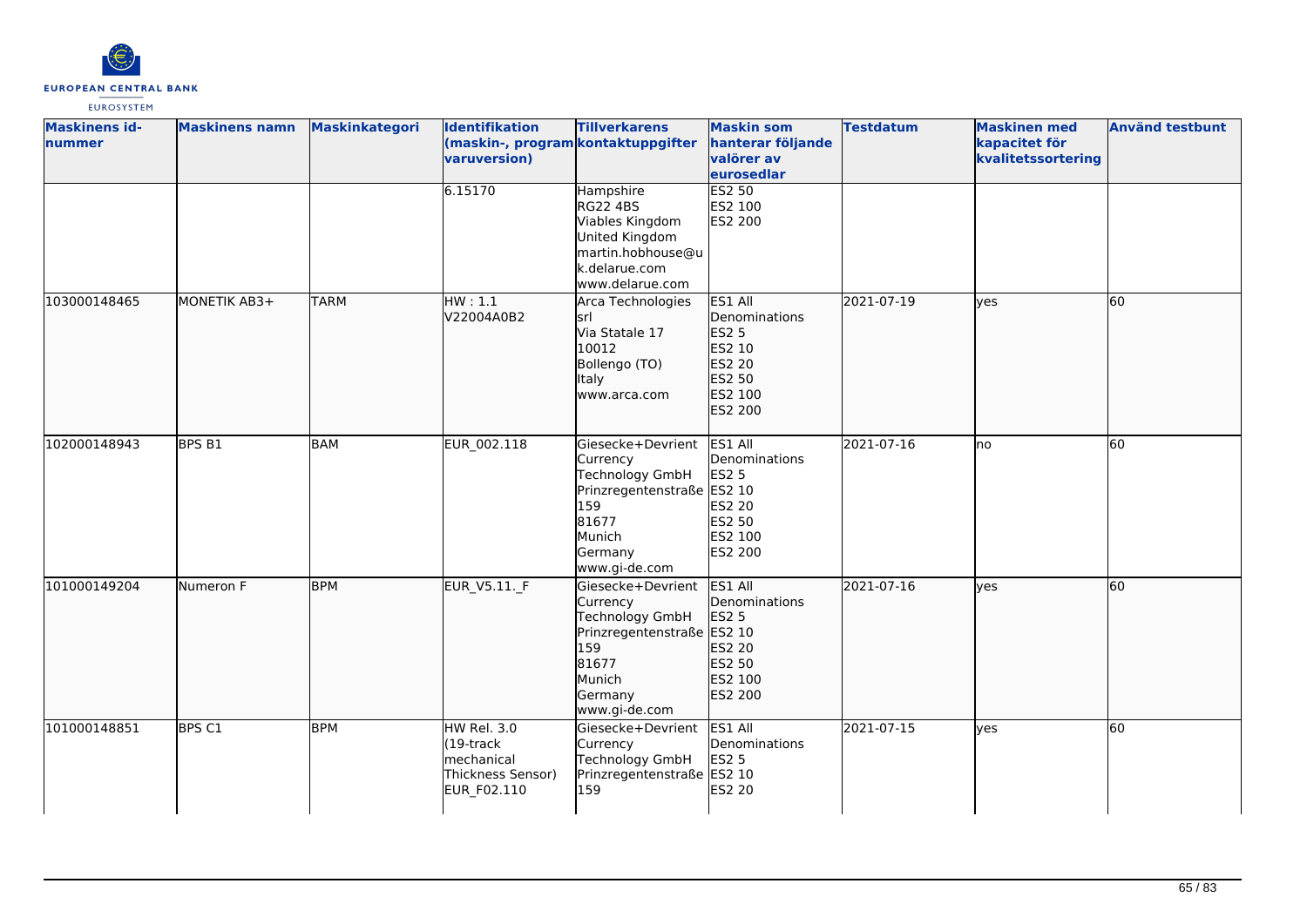

| <b>Maskinens id-</b><br>nummer | <b>Maskinens namn</b> | <b>Maskinkategori</b> | Identifikation<br>(maskin-, program kontaktuppgifter<br>varuversion)<br>6.15170 | <b>Tillverkarens</b><br>Hampshire                                                                                                    | <b>Maskin som</b><br>hanterar följande<br>valörer av<br>eurosedlar<br>ES2 50                     | <b>Testdatum</b> | <b>Maskinen med</b><br>kapacitet för<br>kvalitetssortering | <b>Använd testbunt</b> |
|--------------------------------|-----------------------|-----------------------|---------------------------------------------------------------------------------|--------------------------------------------------------------------------------------------------------------------------------------|--------------------------------------------------------------------------------------------------|------------------|------------------------------------------------------------|------------------------|
|                                |                       |                       |                                                                                 | <b>RG22 4BS</b><br>Viables Kingdom<br>United Kingdom<br>martin.hobhouse@u<br>k.delarue.com<br>www.delarue.com                        | ES2 100<br>ES2 200                                                                               |                  |                                                            |                        |
| 103000148465                   | MONETIK AB3+          | <b>TARM</b>           | HW:1.1<br>V22004A0B2                                                            | Arca Technologies<br>srl<br>Via Statale 17<br>10012<br>Bollengo (TO)<br>Italy<br>www.arca.com                                        | ES1 All<br>Denominations<br>ES2 5<br>ES2 10<br>ES2 20<br>ES2 50<br>ES2 100<br>ES2 200            | 2021-07-19       | lves                                                       | 60                     |
| 102000148943                   | <b>BPS B1</b>         | <b>BAM</b>            | EUR_002.118                                                                     | Giesecke+Devrient<br>Currency<br>Technology GmbH<br>Prinzregentenstraße ES2 10<br>159<br>81677<br>Munich<br>Germany<br>www.gi-de.com | ES1 All<br>Denominations<br><b>ES2 5</b><br><b>ES2 20</b><br>ES2 50<br>ES2 100<br><b>ES2 200</b> | 2021-07-16       | no                                                         | 60                     |
| 101000149204                   | Numeron F             | <b>BPM</b>            | EUR V5.11. F                                                                    | Giesecke+Devrient<br>Currency<br>Technology GmbH<br>Prinzregentenstraße ES2 10<br>159<br>81677<br>Munich<br>Germany<br>www.gi-de.com | ES1 All<br>Denominations<br><b>ES2 5</b><br>ES2 20<br>ES2 50<br>ES2 100<br>ES2 200               | 2021-07-16       | lves                                                       | 60                     |
| 101000148851                   | BPS C1                | <b>BPM</b>            | HW Rel. 3.0<br>$(19$ -track<br>mechanical<br>Thickness Sensor)<br>EUR_F02.110   | Giesecke+Devrient<br>Currency<br>Technology GmbH<br>Prinzregentenstraße ES2 10<br>159                                                | ES1 All<br>Denominations<br><b>ES2 5</b><br>ES2 20                                               | 2021-07-15       | <b>ves</b>                                                 | $\overline{60}$        |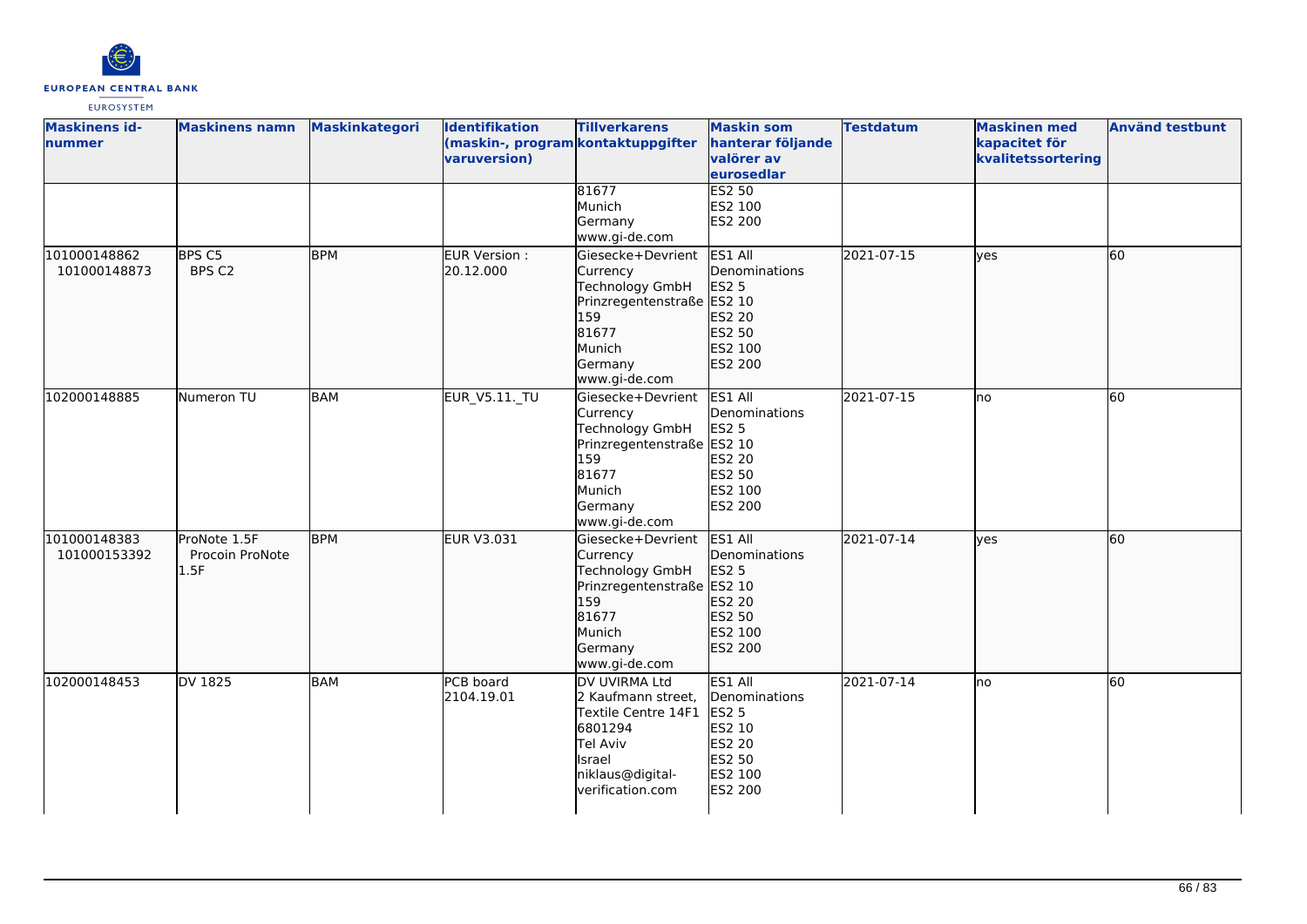

| <b>Maskinens id-</b><br>nummer | <b>Maskinens namn</b>                   | Maskinkategori | Identifikation<br>(maskin-, program kontaktuppgifter<br>varuversion) | <b>Tillverkarens</b>                                                                                                                 | <b>Maskin som</b><br>hanterar följande<br>valörer av<br>eurosedlar                           | <b>Testdatum</b> | <b>Maskinen</b> med<br>kapacitet för<br>kvalitetssortering | <b>Använd testbunt</b> |
|--------------------------------|-----------------------------------------|----------------|----------------------------------------------------------------------|--------------------------------------------------------------------------------------------------------------------------------------|----------------------------------------------------------------------------------------------|------------------|------------------------------------------------------------|------------------------|
|                                |                                         |                |                                                                      | 81677<br>Munich<br>Germany<br>www.gi-de.com                                                                                          | <b>ES2 50</b><br>ES2 100<br>ES2 200                                                          |                  |                                                            |                        |
| 101000148862<br>101000148873   | BPS C5<br>BPS C2                        | <b>BPM</b>     | EUR Version :<br>20.12.000                                           | Giesecke+Devrient<br>Currency<br>Technology GmbH<br>Prinzregentenstraße<br>159<br>81677<br>Munich<br>Germany<br>www.gi-de.com        | ES1 All<br>Denominations<br><b>ES2 5</b><br>ES2 10<br>ES2 20<br>ES2 50<br>ES2 100<br>ES2 200 | 2021-07-15       | lyes                                                       | 60                     |
| 102000148885                   | Numeron TU                              | <b>BAM</b>     | <b>EUR_V5.11._TU</b>                                                 | Giesecke+Devrient<br>Currency<br>Technology GmbH<br>Prinzregentenstraße ES2 10<br>159<br>81677<br>Munich<br>Germany<br>www.gi-de.com | ES1 All<br>Denominations<br><b>ES2 5</b><br>ES2 20<br>ES2 50<br>ES2 100<br>ES2 200           | 2021-07-15       | no                                                         | 60                     |
| 101000148383<br>101000153392   | ProNote 1.5F<br>Procoin ProNote<br>1.5F | <b>BPM</b>     | EUR V3.031                                                           | Giesecke+Devrient<br>Currency<br>Technology GmbH<br>Prinzregentenstraße<br>159<br>81677<br>Munich<br>Germany<br>www.gi-de.com        | ES1 All<br>Denominations<br>ES2 5<br>ES2 10<br>ES2 20<br>ES2 50<br>ES2 100<br>ES2 200        | 2021-07-14       | lyes                                                       | 60                     |
| 102000148453                   | DV 1825                                 | <b>BAM</b>     | PCB board<br>2104.19.01                                              | DV UVIRMA Ltd<br>2 Kaufmann street,<br>Textile Centre 14F1<br>6801294<br>Tel Aviv<br>Israel<br>niklaus@digital-<br>verification.com  | ES1 All<br>Denominations<br><b>ES2 5</b><br>ES2 10<br>ES2 20<br>ES2 50<br>ES2 100<br>ES2 200 | 2021-07-14       | lno                                                        | 60                     |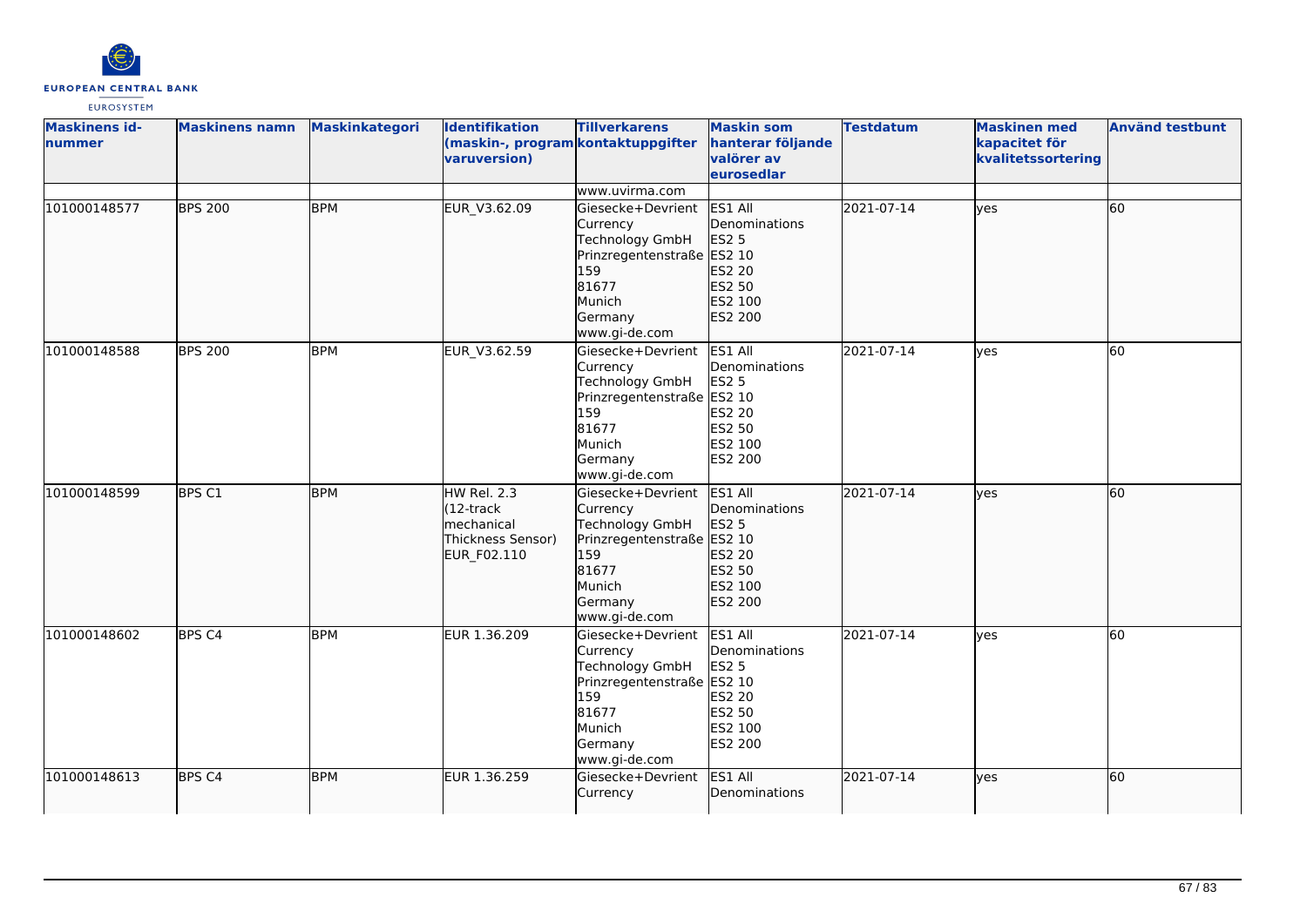

| <b>Maskinens id-</b><br>nummer | <b>Maskinens namn</b> | <b>Maskinkategori</b> | <b>Identifikation</b><br>(maskin-, program kontaktuppgifter<br>varuversion) | <b>Tillverkarens</b>                                                                                                                 | <b>Maskin som</b><br>hanterar följande<br>valörer av<br>eurosedlar                 | <b>Testdatum</b> | <b>Maskinen med</b><br>kapacitet för<br>kvalitetssortering | <b>Använd testbunt</b> |
|--------------------------------|-----------------------|-----------------------|-----------------------------------------------------------------------------|--------------------------------------------------------------------------------------------------------------------------------------|------------------------------------------------------------------------------------|------------------|------------------------------------------------------------|------------------------|
|                                |                       |                       |                                                                             | www.uvirma.com                                                                                                                       |                                                                                    |                  |                                                            |                        |
| 101000148577                   | <b>BPS 200</b>        | <b>BPM</b>            | EUR_V3.62.09                                                                | Giesecke+Devrient<br>Currency<br>Technology GmbH<br>Prinzregentenstraße ES2 10<br>159<br>81677<br>Munich<br>Germany<br>www.gi-de.com | ES1 All<br>Denominations<br>ES2 5<br>ES2 20<br>ES2 50<br>ES2 100<br>ES2 200        | 2021-07-14       | lyes                                                       | 60                     |
| 101000148588                   | <b>BPS 200</b>        | <b>BPM</b>            | EUR_V3.62.59                                                                | Giesecke+Devrient<br>Currency<br>Technology GmbH<br>Prinzregentenstraße ES2 10<br>159<br>81677<br>Munich<br>Germany<br>www.gi-de.com | ES1 All<br>Denominations<br><b>ES2 5</b><br>ES2 20<br>ES2 50<br>ES2 100<br>ES2 200 | 2021-07-14       | <b>ves</b>                                                 | 60                     |
| 101000148599                   | BPS C1                | <b>BPM</b>            | HW Rel. 2.3<br>(12-track<br>mechanical<br>Thickness Sensor)<br>EUR_F02.110  | Giesecke+Devrient<br>Currency<br>Technology GmbH<br>Prinzregentenstraße ES2 10<br>159<br>81677<br>Munich<br>Germany<br>www.gi-de.com | ES1 All<br>Denominations<br><b>ES2 5</b><br>ES2 20<br>ES2 50<br>ES2 100<br>ES2 200 | 2021-07-14       | lyes                                                       | 60                     |
| 101000148602                   | BPS <sub>C4</sub>     | <b>BPM</b>            | EUR 1.36.209                                                                | Giesecke+Devrient<br>Currency<br>Technology GmbH<br>Prinzregentenstraße ES2 10<br>159<br>81677<br>Munich<br>Germany<br>www.gi-de.com | ES1 All<br>Denominations<br><b>ES2 5</b><br>ES2 20<br>ES2 50<br>ES2 100<br>ES2 200 | 2021-07-14       | <b>l</b> ves                                               | 60                     |
| 101000148613                   | BPS <sub>C4</sub>     | <b>BPM</b>            | EUR 1.36.259                                                                | Giesecke+Devrient<br>Currency                                                                                                        | ES1 All<br>Denominations                                                           | 2021-07-14       | lves                                                       | 60                     |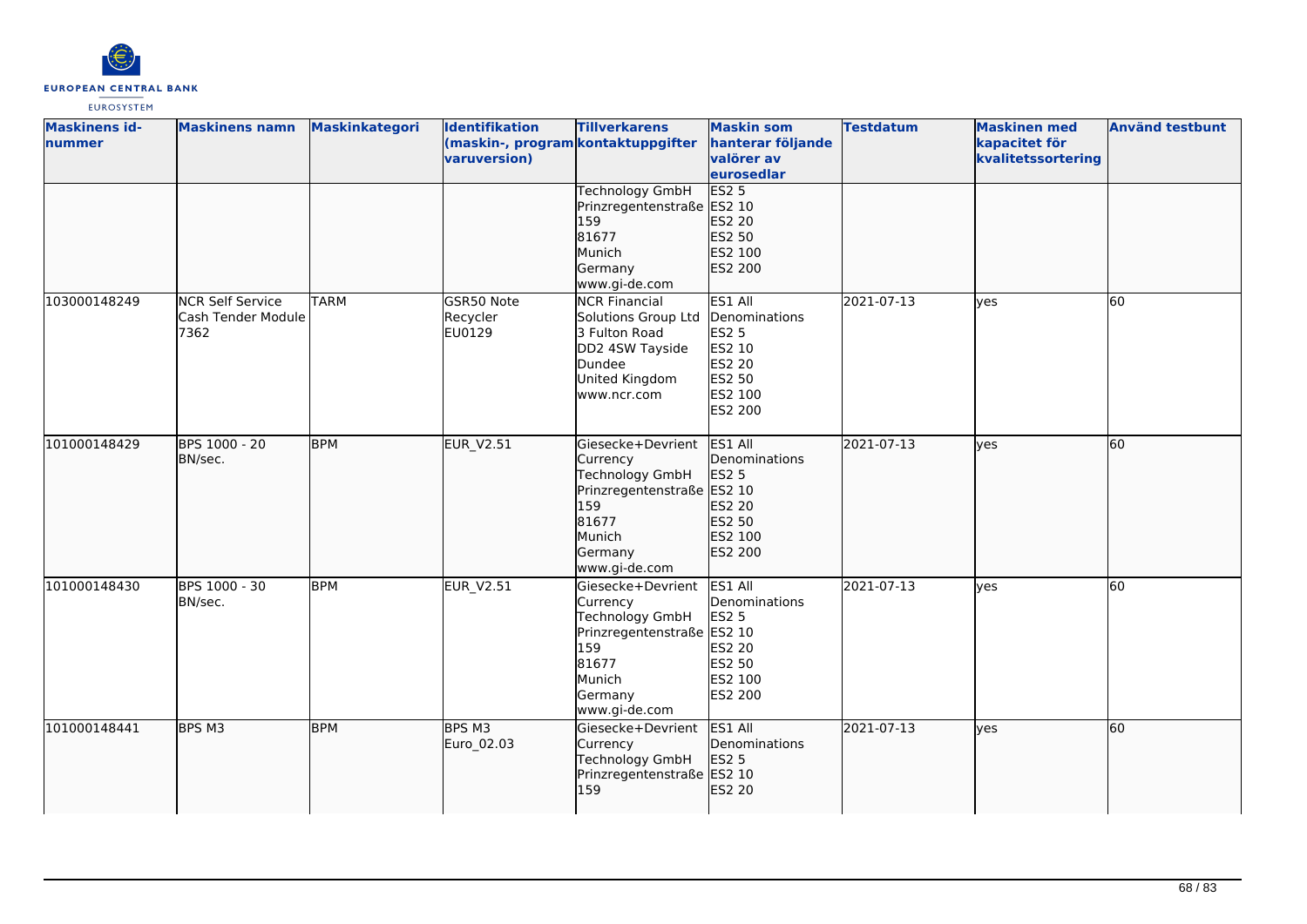

| <b>Maskinens id-</b><br>nummer | <b>Maskinens namn</b>                                 | <b>Maskinkategori</b> | Identifikation<br>(maskin-, program kontaktuppgifter<br>varuversion) | <b>Tillverkarens</b>                                                                                                                 | <b>Maskin som</b><br>hanterar följande<br>valörer av<br>eurosedlar                           | <b>Testdatum</b> | <b>Maskinen med</b><br>kapacitet för<br>kvalitetssortering | <b>Använd testbunt</b> |
|--------------------------------|-------------------------------------------------------|-----------------------|----------------------------------------------------------------------|--------------------------------------------------------------------------------------------------------------------------------------|----------------------------------------------------------------------------------------------|------------------|------------------------------------------------------------|------------------------|
|                                |                                                       |                       |                                                                      | <b>Technology GmbH</b><br>Prinzregentenstraße ES2 10<br>159<br>81677<br>Munich<br>Germany<br>www.gi-de.com                           | ES2 <sub>5</sub><br>ES2 20<br>ES2 50<br>ES2 100<br>ES2 200                                   |                  |                                                            |                        |
| 103000148249                   | <b>NCR Self Service</b><br>Cash Tender Module<br>7362 | <b>TARM</b>           | GSR50 Note<br>Recycler<br>EU0129                                     | <b>NCR Financial</b><br>Solutions Group Ltd<br>3 Fulton Road<br>DD2 4SW Tayside<br>Dundee<br>United Kingdom<br>www.ncr.com           | ES1 All<br>Denominations<br><b>ES2 5</b><br>ES2 10<br>ES2 20<br>ES2 50<br>ES2 100<br>ES2 200 | 2021-07-13       | lves                                                       | 60                     |
| 101000148429                   | BPS 1000 - 20<br>BN/sec.                              | <b>BPM</b>            | <b>EUR_V2.51</b>                                                     | Giesecke+Devrient<br>Currency<br>Technology GmbH<br>Prinzregentenstraße ES2 10<br>159<br>81677<br>Munich<br>Germany<br>www.gi-de.com | ES1 All<br>Denominations<br>ES2 5<br>ES2 20<br>ES2 50<br>ES2 100<br>ES2 200                  | 2021-07-13       | lves                                                       | 60                     |
| 101000148430                   | BPS 1000 - 30<br>BN/sec.                              | <b>BPM</b>            | EUR_V2.51                                                            | Giesecke+Devrient<br>Currency<br>Technology GmbH<br>Prinzregentenstraße ES2 10<br>159<br>81677<br>Munich<br>Germany<br>www.gi-de.com | ES1 All<br>Denominations<br><b>ES2 5</b><br>ES2 20<br>ES2 50<br>ES2 100<br><b>ES2 200</b>    | 2021-07-13       | lyes                                                       | 60                     |
| 101000148441                   | BPS M3                                                | <b>BPM</b>            | BPS M3<br>Euro_02.03                                                 | Giesecke+Devrient<br>Currency<br>Technology GmbH<br>Prinzregentenstraße ES2 10<br>159                                                | ES1 All<br>Denominations<br>ES2 5<br>ES2 20                                                  | 2021-07-13       | lves                                                       | 60                     |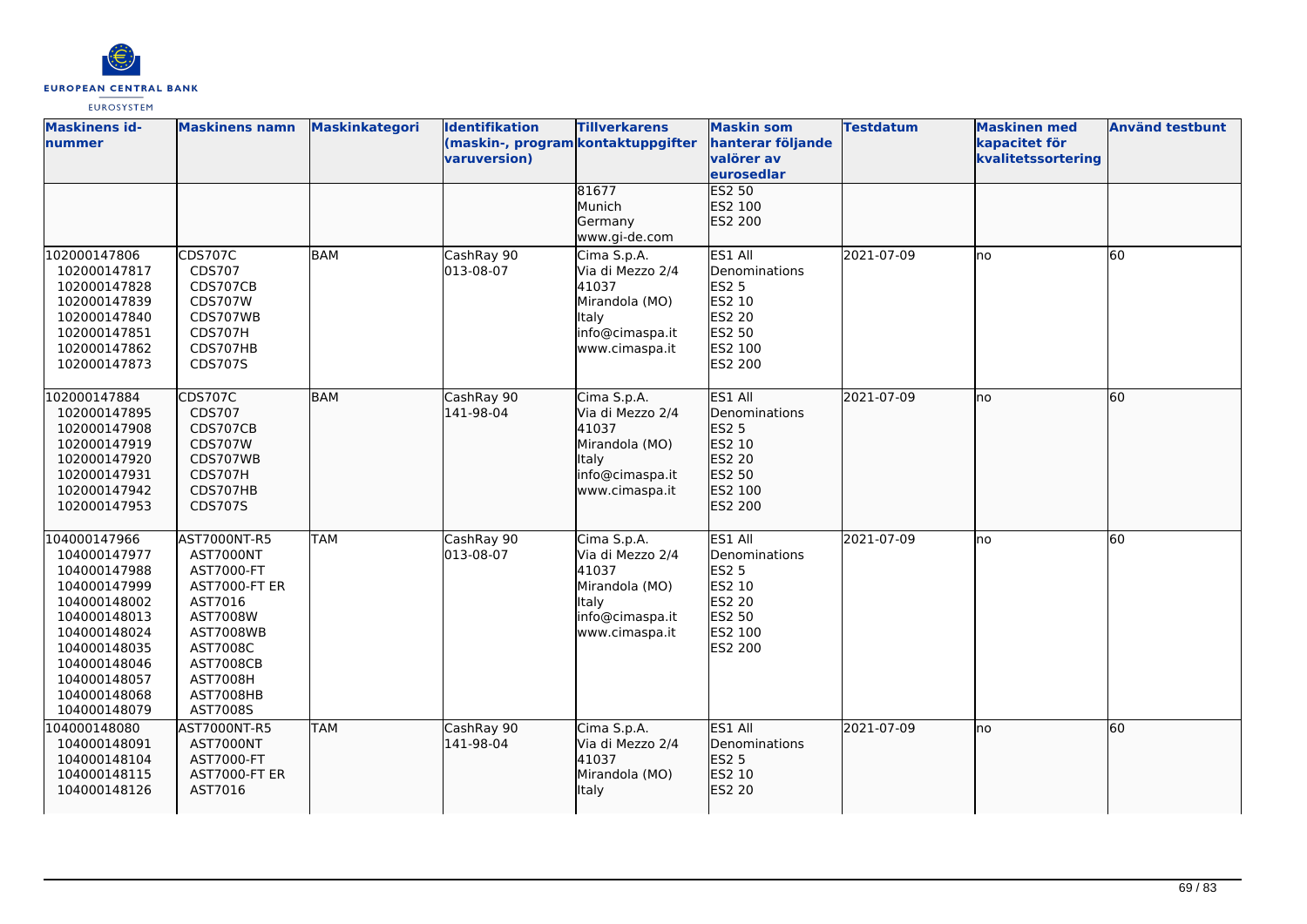

| <b>Maskinens id-</b><br>nummer                                                                                                                                                               | <b>Maskinens namn</b>                                                                                                                                                                  | <b>Maskinkategori</b> | Identifikation<br>(maskin-, program kontaktuppgifter<br>varuversion) | <b>Tillverkarens</b>                                                                                     | <b>Maskin som</b><br>hanterar följande<br>valörer av                                                | <b>Testdatum</b> | <b>Maskinen med</b><br>kapacitet för<br>kvalitetssortering | <b>Använd testbunt</b> |
|----------------------------------------------------------------------------------------------------------------------------------------------------------------------------------------------|----------------------------------------------------------------------------------------------------------------------------------------------------------------------------------------|-----------------------|----------------------------------------------------------------------|----------------------------------------------------------------------------------------------------------|-----------------------------------------------------------------------------------------------------|------------------|------------------------------------------------------------|------------------------|
|                                                                                                                                                                                              |                                                                                                                                                                                        |                       |                                                                      | 81677<br>Munich<br>Germany<br>www.gi-de.com                                                              | eurosedlar<br>ES2 50<br>ES2 100<br>ES2 200                                                          |                  |                                                            |                        |
| 102000147806<br>102000147817<br>102000147828<br>102000147839<br>102000147840<br>102000147851<br>102000147862<br>102000147873                                                                 | <b>CDS707C</b><br>CDS707<br>CDS707CB<br><b>CDS707W</b><br>CDS707WB<br>CDS707H<br>CDS707HB<br>CDS707S                                                                                   | <b>BAM</b>            | CashRay 90<br>013-08-07                                              | Cima S.p.A.<br>Via di Mezzo 2/4<br>41037<br>Mirandola (MO)<br>Italy<br>info@cimaspa.it<br>www.cimaspa.it | ES1 All<br>Denominations<br><b>ES2 5</b><br><b>ES2 10</b><br>ES2 20<br>ES2 50<br>ES2 100<br>ES2 200 | 2021-07-09       | lno                                                        | 60                     |
| 102000147884<br>102000147895<br>102000147908<br>102000147919<br>102000147920<br>102000147931<br>102000147942<br>102000147953                                                                 | <b>CDS707C</b><br>CDS707<br>CDS707CB<br><b>CDS707W</b><br>CDS707WB<br><b>CDS707H</b><br>CDS707HB<br>CDS707S                                                                            | <b>BAM</b>            | CashRay 90<br>141-98-04                                              | Cima S.p.A.<br>Via di Mezzo 2/4<br>41037<br>Mirandola (MO)<br>Italy<br>info@cimaspa.it<br>www.cimaspa.it | ES1 All<br>Denominations<br>ES2 5<br>ES2 10<br>ES2 20<br>ES2 50<br>ES2 100<br>ES2 200               | 2021-07-09       | lno                                                        | 60                     |
| 104000147966<br>104000147977<br>104000147988<br>104000147999<br>104000148002<br>104000148013<br>104000148024<br>104000148035<br>104000148046<br>104000148057<br>104000148068<br>104000148079 | AST7000NT-R5<br><b>AST7000NT</b><br>AST7000-FT<br><b>AST7000-FT ER</b><br>AST7016<br>AST7008W<br><b>AST7008WB</b><br>AST7008C<br><b>AST7008CB</b><br>AST7008H<br>AST7008HB<br>AST7008S | <b>TAM</b>            | CashRay 90<br>013-08-07                                              | Cima S.p.A.<br>Via di Mezzo 2/4<br>41037<br>Mirandola (MO)<br>Italy<br>info@cimaspa.it<br>www.cimaspa.it | ES1 All<br>Denominations<br><b>ES2 5</b><br>ES2 10<br>ES2 20<br>ES2 50<br>ES2 100<br>ES2 200        | 2021-07-09       | lno                                                        | 60                     |
| 104000148080<br>104000148091<br>104000148104<br>104000148115<br>104000148126                                                                                                                 | AST7000NT-R5<br>AST7000NT<br>AST7000-FT<br><b>AST7000-FT ER</b><br>AST7016                                                                                                             | <b>TAM</b>            | CashRay 90<br>141-98-04                                              | Cima S.p.A.<br>Via di Mezzo 2/4<br>41037<br>Mirandola (MO)<br>Italy                                      | ES1 All<br>Denominations<br><b>ES2 5</b><br>ES2 10<br>ES2 20                                        | 2021-07-09       | lno                                                        | 60                     |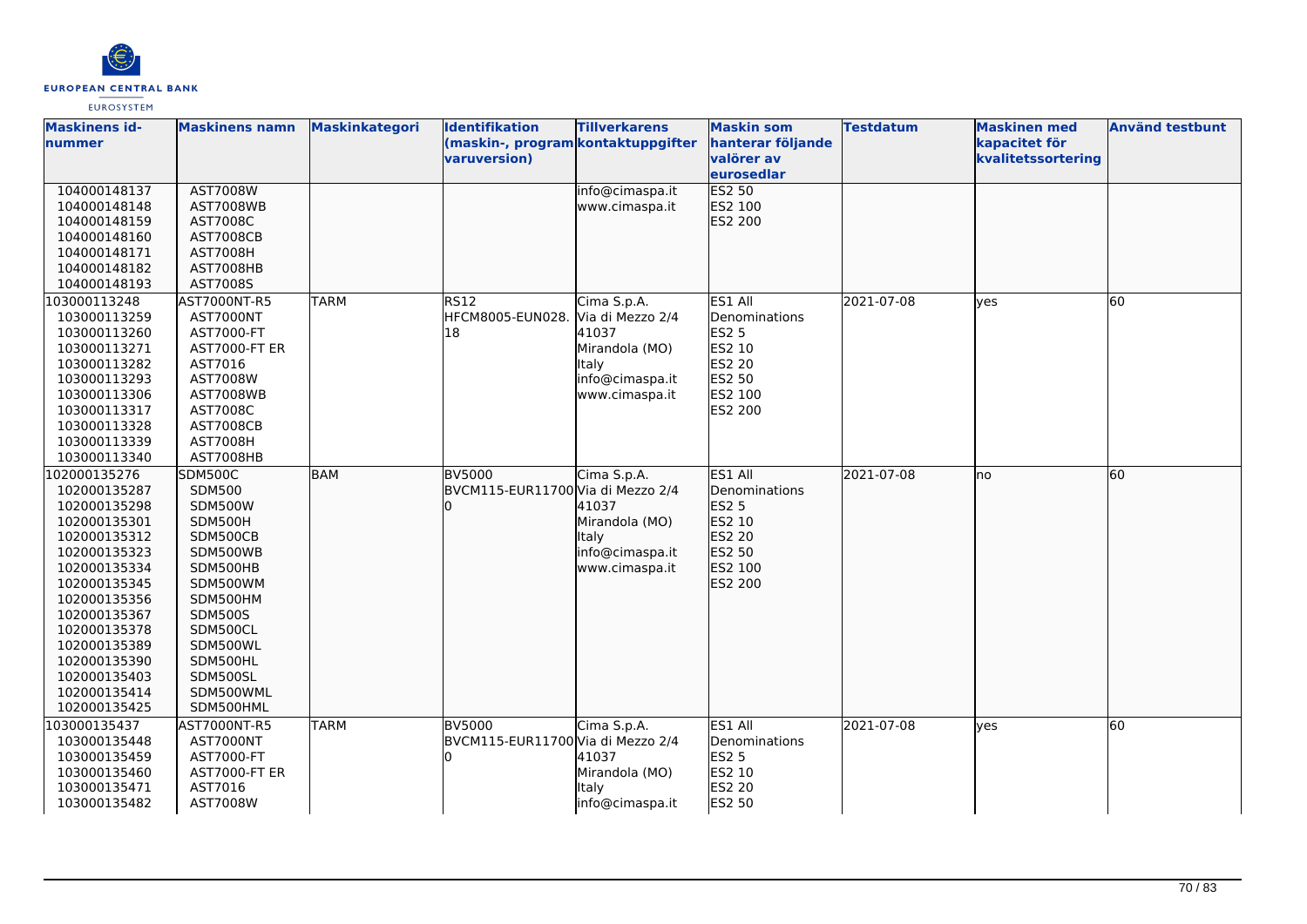

| <b>Maskinens id-</b>         | <b>Maskinens namn</b> | <b>Maskinkategori</b> | <b>Identifikation</b>              | <b>Tillverkarens</b> | <b>Maskin som</b>  | <b>Testdatum</b> | <b>Maskinen med</b> | <b>Använd testbunt</b> |
|------------------------------|-----------------------|-----------------------|------------------------------------|----------------------|--------------------|------------------|---------------------|------------------------|
| nummer                       |                       |                       | (maskin-, program kontaktuppgifter |                      | hanterar följande  |                  | kapacitet för       |                        |
|                              |                       |                       | varuversion)                       |                      | <u>lvalörer av</u> |                  | kvalitetssortering  |                        |
|                              |                       |                       |                                    |                      | eurosedlar         |                  |                     |                        |
| 104000148137                 | <b>AST7008W</b>       |                       |                                    | info@cimaspa.it      | <b>ES2 50</b>      |                  |                     |                        |
| 104000148148                 | <b>AST7008WB</b>      |                       |                                    | www.cimaspa.it       | ES2 100            |                  |                     |                        |
| 104000148159                 | AST7008C              |                       |                                    |                      | ES2 200            |                  |                     |                        |
| 104000148160                 | <b>AST7008CB</b>      |                       |                                    |                      |                    |                  |                     |                        |
| 104000148171                 | <b>AST7008H</b>       |                       |                                    |                      |                    |                  |                     |                        |
| 104000148182                 | AST7008HB             |                       |                                    |                      |                    |                  |                     |                        |
| 104000148193                 | AST7008S              |                       |                                    |                      |                    |                  |                     |                        |
| 103000113248                 | AST7000NT-R5          | <b>TARM</b>           | <b>RS12</b>                        | Cima S.p.A.          | ES1 All            | 2021-07-08       | lves                | $\overline{60}$        |
| 103000113259                 | <b>AST7000NT</b>      |                       | HFCM8005-EUN028.                   | Via di Mezzo 2/4     | Denominations      |                  |                     |                        |
| 103000113260                 | AST7000-FT            |                       | 18                                 | 41037                | ES2 5              |                  |                     |                        |
| 103000113271                 | <b>AST7000-FT ER</b>  |                       |                                    | Mirandola (MO)       | ES2 10             |                  |                     |                        |
| 103000113282                 | AST7016               |                       |                                    | <b>Italy</b>         | ES2 20             |                  |                     |                        |
| 103000113293                 | AST7008W              |                       |                                    | info@cimaspa.it      | ES2 50             |                  |                     |                        |
| 103000113306                 | <b>AST7008WB</b>      |                       |                                    | www.cimaspa.it       | ES2 100            |                  |                     |                        |
| 103000113317                 | AST7008C              |                       |                                    |                      | ES2 200            |                  |                     |                        |
| 103000113328                 | <b>AST7008CB</b>      |                       |                                    |                      |                    |                  |                     |                        |
| 103000113339                 | <b>AST7008H</b>       |                       |                                    |                      |                    |                  |                     |                        |
| 103000113340                 | AST7008HB             |                       |                                    |                      |                    |                  |                     |                        |
| 102000135276                 | SDM500C               | <b>BAM</b>            | BV5000                             | Cima S.p.A.          | ES1 All            | 2021-07-08       | lno                 | 60                     |
| 102000135287                 | <b>SDM500</b>         |                       | BVCM115-EUR11700 Via di Mezzo 2/4  |                      | Denominations      |                  |                     |                        |
| 102000135298                 | <b>SDM500W</b>        |                       |                                    | 41037                | ES2 5              |                  |                     |                        |
| 102000135301                 | SDM500H               |                       |                                    | Mirandola (MO)       | ES2 10             |                  |                     |                        |
| 102000135312                 | SDM500CB              |                       |                                    | <b>Italy</b>         | ES2 20             |                  |                     |                        |
| 102000135323                 | SDM500WB              |                       |                                    | info@cimaspa.it      | ES2 50             |                  |                     |                        |
| 102000135334                 | SDM500HB              |                       |                                    | www.cimaspa.it       | ES2 100            |                  |                     |                        |
| 102000135345                 | SDM500WM              |                       |                                    |                      | ES2 200            |                  |                     |                        |
| 102000135356                 | SDM500HM              |                       |                                    |                      |                    |                  |                     |                        |
| 102000135367                 | <b>SDM500S</b>        |                       |                                    |                      |                    |                  |                     |                        |
| 102000135378                 | SDM500CL              |                       |                                    |                      |                    |                  |                     |                        |
| 102000135389                 | SDM500WL              |                       |                                    |                      |                    |                  |                     |                        |
| 102000135390                 | SDM500HL              |                       |                                    |                      |                    |                  |                     |                        |
| 102000135403<br>102000135414 | SDM500SL<br>SDM500WML |                       |                                    |                      |                    |                  |                     |                        |
|                              |                       |                       |                                    |                      |                    |                  |                     |                        |
| 102000135425                 | SDM500HML             |                       |                                    |                      |                    |                  |                     |                        |
| 103000135437                 | AST7000NT-R5          | <b>TARM</b>           | <b>BV5000</b>                      | Cima S.p.A.          | ES1 All            | 2021-07-08       | lves                | 60                     |
| 103000135448                 | AST7000NT             |                       | BVCM115-EUR11700 Via di Mezzo 2/4  |                      | Denominations      |                  |                     |                        |
| 103000135459                 | AST7000-FT            |                       |                                    | 41037                | <b>ES2 5</b>       |                  |                     |                        |
| 103000135460                 | <b>AST7000-FT ER</b>  |                       |                                    | Mirandola (MO)       | ES2 10             |                  |                     |                        |
| 103000135471                 | AST7016               |                       |                                    | <b>Italy</b>         | ES2 20             |                  |                     |                        |
| 103000135482                 | AST7008W              |                       |                                    | info@cimaspa.it      | ES2 50             |                  |                     |                        |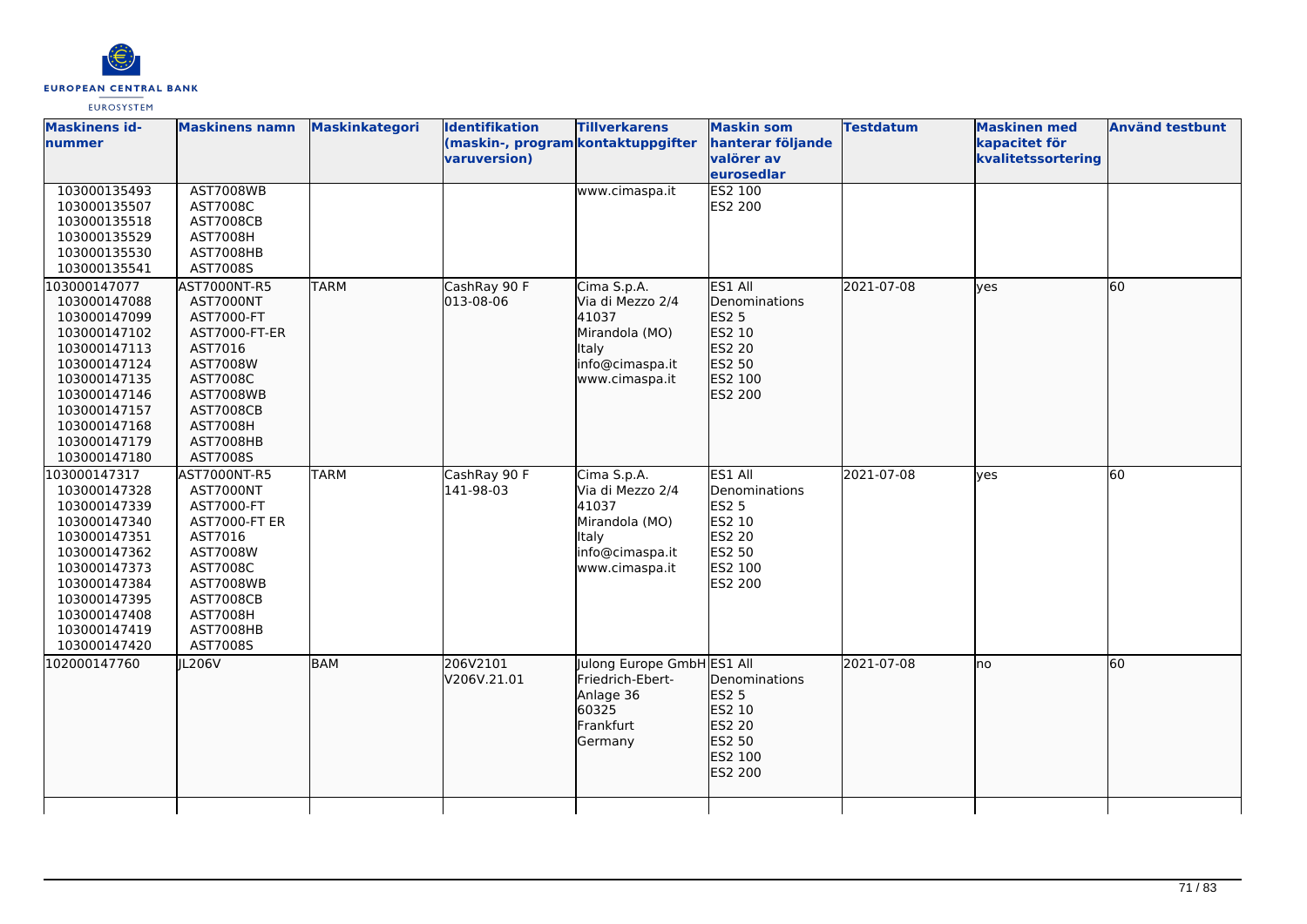

| <b>Maskinens id-</b><br>nummer | <b>Maskinens namn</b>                | <b>Maskinkategori</b> | <b>Identifikation</b><br>(maskin-, program kontaktuppgifter<br>varuversion) | <b>Tillverkarens</b>       | <b>Maskin som</b><br>hanterar följande<br>valörer av | <b>Testdatum</b> | <b>Maskinen med</b><br>kapacitet för<br>kvalitetssortering | <b>Använd testbunt</b> |
|--------------------------------|--------------------------------------|-----------------------|-----------------------------------------------------------------------------|----------------------------|------------------------------------------------------|------------------|------------------------------------------------------------|------------------------|
|                                |                                      |                       |                                                                             |                            | eurosedlar                                           |                  |                                                            |                        |
| 103000135493                   | <b>AST7008WB</b>                     |                       |                                                                             | www.cimaspa.it             | ES2 100                                              |                  |                                                            |                        |
| 103000135507                   | AST7008C                             |                       |                                                                             |                            | ES2 200                                              |                  |                                                            |                        |
| 103000135518                   | <b>AST7008CB</b>                     |                       |                                                                             |                            |                                                      |                  |                                                            |                        |
| 103000135529                   | <b>AST7008H</b>                      |                       |                                                                             |                            |                                                      |                  |                                                            |                        |
| 103000135530                   | AST7008HB                            |                       |                                                                             |                            |                                                      |                  |                                                            |                        |
| 103000135541<br>103000147077   | AST7008S<br>AST7000NT-R5             | TARM                  | CashRay 90 F                                                                | Cima S.p.A.                | ES1 All                                              | 2021-07-08       | lves                                                       | 60                     |
| 103000147088                   | <b>AST7000NT</b>                     |                       | 013-08-06                                                                   | Via di Mezzo 2/4           | Denominations                                        |                  |                                                            |                        |
| 103000147099                   | AST7000-FT                           |                       |                                                                             | 41037                      | ES2 5                                                |                  |                                                            |                        |
| 103000147102                   | AST7000-FT-ER                        |                       |                                                                             | Mirandola (MO)             | ES2 10                                               |                  |                                                            |                        |
| 103000147113                   | AST7016                              |                       |                                                                             | <b>Italy</b>               | ES2 20                                               |                  |                                                            |                        |
| 103000147124                   | AST7008W                             |                       |                                                                             | info@cimaspa.it            | ES2 50                                               |                  |                                                            |                        |
| 103000147135                   | AST7008C                             |                       |                                                                             | www.cimaspa.it             | ES2 100                                              |                  |                                                            |                        |
| 103000147146                   | AST7008WB                            |                       |                                                                             |                            | ES2 200                                              |                  |                                                            |                        |
| 103000147157                   | <b>AST7008CB</b>                     |                       |                                                                             |                            |                                                      |                  |                                                            |                        |
| 103000147168                   | <b>AST7008H</b>                      |                       |                                                                             |                            |                                                      |                  |                                                            |                        |
| 103000147179                   | AST7008HB                            |                       |                                                                             |                            |                                                      |                  |                                                            |                        |
| 103000147180                   | AST7008S                             |                       |                                                                             |                            |                                                      |                  |                                                            |                        |
| 103000147317                   | AST7000NT-R5                         | <b>TARM</b>           | CashRay 90 F                                                                | Cima S.p.A.                | ES1 All                                              | 2021-07-08       | lves                                                       | 60                     |
| 103000147328                   | <b>AST7000NT</b>                     |                       | 141-98-03                                                                   | Via di Mezzo 2/4           | Denominations                                        |                  |                                                            |                        |
| 103000147339                   | AST7000-FT                           |                       |                                                                             | 41037                      | <b>ES2 5</b>                                         |                  |                                                            |                        |
| 103000147340                   | <b>AST7000-FT ER</b>                 |                       |                                                                             | Mirandola (MO)             | ES2 10                                               |                  |                                                            |                        |
| 103000147351                   | AST7016                              |                       |                                                                             | lltaly                     | ES2 20                                               |                  |                                                            |                        |
| 103000147362                   | AST7008W                             |                       |                                                                             | info@cimaspa.it            | <b>ES2 50</b>                                        |                  |                                                            |                        |
| 103000147373                   | AST7008C                             |                       |                                                                             | www.cimaspa.it             | ES2 100<br><b>ES2 200</b>                            |                  |                                                            |                        |
| 103000147384<br>103000147395   | <b>AST7008WB</b><br><b>AST7008CB</b> |                       |                                                                             |                            |                                                      |                  |                                                            |                        |
| 103000147408                   | <b>AST7008H</b>                      |                       |                                                                             |                            |                                                      |                  |                                                            |                        |
| 103000147419                   | AST7008HB                            |                       |                                                                             |                            |                                                      |                  |                                                            |                        |
| 103000147420                   | AST7008S                             |                       |                                                                             |                            |                                                      |                  |                                                            |                        |
| 102000147760                   | JL206V                               | <b>BAM</b>            | 206V2101                                                                    | Julong Europe GmbH ES1 All |                                                      | 2021-07-08       | Ino                                                        | 60                     |
|                                |                                      |                       | V206V.21.01                                                                 | Friedrich-Ebert-           | Denominations                                        |                  |                                                            |                        |
|                                |                                      |                       |                                                                             | Anlage 36                  | <b>ES2 5</b>                                         |                  |                                                            |                        |
|                                |                                      |                       |                                                                             | 60325                      | ES2 10                                               |                  |                                                            |                        |
|                                |                                      |                       |                                                                             | Frankfurt                  | ES2 20                                               |                  |                                                            |                        |
|                                |                                      |                       |                                                                             | Germany                    | ES2 50                                               |                  |                                                            |                        |
|                                |                                      |                       |                                                                             |                            | ES2 100                                              |                  |                                                            |                        |
|                                |                                      |                       |                                                                             |                            | ES2 200                                              |                  |                                                            |                        |
|                                |                                      |                       |                                                                             |                            |                                                      |                  |                                                            |                        |
|                                |                                      |                       |                                                                             |                            |                                                      |                  |                                                            |                        |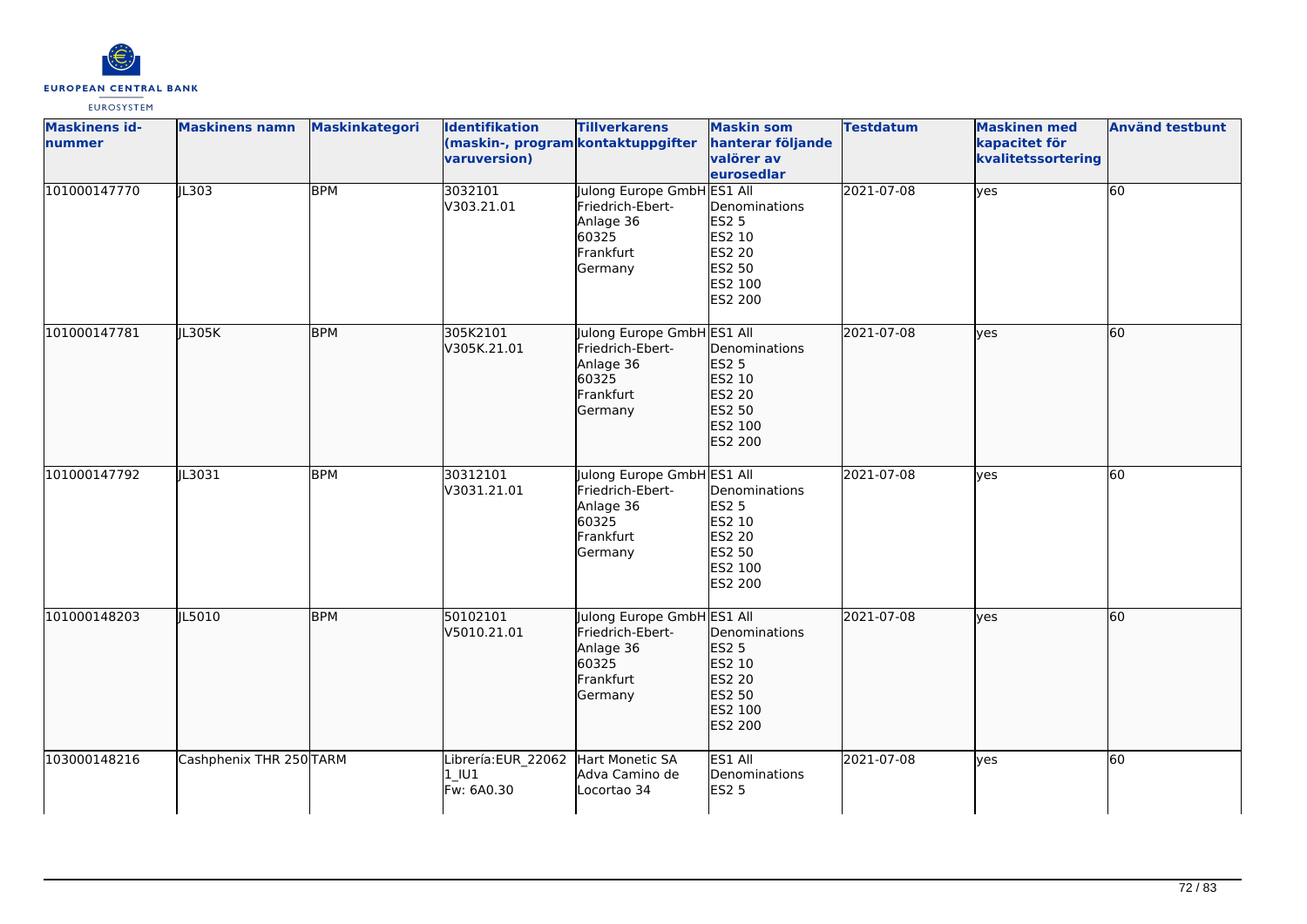

| <b>Maskinens id-</b><br>nummer | <b>Maskinens namn</b>   | <b>Maskinkategori</b> | Identifikation<br>(maskin-, program kontaktuppgifter<br>varuversion) | <b>Tillverkarens</b>                                                                         | <b>Maskin som</b><br>hanterar följande<br>valörer av<br>eurosedlar                | <b>Testdatum</b> | <b>Maskinen med</b><br>kapacitet för<br>kvalitetssortering | <b>Använd testbunt</b> |
|--------------------------------|-------------------------|-----------------------|----------------------------------------------------------------------|----------------------------------------------------------------------------------------------|-----------------------------------------------------------------------------------|------------------|------------------------------------------------------------|------------------------|
| 101000147770                   | JL303                   | <b>BPM</b>            | 3032101<br>V303.21.01                                                | Julong Europe GmbH ES1 All<br>Friedrich-Ebert-<br>Anlage 36<br>60325<br>Frankfurt<br>Germany | Denominations<br><b>ES2 5</b><br>ES2 10<br>ES2 20<br>ES2 50<br>ES2 100<br>ES2 200 | 2021-07-08       | yes                                                        | 60                     |
| 101000147781                   | JL305K                  | <b>BPM</b>            | 305K2101<br>V305K.21.01                                              | Julong Europe GmbH ES1 All<br>Friedrich-Ebert-<br>Anlage 36<br>60325<br>Frankfurt<br>Germany | Denominations<br><b>ES2 5</b><br>ES2 10<br>ES2 20<br>ES2 50<br>ES2 100<br>ES2 200 | 2021-07-08       | lyes                                                       | 60                     |
| 101000147792                   | JL3031                  | <b>BPM</b>            | 30312101<br>V3031.21.01                                              | Julong Europe GmbH ES1 All<br>Friedrich-Ebert-<br>Anlage 36<br>60325<br>Frankfurt<br>Germany | Denominations<br><b>ES2 5</b><br>ES2 10<br>ES2 20<br>ES2 50<br>ES2 100<br>ES2 200 | 2021-07-08       | yes                                                        | 60                     |
| 101000148203                   | IL5010                  | <b>BPM</b>            | 50102101<br>V5010.21.01                                              | Julong Europe GmbH ES1 All<br>Friedrich-Ebert-<br>Anlage 36<br>60325<br>Frankfurt<br>Germany | Denominations<br>ES2 5<br>ES2 10<br>ES2 20<br>ES2 50<br>ES2 100<br>ES2 200        | 2021-07-08       | lyes                                                       | 60                     |
| 103000148216                   | Cashphenix THR 250 TARM |                       | Librería: EUR 22062 Hart Monetic SA<br>1 IU1<br>Fw: 6A0.30           | Adva Camino de<br>Locortao 34                                                                | ES1 All<br>Denominations<br><b>ES2 5</b>                                          | 2021-07-08       | ves                                                        | $\overline{60}$        |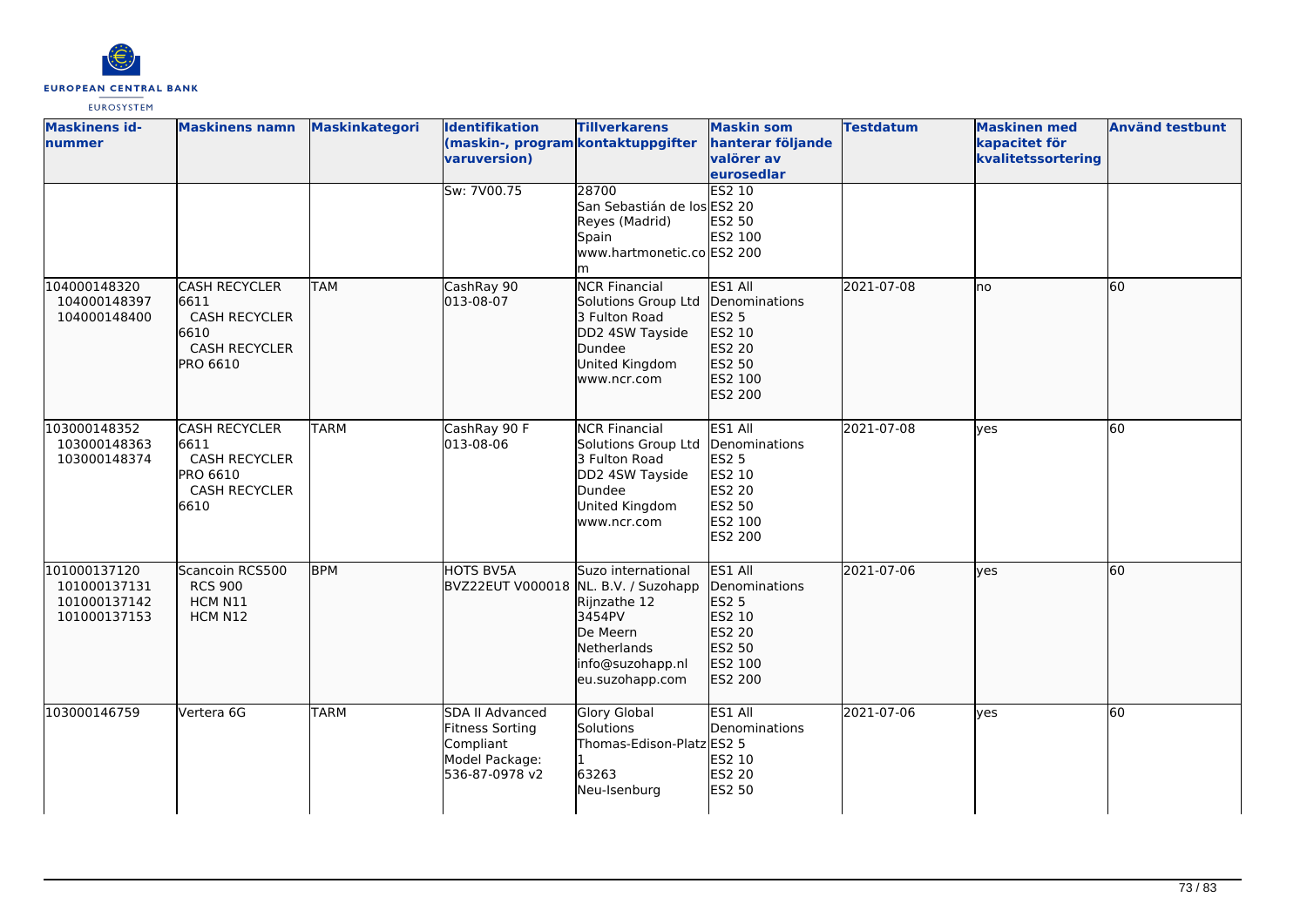

| <b>Maskinens id-</b><br>nummer                               | <b>Maskinens namn</b>                                                                             | <b>Maskinkategori</b> | Identifikation<br>(maskin-, program kontaktuppgifter<br>varuversion)                | <b>Tillverkarens</b>                                                                                                       | <b>Maskin som</b><br>hanterar följande<br>valörer av<br>eurosedlar                                  | <b>Testdatum</b> | <b>Maskinen</b> med<br>kapacitet för<br>kvalitetssortering | <b>Använd testbunt</b> |
|--------------------------------------------------------------|---------------------------------------------------------------------------------------------------|-----------------------|-------------------------------------------------------------------------------------|----------------------------------------------------------------------------------------------------------------------------|-----------------------------------------------------------------------------------------------------|------------------|------------------------------------------------------------|------------------------|
|                                                              |                                                                                                   |                       | Sw: 7V00.75                                                                         | 28700<br>San Sebastián de los ES2 20<br>Reyes (Madrid)<br>Spain<br>www.hartmonetic.co ES2 200<br>lm                        | ES2 10<br>ES2 50<br>ES2 100                                                                         |                  |                                                            |                        |
| 104000148320<br>104000148397<br>104000148400                 | <b>CASH RECYCLER</b><br>16611<br><b>CASH RECYCLER</b><br>6610<br><b>CASH RECYCLER</b><br>PRO 6610 | <b>TAM</b>            | CashRay 90<br>013-08-07                                                             | <b>NCR Financial</b><br>Solutions Group Ltd<br>3 Fulton Road<br>DD2 4SW Tayside<br>Dundee<br>United Kingdom<br>www.ncr.com | ES1 All<br>Denominations<br>ES2 5<br>ES2 10<br>ES2 20<br>ES2 50<br>ES2 100<br>ES2 200               | 2021-07-08       | Ino                                                        | 60                     |
| 103000148352<br>103000148363<br>103000148374                 | <b>CASH RECYCLER</b><br>6611<br><b>CASH RECYCLER</b><br>PRO 6610<br><b>CASH RECYCLER</b><br>6610  | <b>TARM</b>           | CashRay 90 F<br>013-08-06                                                           | <b>NCR Financial</b><br>Solutions Group Ltd<br>3 Fulton Road<br>DD2 4SW Tayside<br>Dundee<br>United Kingdom<br>www.ncr.com | ES1 All<br>Denominations<br><b>ES2 5</b><br>ES2 10<br>ES2 20<br><b>ES2 50</b><br>ES2 100<br>ES2 200 | 2021-07-08       | lves                                                       | 60                     |
| 101000137120<br>101000137131<br>101000137142<br>101000137153 | Scancoin RCS500<br><b>RCS 900</b><br>HCM N11<br>HCM N12                                           | <b>BPM</b>            | HOTS BV5A<br>BVZ22EUT V000018 NL. B.V. / Suzohapp                                   | Suzo international<br>Rijnzathe 12<br>3454PV<br>De Meern<br>Netherlands<br>info@suzohapp.nl<br>eu.suzohapp.com             | ES1 All<br>Denominations<br>ES2 5<br>ES2 10<br>ES2 20<br>ES2 50<br>ES2 100<br>ES2 200               | 2021-07-06       | lyes                                                       | 60                     |
| 103000146759                                                 | Vertera 6G                                                                                        | <b>TARM</b>           | SDA II Advanced<br>Fitness Sorting<br>Compliant<br>Model Package:<br>536-87-0978 v2 | <b>Glory Global</b><br>Solutions<br>Thomas-Edison-Platz ES2 5<br>63263<br>Neu-Isenburg                                     | ES1 All<br>Denominations<br>ES2 10<br><b>ES2 20</b><br>ES2 50                                       | 2021-07-06       | yes                                                        | 60                     |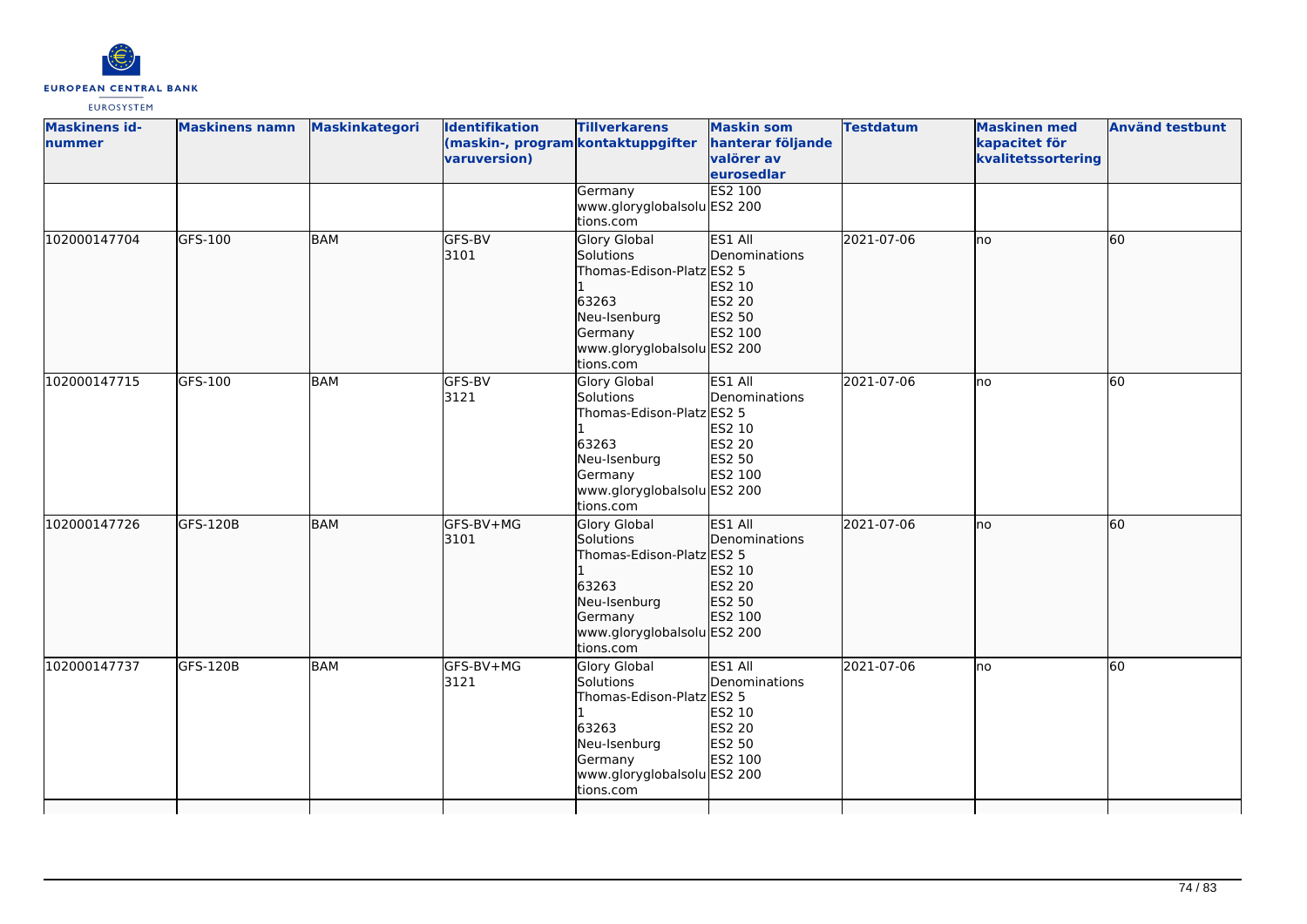

| <b>Maskinens id-</b><br><b>nummer</b> | <b>Maskinens namn</b> | Maskinkategori | Identifikation<br>(maskin-, program kontaktuppgifter<br>varuversion) | <b>Tillverkarens</b><br>Germany                                                                                                               | <b>Maskin som</b><br>hanterar följande<br>valörer av<br>eurosedlar<br><b>ES2 100</b> | <b>Testdatum</b> | <b>Maskinen med</b><br>kapacitet för<br>kvalitetssortering | <b>Använd testbunt</b> |
|---------------------------------------|-----------------------|----------------|----------------------------------------------------------------------|-----------------------------------------------------------------------------------------------------------------------------------------------|--------------------------------------------------------------------------------------|------------------|------------------------------------------------------------|------------------------|
|                                       |                       |                |                                                                      | www.gloryglobalsolu ES2 200<br>tions.com                                                                                                      |                                                                                      |                  |                                                            |                        |
| 102000147704                          | GFS-100               | <b>BAM</b>     | GFS-BV<br>3101                                                       | Glory Global<br>Solutions<br>Thomas-Edison-Platz ES2 5<br>63263<br>Neu-Isenburg<br>Germany<br>www.gloryglobalsolu ES2 200<br>tions.com        | ES1 All<br><b>Denominations</b><br>ES2 10<br>ES2 20<br>ES2 50<br>ES2 100             | 2021-07-06       | no                                                         | 60                     |
| 102000147715                          | GFS-100               | <b>BAM</b>     | GFS-BV<br>3121                                                       | Glory Global<br>Solutions<br>Thomas-Edison-Platz ES2 5<br>63263<br>Neu-Isenburg<br>Germany<br>www.gloryglobalsolu ES2 200<br>tions.com        | ES1 All<br>Denominations<br>ES2 10<br><b>ES2 20</b><br>ES2 50<br>ES2 100             | 2021-07-06       | lno                                                        | 60                     |
| 102000147726                          | GFS-120B              | <b>BAM</b>     | GFS-BV+MG<br>3101                                                    | <b>Glory Global</b><br>Solutions<br>Thomas-Edison-Platz ES2 5<br>63263<br>Neu-Isenburg<br>Germany<br>www.gloryglobalsolu ES2 200<br>tions.com | ES1 All<br>Denominations<br>ES2 10<br><b>ES2 20</b><br>ES2 50<br>ES2 100             | 2021-07-06       | no                                                         | 60                     |
| 102000147737                          | GFS-120B              | <b>BAM</b>     | GFS-BV+MG<br>3121                                                    | Glory Global<br>Solutions<br>Thomas-Edison-Platz ES2 5<br>63263<br>Neu-Isenburg<br>Germany<br>www.gloryglobalsolu ES2 200<br>tions.com        | ES1 All<br>Denominations<br>ES2 10<br><b>ES2 20</b><br>ES2 50<br>ES2 100             | 2021-07-06       | no                                                         | 60                     |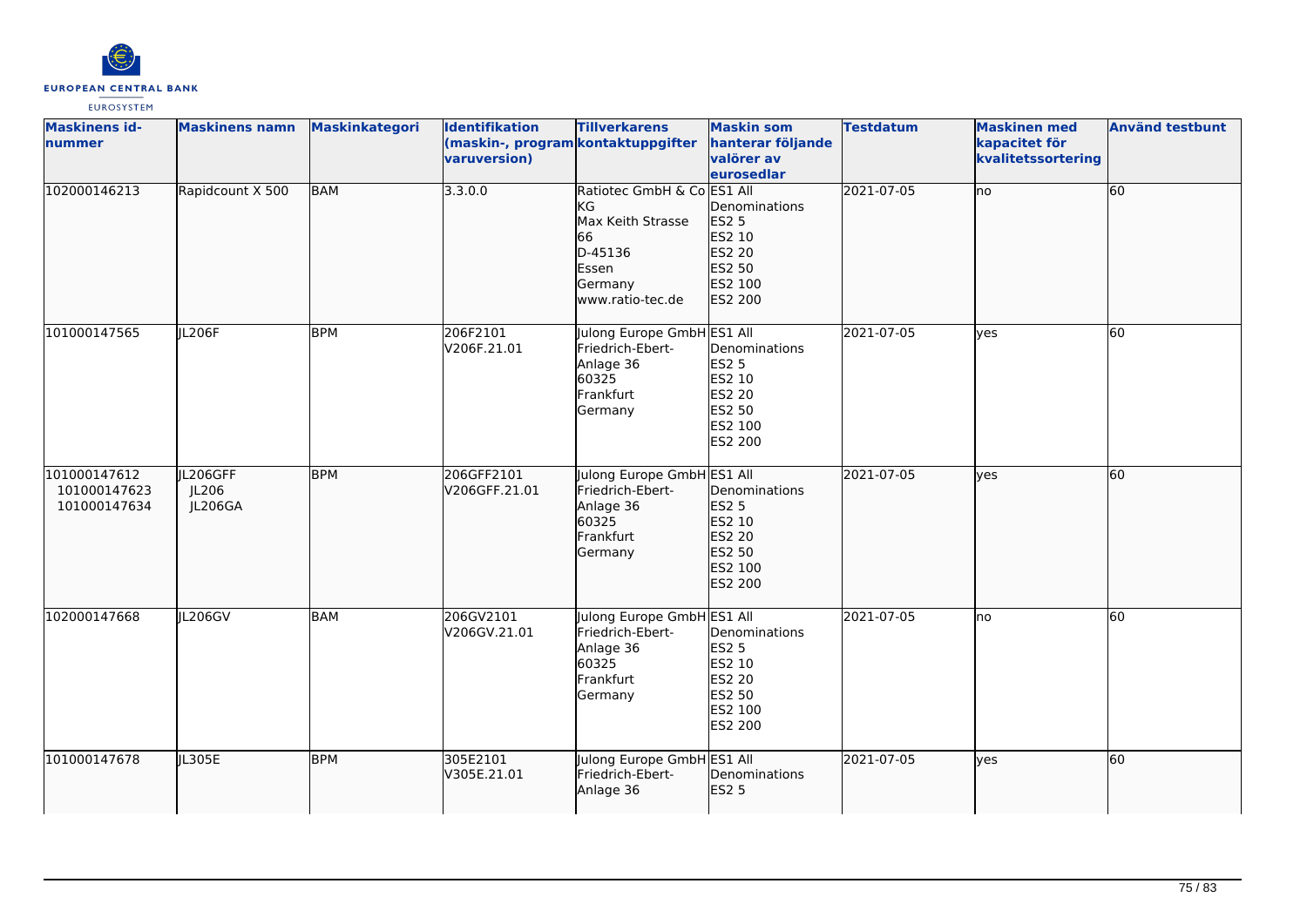

| <b>Maskinens id-</b><br>nummer               | <b>Maskinens namn</b>               | <b>Maskinkategori</b> | Identifikation<br>(maskin-, program kontaktuppgifter<br>varuversion) | <b>Tillverkarens</b>                                                                                                  | <b>Maskin som</b><br>hanterar följande<br>valörer av<br>eurosedlar                | <b>Testdatum</b> | <b>Maskinen med</b><br>kapacitet för<br>kvalitetssortering | <b>Använd testbunt</b> |
|----------------------------------------------|-------------------------------------|-----------------------|----------------------------------------------------------------------|-----------------------------------------------------------------------------------------------------------------------|-----------------------------------------------------------------------------------|------------------|------------------------------------------------------------|------------------------|
| 102000146213                                 | Rapidcount X 500                    | <b>BAM</b>            | 3.3.0.0                                                              | Ratiotec GmbH & Co ES1 All<br><b>KG</b><br>Max Keith Strasse<br>66<br>D-45136<br>Essen<br>Germany<br>www.ratio-tec.de | Denominations<br><b>ES2 5</b><br>ES2 10<br>ES2 20<br>ES2 50<br>ES2 100<br>ES2 200 | 2021-07-05       | lno                                                        | 60                     |
| 101000147565                                 | JL206F                              | <b>BPM</b>            | 206F2101<br>V206F.21.01                                              | Julong Europe GmbH ES1 All<br>Friedrich-Ebert-<br>Anlage 36<br>60325<br>Frankfurt<br>Germany                          | Denominations<br><b>ES2 5</b><br>ES2 10<br>ES2 20<br>ES2 50<br>ES2 100<br>ES2 200 | 2021-07-05       | ves                                                        | 60                     |
| 101000147612<br>101000147623<br>101000147634 | JL206GFF<br>JL206<br><b>JL206GA</b> | <b>BPM</b>            | 206GFF2101<br>V206GFF.21.01                                          | Julong Europe GmbH ES1 All<br>Friedrich-Ebert-<br>Anlage 36<br>60325<br>Frankfurt<br>Germany                          | Denominations<br><b>ES2 5</b><br>ES2 10<br>ES2 20<br>ES2 50<br>ES2 100<br>ES2 200 | 2021-07-05       | lves                                                       | 60                     |
| 102000147668                                 | IL206GV                             | <b>BAM</b>            | 206GV2101<br>V206GV.21.01                                            | Julong Europe GmbH ES1 All<br>Friedrich-Ebert-<br>Anlage 36<br>60325<br>Frankfurt<br>Germany                          | Denominations<br>ES2 5<br>ES2 10<br><b>ES2 20</b><br>ES2 50<br>ES2 100<br>ES2 200 | 2021-07-05       | lno                                                        | $\overline{60}$        |
| 101000147678                                 | JL305E                              | <b>BPM</b>            | 305E2101<br>V305E.21.01                                              | Julong Europe GmbH ES1 All<br>Friedrich-Ebert-<br>Anlage 36                                                           | Denominations<br><b>ES2 5</b>                                                     | 2021-07-05       | lyes                                                       | 60                     |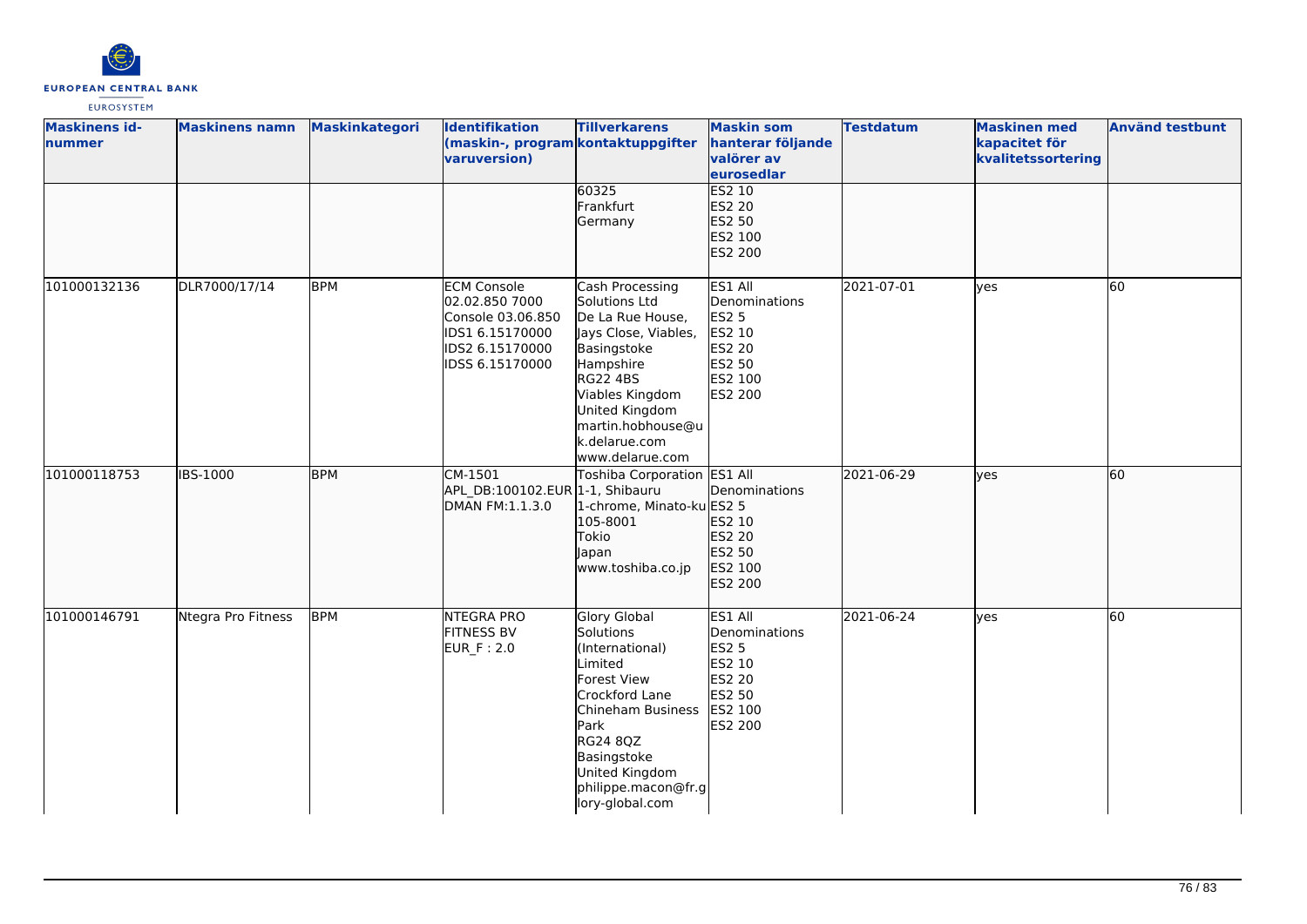

| <b>Maskinens id-</b><br>nummer | <b>Maskinens namn</b> | <b>Maskinkategori</b> | <b>Identifikation</b><br>(maskin-, program kontaktuppgifter<br>varuversion)                                        | <b>Tillverkarens</b>                                                                                                                                                                                                       | <b>Maskin som</b><br>hanterar följande<br>valörer av<br>eurosedlar                                  | <b>Testdatum</b> | <b>Maskinen med</b><br>kapacitet för<br>kvalitetssortering | <b>Använd testbunt</b> |
|--------------------------------|-----------------------|-----------------------|--------------------------------------------------------------------------------------------------------------------|----------------------------------------------------------------------------------------------------------------------------------------------------------------------------------------------------------------------------|-----------------------------------------------------------------------------------------------------|------------------|------------------------------------------------------------|------------------------|
|                                |                       |                       |                                                                                                                    | 60325<br>Frankfurt<br>Germany                                                                                                                                                                                              | ES2 10<br>ES2 20<br>ES2 50<br>ES2 100<br>ES2 200                                                    |                  |                                                            |                        |
| 101000132136                   | DLR7000/17/14         | <b>BPM</b>            | <b>ECM Console</b><br>02.02.850 7000<br>Console 03.06.850<br>IDS1 6.15170000<br>IDS2 6.15170000<br>IDSS 6.15170000 | Cash Processing<br>Solutions Ltd<br>De La Rue House,<br>Jays Close, Viables,<br>Basingstoke<br>Hampshire<br>RG22 4BS<br>Viables Kingdom<br>United Kingdom<br>martin.hobhouse@u<br>k.delarue.com<br>www.delarue.com         | ES1 All<br>Denominations<br><b>ES2 5</b><br>ES2 10<br><b>ES2 20</b><br>ES2 50<br>ES2 100<br>ES2 200 | 2021-07-01       | ves                                                        | 60                     |
| 101000118753                   | <b>IBS-1000</b>       | <b>BPM</b>            | CM-1501<br>APL DB:100102.EUR 1-1, Shibauru<br>DMAN FM:1.1.3.0                                                      | Toshiba Corporation ES1 All<br>1-chrome, Minato-ku ES2 5<br>105-8001<br>Tokio<br>Japan<br>www.toshiba.co.jp                                                                                                                | Denominations<br>ES2 10<br>ES2 20<br>ES2 50<br>ES2 100<br>ES2 200                                   | 2021-06-29       | lyes                                                       | 60                     |
| 101000146791                   | Ntegra Pro Fitness    | <b>BPM</b>            | <b>NTEGRA PRO</b><br><b>FITNESS BV</b><br>EUR_F: 2.0                                                               | <b>Glory Global</b><br>Solutions<br>(International)<br>Limited<br><b>Forest View</b><br>Crockford Lane<br>Chineham Business<br>Park<br>RG24 8QZ<br>Basingstoke<br>United Kingdom<br>philippe.macon@fr.g<br>lory-global.com | ES1 All<br>Denominations<br><b>ES2 5</b><br>ES2 10<br><b>ES2 20</b><br>ES2 50<br>ES2 100<br>ES2 200 | 2021-06-24       | <b>ves</b>                                                 | 60                     |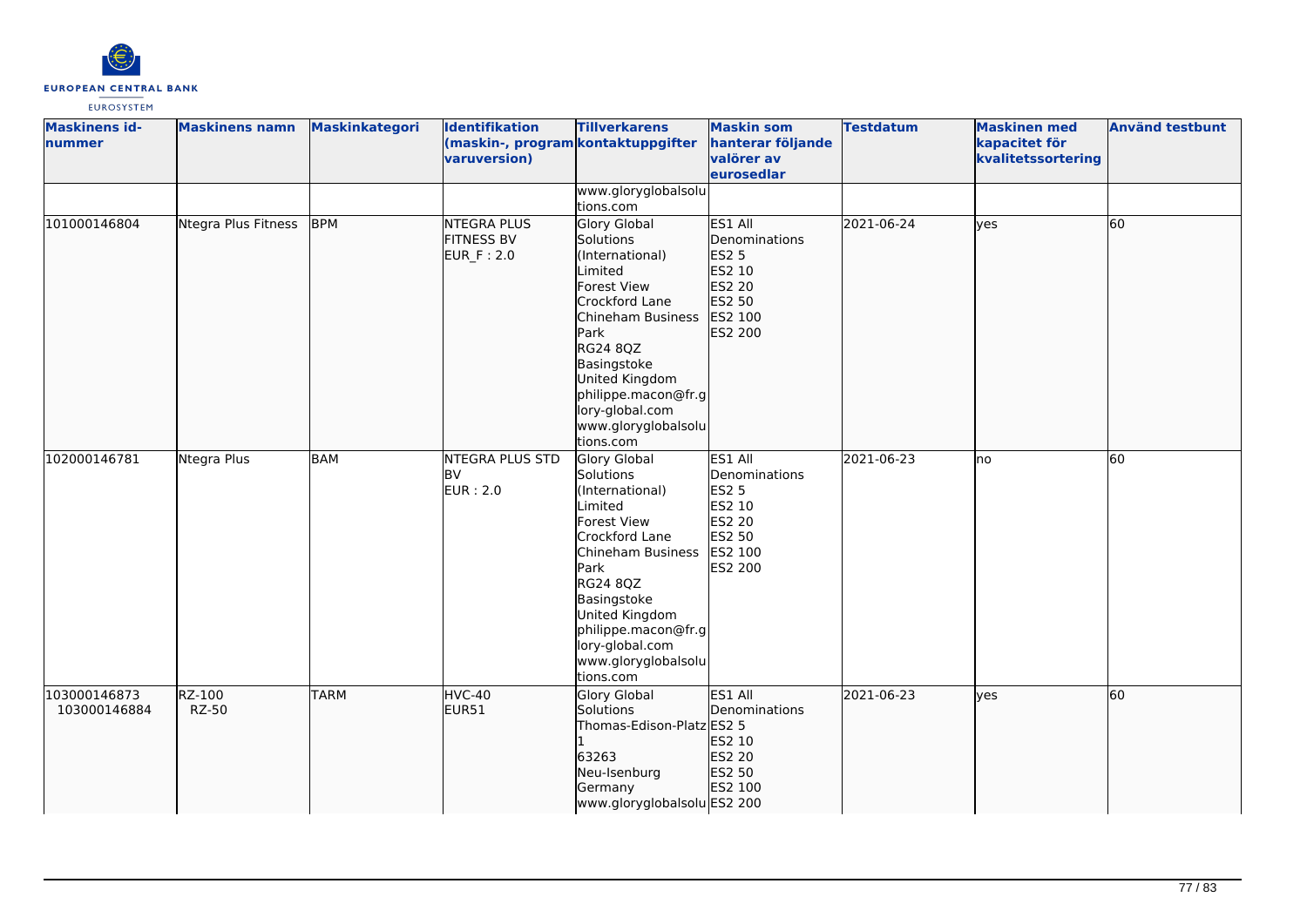

| <b>Maskinens id-</b><br>nummer | <b>Maskinens namn</b>  | Maskinkategori | <b>Identifikation</b><br>(maskin-, program kontaktuppgifter<br>varuversion) | <b>Tillverkarens</b>                                                                                                                                                                                                                                    | <b>Maskin som</b><br>hanterar följande<br>valörer av<br>eurosedlar                                  | <b>Testdatum</b> | <b>Maskinen med</b><br>kapacitet för<br>kvalitetssortering | <b>Använd testbunt</b> |
|--------------------------------|------------------------|----------------|-----------------------------------------------------------------------------|---------------------------------------------------------------------------------------------------------------------------------------------------------------------------------------------------------------------------------------------------------|-----------------------------------------------------------------------------------------------------|------------------|------------------------------------------------------------|------------------------|
|                                |                        |                |                                                                             | www.gloryglobalsolu<br>tions.com                                                                                                                                                                                                                        |                                                                                                     |                  |                                                            |                        |
| 101000146804                   | Ntegra Plus Fitness    | <b>BPM</b>     | <b>NTEGRA PLUS</b><br><b>FITNESS BV</b><br><b>EUR F: 2.0</b>                | <b>Glory Global</b><br>Solutions<br>(International)<br>Limited<br>Forest View<br>Crockford Lane<br>Chineham Business<br>Park<br>RG24 8QZ<br>Basingstoke<br>United Kingdom<br>philippe.macon@fr.g<br>lory-global.com<br>www.gloryglobalsolu<br>tions.com | ES1 All<br>Denominations<br>ES2 5<br>ES2 10<br><b>ES2 20</b><br>ES2 50<br>ES2 100<br>ES2 200        | 2021-06-24       | lyes                                                       | 60                     |
| 102000146781                   | Ntegra Plus            | <b>BAM</b>     | <b>NTEGRA PLUS STD</b><br><b>B</b> V<br>EUR: 2.0                            | Glory Global<br>Solutions<br>(International)<br>Limited<br>Forest View<br>Crockford Lane<br>Chineham Business<br>Park<br>RG24 8QZ<br>Basingstoke<br>United Kingdom<br>philippe.macon@fr.g<br>lory-global.com<br>www.gloryglobalsolu<br>tions.com        | ES1 All<br>Denominations<br><b>ES2 5</b><br>ES2 10<br><b>ES2 20</b><br>ES2 50<br>ES2 100<br>ES2 200 | 2021-06-23       | lno                                                        | 60                     |
| 103000146873<br>103000146884   | RZ-100<br><b>RZ-50</b> | <b>TARM</b>    | HVC-40<br>EUR51                                                             | <b>Glory Global</b><br>Solutions<br>Thomas-Edison-Platz ES2 5<br>63263<br>Neu-Isenburg<br>Germany<br>www.gloryglobalsolu ES2 200                                                                                                                        | ES1 All<br>Denominations<br>ES2 10<br>ES2 20<br>ES2 50<br>ES2 100                                   | 2021-06-23       | lves                                                       | 60                     |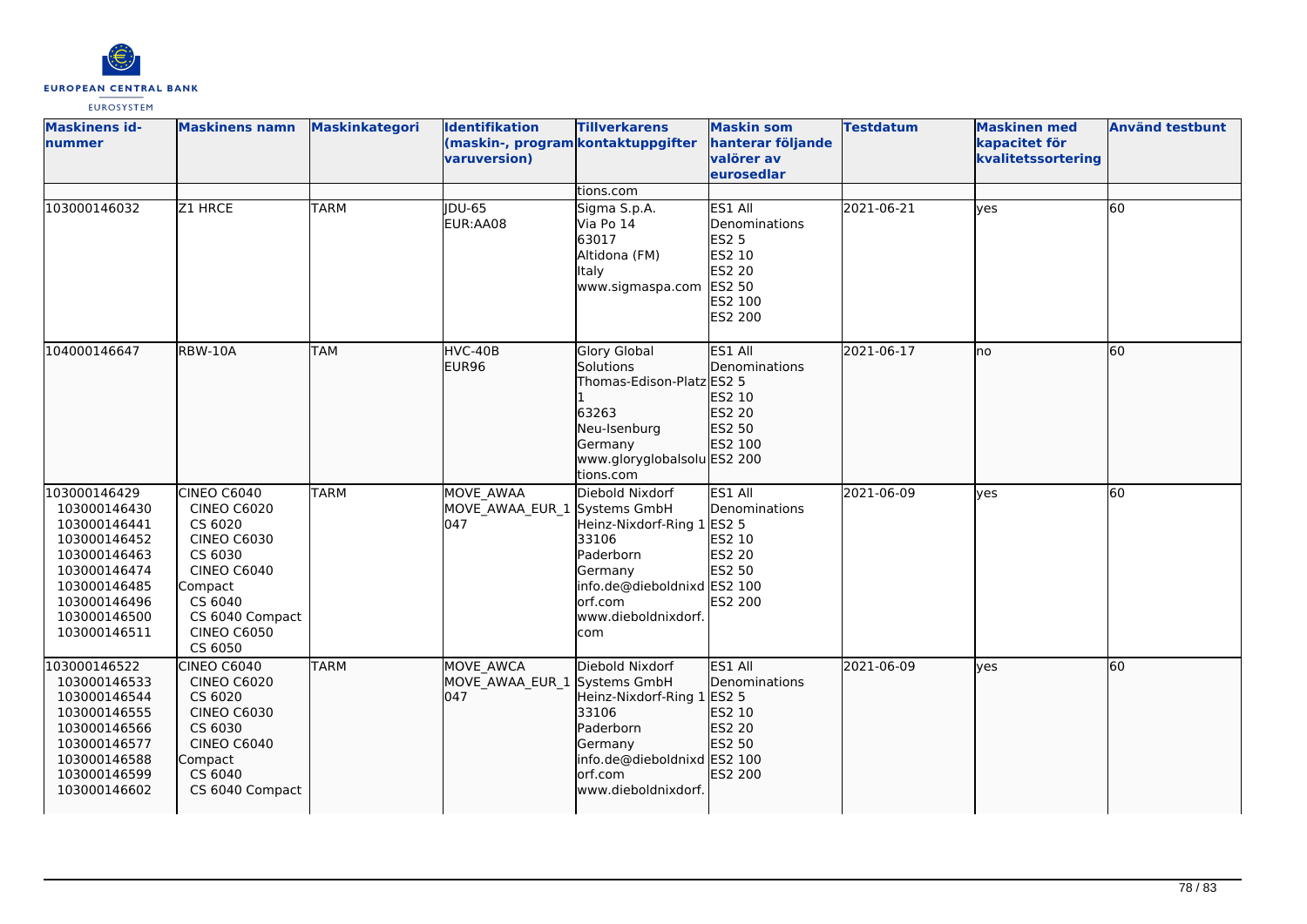

| <b>Maskinens id-</b><br>lnummer                                                                                                                              | <b>Maskinens namn</b>                                                                                                                                                         | Maskinkategori | <b>Identifikation</b><br>(maskin-, program kontaktuppgifter<br>varuversion) | <b>Tillverkarens</b>                                                                                                                                             | <b>Maskin som</b><br>hanterar följande<br>valörer av<br>eurosedlar                                         | <b>Testdatum</b> | <b>Maskinen med</b><br>kapacitet för<br>kvalitetssortering | <b>Använd testbunt</b> |
|--------------------------------------------------------------------------------------------------------------------------------------------------------------|-------------------------------------------------------------------------------------------------------------------------------------------------------------------------------|----------------|-----------------------------------------------------------------------------|------------------------------------------------------------------------------------------------------------------------------------------------------------------|------------------------------------------------------------------------------------------------------------|------------------|------------------------------------------------------------|------------------------|
|                                                                                                                                                              |                                                                                                                                                                               |                |                                                                             | tions.com                                                                                                                                                        |                                                                                                            |                  |                                                            |                        |
| 103000146032                                                                                                                                                 | Z1 HRCE                                                                                                                                                                       | <b>TARM</b>    | <b>IDU-65</b><br>EUR:AA08                                                   | Sigma S.p.A.<br>Via Po 14<br>63017<br>Altidona (FM)<br>Italy<br>www.sigmaspa.com                                                                                 | ES1 All<br>Denominations<br><b>ES2 5</b><br>ES2 10<br><b>ES2 20</b><br>ES2 50<br>ES2 100<br><b>ES2 200</b> | 2021-06-21       | yes                                                        | 60                     |
| 104000146647                                                                                                                                                 | RBW-10A                                                                                                                                                                       | <b>TAM</b>     | HVC-40B<br>EUR96                                                            | <b>Glory Global</b><br>Solutions<br>Thomas-Edison-Platz ES2 5<br>63263<br>Neu-Isenburg<br>Germany<br>www.gloryglobalsolu ES2 200<br>tions.com                    | ES1 All<br>Denominations<br>ES2 10<br>ES2 20<br>ES2 50<br>ES2 100                                          | 2021-06-17       | lno                                                        | 60                     |
| 103000146429<br>103000146430<br>103000146441<br>103000146452<br>103000146463<br>103000146474<br>103000146485<br>103000146496<br>103000146500<br>103000146511 | CINEO C6040<br><b>CINEO C6020</b><br>CS 6020<br><b>CINEO C6030</b><br>CS 6030<br><b>CINEO C6040</b><br>Compact<br>CS 6040<br>CS 6040 Compact<br><b>CINEO C6050</b><br>CS 6050 | <b>TARM</b>    | MOVE AWAA<br>MOVE_AWAA_EUR_1<br>047                                         | Diebold Nixdorf<br>Systems GmbH<br>Heinz-Nixdorf-Ring 1<br>33106<br>Paderborn<br>Germany<br>info.de@dieboldnixd ES2 100<br>orf.com<br>www.dieboldnixdorf.<br>com | ES1 All<br>Denominations<br><b>ES2 5</b><br>ES2 10<br>ES2 20<br>ES2 50<br><b>ES2 200</b>                   | 2021-06-09       | <b>ves</b>                                                 | 60                     |
| 103000146522<br>103000146533<br>103000146544<br>103000146555<br>103000146566<br>103000146577<br>103000146588<br>103000146599<br>103000146602                 | <b>CINEO C6040</b><br><b>CINEO C6020</b><br>CS 6020<br><b>CINEO C6030</b><br>CS 6030<br><b>CINEO C6040</b><br>Compact<br>CS 6040<br>CS 6040 Compact                           | <b>TARM</b>    | MOVE AWCA<br>MOVE_AWAA_EUR_1 Systems GmbH<br>047                            | Diebold Nixdorf<br>Heinz-Nixdorf-Ring 1<br>33106<br>Paderborn<br>Germany<br>info.de@dieboldnixd ES2 100<br>orf.com<br>www.dieboldnixdorf.                        | ES1 All<br>Denominations<br>ES2 5<br>ES2 10<br>ES2 20<br>ES2 50<br>ES2 200                                 | 2021-06-09       | lyes                                                       | 60                     |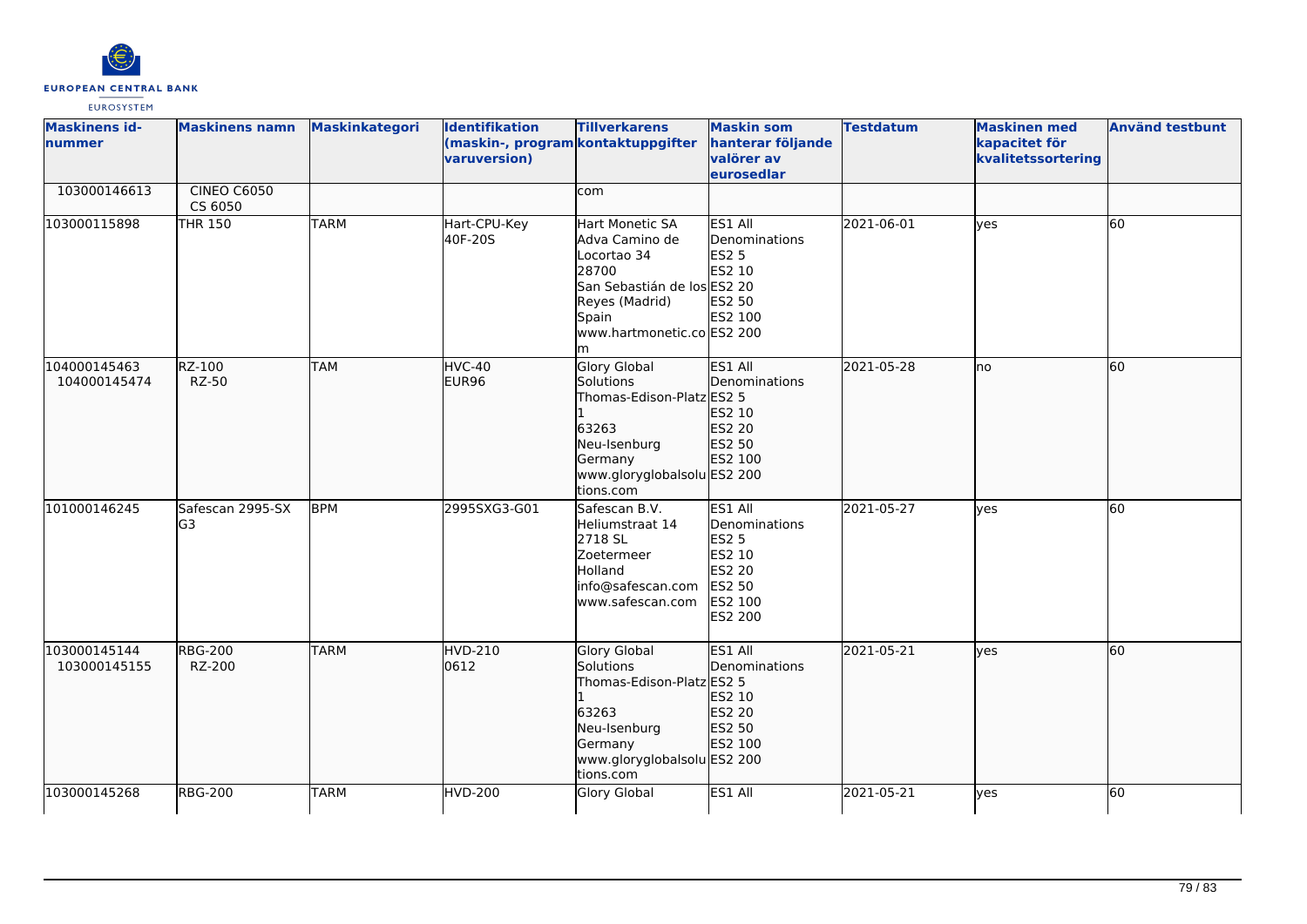

| <b>Maskinens id-</b><br>nummer | <b>Maskinens namn</b>         | <b>Maskinkategori</b> | <b>Identifikation</b><br>(maskin-, program kontaktuppgifter<br>varuversion) | <b>Tillverkarens</b>                                                                                                                              | <b>Maskin som</b><br>hanterar följande<br>valörer av<br>eurosedlar                                  | <b>Testdatum</b> | <b>Maskinen med</b><br>kapacitet för<br>kvalitetssortering | <b>Använd testbunt</b> |
|--------------------------------|-------------------------------|-----------------------|-----------------------------------------------------------------------------|---------------------------------------------------------------------------------------------------------------------------------------------------|-----------------------------------------------------------------------------------------------------|------------------|------------------------------------------------------------|------------------------|
| 103000146613                   | <b>CINEO C6050</b><br>CS 6050 |                       |                                                                             | com                                                                                                                                               |                                                                                                     |                  |                                                            |                        |
| 103000115898                   | <b>THR 150</b>                | <b>TARM</b>           | Hart-CPU-Key<br>40F-20S                                                     | Hart Monetic SA<br>Adva Camino de<br>Locortao 34<br>28700<br>San Sebastián de los ES2 20<br>Reyes (Madrid)<br>Spain<br>www.hartmonetic.co ES2 200 | ES1 All<br>Denominations<br><b>ES2 5</b><br>ES2 10<br><b>ES2 50</b><br>ES2 100                      | 2021-06-01       | yes                                                        | 60                     |
| 104000145463<br>104000145474   | RZ-100<br><b>RZ-50</b>        | <b>TAM</b>            | HVC-40<br>EUR96                                                             | <b>Glory Global</b><br>Solutions<br>Thomas-Edison-Platz ES2 5<br>63263<br>Neu-Isenburg<br>Germany<br>www.gloryglobalsolu ES2 200<br>tions.com     | ES1 All<br><b>Denominations</b><br>ES2 10<br>ES2 20<br>ES2 50<br>ES2 100                            | 2021-05-28       | Ino                                                        | 60                     |
| 101000146245                   | Safescan 2995-SX<br>G3        | <b>BPM</b>            | 2995SXG3-G01                                                                | Safescan B.V.<br>Heliumstraat 14<br>2718 SL<br>Zoetermeer<br>Holland<br>info@safescan.com<br>www.safescan.com                                     | ES1 All<br>Denominations<br><b>ES2 5</b><br>ES2 10<br><b>ES2 20</b><br>ES2 50<br>ES2 100<br>ES2 200 | 2021-05-27       | <b>ves</b>                                                 | 60                     |
| 103000145144<br>103000145155   | <b>RBG-200</b><br>RZ-200      | <b>TARM</b>           | <b>HVD-210</b><br>0612                                                      | Glory Global<br>Solutions<br>Thomas-Edison-Platz ES2 5<br>11.<br>63263<br>Neu-Isenburg<br>Germany<br>www.gloryglobalsolu ES2 200<br>tions.com     | ES1 All<br>Denominations<br>ES2 10<br>ES2 20<br>ES2 50<br>ES2 100                                   | 2021-05-21       | lves                                                       | 60                     |
| 103000145268                   | <b>RBG-200</b>                | <b>TARM</b>           | <b>HVD-200</b>                                                              | <b>Glory Global</b>                                                                                                                               | ES1 All                                                                                             | 2021-05-21       | lyes                                                       | 60                     |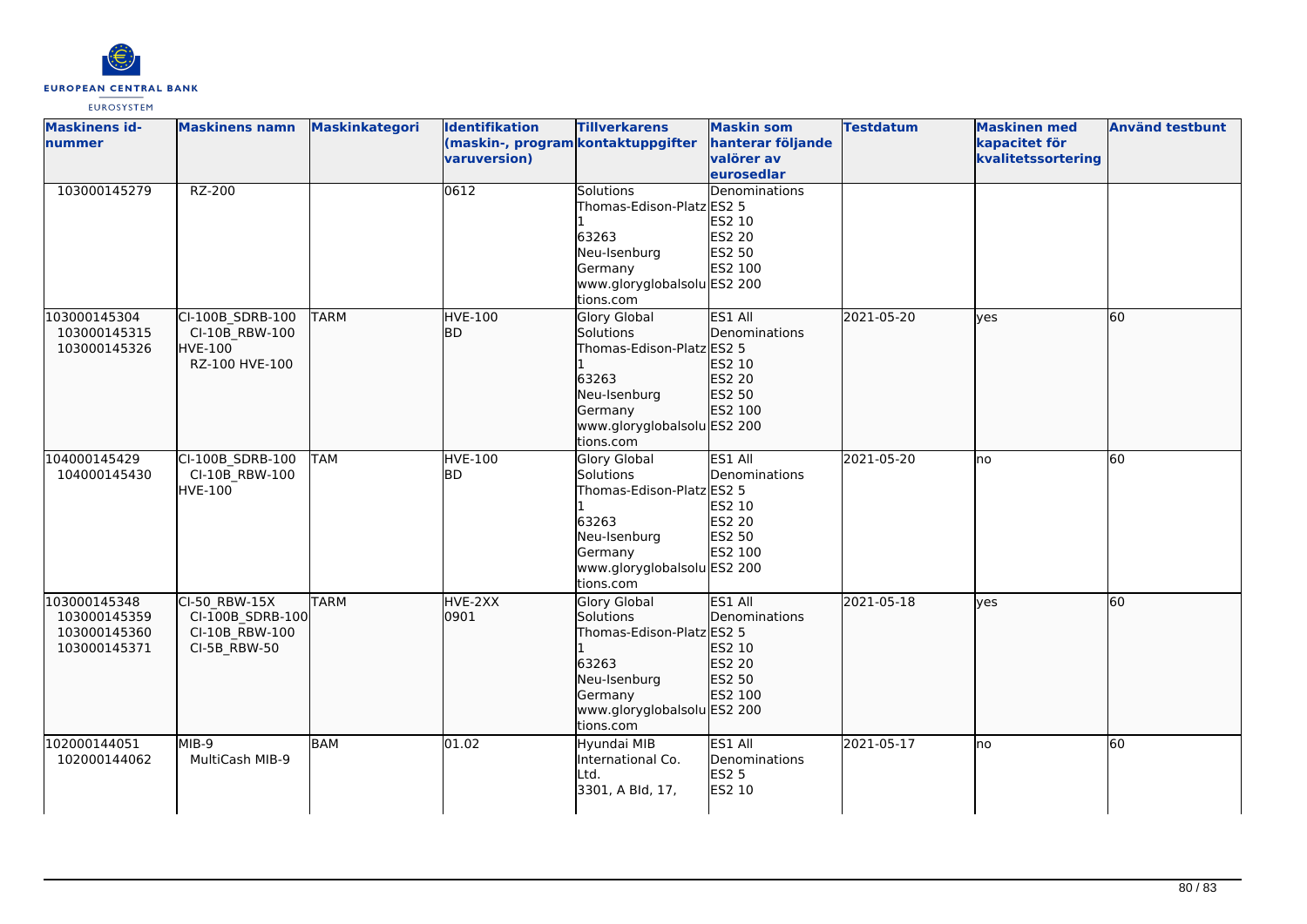

| <b>Maskinens id-</b><br>nummer                               | <b>Maskinens namn</b>                                                  | <b>Maskinkategori</b> | Identifikation<br>(maskin-, program kontaktuppgifter<br>varuversion) | <b>Tillverkarens</b>                                                                                                                          | <b>Maskin som</b><br>hanterar följande<br>valörer av                     | <b>Testdatum</b> | <b>Maskinen med</b><br>kapacitet för<br>kvalitetssortering | <b>Använd testbunt</b> |
|--------------------------------------------------------------|------------------------------------------------------------------------|-----------------------|----------------------------------------------------------------------|-----------------------------------------------------------------------------------------------------------------------------------------------|--------------------------------------------------------------------------|------------------|------------------------------------------------------------|------------------------|
|                                                              |                                                                        |                       |                                                                      |                                                                                                                                               | eurosedlar                                                               |                  |                                                            |                        |
| 103000145279                                                 | RZ-200                                                                 |                       | 0612                                                                 | <b>Solutions</b><br>Thomas-Edison-Platz ES2 5<br>63263<br>Neu-Isenburg<br>Germany<br>www.gloryglobalsolu ES2 200<br>tions.com                 | Denominations<br>ES2 10<br>ES2 20<br>ES2 50<br>ES2 100                   |                  |                                                            |                        |
| 103000145304<br>103000145315<br>103000145326                 | CI-100B_SDRB-100<br>CI-10B RBW-100<br><b>HVE-100</b><br>RZ-100 HVE-100 | <b>TARM</b>           | HVE-100<br>lbd.                                                      | Glory Global<br>Solutions<br>Thomas-Edison-Platz ES2 5<br>63263<br>Neu-Isenburg<br>Germany<br>www.gloryglobalsolu ES2 200<br>tions.com        | ES1 All<br>Denominations<br>ES2 10<br><b>ES2 20</b><br>ES2 50<br>ES2 100 | 2021-05-20       | ves                                                        | 60                     |
| 104000145429<br>104000145430                                 | CI-100B SDRB-100<br>CI-10B RBW-100<br><b>HVE-100</b>                   | <b>TAM</b>            | <b>HVE-100</b><br><b>BD</b>                                          | <b>Glory Global</b><br>Solutions<br>Thomas-Edison-Platz ES2 5<br>63263<br>Neu-Isenburg<br>Germany<br>www.gloryglobalsolu ES2 200<br>tions.com | ES1 All<br>Denominations<br>ES2 10<br><b>ES2 20</b><br>ES2 50<br>ES2 100 | 2021-05-20       | lno                                                        | 60                     |
| 103000145348<br>103000145359<br>103000145360<br>103000145371 | CI-50 RBW-15X<br>CI-100B SDRB-100<br>CI-10B RBW-100<br>CI-5B_RBW-50    | <b>TARM</b>           | HVE-2XX<br>0901                                                      | <b>Glory Global</b><br>Solutions<br>Thomas-Edison-Platz ES2 5<br>63263<br>Neu-Isenburg<br>Germany<br>www.gloryglobalsolu ES2 200<br>tions.com | ES1 All<br>Denominations<br>ES2 10<br><b>ES2 20</b><br>ES2 50<br>ES2 100 | 2021-05-18       | lves                                                       | 60                     |
| 102000144051<br>102000144062                                 | MIB-9<br>MultiCash MIB-9                                               | <b>BAM</b>            | 01.02                                                                | Hyundai MIB<br>International Co.<br>Ltd.<br>3301, A Bld, 17,                                                                                  | ES1 All<br>Denominations<br><b>ES2 5</b><br>ES2 10                       | 2021-05-17       | no                                                         | 60                     |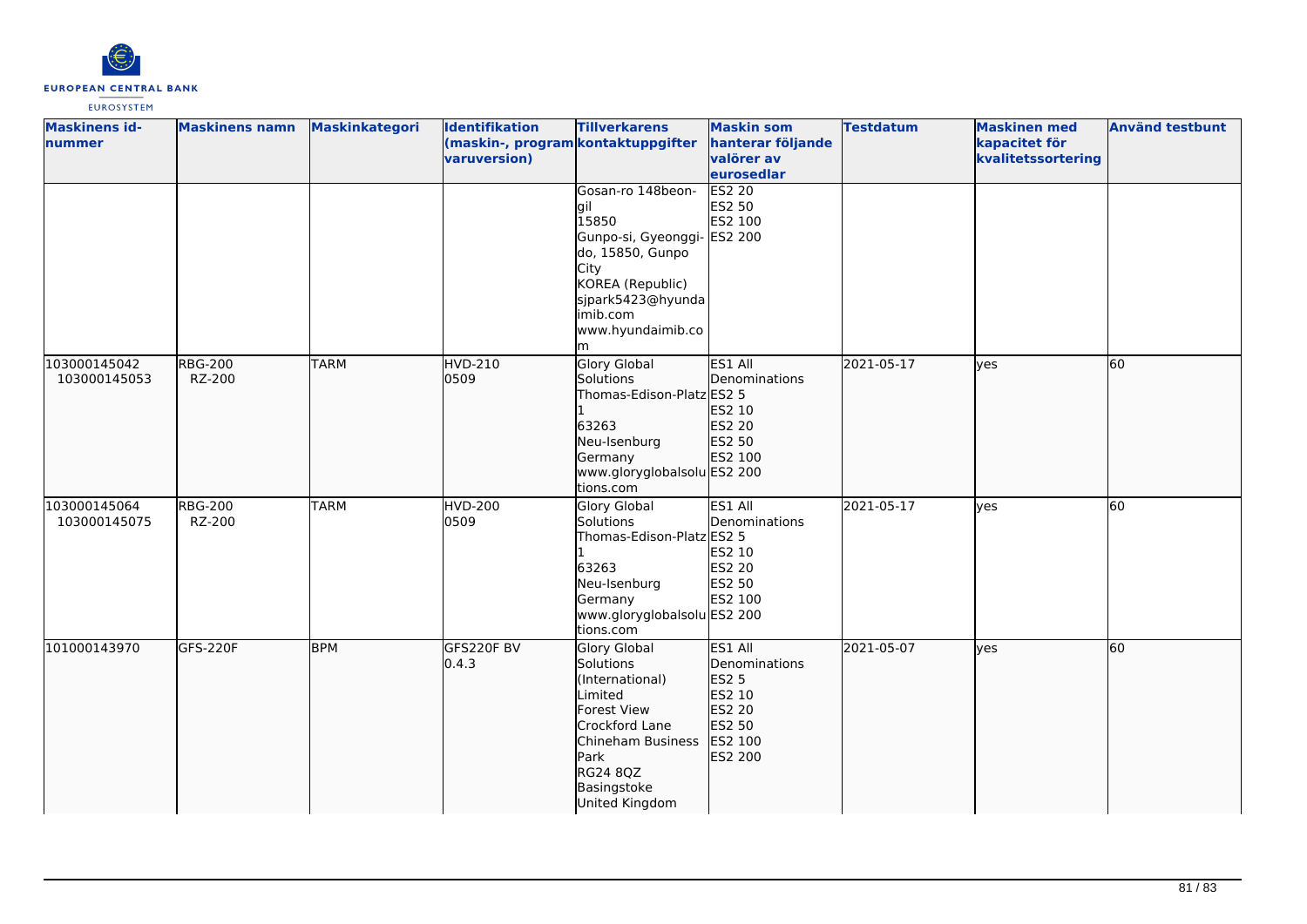

| <b>Maskinens id-</b><br>nummer | <b>Maskinens namn</b>    | Maskinkategori | Identifikation<br>(maskin-, program kontaktuppgifter<br>varuversion) | <b>Tillverkarens</b>                                                                                                                                                             | <b>Maskin som</b><br>hanterar följande<br>valörer av<br>eurosedlar                           | <b>Testdatum</b> | <b>Maskinen med</b><br>kapacitet för<br>kvalitetssortering | <b>Använd testbunt</b> |
|--------------------------------|--------------------------|----------------|----------------------------------------------------------------------|----------------------------------------------------------------------------------------------------------------------------------------------------------------------------------|----------------------------------------------------------------------------------------------|------------------|------------------------------------------------------------|------------------------|
|                                |                          |                |                                                                      | Gosan-ro 148beon-<br>gil<br>15850<br>Gunpo-si, Gyeonggi-<br>do, 15850, Gunpo<br>City<br>KOREA (Republic)<br>sjpark5423@hyunda<br>imib.com<br>www.hyundaimib.co<br>m              | <b>ES2 20</b><br><b>ES2 50</b><br>ES2 100<br>ES2 200                                         |                  |                                                            |                        |
| 103000145042<br>103000145053   | <b>RBG-200</b><br>RZ-200 | <b>TARM</b>    | <b>HVD-210</b><br>0509                                               | <b>Glory Global</b><br>Solutions<br>Thomas-Edison-Platz ES2 5<br>63263<br>Neu-Isenburg<br>Germany<br>www.gloryglobalsolu ES2 200<br>tions.com                                    | ES1 All<br>Denominations<br>ES2 10<br>ES2 20<br>ES2 50<br>ES2 100                            | 2021-05-17       | lyes                                                       | 60                     |
| 103000145064<br>103000145075   | <b>RBG-200</b><br>RZ-200 | <b>TARM</b>    | <b>HVD-200</b><br>0509                                               | <b>Glory Global</b><br>Solutions<br>Thomas-Edison-Platz ES2 5<br>63263<br>Neu-Isenburg<br>Germany<br>www.gloryglobalsolu ES2 200<br>tions.com                                    | ES1 All<br>Denominations<br>ES2 10<br>ES2 20<br>ES2 50<br>ES2 100                            | 2021-05-17       | ves                                                        | 60                     |
| 101000143970                   | GFS-220F                 | <b>BPM</b>     | GFS220F BV<br>0.4.3                                                  | <b>Glory Global</b><br>Solutions<br>(International)<br>Limited<br>Forest View<br>Crockford Lane<br>Chineham Business<br>Park<br><b>RG24 8QZ</b><br>Basingstoke<br>United Kingdom | ES1 All<br>Denominations<br><b>ES2 5</b><br>ES2 10<br>ES2 20<br>ES2 50<br>ES2 100<br>ES2 200 | 2021-05-07       | yes                                                        | 60                     |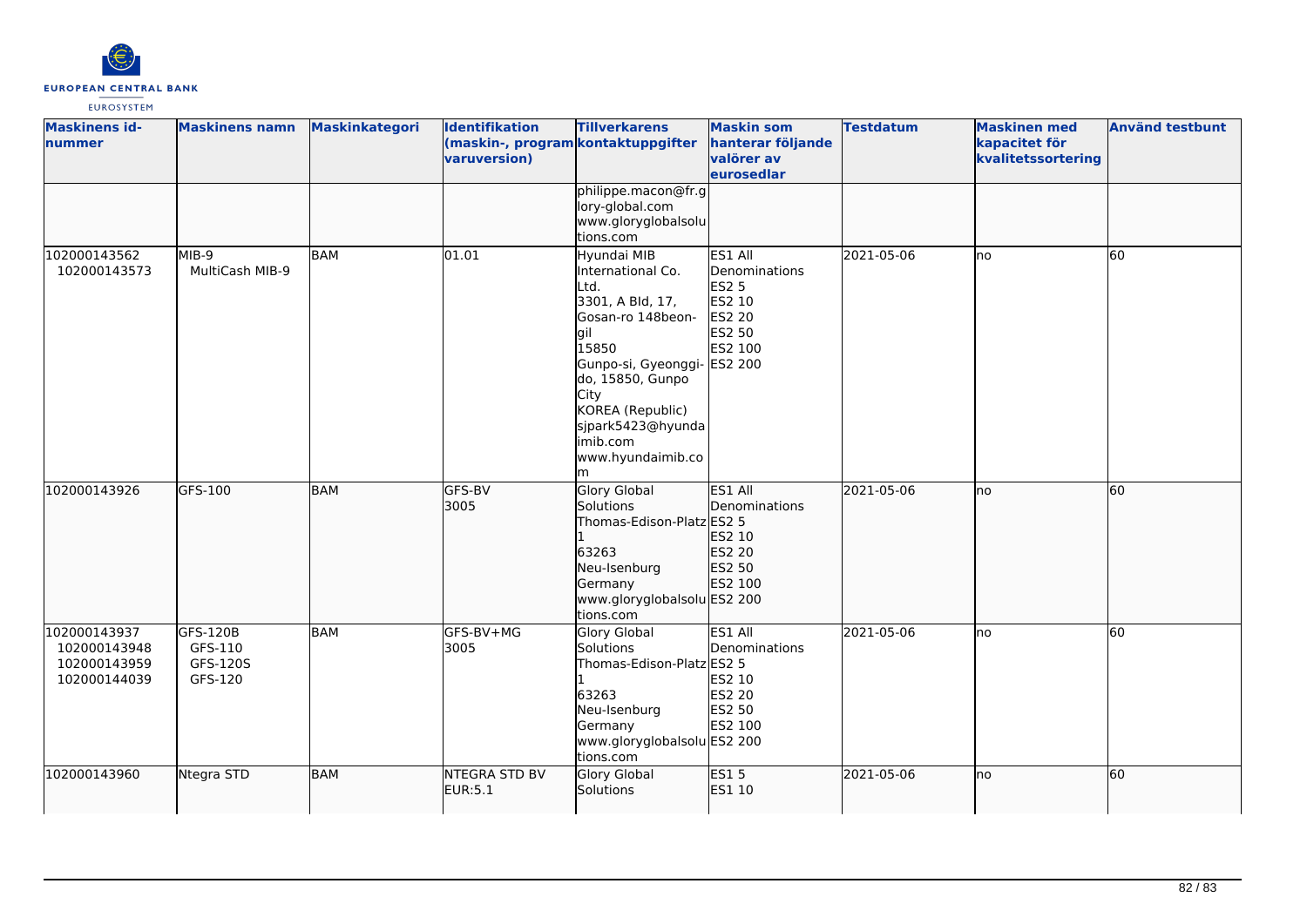

| <b>Maskinens id-</b><br>nummer                               | <b>Maskinens namn</b>                      | <b>Maskinkategori</b> | <b>Identifikation</b><br>(maskin-, program kontaktuppgifter<br>varuversion) | <b>Tillverkarens</b>                                                                                                                                                                                                                           | <b>Maskin som</b><br>hanterar följande<br>valörer av<br>eurosedlar                       | <b>Testdatum</b> | <b>Maskinen med</b><br>kapacitet för<br>kvalitetssortering | <b>Använd testbunt</b> |
|--------------------------------------------------------------|--------------------------------------------|-----------------------|-----------------------------------------------------------------------------|------------------------------------------------------------------------------------------------------------------------------------------------------------------------------------------------------------------------------------------------|------------------------------------------------------------------------------------------|------------------|------------------------------------------------------------|------------------------|
|                                                              |                                            |                       |                                                                             | philippe.macon@fr.g<br>lory-global.com<br>www.gloryglobalsolu<br>tions.com                                                                                                                                                                     |                                                                                          |                  |                                                            |                        |
| 102000143562<br>102000143573                                 | MIB-9<br>MultiCash MIB-9                   | <b>BAM</b>            | 01.01                                                                       | Hyundai MIB<br>International Co.<br>Ltd.<br>3301, A Bld, 17,<br>Gosan-ro 148beon-<br>lait<br>15850<br>Gunpo-si, Gyeonggi- ES2 200<br>do, 15850, Gunpo<br>City<br>KOREA (Republic)<br>sjpark5423@hyunda<br>limib.com<br>www.hyundaimib.co<br>lm | ES1 All<br>Denominations<br><b>ES2 5</b><br>ES2 10<br><b>ES2 20</b><br>ES2 50<br>ES2 100 | 2021-05-06       | lno                                                        | 60                     |
| 102000143926                                                 | GFS-100                                    | BAM                   | GFS-BV<br>3005                                                              | <b>Glory Global</b><br>Solutions<br>Thomas-Edison-Platz ES2 5<br>63263<br>Neu-Isenburg<br>Germany<br>www.gloryglobalsolu ES2 200<br>tions.com                                                                                                  | ES1 All<br>Denominations<br>ES2 10<br>ES2 20<br>ES2 50<br>ES2 100                        | 2021-05-06       | Ino                                                        | 60                     |
| 102000143937<br>102000143948<br>102000143959<br>102000144039 | GFS-120B<br>GFS-110<br>GFS-120S<br>GFS-120 | BAM                   | GFS-BV+MG<br>3005                                                           | Glory Global<br>Solutions<br>Thomas-Edison-Platz ES2 5<br>63263<br>Neu-Isenburg<br>Germany<br>www.gloryglobalsolu ES2 200<br>tions.com                                                                                                         | ES1 All<br>Denominations<br>ES2 10<br><b>ES2 20</b><br><b>ES2 50</b><br>ES2 100          | 2021-05-06       | no                                                         | 60                     |
| 102000143960                                                 | Ntegra STD                                 | BAM                   | <b>NTEGRA STD BV</b><br>EUR:5.1                                             | <b>Glory Global</b><br>Solutions                                                                                                                                                                                                               | ES15<br>ES1 10                                                                           | 2021-05-06       | Ino                                                        | 60                     |